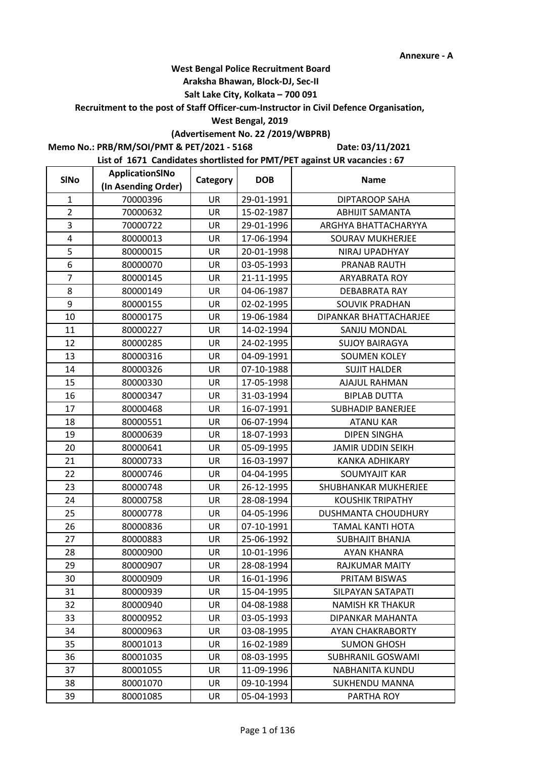### **Araksha Bhawan, Block-DJ, Sec-II**

## **Salt Lake City, Kolkata – 700 091**

**Recruitment to the post of Staff Officer-cum-Instructor in Civil Defence Organisation,** 

### **West Bengal, 2019**

# **(Advertisement No. 22 /2019/WBPRB)**

**Memo No.: PRB/RM/SOI/PMT & PET/2021 - 5168**

**Date: 03/11/2021**

| <b>SINo</b>    | ApplicationSINo     | Category  | <b>DOB</b> | <b>Name</b>              |
|----------------|---------------------|-----------|------------|--------------------------|
|                | (In Asending Order) |           |            |                          |
| $\mathbf{1}$   | 70000396            | <b>UR</b> | 29-01-1991 | <b>DIPTAROOP SAHA</b>    |
| $\overline{2}$ | 70000632            | <b>UR</b> | 15-02-1987 | <b>ABHIJIT SAMANTA</b>   |
| 3              | 70000722            | UR        | 29-01-1996 | ARGHYA BHATTACHARYYA     |
| 4              | 80000013            | <b>UR</b> | 17-06-1994 | <b>SOURAV MUKHERJEE</b>  |
| 5              | 80000015            | UR        | 20-01-1998 | NIRAJ UPADHYAY           |
| 6              | 80000070            | UR        | 03-05-1993 | PRANAB RAUTH             |
| $\overline{7}$ | 80000145            | UR        | 21-11-1995 | <b>ARYABRATA ROY</b>     |
| 8              | 80000149            | UR        | 04-06-1987 | DEBABRATA RAY            |
| 9              | 80000155            | UR        | 02-02-1995 | SOUVIK PRADHAN           |
| 10             | 80000175            | UR        | 19-06-1984 | DIPANKAR BHATTACHARJEE   |
| 11             | 80000227            | <b>UR</b> | 14-02-1994 | SANJU MONDAL             |
| 12             | 80000285            | UR        | 24-02-1995 | <b>SUJOY BAIRAGYA</b>    |
| 13             | 80000316            | UR        | 04-09-1991 | <b>SOUMEN KOLEY</b>      |
| 14             | 80000326            | UR        | 07-10-1988 | <b>SUJIT HALDER</b>      |
| 15             | 80000330            | UR        | 17-05-1998 | <b>AJAJUL RAHMAN</b>     |
| 16             | 80000347            | UR        | 31-03-1994 | <b>BIPLAB DUTTA</b>      |
| 17             | 80000468            | <b>UR</b> | 16-07-1991 | <b>SUBHADIP BANERJEE</b> |
| 18             | 80000551            | UR        | 06-07-1994 | <b>ATANU KAR</b>         |
| 19             | 80000639            | UR        | 18-07-1993 | <b>DIPEN SINGHA</b>      |
| 20             | 80000641            | UR        | 05-09-1995 | <b>JAMIR UDDIN SEIKH</b> |
| 21             | 80000733            | UR        | 16-03-1997 | <b>KANKA ADHIKARY</b>    |
| 22             | 80000746            | UR        | 04-04-1995 | <b>SOUMYAJIT KAR</b>     |
| 23             | 80000748            | <b>UR</b> | 26-12-1995 | SHUBHANKAR MUKHERJEE     |
| 24             | 80000758            | UR        | 28-08-1994 | <b>KOUSHIK TRIPATHY</b>  |
| 25             | 80000778            | UR        | 04-05-1996 | DUSHMANTA CHOUDHURY      |
| 26             | 80000836            | UR        | 07-10-1991 | <b>TAMAL KANTI HOTA</b>  |
| 27             | 80000883            | UR        | 25-06-1992 | <b>SUBHAJIT BHANJA</b>   |
| 28             | 80000900            | UR        | 10-01-1996 | <b>AYAN KHANRA</b>       |
| 29             | 80000907            | UR        | 28-08-1994 | RAJKUMAR MAITY           |
| 30             | 80000909            | UR        | 16-01-1996 | PRITAM BISWAS            |
| 31             | 80000939            | UR        | 15-04-1995 | SILPAYAN SATAPATI        |
| 32             | 80000940            | UR        | 04-08-1988 | <b>NAMISH KR THAKUR</b>  |
| 33             | 80000952            | UR        | 03-05-1993 | DIPANKAR MAHANTA         |
| 34             | 80000963            | UR        | 03-08-1995 | <b>AYAN CHAKRABORTY</b>  |
| 35             | 80001013            | UR        | 16-02-1989 | <b>SUMON GHOSH</b>       |
| 36             | 80001035            | UR        | 08-03-1995 | SUBHRANIL GOSWAMI        |
| 37             | 80001055            | <b>UR</b> | 11-09-1996 | NABHANITA KUNDU          |
| 38             | 80001070            | UR        | 09-10-1994 | <b>SUKHENDU MANNA</b>    |
| 39             | 80001085            | UR        | 05-04-1993 | PARTHA ROY               |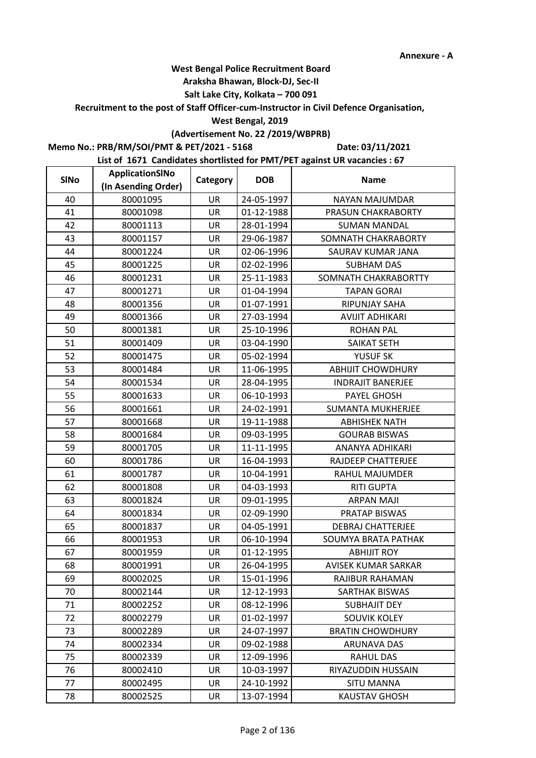### **Araksha Bhawan, Block-DJ, Sec-II**

## **Salt Lake City, Kolkata – 700 091**

**Recruitment to the post of Staff Officer-cum-Instructor in Civil Defence Organisation,** 

#### **West Bengal, 2019**

# **(Advertisement No. 22 /2019/WBPRB)**

**Memo No.: PRB/RM/SOI/PMT & PET/2021 - 5168**

**Date: 03/11/2021**

| <b>SINo</b> | ApplicationSINo     | Category  | <b>DOB</b> | <b>Name</b>                |
|-------------|---------------------|-----------|------------|----------------------------|
|             | (In Asending Order) |           |            |                            |
| 40          | 80001095            | UR        | 24-05-1997 | NAYAN MAJUMDAR             |
| 41          | 80001098            | <b>UR</b> | 01-12-1988 | PRASUN CHAKRABORTY         |
| 42          | 80001113            | UR        | 28-01-1994 | <b>SUMAN MANDAL</b>        |
| 43          | 80001157            | <b>UR</b> | 29-06-1987 | SOMNATH CHAKRABORTY        |
| 44          | 80001224            | UR        | 02-06-1996 | SAURAV KUMAR JANA          |
| 45          | 80001225            | <b>UR</b> | 02-02-1996 | <b>SUBHAM DAS</b>          |
| 46          | 80001231            | UR        | 25-11-1983 | SOMNATH CHAKRABORTTY       |
| 47          | 80001271            | UR        | 01-04-1994 | <b>TAPAN GORAI</b>         |
| 48          | 80001356            | UR        | 01-07-1991 | RIPUNJAY SAHA              |
| 49          | 80001366            | UR        | 27-03-1994 | <b>AVIJIT ADHIKARI</b>     |
| 50          | 80001381            | <b>UR</b> | 25-10-1996 | <b>ROHAN PAL</b>           |
| 51          | 80001409            | UR        | 03-04-1990 | SAIKAT SETH                |
| 52          | 80001475            | UR        | 05-02-1994 | YUSUF SK                   |
| 53          | 80001484            | UR        | 11-06-1995 | <b>ABHIJIT CHOWDHURY</b>   |
| 54          | 80001534            | UR        | 28-04-1995 | <b>INDRAJIT BANERJEE</b>   |
| 55          | 80001633            | UR        | 06-10-1993 | PAYEL GHOSH                |
| 56          | 80001661            | <b>UR</b> | 24-02-1991 | <b>SUMANTA MUKHERJEE</b>   |
| 57          | 80001668            | UR        | 19-11-1988 | <b>ABHISHEK NATH</b>       |
| 58          | 80001684            | UR        | 09-03-1995 | <b>GOURAB BISWAS</b>       |
| 59          | 80001705            | UR        | 11-11-1995 | ANANYA ADHIKARI            |
| 60          | 80001786            | UR        | 16-04-1993 | RAJDEEP CHATTERJEE         |
| 61          | 80001787            | UR        | 10-04-1991 | RAHUL MAJUMDER             |
| 62          | 80001808            | <b>UR</b> | 04-03-1993 | <b>RITI GUPTA</b>          |
| 63          | 80001824            | UR        | 09-01-1995 | <b>ARPAN MAJI</b>          |
| 64          | 80001834            | UR        | 02-09-1990 | PRATAP BISWAS              |
| 65          | 80001837            | UR        | 04-05-1991 | <b>DEBRAJ CHATTERJEE</b>   |
| 66          | 80001953            | UR        | 06-10-1994 | SOUMYA BRATA PATHAK        |
| 67          | 80001959            | UR        | 01-12-1995 | <b>ABHIJIT ROY</b>         |
| 68          | 80001991            | UR        | 26-04-1995 | <b>AVISEK KUMAR SARKAR</b> |
| 69          | 80002025            | UR        | 15-01-1996 | RAJIBUR RAHAMAN            |
| 70          | 80002144            | UR        | 12-12-1993 | SARTHAK BISWAS             |
| 71          | 80002252            | UR        | 08-12-1996 | <b>SUBHAJIT DEY</b>        |
| 72          | 80002279            | UR        | 01-02-1997 | <b>SOUVIK KOLEY</b>        |
| 73          | 80002289            | UR        | 24-07-1997 | <b>BRATIN CHOWDHURY</b>    |
| 74          | 80002334            | UR        | 09-02-1988 | <b>ARUNAVA DAS</b>         |
| 75          | 80002339            | UR        | 12-09-1996 | <b>RAHUL DAS</b>           |
| 76          | 80002410            | <b>UR</b> | 10-03-1997 | RIYAZUDDIN HUSSAIN         |
| 77          | 80002495            | UR        | 24-10-1992 | <b>SITU MANNA</b>          |
| 78          | 80002525            | UR        | 13-07-1994 | <b>KAUSTAV GHOSH</b>       |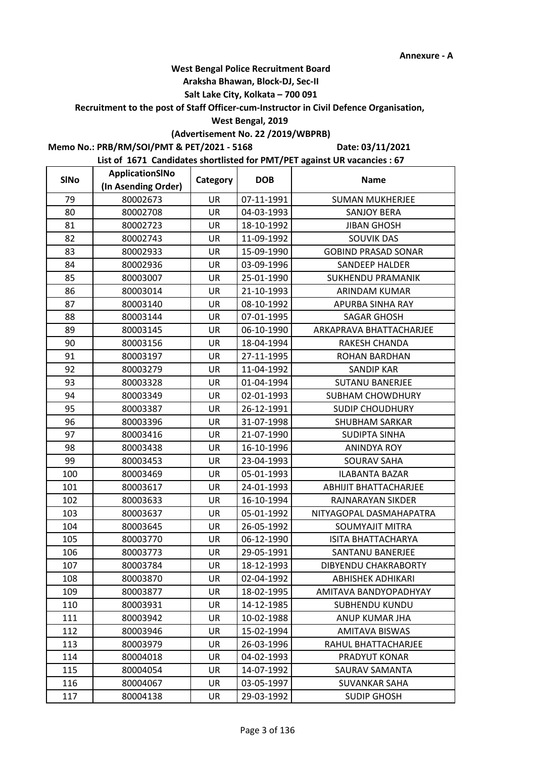### **Araksha Bhawan, Block-DJ, Sec-II**

## **Salt Lake City, Kolkata – 700 091**

**Recruitment to the post of Staff Officer-cum-Instructor in Civil Defence Organisation,** 

### **West Bengal, 2019**

# **(Advertisement No. 22 /2019/WBPRB)**

**Memo No.: PRB/RM/SOI/PMT & PET/2021 - 5168**

**Date: 03/11/2021**

| <b>SINo</b> | ApplicationSINo     | Category  | <b>DOB</b> | <b>Name</b>                  |
|-------------|---------------------|-----------|------------|------------------------------|
|             | (In Asending Order) |           |            |                              |
| 79          | 80002673            | <b>UR</b> | 07-11-1991 | <b>SUMAN MUKHERJEE</b>       |
| 80          | 80002708            | UR        | 04-03-1993 | <b>SANJOY BERA</b>           |
| 81          | 80002723            | UR        | 18-10-1992 | <b>JIBAN GHOSH</b>           |
| 82          | 80002743            | <b>UR</b> | 11-09-1992 | <b>SOUVIK DAS</b>            |
| 83          | 80002933            | UR        | 15-09-1990 | <b>GOBIND PRASAD SONAR</b>   |
| 84          | 80002936            | UR        | 03-09-1996 | <b>SANDEEP HALDER</b>        |
| 85          | 80003007            | UR        | 25-01-1990 | <b>SUKHENDU PRAMANIK</b>     |
| 86          | 80003014            | UR        | 21-10-1993 | ARINDAM KUMAR                |
| 87          | 80003140            | UR        | 08-10-1992 | APURBA SINHA RAY             |
| 88          | 80003144            | UR        | 07-01-1995 | <b>SAGAR GHOSH</b>           |
| 89          | 80003145            | UR        | 06-10-1990 | ARKAPRAVA BHATTACHARJEE      |
| 90          | 80003156            | UR        | 18-04-1994 | RAKESH CHANDA                |
| 91          | 80003197            | UR        | 27-11-1995 | ROHAN BARDHAN                |
| 92          | 80003279            | UR        | 11-04-1992 | <b>SANDIP KAR</b>            |
| 93          | 80003328            | UR        | 01-04-1994 | <b>SUTANU BANERJEE</b>       |
| 94          | 80003349            | UR        | 02-01-1993 | SUBHAM CHOWDHURY             |
| 95          | 80003387            | <b>UR</b> | 26-12-1991 | <b>SUDIP CHOUDHURY</b>       |
| 96          | 80003396            | UR        | 31-07-1998 | <b>SHUBHAM SARKAR</b>        |
| 97          | 80003416            | UR        | 21-07-1990 | SUDIPTA SINHA                |
| 98          | 80003438            | UR        | 16-10-1996 | <b>ANINDYA ROY</b>           |
| 99          | 80003453            | UR        | 23-04-1993 | <b>SOURAV SAHA</b>           |
| 100         | 80003469            | UR        | 05-01-1993 | <b>ILABANTA BAZAR</b>        |
| 101         | 80003617            | <b>UR</b> | 24-01-1993 | <b>ABHIJIT BHATTACHARJEE</b> |
| 102         | 80003633            | UR        | 16-10-1994 | RAJNARAYAN SIKDER            |
| 103         | 80003637            | UR        | 05-01-1992 | NITYAGOPAL DASMAHAPATRA      |
| 104         | 80003645            | UR        | 26-05-1992 | <b>SOUMYAJIT MITRA</b>       |
| 105         | 80003770            | UR        | 06-12-1990 | <b>ISITA BHATTACHARYA</b>    |
| 106         | 80003773            | UR        | 29-05-1991 | SANTANU BANERJEE             |
| 107         | 80003784            | UR        | 18-12-1993 | <b>DIBYENDU CHAKRABORTY</b>  |
| 108         | 80003870            | UR        | 02-04-1992 | <b>ABHISHEK ADHIKARI</b>     |
| 109         | 80003877            | UR        | 18-02-1995 | AMITAVA BANDYOPADHYAY        |
| 110         | 80003931            | UR        | 14-12-1985 | <b>SUBHENDU KUNDU</b>        |
| 111         | 80003942            | UR        | 10-02-1988 | ANUP KUMAR JHA               |
| 112         | 80003946            | UR        | 15-02-1994 | <b>AMITAVA BISWAS</b>        |
| 113         | 80003979            | UR        | 26-03-1996 | RAHUL BHATTACHARJEE          |
| 114         | 80004018            | UR        | 04-02-1993 | PRADYUT KONAR                |
| 115         | 80004054            | <b>UR</b> | 14-07-1992 | SAURAV SAMANTA               |
| 116         | 80004067            | UR        | 03-05-1997 | SUVANKAR SAHA                |
| 117         | 80004138            | UR        | 29-03-1992 | <b>SUDIP GHOSH</b>           |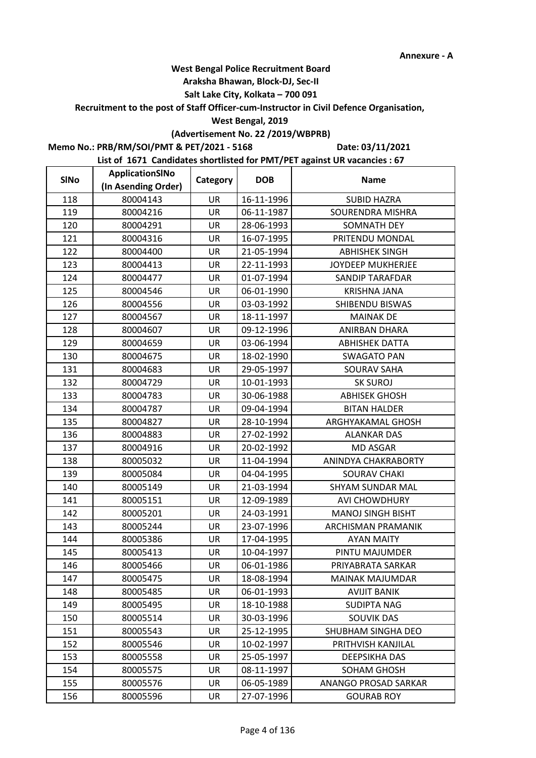### **Araksha Bhawan, Block-DJ, Sec-II**

## **Salt Lake City, Kolkata – 700 091**

**Recruitment to the post of Staff Officer-cum-Instructor in Civil Defence Organisation,** 

#### **West Bengal, 2019**

# **(Advertisement No. 22 /2019/WBPRB)**

**Memo No.: PRB/RM/SOI/PMT & PET/2021 - 5168**

**Date: 03/11/2021**

| <b>SINo</b> | ApplicationSINo     | Category  | <b>DOB</b> | <b>Name</b>               |
|-------------|---------------------|-----------|------------|---------------------------|
|             | (In Asending Order) |           |            |                           |
| 118         | 80004143            | UR        | 16-11-1996 | <b>SUBID HAZRA</b>        |
| 119         | 80004216            | <b>UR</b> | 06-11-1987 | SOURENDRA MISHRA          |
| 120         | 80004291            | UR        | 28-06-1993 | SOMNATH DEY               |
| 121         | 80004316            | <b>UR</b> | 16-07-1995 | PRITENDU MONDAL           |
| 122         | 80004400            | UR        | 21-05-1994 | <b>ABHISHEK SINGH</b>     |
| 123         | 80004413            | UR        | 22-11-1993 | <b>JOYDEEP MUKHERJEE</b>  |
| 124         | 80004477            | UR        | 01-07-1994 | <b>SANDIP TARAFDAR</b>    |
| 125         | 80004546            | UR        | 06-01-1990 | <b>KRISHNA JANA</b>       |
| 126         | 80004556            | UR        | 03-03-1992 | SHIBENDU BISWAS           |
| 127         | 80004567            | UR        | 18-11-1997 | <b>MAINAK DE</b>          |
| 128         | 80004607            | UR        | 09-12-1996 | <b>ANIRBAN DHARA</b>      |
| 129         | 80004659            | UR        | 03-06-1994 | <b>ABHISHEK DATTA</b>     |
| 130         | 80004675            | UR        | 18-02-1990 | <b>SWAGATO PAN</b>        |
| 131         | 80004683            | UR        | 29-05-1997 | SOURAV SAHA               |
| 132         | 80004729            | UR        | 10-01-1993 | <b>SK SUROJ</b>           |
| 133         | 80004783            | UR        | 30-06-1988 | <b>ABHISEK GHOSH</b>      |
| 134         | 80004787            | <b>UR</b> | 09-04-1994 | <b>BITAN HALDER</b>       |
| 135         | 80004827            | UR        | 28-10-1994 | ARGHYAKAMAL GHOSH         |
| 136         | 80004883            | UR        | 27-02-1992 | <b>ALANKAR DAS</b>        |
| 137         | 80004916            | UR        | 20-02-1992 | <b>MD ASGAR</b>           |
| 138         | 80005032            | UR        | 11-04-1994 | ANINDYA CHAKRABORTY       |
| 139         | 80005084            | UR        | 04-04-1995 | <b>SOURAV CHAKI</b>       |
| 140         | 80005149            | <b>UR</b> | 21-03-1994 | SHYAM SUNDAR MAL          |
| 141         | 80005151            | UR        | 12-09-1989 | <b>AVI CHOWDHURY</b>      |
| 142         | 80005201            | UR        | 24-03-1991 | <b>MANOJ SINGH BISHT</b>  |
| 143         | 80005244            | UR        | 23-07-1996 | <b>ARCHISMAN PRAMANIK</b> |
| 144         | 80005386            | UR        | 17-04-1995 | <b>AYAN MAITY</b>         |
| 145         | 80005413            | UR        | 10-04-1997 | PINTU MAJUMDER            |
| 146         | 80005466            | UR        | 06-01-1986 | PRIYABRATA SARKAR         |
| 147         | 80005475            | UR        | 18-08-1994 | MAINAK MAJUMDAR           |
| 148         | 80005485            | UR        | 06-01-1993 | <b>AVIJIT BANIK</b>       |
| 149         | 80005495            | UR        | 18-10-1988 | <b>SUDIPTA NAG</b>        |
| 150         | 80005514            | UR        | 30-03-1996 | <b>SOUVIK DAS</b>         |
| 151         | 80005543            | UR        | 25-12-1995 | SHUBHAM SINGHA DEO        |
| 152         | 80005546            | UR        | 10-02-1997 | PRITHVISH KANJILAL        |
| 153         | 80005558            | UR        | 25-05-1997 | DEEPSIKHA DAS             |
| 154         | 80005575            | <b>UR</b> | 08-11-1997 | SOHAM GHOSH               |
| 155         | 80005576            | UR        | 06-05-1989 | ANANGO PROSAD SARKAR      |
| 156         | 80005596            | UR        | 27-07-1996 | <b>GOURAB ROY</b>         |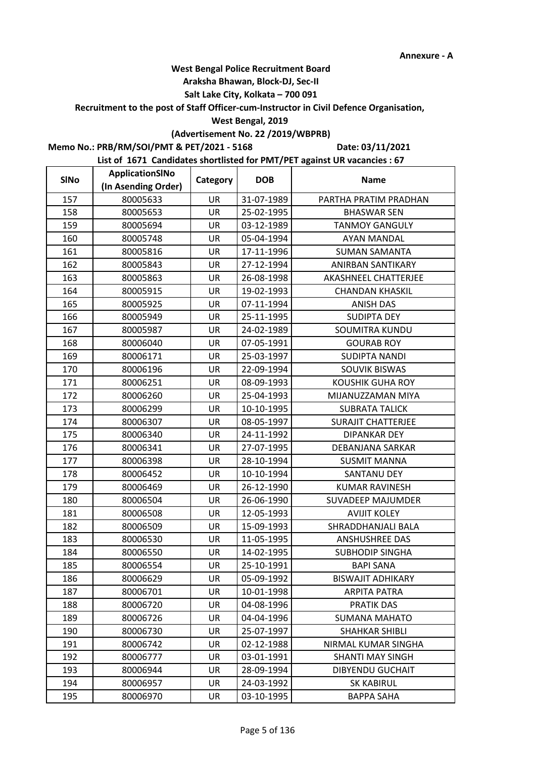### **Araksha Bhawan, Block-DJ, Sec-II**

## **Salt Lake City, Kolkata – 700 091**

**Recruitment to the post of Staff Officer-cum-Instructor in Civil Defence Organisation,** 

#### **West Bengal, 2019**

# **(Advertisement No. 22 /2019/WBPRB)**

**Memo No.: PRB/RM/SOI/PMT & PET/2021 - 5168**

**Date: 03/11/2021**

| <b>SINo</b> | ApplicationSINo     | Category  | <b>DOB</b> | <b>Name</b>               |  |
|-------------|---------------------|-----------|------------|---------------------------|--|
|             | (In Asending Order) |           |            |                           |  |
| 157         | 80005633            | UR        | 31-07-1989 | PARTHA PRATIM PRADHAN     |  |
| 158         | 80005653            | <b>UR</b> | 25-02-1995 | <b>BHASWAR SEN</b>        |  |
| 159         | 80005694            | UR        | 03-12-1989 | <b>TANMOY GANGULY</b>     |  |
| 160         | 80005748            | <b>UR</b> | 05-04-1994 | <b>AYAN MANDAL</b>        |  |
| 161         | 80005816            | UR        | 17-11-1996 | <b>SUMAN SAMANTA</b>      |  |
| 162         | 80005843            | UR        | 27-12-1994 | <b>ANIRBAN SANTIKARY</b>  |  |
| 163         | 80005863            | UR        | 26-08-1998 | AKASHNEEL CHATTERJEE      |  |
| 164         | 80005915            | UR        | 19-02-1993 | <b>CHANDAN KHASKIL</b>    |  |
| 165         | 80005925            | UR        | 07-11-1994 | <b>ANISH DAS</b>          |  |
| 166         | 80005949            | UR        | 25-11-1995 | <b>SUDIPTA DEY</b>        |  |
| 167         | 80005987            | <b>UR</b> | 24-02-1989 | <b>SOUMITRA KUNDU</b>     |  |
| 168         | 80006040            | UR        | 07-05-1991 | <b>GOURAB ROY</b>         |  |
| 169         | 80006171            | UR        | 25-03-1997 | <b>SUDIPTA NANDI</b>      |  |
| 170         | 80006196            | UR        | 22-09-1994 | <b>SOUVIK BISWAS</b>      |  |
| 171         | 80006251            | UR        | 08-09-1993 | <b>KOUSHIK GUHA ROY</b>   |  |
| 172         | 80006260            | UR        | 25-04-1993 | MIJANUZZAMAN MIYA         |  |
| 173         | 80006299            | <b>UR</b> | 10-10-1995 | <b>SUBRATA TALICK</b>     |  |
| 174         | 80006307            | UR        | 08-05-1997 | <b>SURAJIT CHATTERJEE</b> |  |
| 175         | 80006340            | UR        | 24-11-1992 | <b>DIPANKAR DEY</b>       |  |
| 176         | 80006341            | UR        | 27-07-1995 | DEBANJANA SARKAR          |  |
| 177         | 80006398            | UR        | 28-10-1994 | <b>SUSMIT MANNA</b>       |  |
| 178         | 80006452            | UR        | 10-10-1994 | <b>SANTANU DEY</b>        |  |
| 179         | 80006469            | <b>UR</b> | 26-12-1990 | <b>KUMAR RAVINESH</b>     |  |
| 180         | 80006504            | UR        | 26-06-1990 | <b>SUVADEEP MAJUMDER</b>  |  |
| 181         | 80006508            | UR        | 12-05-1993 | <b>AVIJIT KOLEY</b>       |  |
| 182         | 80006509            | UR        | 15-09-1993 | SHRADDHANJALI BALA        |  |
| 183         | 80006530            | UR        | 11-05-1995 | <b>ANSHUSHREE DAS</b>     |  |
| 184         | 80006550            | UR        | 14-02-1995 | <b>SUBHODIP SINGHA</b>    |  |
| 185         | 80006554            | UR        | 25-10-1991 | <b>BAPI SANA</b>          |  |
| 186         | 80006629            | UR        | 05-09-1992 | <b>BISWAJIT ADHIKARY</b>  |  |
| 187         | 80006701            | UR        | 10-01-1998 | <b>ARPITA PATRA</b>       |  |
| 188         | 80006720            | UR        | 04-08-1996 | <b>PRATIK DAS</b>         |  |
| 189         | 80006726            | UR        | 04-04-1996 | <b>SUMANA MAHATO</b>      |  |
| 190         | 80006730            | UR        | 25-07-1997 | <b>SHAHKAR SHIBLI</b>     |  |
| 191         | 80006742            | UR        | 02-12-1988 | NIRMAL KUMAR SINGHA       |  |
| 192         | 80006777            | UR        | 03-01-1991 | <b>SHANTI MAY SINGH</b>   |  |
| 193         | 80006944            | <b>UR</b> | 28-09-1994 | <b>DIBYENDU GUCHAIT</b>   |  |
| 194         | 80006957            | UR        | 24-03-1992 | <b>SK KABIRUL</b>         |  |
| 195         | 80006970            | UR        | 03-10-1995 | <b>BAPPA SAHA</b>         |  |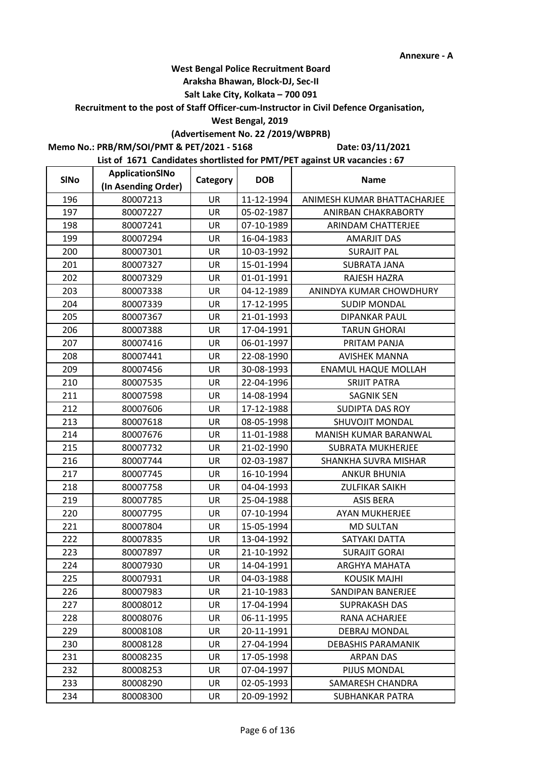## **Araksha Bhawan, Block-DJ, Sec-II**

## **Salt Lake City, Kolkata – 700 091**

**Recruitment to the post of Staff Officer-cum-Instructor in Civil Defence Organisation,** 

#### **West Bengal, 2019**

# **(Advertisement No. 22 /2019/WBPRB)**

**Memo No.: PRB/RM/SOI/PMT & PET/2021 - 5168**

**Date: 03/11/2021**

| <b>SINo</b> | ApplicationSINo     | Category  | <b>DOB</b> | <b>Name</b>                 |
|-------------|---------------------|-----------|------------|-----------------------------|
|             | (In Asending Order) |           |            |                             |
| 196         | 80007213            | <b>UR</b> | 11-12-1994 | ANIMESH KUMAR BHATTACHARJEE |
| 197         | 80007227            | <b>UR</b> | 05-02-1987 | ANIRBAN CHAKRABORTY         |
| 198         | 80007241            | UR        | 07-10-1989 | ARINDAM CHATTERJEE          |
| 199         | 80007294            | <b>UR</b> | 16-04-1983 | <b>AMARJIT DAS</b>          |
| 200         | 80007301            | UR        | 10-03-1992 | <b>SURAJIT PAL</b>          |
| 201         | 80007327            | UR        | 15-01-1994 | <b>SUBRATA JANA</b>         |
| 202         | 80007329            | UR        | 01-01-1991 | RAJESH HAZRA                |
| 203         | 80007338            | UR        | 04-12-1989 | ANINDYA KUMAR CHOWDHURY     |
| 204         | 80007339            | UR        | 17-12-1995 | <b>SUDIP MONDAL</b>         |
| 205         | 80007367            | UR        | 21-01-1993 | <b>DIPANKAR PAUL</b>        |
| 206         | 80007388            | <b>UR</b> | 17-04-1991 | <b>TARUN GHORAI</b>         |
| 207         | 80007416            | UR        | 06-01-1997 | PRITAM PANJA                |
| 208         | 80007441            | UR        | 22-08-1990 | <b>AVISHEK MANNA</b>        |
| 209         | 80007456            | UR        | 30-08-1993 | <b>ENAMUL HAQUE MOLLAH</b>  |
| 210         | 80007535            | UR        | 22-04-1996 | <b>SRIJIT PATRA</b>         |
| 211         | 80007598            | UR        | 14-08-1994 | <b>SAGNIK SEN</b>           |
| 212         | 80007606            | <b>UR</b> | 17-12-1988 | SUDIPTA DAS ROY             |
| 213         | 80007618            | UR        | 08-05-1998 | SHUVOJIT MONDAL             |
| 214         | 80007676            | UR        | 11-01-1988 | MANISH KUMAR BARANWAL       |
| 215         | 80007732            | UR        | 21-02-1990 | <b>SUBRATA MUKHERJEE</b>    |
| 216         | 80007744            | UR        | 02-03-1987 | SHANKHA SUVRA MISHAR        |
| 217         | 80007745            | UR        | 16-10-1994 | <b>ANKUR BHUNIA</b>         |
| 218         | 80007758            | <b>UR</b> | 04-04-1993 | <b>ZULFIKAR SAIKH</b>       |
| 219         | 80007785            | UR        | 25-04-1988 | <b>ASIS BERA</b>            |
| 220         | 80007795            | UR        | 07-10-1994 | <b>AYAN MUKHERJEE</b>       |
| 221         | 80007804            | UR        | 15-05-1994 | <b>MD SULTAN</b>            |
| 222         | 80007835            | UR        | 13-04-1992 | SATYAKI DATTA               |
| 223         | 80007897            | UR        | 21-10-1992 | <b>SURAJIT GORAI</b>        |
| 224         | 80007930            | UR        | 14-04-1991 | ARGHYA MAHATA               |
| 225         | 80007931            | UR        | 04-03-1988 | <b>KOUSIK MAJHI</b>         |
| 226         | 80007983            | UR        | 21-10-1983 | SANDIPAN BANERJEE           |
| 227         | 80008012            | UR        | 17-04-1994 | <b>SUPRAKASH DAS</b>        |
| 228         | 80008076            | UR        | 06-11-1995 | RANA ACHARJEE               |
| 229         | 80008108            | UR        | 20-11-1991 | DEBRAJ MONDAL               |
| 230         | 80008128            | UR        | 27-04-1994 | <b>DEBASHIS PARAMANIK</b>   |
| 231         | 80008235            | UR        | 17-05-1998 | <b>ARPAN DAS</b>            |
| 232         | 80008253            | <b>UR</b> | 07-04-1997 | <b>PIJUS MONDAL</b>         |
| 233         | 80008290            | UR        | 02-05-1993 | SAMARESH CHANDRA            |
| 234         | 80008300            | UR        | 20-09-1992 | SUBHANKAR PATRA             |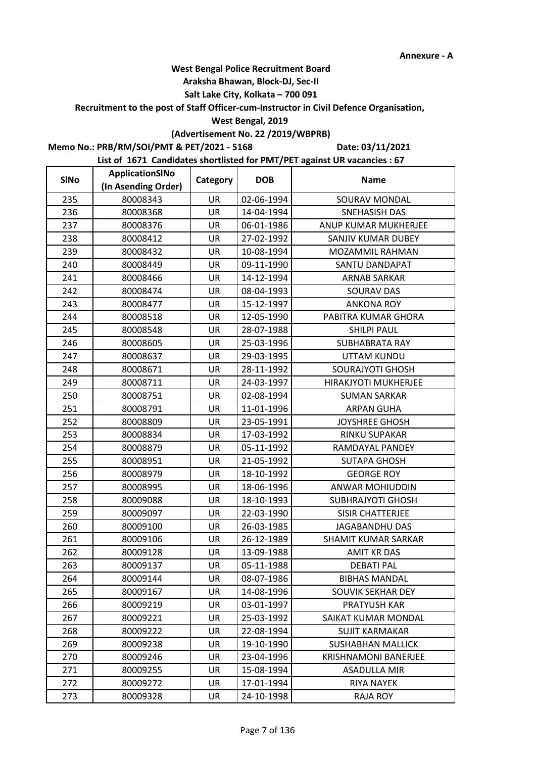### **Araksha Bhawan, Block-DJ, Sec-II**

## **Salt Lake City, Kolkata – 700 091**

**Recruitment to the post of Staff Officer-cum-Instructor in Civil Defence Organisation,** 

### **West Bengal, 2019**

# **(Advertisement No. 22 /2019/WBPRB)**

**Memo No.: PRB/RM/SOI/PMT & PET/2021 - 5168**

**Date: 03/11/2021**

| <b>SINo</b> | ApplicationSINo     | Category  | <b>DOB</b> | <b>Name</b>                 |
|-------------|---------------------|-----------|------------|-----------------------------|
|             | (In Asending Order) |           |            |                             |
| 235         | 80008343            | <b>UR</b> | 02-06-1994 | SOURAV MONDAL               |
| 236         | 80008368            | <b>UR</b> | 14-04-1994 | SNEHASISH DAS               |
| 237         | 80008376            | UR        | 06-01-1986 | ANUP KUMAR MUKHERJEE        |
| 238         | 80008412            | <b>UR</b> | 27-02-1992 | SANJIV KUMAR DUBEY          |
| 239         | 80008432            | UR        | 10-08-1994 | MOZAMMIL RAHMAN             |
| 240         | 80008449            | UR        | 09-11-1990 | SANTU DANDAPAT              |
| 241         | 80008466            | UR        | 14-12-1994 | ARNAB SARKAR                |
| 242         | 80008474            | UR        | 08-04-1993 | SOURAV DAS                  |
| 243         | 80008477            | UR        | 15-12-1997 | <b>ANKONA ROY</b>           |
| 244         | 80008518            | UR        | 12-05-1990 | PABITRA KUMAR GHORA         |
| 245         | 80008548            | <b>UR</b> | 28-07-1988 | <b>SHILPI PAUL</b>          |
| 246         | 80008605            | UR        | 25-03-1996 | <b>SUBHABRATA RAY</b>       |
| 247         | 80008637            | UR        | 29-03-1995 | <b>UTTAM KUNDU</b>          |
| 248         | 80008671            | UR        | 28-11-1992 | <b>SOURAJYOTI GHOSH</b>     |
| 249         | 80008711            | UR        | 24-03-1997 | HIRAKJYOTI MUKHERJEE        |
| 250         | 80008751            | UR        | 02-08-1994 | <b>SUMAN SARKAR</b>         |
| 251         | 80008791            | <b>UR</b> | 11-01-1996 | <b>ARPAN GUHA</b>           |
| 252         | 80008809            | UR        | 23-05-1991 | <b>JOYSHREE GHOSH</b>       |
| 253         | 80008834            | UR        | 17-03-1992 | RINKU SUPAKAR               |
| 254         | 80008879            | UR        | 05-11-1992 | RAMDAYAL PANDEY             |
| 255         | 80008951            | UR        | 21-05-1992 | <b>SUTAPA GHOSH</b>         |
| 256         | 80008979            | UR        | 18-10-1992 | <b>GEORGE ROY</b>           |
| 257         | 80008995            | <b>UR</b> | 18-06-1996 | ANWAR MOHIUDDIN             |
| 258         | 80009088            | UR        | 18-10-1993 | <b>SUBHRAJYOTI GHOSH</b>    |
| 259         | 80009097            | UR        | 22-03-1990 | <b>SISIR CHATTERJEE</b>     |
| 260         | 80009100            | UR        | 26-03-1985 | <b>JAGABANDHU DAS</b>       |
| 261         | 80009106            | UR        | 26-12-1989 | SHAMIT KUMAR SARKAR         |
| 262         | 80009128            | UR        | 13-09-1988 | <b>AMIT KR DAS</b>          |
| 263         | 80009137            | UR        | 05-11-1988 | <b>DEBATI PAL</b>           |
| 264         | 80009144            | UR        | 08-07-1986 | <b>BIBHAS MANDAL</b>        |
| 265         | 80009167            | UR        | 14-08-1996 | SOUVIK SEKHAR DEY           |
| 266         | 80009219            | UR        | 03-01-1997 | PRATYUSH KAR                |
| 267         | 80009221            | UR        | 25-03-1992 | SAIKAT KUMAR MONDAL         |
| 268         | 80009222            | UR        | 22-08-1994 | <b>SUJIT KARMAKAR</b>       |
| 269         | 80009238            | UR        | 19-10-1990 | <b>SUSHABHAN MALLICK</b>    |
| 270         | 80009246            | UR        | 23-04-1996 | <b>KRISHNAMONI BANERJEE</b> |
| 271         | 80009255            | <b>UR</b> | 15-08-1994 | <b>ASADULLA MIR</b>         |
| 272         | 80009272            | UR        | 17-01-1994 | <b>RIYA NAYEK</b>           |
| 273         | 80009328            | UR        | 24-10-1998 | <b>RAJA ROY</b>             |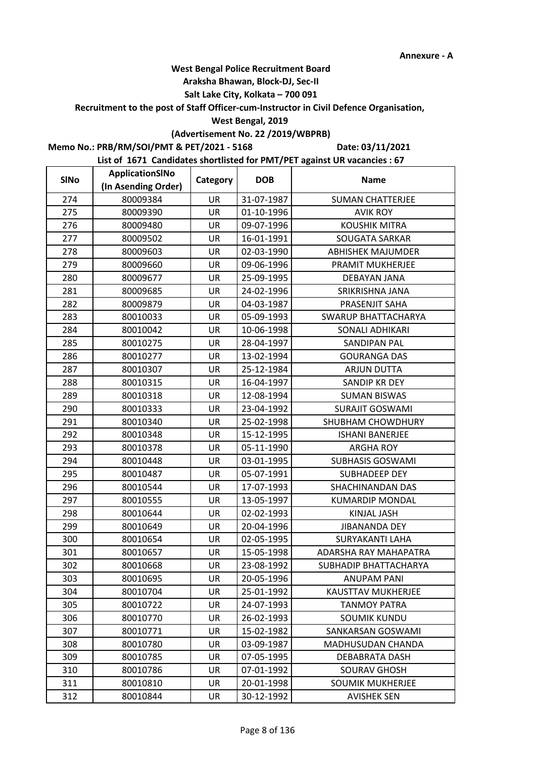### **Araksha Bhawan, Block-DJ, Sec-II**

## **Salt Lake City, Kolkata – 700 091**

**Recruitment to the post of Staff Officer-cum-Instructor in Civil Defence Organisation,** 

### **West Bengal, 2019**

# **(Advertisement No. 22 /2019/WBPRB)**

**Memo No.: PRB/RM/SOI/PMT & PET/2021 - 5168**

**Date: 03/11/2021**

| <b>SINo</b> | ApplicationSINo     | Category  | <b>DOB</b> | <b>Name</b>                |
|-------------|---------------------|-----------|------------|----------------------------|
|             | (In Asending Order) |           |            |                            |
| 274         | 80009384            | UR        | 31-07-1987 | <b>SUMAN CHATTERJEE</b>    |
| 275         | 80009390            | <b>UR</b> | 01-10-1996 | <b>AVIK ROY</b>            |
| 276         | 80009480            | UR        | 09-07-1996 | <b>KOUSHIK MITRA</b>       |
| 277         | 80009502            | <b>UR</b> | 16-01-1991 | <b>SOUGATA SARKAR</b>      |
| 278         | 80009603            | UR        | 02-03-1990 | <b>ABHISHEK MAJUMDER</b>   |
| 279         | 80009660            | UR        | 09-06-1996 | PRAMIT MUKHERJEE           |
| 280         | 80009677            | UR        | 25-09-1995 | DEBAYAN JANA               |
| 281         | 80009685            | UR        | 24-02-1996 | SRIKRISHNA JANA            |
| 282         | 80009879            | UR        | 04-03-1987 | PRASENJIT SAHA             |
| 283         | 80010033            | UR        | 05-09-1993 | <b>SWARUP BHATTACHARYA</b> |
| 284         | 80010042            | <b>UR</b> | 10-06-1998 | <b>SONALI ADHIKARI</b>     |
| 285         | 80010275            | UR        | 28-04-1997 | <b>SANDIPAN PAL</b>        |
| 286         | 80010277            | UR        | 13-02-1994 | <b>GOURANGA DAS</b>        |
| 287         | 80010307            | UR        | 25-12-1984 | <b>ARJUN DUTTA</b>         |
| 288         | 80010315            | UR        | 16-04-1997 | <b>SANDIP KR DEY</b>       |
| 289         | 80010318            | UR        | 12-08-1994 | <b>SUMAN BISWAS</b>        |
| 290         | 80010333            | <b>UR</b> | 23-04-1992 | <b>SURAJIT GOSWAMI</b>     |
| 291         | 80010340            | UR        | 25-02-1998 | SHUBHAM CHOWDHURY          |
| 292         | 80010348            | UR        | 15-12-1995 | <b>ISHANI BANERJEE</b>     |
| 293         | 80010378            | UR        | 05-11-1990 | <b>ARGHA ROY</b>           |
| 294         | 80010448            | UR        | 03-01-1995 | <b>SUBHASIS GOSWAMI</b>    |
| 295         | 80010487            | UR        | 05-07-1991 | SUBHADEEP DEY              |
| 296         | 80010544            | <b>UR</b> | 17-07-1993 | SHACHINANDAN DAS           |
| 297         | 80010555            | UR        | 13-05-1997 | <b>KUMARDIP MONDAL</b>     |
| 298         | 80010644            | UR        | 02-02-1993 | <b>KINJAL JASH</b>         |
| 299         | 80010649            | UR        | 20-04-1996 | <b>JIBANANDA DEY</b>       |
| 300         | 80010654            | UR        | 02-05-1995 | <b>SURYAKANTI LAHA</b>     |
| 301         | 80010657            | UR        | 15-05-1998 | ADARSHA RAY MAHAPATRA      |
| 302         | 80010668            | UR        | 23-08-1992 | SUBHADIP BHATTACHARYA      |
| 303         | 80010695            | UR        | 20-05-1996 | <b>ANUPAM PANI</b>         |
| 304         | 80010704            | UR        | 25-01-1992 | <b>KAUSTTAV MUKHERJEE</b>  |
| 305         | 80010722            | UR        | 24-07-1993 | <b>TANMOY PATRA</b>        |
| 306         | 80010770            | UR        | 26-02-1993 | <b>SOUMIK KUNDU</b>        |
| 307         | 80010771            | UR        | 15-02-1982 | SANKARSAN GOSWAMI          |
| 308         | 80010780            | UR        | 03-09-1987 | MADHUSUDAN CHANDA          |
| 309         | 80010785            | UR        | 07-05-1995 | DEBABRATA DASH             |
| 310         | 80010786            | <b>UR</b> | 07-01-1992 | <b>SOURAV GHOSH</b>        |
| 311         | 80010810            | UR        | 20-01-1998 | <b>SOUMIK MUKHERJEE</b>    |
| 312         | 80010844            | UR        | 30-12-1992 | <b>AVISHEK SEN</b>         |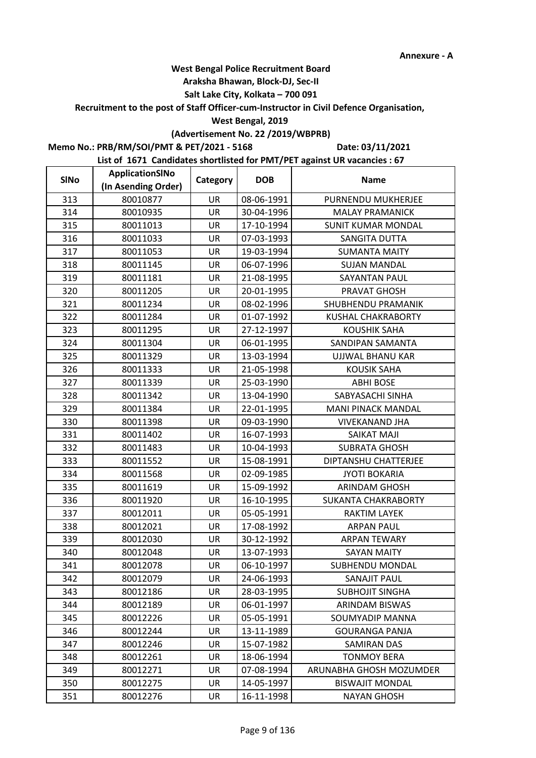### **Araksha Bhawan, Block-DJ, Sec-II**

## **Salt Lake City, Kolkata – 700 091**

**Recruitment to the post of Staff Officer-cum-Instructor in Civil Defence Organisation,** 

#### **West Bengal, 2019**

# **(Advertisement No. 22 /2019/WBPRB)**

**Memo No.: PRB/RM/SOI/PMT & PET/2021 - 5168**

**Date: 03/11/2021**

| <b>SINo</b> | ApplicationSINo     | Category  | <b>DOB</b> | <b>Name</b>                |
|-------------|---------------------|-----------|------------|----------------------------|
|             | (In Asending Order) |           |            |                            |
| 313         | 80010877            | UR        | 08-06-1991 | PURNENDU MUKHERJEE         |
| 314         | 80010935            | <b>UR</b> | 30-04-1996 | <b>MALAY PRAMANICK</b>     |
| 315         | 80011013            | UR        | 17-10-1994 | <b>SUNIT KUMAR MONDAL</b>  |
| 316         | 80011033            | <b>UR</b> | 07-03-1993 | SANGITA DUTTA              |
| 317         | 80011053            | UR        | 19-03-1994 | <b>SUMANTA MAITY</b>       |
| 318         | 80011145            | UR        | 06-07-1996 | <b>SUJAN MANDAL</b>        |
| 319         | 80011181            | UR        | 21-08-1995 | <b>SAYANTAN PAUL</b>       |
| 320         | 80011205            | UR        | 20-01-1995 | PRAVAT GHOSH               |
| 321         | 80011234            | UR        | 08-02-1996 | SHUBHENDU PRAMANIK         |
| 322         | 80011284            | UR        | 01-07-1992 | <b>KUSHAL CHAKRABORTY</b>  |
| 323         | 80011295            | <b>UR</b> | 27-12-1997 | <b>KOUSHIK SAHA</b>        |
| 324         | 80011304            | UR        | 06-01-1995 | SANDIPAN SAMANTA           |
| 325         | 80011329            | UR        | 13-03-1994 | UJJWAL BHANU KAR           |
| 326         | 80011333            | UR        | 21-05-1998 | <b>KOUSIK SAHA</b>         |
| 327         | 80011339            | UR        | 25-03-1990 | <b>ABHI BOSE</b>           |
| 328         | 80011342            | UR        | 13-04-1990 | SABYASACHI SINHA           |
| 329         | 80011384            | <b>UR</b> | 22-01-1995 | <b>MANI PINACK MANDAL</b>  |
| 330         | 80011398            | UR        | 09-03-1990 | <b>VIVEKANAND JHA</b>      |
| 331         | 80011402            | UR        | 16-07-1993 | SAIKAT MAJI                |
| 332         | 80011483            | UR        | 10-04-1993 | <b>SUBRATA GHOSH</b>       |
| 333         | 80011552            | UR        | 15-08-1991 | DIPTANSHU CHATTERJEE       |
| 334         | 80011568            | UR        | 02-09-1985 | <b>JYOTI BOKARIA</b>       |
| 335         | 80011619            | <b>UR</b> | 15-09-1992 | ARINDAM GHOSH              |
| 336         | 80011920            | UR        | 16-10-1995 | <b>SUKANTA CHAKRABORTY</b> |
| 337         | 80012011            | UR        | 05-05-1991 | <b>RAKTIM LAYEK</b>        |
| 338         | 80012021            | UR        | 17-08-1992 | <b>ARPAN PAUL</b>          |
| 339         | 80012030            | UR        | 30-12-1992 | <b>ARPAN TEWARY</b>        |
| 340         | 80012048            | UR        | 13-07-1993 | <b>SAYAN MAITY</b>         |
| 341         | 80012078            | UR        | 06-10-1997 | <b>SUBHENDU MONDAL</b>     |
| 342         | 80012079            | UR        | 24-06-1993 | <b>SANAJIT PAUL</b>        |
| 343         | 80012186            | UR        | 28-03-1995 | <b>SUBHOJIT SINGHA</b>     |
| 344         | 80012189            | UR        | 06-01-1997 | ARINDAM BISWAS             |
| 345         | 80012226            | UR        | 05-05-1991 | SOUMYADIP MANNA            |
| 346         | 80012244            | UR        | 13-11-1989 | <b>GOURANGA PANJA</b>      |
| 347         | 80012246            | UR        | 15-07-1982 | <b>SAMIRAN DAS</b>         |
| 348         | 80012261            | UR        | 18-06-1994 | <b>TONMOY BERA</b>         |
| 349         | 80012271            | <b>UR</b> | 07-08-1994 | ARUNABHA GHOSH MOZUMDER    |
| 350         | 80012275            | UR        | 14-05-1997 | <b>BISWAJIT MONDAL</b>     |
| 351         | 80012276            | UR        | 16-11-1998 | <b>NAYAN GHOSH</b>         |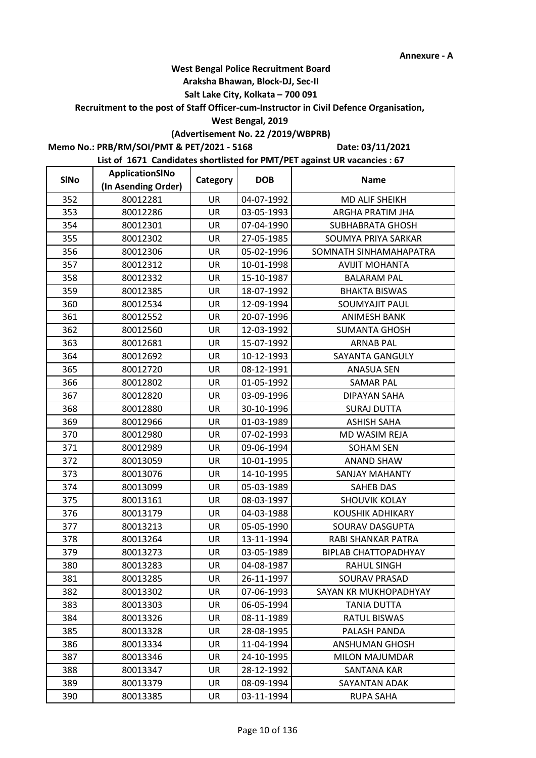### **Araksha Bhawan, Block-DJ, Sec-II**

## **Salt Lake City, Kolkata – 700 091**

**Recruitment to the post of Staff Officer-cum-Instructor in Civil Defence Organisation,** 

### **West Bengal, 2019**

# **(Advertisement No. 22 /2019/WBPRB)**

**Memo No.: PRB/RM/SOI/PMT & PET/2021 - 5168**

**Date: 03/11/2021**

| <b>SINo</b> | ApplicationSINo     | Category  | <b>DOB</b> | <b>Name</b>                 |
|-------------|---------------------|-----------|------------|-----------------------------|
|             | (In Asending Order) |           |            |                             |
| 352         | 80012281            | UR        | 04-07-1992 | MD ALIF SHEIKH              |
| 353         | 80012286            | <b>UR</b> | 03-05-1993 | ARGHA PRATIM JHA            |
| 354         | 80012301            | UR        | 07-04-1990 | <b>SUBHABRATA GHOSH</b>     |
| 355         | 80012302            | UR        | 27-05-1985 | SOUMYA PRIYA SARKAR         |
| 356         | 80012306            | UR        | 05-02-1996 | SOMNATH SINHAMAHAPATRA      |
| 357         | 80012312            | <b>UR</b> | 10-01-1998 | <b>AVIJIT MOHANTA</b>       |
| 358         | 80012332            | UR        | 15-10-1987 | <b>BALARAM PAL</b>          |
| 359         | 80012385            | UR        | 18-07-1992 | <b>BHAKTA BISWAS</b>        |
| 360         | 80012534            | UR        | 12-09-1994 | <b>SOUMYAJIT PAUL</b>       |
| 361         | 80012552            | UR        | 20-07-1996 | <b>ANIMESH BANK</b>         |
| 362         | 80012560            | <b>UR</b> | 12-03-1992 | <b>SUMANTA GHOSH</b>        |
| 363         | 80012681            | UR        | 15-07-1992 | <b>ARNAB PAL</b>            |
| 364         | 80012692            | UR        | 10-12-1993 | SAYANTA GANGULY             |
| 365         | 80012720            | UR        | 08-12-1991 | <b>ANASUA SEN</b>           |
| 366         | 80012802            | UR        | 01-05-1992 | <b>SAMAR PAL</b>            |
| 367         | 80012820            | UR        | 03-09-1996 | DIPAYAN SAHA                |
| 368         | 80012880            | <b>UR</b> | 30-10-1996 | <b>SURAJ DUTTA</b>          |
| 369         | 80012966            | <b>UR</b> | 01-03-1989 | <b>ASHISH SAHA</b>          |
| 370         | 80012980            | UR        | 07-02-1993 | MD WASIM REJA               |
| 371         | 80012989            | UR        | 09-06-1994 | <b>SOHAM SEN</b>            |
| 372         | 80013059            | UR        | 10-01-1995 | <b>ANAND SHAW</b>           |
| 373         | 80013076            | UR        | 14-10-1995 | <b>SANJAY MAHANTY</b>       |
| 374         | 80013099            | <b>UR</b> | 05-03-1989 | SAHEB DAS                   |
| 375         | 80013161            | UR        | 08-03-1997 | <b>SHOUVIK KOLAY</b>        |
| 376         | 80013179            | UR        | 04-03-1988 | <b>KOUSHIK ADHIKARY</b>     |
| 377         | 80013213            | UR        | 05-05-1990 | SOURAV DASGUPTA             |
| 378         | 80013264            | UR        | 13-11-1994 | RABI SHANKAR PATRA          |
| 379         | 80013273            | UR        | 03-05-1989 | <b>BIPLAB CHATTOPADHYAY</b> |
| 380         | 80013283            | UR        | 04-08-1987 | <b>RAHUL SINGH</b>          |
| 381         | 80013285            | UR        | 26-11-1997 | SOURAV PRASAD               |
| 382         | 80013302            | UR        | 07-06-1993 | SAYAN KR MUKHOPADHYAY       |
| 383         | 80013303            | UR        | 06-05-1994 | <b>TANIA DUTTA</b>          |
| 384         | 80013326            | UR        | 08-11-1989 | <b>RATUL BISWAS</b>         |
| 385         | 80013328            | UR        | 28-08-1995 | PALASH PANDA                |
| 386         | 80013334            | UR        | 11-04-1994 | <b>ANSHUMAN GHOSH</b>       |
| 387         | 80013346            | UR        | 24-10-1995 | <b>MILON MAJUMDAR</b>       |
| 388         | 80013347            | <b>UR</b> | 28-12-1992 | <b>SANTANA KAR</b>          |
| 389         | 80013379            | UR        | 08-09-1994 | SAYANTAN ADAK               |
| 390         | 80013385            | UR        | 03-11-1994 | <b>RUPA SAHA</b>            |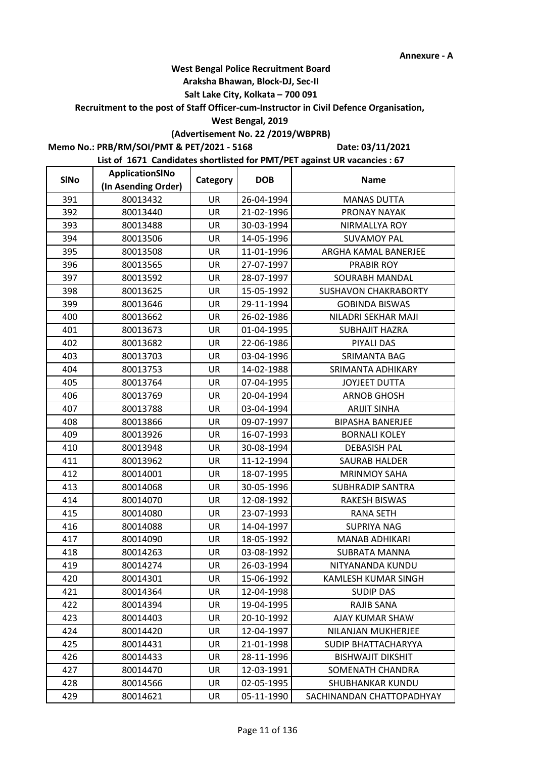### **Araksha Bhawan, Block-DJ, Sec-II**

## **Salt Lake City, Kolkata – 700 091**

**Recruitment to the post of Staff Officer-cum-Instructor in Civil Defence Organisation,** 

#### **West Bengal, 2019**

# **(Advertisement No. 22 /2019/WBPRB)**

**Memo No.: PRB/RM/SOI/PMT & PET/2021 - 5168**

**Date: 03/11/2021**

| <b>SINo</b> | ApplicationSINo     | Category  | <b>DOB</b> | <b>Name</b>                 |
|-------------|---------------------|-----------|------------|-----------------------------|
|             | (In Asending Order) |           |            |                             |
| 391         | 80013432            | UR        | 26-04-1994 | <b>MANAS DUTTA</b>          |
| 392         | 80013440            | UR        | 21-02-1996 | PRONAY NAYAK                |
| 393         | 80013488            | UR        | 30-03-1994 | NIRMALLYA ROY               |
| 394         | 80013506            | <b>UR</b> | 14-05-1996 | <b>SUVAMOY PAL</b>          |
| 395         | 80013508            | UR        | 11-01-1996 | ARGHA KAMAL BANERJEE        |
| 396         | 80013565            | UR        | 27-07-1997 | <b>PRABIR ROY</b>           |
| 397         | 80013592            | UR        | 28-07-1997 | SOURABH MANDAL              |
| 398         | 80013625            | UR        | 15-05-1992 | <b>SUSHAVON CHAKRABORTY</b> |
| 399         | 80013646            | UR        | 29-11-1994 | <b>GOBINDA BISWAS</b>       |
| 400         | 80013662            | UR        | 26-02-1986 | NILADRI SEKHAR MAJI         |
| 401         | 80013673            | <b>UR</b> | 01-04-1995 | <b>SUBHAJIT HAZRA</b>       |
| 402         | 80013682            | UR        | 22-06-1986 | PIYALI DAS                  |
| 403         | 80013703            | UR        | 03-04-1996 | <b>SRIMANTA BAG</b>         |
| 404         | 80013753            | UR        | 14-02-1988 | SRIMANTA ADHIKARY           |
| 405         | 80013764            | UR        | 07-04-1995 | <b>JOYJEET DUTTA</b>        |
| 406         | 80013769            | UR        | 20-04-1994 | <b>ARNOB GHOSH</b>          |
| 407         | 80013788            | <b>UR</b> | 03-04-1994 | <b>ARIJIT SINHA</b>         |
| 408         | 80013866            | UR        | 09-07-1997 | <b>BIPASHA BANERJEE</b>     |
| 409         | 80013926            | UR        | 16-07-1993 | <b>BORNALI KOLEY</b>        |
| 410         | 80013948            | UR        | 30-08-1994 | <b>DEBASISH PAL</b>         |
| 411         | 80013962            | UR        | 11-12-1994 | <b>SAURAB HALDER</b>        |
| 412         | 80014001            | UR        | 18-07-1995 | <b>MRINMOY SAHA</b>         |
| 413         | 80014068            | <b>UR</b> | 30-05-1996 | <b>SUBHRADIP SANTRA</b>     |
| 414         | 80014070            | UR        | 12-08-1992 | <b>RAKESH BISWAS</b>        |
| 415         | 80014080            | UR        | 23-07-1993 | <b>RANA SETH</b>            |
| 416         | 80014088            | UR        | 14-04-1997 | <b>SUPRIYA NAG</b>          |
| 417         | 80014090            | UR        | 18-05-1992 | <b>MANAB ADHIKARI</b>       |
| 418         | 80014263            | UR        | 03-08-1992 | <b>SUBRATA MANNA</b>        |
| 419         | 80014274            | UR        | 26-03-1994 | NITYANANDA KUNDU            |
| 420         | 80014301            | UR        | 15-06-1992 | KAMLESH KUMAR SINGH         |
| 421         | 80014364            | UR        | 12-04-1998 | <b>SUDIP DAS</b>            |
| 422         | 80014394            | UR        | 19-04-1995 | RAJIB SANA                  |
| 423         | 80014403            | UR        | 20-10-1992 | AJAY KUMAR SHAW             |
| 424         | 80014420            | UR        | 12-04-1997 | NILANJAN MUKHERJEE          |
| 425         | 80014431            | UR        | 21-01-1998 | SUDIP BHATTACHARYYA         |
| 426         | 80014433            | UR        | 28-11-1996 | <b>BISHWAJIT DIKSHIT</b>    |
| 427         | 80014470            | <b>UR</b> | 12-03-1991 | SOMENATH CHANDRA            |
| 428         | 80014566            | UR        | 02-05-1995 | SHUBHANKAR KUNDU            |
| 429         | 80014621            | UR        | 05-11-1990 | SACHINANDAN CHATTOPADHYAY   |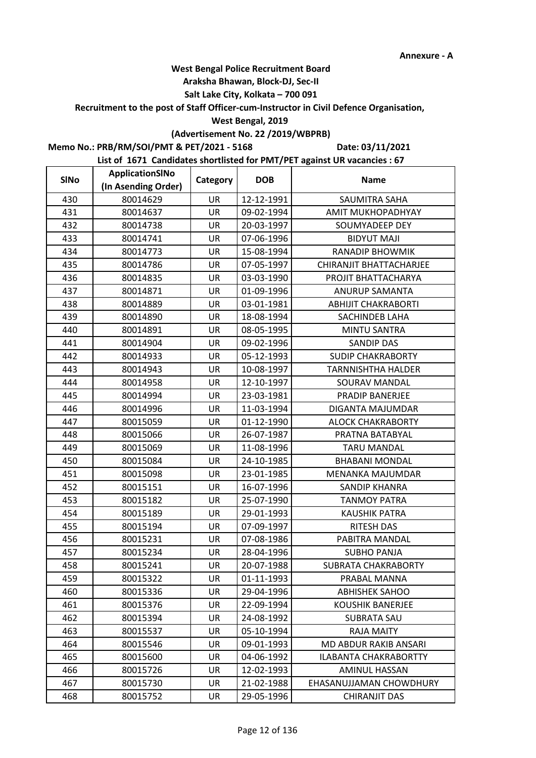### **Araksha Bhawan, Block-DJ, Sec-II**

## **Salt Lake City, Kolkata – 700 091**

**Recruitment to the post of Staff Officer-cum-Instructor in Civil Defence Organisation,** 

### **West Bengal, 2019**

# **(Advertisement No. 22 /2019/WBPRB)**

**Memo No.: PRB/RM/SOI/PMT & PET/2021 - 5168**

**Date: 03/11/2021**

| <b>SINo</b> | <b>ApplicationSINo</b> | Category  | <b>DOB</b> | <b>Name</b>                |
|-------------|------------------------|-----------|------------|----------------------------|
|             | (In Asending Order)    |           |            |                            |
| 430         | 80014629               | UR        | 12-12-1991 | SAUMITRA SAHA              |
| 431         | 80014637               | <b>UR</b> | 09-02-1994 | AMIT MUKHOPADHYAY          |
| 432         | 80014738               | UR        | 20-03-1997 | SOUMYADEEP DEY             |
| 433         | 80014741               | <b>UR</b> | 07-06-1996 | <b>BIDYUT MAJI</b>         |
| 434         | 80014773               | UR        | 15-08-1994 | <b>RANADIP BHOWMIK</b>     |
| 435         | 80014786               | UR        | 07-05-1997 | CHIRANJIT BHATTACHARJEE    |
| 436         | 80014835               | UR        | 03-03-1990 | PROJIT BHATTACHARYA        |
| 437         | 80014871               | UR        | 01-09-1996 | ANURUP SAMANTA             |
| 438         | 80014889               | UR        | 03-01-1981 | <b>ABHIJIT CHAKRABORTI</b> |
| 439         | 80014890               | UR        | 18-08-1994 | SACHINDEB LAHA             |
| 440         | 80014891               | <b>UR</b> | 08-05-1995 | <b>MINTU SANTRA</b>        |
| 441         | 80014904               | UR        | 09-02-1996 | <b>SANDIP DAS</b>          |
| 442         | 80014933               | UR        | 05-12-1993 | <b>SUDIP CHAKRABORTY</b>   |
| 443         | 80014943               | UR        | 10-08-1997 | TARNNISHTHA HALDER         |
| 444         | 80014958               | UR        | 12-10-1997 | SOURAV MANDAL              |
| 445         | 80014994               | UR        | 23-03-1981 | PRADIP BANERJEE            |
| 446         | 80014996               | <b>UR</b> | 11-03-1994 | DIGANTA MAJUMDAR           |
| 447         | 80015059               | UR        | 01-12-1990 | <b>ALOCK CHAKRABORTY</b>   |
| 448         | 80015066               | UR        | 26-07-1987 | PRATNA BATABYAL            |
| 449         | 80015069               | UR        | 11-08-1996 | <b>TARU MANDAL</b>         |
| 450         | 80015084               | UR        | 24-10-1985 | <b>BHABANI MONDAL</b>      |
| 451         | 80015098               | UR        | 23-01-1985 | MENANKA MAJUMDAR           |
| 452         | 80015151               | <b>UR</b> | 16-07-1996 | <b>SANDIP KHANRA</b>       |
| 453         | 80015182               | UR        | 25-07-1990 | <b>TANMOY PATRA</b>        |
| 454         | 80015189               | UR        | 29-01-1993 | <b>KAUSHIK PATRA</b>       |
| 455         | 80015194               | UR        | 07-09-1997 | <b>RITESH DAS</b>          |
| 456         | 80015231               | UR        | 07-08-1986 | PABITRA MANDAL             |
| 457         | 80015234               | UR        | 28-04-1996 | <b>SUBHO PANJA</b>         |
| 458         | 80015241               | UR        | 20-07-1988 | SUBRATA CHAKRABORTY        |
| 459         | 80015322               | UR        | 01-11-1993 | PRABAL MANNA               |
| 460         | 80015336               | UR        | 29-04-1996 | <b>ABHISHEK SAHOO</b>      |
| 461         | 80015376               | UR        | 22-09-1994 | <b>KOUSHIK BANERJEE</b>    |
| 462         | 80015394               | UR        | 24-08-1992 | <b>SUBRATA SAU</b>         |
| 463         | 80015537               | UR        | 05-10-1994 | RAJA MAITY                 |
| 464         | 80015546               | UR        | 09-01-1993 | MD ABDUR RAKIB ANSARI      |
| 465         | 80015600               | UR        | 04-06-1992 | ILABANTA CHAKRABORTTY      |
| 466         | 80015726               | <b>UR</b> | 12-02-1993 | <b>AMINUL HASSAN</b>       |
| 467         | 80015730               | UR        | 21-02-1988 | EHASANUJJAMAN CHOWDHURY    |
| 468         | 80015752               | UR        | 29-05-1996 | <b>CHIRANJIT DAS</b>       |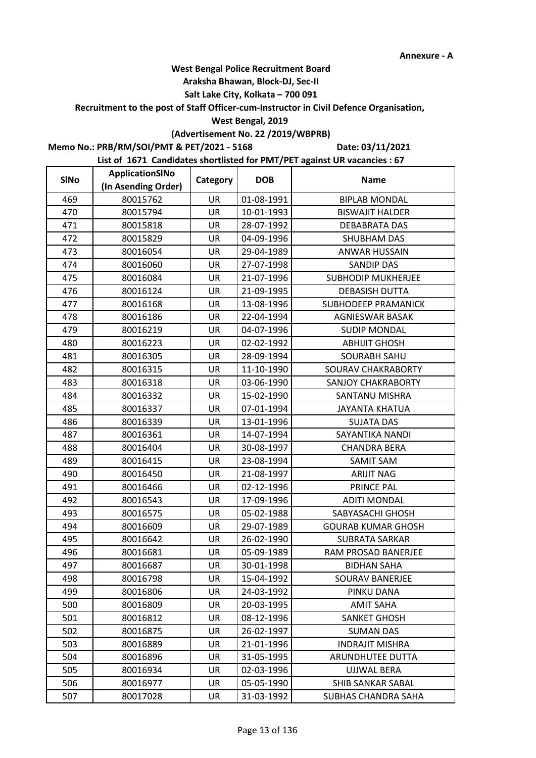### **Araksha Bhawan, Block-DJ, Sec-II**

## **Salt Lake City, Kolkata – 700 091**

**Recruitment to the post of Staff Officer-cum-Instructor in Civil Defence Organisation,** 

### **West Bengal, 2019**

# **(Advertisement No. 22 /2019/WBPRB)**

**Memo No.: PRB/RM/SOI/PMT & PET/2021 - 5168**

**Date: 03/11/2021**

| <b>SINo</b> | ApplicationSINo     | Category  | <b>DOB</b> | <b>Name</b>                |
|-------------|---------------------|-----------|------------|----------------------------|
|             | (In Asending Order) |           |            |                            |
| 469         | 80015762            | UR        | 01-08-1991 | <b>BIPLAB MONDAL</b>       |
| 470         | 80015794            | UR        | 10-01-1993 | <b>BISWAJIT HALDER</b>     |
| 471         | 80015818            | UR        | 28-07-1992 | DEBABRATA DAS              |
| 472         | 80015829            | <b>UR</b> | 04-09-1996 | SHUBHAM DAS                |
| 473         | 80016054            | UR        | 29-04-1989 | <b>ANWAR HUSSAIN</b>       |
| 474         | 80016060            | UR        | 27-07-1998 | <b>SANDIP DAS</b>          |
| 475         | 80016084            | UR        | 21-07-1996 | <b>SUBHODIP MUKHERJEE</b>  |
| 476         | 80016124            | UR        | 21-09-1995 | <b>DEBASISH DUTTA</b>      |
| 477         | 80016168            | UR        | 13-08-1996 | <b>SUBHODEEP PRAMANICK</b> |
| 478         | 80016186            | UR        | 22-04-1994 | <b>AGNIESWAR BASAK</b>     |
| 479         | 80016219            | UR        | 04-07-1996 | <b>SUDIP MONDAL</b>        |
| 480         | 80016223            | UR        | 02-02-1992 | <b>ABHIJIT GHOSH</b>       |
| 481         | 80016305            | UR        | 28-09-1994 | <b>SOURABH SAHU</b>        |
| 482         | 80016315            | UR        | 11-10-1990 | SOURAV CHAKRABORTY         |
| 483         | 80016318            | UR        | 03-06-1990 | <b>SANJOY CHAKRABORTY</b>  |
| 484         | 80016332            | UR        | 15-02-1990 | SANTANU MISHRA             |
| 485         | 80016337            | <b>UR</b> | 07-01-1994 | <b>JAYANTA KHATUA</b>      |
| 486         | 80016339            | <b>UR</b> | 13-01-1996 | <b>SUJATA DAS</b>          |
| 487         | 80016361            | UR        | 14-07-1994 | SAYANTIKA NANDI            |
| 488         | 80016404            | UR        | 30-08-1997 | <b>CHANDRA BERA</b>        |
| 489         | 80016415            | UR        | 23-08-1994 | <b>SAMIT SAM</b>           |
| 490         | 80016450            | UR        | 21-08-1997 | <b>ARIJIT NAG</b>          |
| 491         | 80016466            | <b>UR</b> | 02-12-1996 | PRINCE PAL                 |
| 492         | 80016543            | UR        | 17-09-1996 | <b>ADITI MONDAL</b>        |
| 493         | 80016575            | UR        | 05-02-1988 | SABYASACHI GHOSH           |
| 494         | 80016609            | UR        | 29-07-1989 | <b>GOURAB KUMAR GHOSH</b>  |
| 495         | 80016642            | UR        | 26-02-1990 | <b>SUBRATA SARKAR</b>      |
| 496         | 80016681            | UR        | 05-09-1989 | RAM PROSAD BANERJEE        |
| 497         | 80016687            | UR        | 30-01-1998 | <b>BIDHAN SAHA</b>         |
| 498         | 80016798            | UR        | 15-04-1992 | <b>SOURAV BANERJEE</b>     |
| 499         | 80016806            | UR        | 24-03-1992 | PINKU DANA                 |
| 500         | 80016809            | UR        | 20-03-1995 | <b>AMIT SAHA</b>           |
| 501         | 80016812            | UR        | 08-12-1996 | <b>SANKET GHOSH</b>        |
| 502         | 80016875            | UR        | 26-02-1997 | <b>SUMAN DAS</b>           |
| 503         | 80016889            | UR        | 21-01-1996 | <b>INDRAJIT MISHRA</b>     |
| 504         | 80016896            | UR        | 31-05-1995 | ARUNDHUTEE DUTTA           |
| 505         | 80016934            | <b>UR</b> | 02-03-1996 | <b>UJJWAL BERA</b>         |
| 506         | 80016977            | UR        | 05-05-1990 | SHIB SANKAR SABAL          |
| 507         | 80017028            | UR        | 31-03-1992 | SUBHAS CHANDRA SAHA        |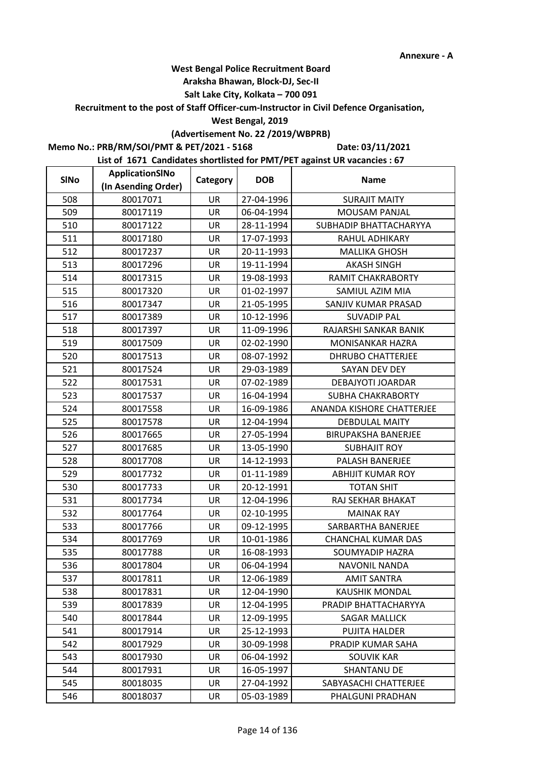### **Araksha Bhawan, Block-DJ, Sec-II**

## **Salt Lake City, Kolkata – 700 091**

**Recruitment to the post of Staff Officer-cum-Instructor in Civil Defence Organisation,** 

#### **West Bengal, 2019**

# **(Advertisement No. 22 /2019/WBPRB)**

**Memo No.: PRB/RM/SOI/PMT & PET/2021 - 5168**

**Date: 03/11/2021**

| <b>SINo</b> | ApplicationSINo     | Category  | <b>DOB</b> | <b>Name</b>                |
|-------------|---------------------|-----------|------------|----------------------------|
|             | (In Asending Order) |           |            |                            |
| 508         | 80017071            | <b>UR</b> | 27-04-1996 | <b>SURAJIT MAITY</b>       |
| 509         | 80017119            | <b>UR</b> | 06-04-1994 | <b>MOUSAM PANJAL</b>       |
| 510         | 80017122            | UR        | 28-11-1994 | SUBHADIP BHATTACHARYYA     |
| 511         | 80017180            | <b>UR</b> | 17-07-1993 | RAHUL ADHIKARY             |
| 512         | 80017237            | UR        | 20-11-1993 | <b>MALLIKA GHOSH</b>       |
| 513         | 80017296            | <b>UR</b> | 19-11-1994 | <b>AKASH SINGH</b>         |
| 514         | 80017315            | UR        | 19-08-1993 | <b>RAMIT CHAKRABORTY</b>   |
| 515         | 80017320            | UR        | 01-02-1997 | SAMIUL AZIM MIA            |
| 516         | 80017347            | UR        | 21-05-1995 | SANJIV KUMAR PRASAD        |
| 517         | 80017389            | UR        | 10-12-1996 | <b>SUVADIP PAL</b>         |
| 518         | 80017397            | <b>UR</b> | 11-09-1996 | RAJARSHI SANKAR BANIK      |
| 519         | 80017509            | UR        | 02-02-1990 | <b>MONISANKAR HAZRA</b>    |
| 520         | 80017513            | UR        | 08-07-1992 | <b>DHRUBO CHATTERJEE</b>   |
| 521         | 80017524            | UR        | 29-03-1989 | SAYAN DEV DEY              |
| 522         | 80017531            | UR        | 07-02-1989 | DEBAJYOTI JOARDAR          |
| 523         | 80017537            | UR        | 16-04-1994 | SUBHA CHAKRABORTY          |
| 524         | 80017558            | <b>UR</b> | 16-09-1986 | ANANDA KISHORE CHATTERJEE  |
| 525         | 80017578            | <b>UR</b> | 12-04-1994 | <b>DEBDULAL MAITY</b>      |
| 526         | 80017665            | UR        | 27-05-1994 | <b>BIRUPAKSHA BANERJEE</b> |
| 527         | 80017685            | UR        | 13-05-1990 | <b>SUBHAJIT ROY</b>        |
| 528         | 80017708            | UR        | 14-12-1993 | PALASH BANERJEE            |
| 529         | 80017732            | UR        | 01-11-1989 | <b>ABHIJIT KUMAR ROY</b>   |
| 530         | 80017733            | <b>UR</b> | 20-12-1991 | <b>TOTAN SHIT</b>          |
| 531         | 80017734            | UR        | 12-04-1996 | RAJ SEKHAR BHAKAT          |
| 532         | 80017764            | UR        | 02-10-1995 | <b>MAINAK RAY</b>          |
| 533         | 80017766            | UR        | 09-12-1995 | SARBARTHA BANERJEE         |
| 534         | 80017769            | UR        | 10-01-1986 | <b>CHANCHAL KUMAR DAS</b>  |
| 535         | 80017788            | UR        | 16-08-1993 | SOUMYADIP HAZRA            |
| 536         | 80017804            | UR        | 06-04-1994 | NAVONIL NANDA              |
| 537         | 80017811            | UR        | 12-06-1989 | <b>AMIT SANTRA</b>         |
| 538         | 80017831            | UR        | 12-04-1990 | <b>KAUSHIK MONDAL</b>      |
| 539         | 80017839            | UR        | 12-04-1995 | PRADIP BHATTACHARYYA       |
| 540         | 80017844            | UR        | 12-09-1995 | <b>SAGAR MALLICK</b>       |
| 541         | 80017914            | UR        | 25-12-1993 | <b>PUJITA HALDER</b>       |
| 542         | 80017929            | UR        | 30-09-1998 | PRADIP KUMAR SAHA          |
| 543         | 80017930            | UR        | 06-04-1992 | <b>SOUVIK KAR</b>          |
| 544         | 80017931            | <b>UR</b> | 16-05-1997 | <b>SHANTANU DE</b>         |
| 545         | 80018035            | UR        | 27-04-1992 | SABYASACHI CHATTERJEE      |
| 546         | 80018037            | UR        | 05-03-1989 | PHALGUNI PRADHAN           |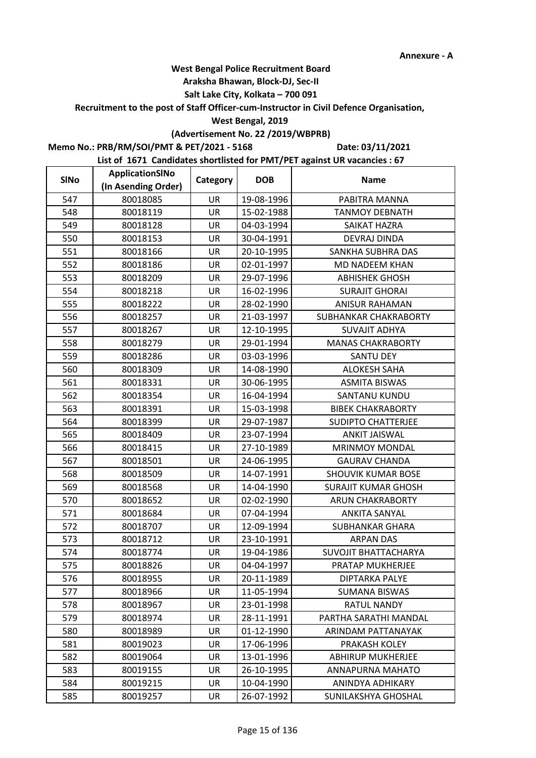### **Araksha Bhawan, Block-DJ, Sec-II**

## **Salt Lake City, Kolkata – 700 091**

**Recruitment to the post of Staff Officer-cum-Instructor in Civil Defence Organisation,** 

### **West Bengal, 2019**

# **(Advertisement No. 22 /2019/WBPRB)**

**Memo No.: PRB/RM/SOI/PMT & PET/2021 - 5168**

**Date: 03/11/2021**

| <b>SINo</b> | ApplicationSINo     | Category  | <b>DOB</b> | <b>Name</b>                 |
|-------------|---------------------|-----------|------------|-----------------------------|
|             | (In Asending Order) |           |            |                             |
| 547         | 80018085            | UR        | 19-08-1996 | PABITRA MANNA               |
| 548         | 80018119            | <b>UR</b> | 15-02-1988 | <b>TANMOY DEBNATH</b>       |
| 549         | 80018128            | UR        | 04-03-1994 | SAIKAT HAZRA                |
| 550         | 80018153            | <b>UR</b> | 30-04-1991 | <b>DEVRAJ DINDA</b>         |
| 551         | 80018166            | UR        | 20-10-1995 | SANKHA SUBHRA DAS           |
| 552         | 80018186            | UR        | 02-01-1997 | MD NADEEM KHAN              |
| 553         | 80018209            | UR        | 29-07-1996 | <b>ABHISHEK GHOSH</b>       |
| 554         | 80018218            | UR        | 16-02-1996 | <b>SURAJIT GHORAI</b>       |
| 555         | 80018222            | UR        | 28-02-1990 | <b>ANISUR RAHAMAN</b>       |
| 556         | 80018257            | UR        | 21-03-1997 | SUBHANKAR CHAKRABORTY       |
| 557         | 80018267            | <b>UR</b> | 12-10-1995 | <b>SUVAJIT ADHYA</b>        |
| 558         | 80018279            | UR        | 29-01-1994 | <b>MANAS CHAKRABORTY</b>    |
| 559         | 80018286            | UR        | 03-03-1996 | <b>SANTU DEY</b>            |
| 560         | 80018309            | UR        | 14-08-1990 | <b>ALOKESH SAHA</b>         |
| 561         | 80018331            | UR        | 30-06-1995 | <b>ASMITA BISWAS</b>        |
| 562         | 80018354            | UR        | 16-04-1994 | <b>SANTANU KUNDU</b>        |
| 563         | 80018391            | <b>UR</b> | 15-03-1998 | <b>BIBEK CHAKRABORTY</b>    |
| 564         | 80018399            | UR        | 29-07-1987 | <b>SUDIPTO CHATTERJEE</b>   |
| 565         | 80018409            | UR        | 23-07-1994 | <b>ANKIT JAISWAL</b>        |
| 566         | 80018415            | UR        | 27-10-1989 | <b>MRINMOY MONDAL</b>       |
| 567         | 80018501            | UR        | 24-06-1995 | <b>GAURAV CHANDA</b>        |
| 568         | 80018509            | UR        | 14-07-1991 | SHOUVIK KUMAR BOSE          |
| 569         | 80018568            | <b>UR</b> | 14-04-1990 | <b>SURAJIT KUMAR GHOSH</b>  |
| 570         | 80018652            | UR        | 02-02-1990 | <b>ARUN CHAKRABORTY</b>     |
| 571         | 80018684            | UR        | 07-04-1994 | <b>ANKITA SANYAL</b>        |
| 572         | 80018707            | UR        | 12-09-1994 | <b>SUBHANKAR GHARA</b>      |
| 573         | 80018712            | UR        | 23-10-1991 | <b>ARPAN DAS</b>            |
| 574         | 80018774            | UR        | 19-04-1986 | <b>SUVOJIT BHATTACHARYA</b> |
| 575         | 80018826            | UR        | 04-04-1997 | PRATAP MUKHERJEE            |
| 576         | 80018955            | UR        | 20-11-1989 | DIPTARKA PALYE              |
| 577         | 80018966            | UR        | 11-05-1994 | SUMANA BISWAS               |
| 578         | 80018967            | UR        | 23-01-1998 | <b>RATUL NANDY</b>          |
| 579         | 80018974            | UR        | 28-11-1991 | PARTHA SARATHI MANDAL       |
| 580         | 80018989            | UR        | 01-12-1990 | ARINDAM PATTANAYAK          |
| 581         | 80019023            | UR        | 17-06-1996 | PRAKASH KOLEY               |
| 582         | 80019064            | UR        | 13-01-1996 | <b>ABHIRUP MUKHERJEE</b>    |
| 583         | 80019155            | <b>UR</b> | 26-10-1995 | ANNAPURNA MAHATO            |
| 584         | 80019215            | UR        | 10-04-1990 | ANINDYA ADHIKARY            |
| 585         | 80019257            | UR        | 26-07-1992 | SUNILAKSHYA GHOSHAL         |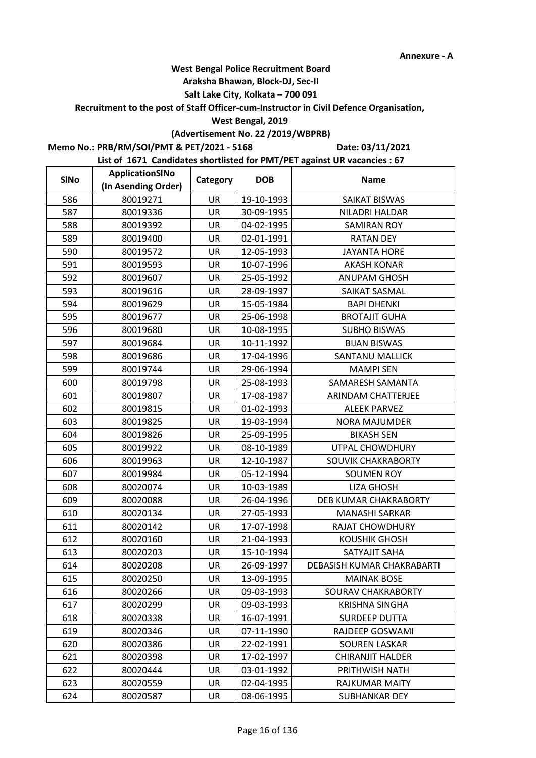### **Araksha Bhawan, Block-DJ, Sec-II**

## **Salt Lake City, Kolkata – 700 091**

**Recruitment to the post of Staff Officer-cum-Instructor in Civil Defence Organisation,** 

#### **West Bengal, 2019**

# **(Advertisement No. 22 /2019/WBPRB)**

**Memo No.: PRB/RM/SOI/PMT & PET/2021 - 5168**

**Date: 03/11/2021**

| <b>SINo</b> | ApplicationSINo     | Category  | <b>DOB</b> | <b>Name</b>                |
|-------------|---------------------|-----------|------------|----------------------------|
|             | (In Asending Order) |           |            |                            |
| 586         | 80019271            | UR        | 19-10-1993 | <b>SAIKAT BISWAS</b>       |
| 587         | 80019336            | <b>UR</b> | 30-09-1995 | NILADRI HALDAR             |
| 588         | 80019392            | UR        | 04-02-1995 | <b>SAMIRAN ROY</b>         |
| 589         | 80019400            | <b>UR</b> | 02-01-1991 | <b>RATAN DEY</b>           |
| 590         | 80019572            | UR        | 12-05-1993 | <b>JAYANTA HORE</b>        |
| 591         | 80019593            | UR        | 10-07-1996 | <b>AKASH KONAR</b>         |
| 592         | 80019607            | UR        | 25-05-1992 | ANUPAM GHOSH               |
| 593         | 80019616            | UR        | 28-09-1997 | SAIKAT SASMAL              |
| 594         | 80019629            | UR        | 15-05-1984 | <b>BAPI DHENKI</b>         |
| 595         | 80019677            | UR        | 25-06-1998 | <b>BROTAJIT GUHA</b>       |
| 596         | 80019680            | <b>UR</b> | 10-08-1995 | <b>SUBHO BISWAS</b>        |
| 597         | 80019684            | UR        | 10-11-1992 | <b>BIJAN BISWAS</b>        |
| 598         | 80019686            | UR        | 17-04-1996 | SANTANU MALLICK            |
| 599         | 80019744            | UR        | 29-06-1994 | <b>MAMPI SEN</b>           |
| 600         | 80019798            | UR        | 25-08-1993 | SAMARESH SAMANTA           |
| 601         | 80019807            | UR        | 17-08-1987 | ARINDAM CHATTERJEE         |
| 602         | 80019815            | <b>UR</b> | 01-02-1993 | <b>ALEEK PARVEZ</b>        |
| 603         | 80019825            | <b>UR</b> | 19-03-1994 | <b>NORA MAJUMDER</b>       |
| 604         | 80019826            | UR        | 25-09-1995 | <b>BIKASH SEN</b>          |
| 605         | 80019922            | UR        | 08-10-1989 | UTPAL CHOWDHURY            |
| 606         | 80019963            | UR        | 12-10-1987 | SOUVIK CHAKRABORTY         |
| 607         | 80019984            | UR        | 05-12-1994 | <b>SOUMEN ROY</b>          |
| 608         | 80020074            | <b>UR</b> | 10-03-1989 | <b>LIZA GHOSH</b>          |
| 609         | 80020088            | UR        | 26-04-1996 | DEB KUMAR CHAKRABORTY      |
| 610         | 80020134            | UR        | 27-05-1993 | <b>MANASHI SARKAR</b>      |
| 611         | 80020142            | UR        | 17-07-1998 | <b>RAJAT CHOWDHURY</b>     |
| 612         | 80020160            | UR        | 21-04-1993 | <b>KOUSHIK GHOSH</b>       |
| 613         | 80020203            | UR        | 15-10-1994 | SATYAJIT SAHA              |
| 614         | 80020208            | UR        | 26-09-1997 | DEBASISH KUMAR CHAKRABARTI |
| 615         | 80020250            | UR        | 13-09-1995 | <b>MAINAK BOSE</b>         |
| 616         | 80020266            | UR        | 09-03-1993 | SOURAV CHAKRABORTY         |
| 617         | 80020299            | UR        | 09-03-1993 | <b>KRISHNA SINGHA</b>      |
| 618         | 80020338            | UR        | 16-07-1991 | SURDEEP DUTTA              |
| 619         | 80020346            | UR        | 07-11-1990 | RAJDEEP GOSWAMI            |
| 620         | 80020386            | UR        | 22-02-1991 | <b>SOUREN LASKAR</b>       |
| 621         | 80020398            | UR        | 17-02-1997 | CHIRANJIT HALDER           |
| 622         | 80020444            | <b>UR</b> | 03-01-1992 | PRITHWISH NATH             |
| 623         | 80020559            | UR        | 02-04-1995 | RAJKUMAR MAITY             |
| 624         | 80020587            | UR        | 08-06-1995 | SUBHANKAR DEY              |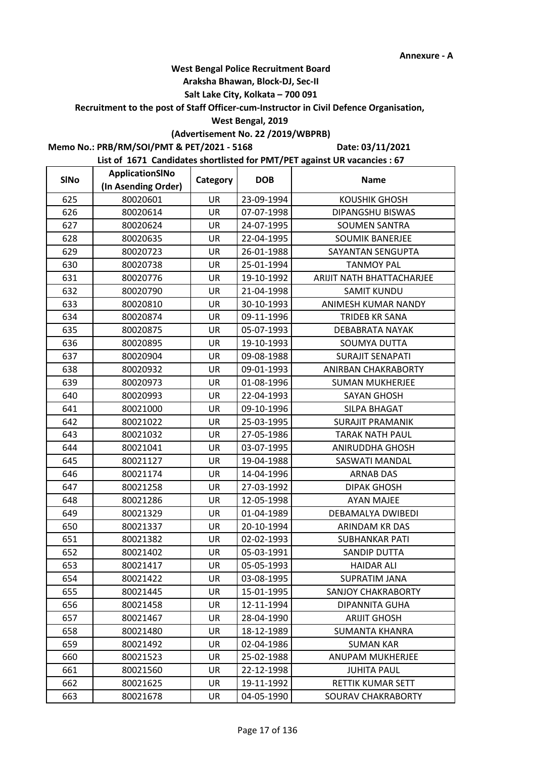### **Araksha Bhawan, Block-DJ, Sec-II**

## **Salt Lake City, Kolkata – 700 091**

**Recruitment to the post of Staff Officer-cum-Instructor in Civil Defence Organisation,** 

#### **West Bengal, 2019**

# **(Advertisement No. 22 /2019/WBPRB)**

**Memo No.: PRB/RM/SOI/PMT & PET/2021 - 5168**

**Date: 03/11/2021**

| <b>SINo</b> | ApplicationSINo     | Category  | <b>DOB</b> | <b>Name</b>               |
|-------------|---------------------|-----------|------------|---------------------------|
|             | (In Asending Order) |           |            |                           |
| 625         | 80020601            | UR        | 23-09-1994 | <b>KOUSHIK GHOSH</b>      |
| 626         | 80020614            | UR        | 07-07-1998 | DIPANGSHU BISWAS          |
| 627         | 80020624            | UR        | 24-07-1995 | <b>SOUMEN SANTRA</b>      |
| 628         | 80020635            | <b>UR</b> | 22-04-1995 | <b>SOUMIK BANERJEE</b>    |
| 629         | 80020723            | UR        | 26-01-1988 | SAYANTAN SENGUPTA         |
| 630         | 80020738            | UR        | 25-01-1994 | <b>TANMOY PAL</b>         |
| 631         | 80020776            | UR        | 19-10-1992 | ARIJIT NATH BHATTACHARJEE |
| 632         | 80020790            | UR        | 21-04-1998 | <b>SAMIT KUNDU</b>        |
| 633         | 80020810            | UR        | 30-10-1993 | ANIMESH KUMAR NANDY       |
| 634         | 80020874            | UR        | 09-11-1996 | TRIDEB KR SANA            |
| 635         | 80020875            | UR        | 05-07-1993 | DEBABRATA NAYAK           |
| 636         | 80020895            | UR        | 19-10-1993 | SOUMYA DUTTA              |
| 637         | 80020904            | UR        | 09-08-1988 | <b>SURAJIT SENAPATI</b>   |
| 638         | 80020932            | <b>UR</b> | 09-01-1993 | ANIRBAN CHAKRABORTY       |
| 639         | 80020973            | UR        | 01-08-1996 | <b>SUMAN MUKHERJEE</b>    |
| 640         | 80020993            | UR        | 22-04-1993 | <b>SAYAN GHOSH</b>        |
| 641         | 80021000            | <b>UR</b> | 09-10-1996 | SILPA BHAGAT              |
| 642         | 80021022            | UR        | 25-03-1995 | <b>SURAJIT PRAMANIK</b>   |
| 643         | 80021032            | UR        | 27-05-1986 | <b>TARAK NATH PAUL</b>    |
| 644         | 80021041            | UR        | 03-07-1995 | ANIRUDDHA GHOSH           |
| 645         | 80021127            | UR        | 19-04-1988 | SASWATI MANDAL            |
| 646         | 80021174            | UR        | 14-04-1996 | <b>ARNAB DAS</b>          |
| 647         | 80021258            | <b>UR</b> | 27-03-1992 | <b>DIPAK GHOSH</b>        |
| 648         | 80021286            | UR        | 12-05-1998 | <b>AYAN MAJEE</b>         |
| 649         | 80021329            | UR        | 01-04-1989 | DEBAMALYA DWIBEDI         |
| 650         | 80021337            | UR        | 20-10-1994 | ARINDAM KR DAS            |
| 651         | 80021382            | UR        | 02-02-1993 | <b>SUBHANKAR PATI</b>     |
| 652         | 80021402            | UR        | 05-03-1991 | <b>SANDIP DUTTA</b>       |
| 653         | 80021417            | UR        | 05-05-1993 | <b>HAIDAR ALI</b>         |
| 654         | 80021422            | UR        | 03-08-1995 | <b>SUPRATIM JANA</b>      |
| 655         | 80021445            | UR        | 15-01-1995 | <b>SANJOY CHAKRABORTY</b> |
| 656         | 80021458            | UR        | 12-11-1994 | DIPANNITA GUHA            |
| 657         | 80021467            | UR        | 28-04-1990 | <b>ARIJIT GHOSH</b>       |
| 658         | 80021480            | UR        | 18-12-1989 | <b>SUMANTA KHANRA</b>     |
| 659         | 80021492            | UR        | 02-04-1986 | <b>SUMAN KAR</b>          |
| 660         | 80021523            | UR        | 25-02-1988 | ANUPAM MUKHERJEE          |
| 661         | 80021560            | <b>UR</b> | 22-12-1998 | <b>JUHITA PAUL</b>        |
| 662         | 80021625            | UR        | 19-11-1992 | RETTIK KUMAR SETT         |
| 663         | 80021678            | UR        | 04-05-1990 | SOURAV CHAKRABORTY        |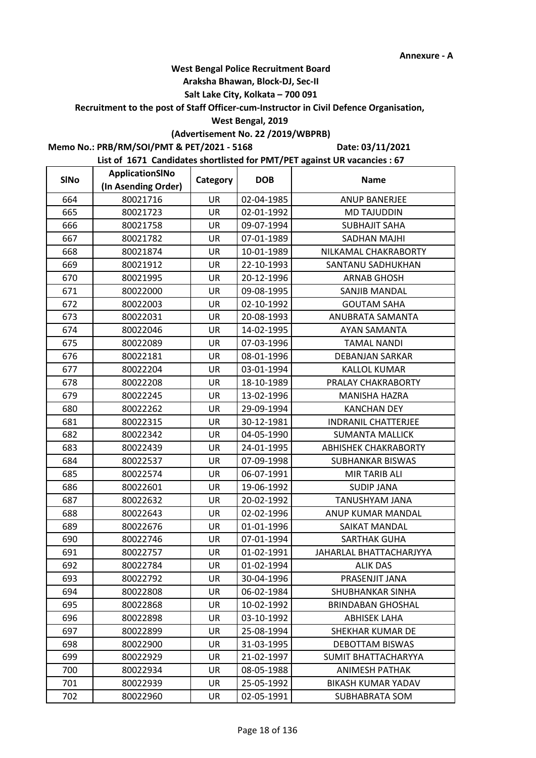### **Araksha Bhawan, Block-DJ, Sec-II**

## **Salt Lake City, Kolkata – 700 091**

**Recruitment to the post of Staff Officer-cum-Instructor in Civil Defence Organisation,** 

#### **West Bengal, 2019**

# **(Advertisement No. 22 /2019/WBPRB)**

**Memo No.: PRB/RM/SOI/PMT & PET/2021 - 5168**

**Date: 03/11/2021**

| <b>SINo</b> | ApplicationSINo     | Category  | <b>DOB</b> | <b>Name</b>                 |
|-------------|---------------------|-----------|------------|-----------------------------|
|             | (In Asending Order) |           |            |                             |
| 664         | 80021716            | <b>UR</b> | 02-04-1985 | <b>ANUP BANERJEE</b>        |
| 665         | 80021723            | <b>UR</b> | 02-01-1992 | <b>MD TAJUDDIN</b>          |
| 666         | 80021758            | UR        | 09-07-1994 | <b>SUBHAJIT SAHA</b>        |
| 667         | 80021782            | <b>UR</b> | 07-01-1989 | SADHAN MAJHI                |
| 668         | 80021874            | UR        | 10-01-1989 | NILKAMAL CHAKRABORTY        |
| 669         | 80021912            | UR        | 22-10-1993 | SANTANU SADHUKHAN           |
| 670         | 80021995            | UR        | 20-12-1996 | <b>ARNAB GHOSH</b>          |
| 671         | 80022000            | UR        | 09-08-1995 | SANJIB MANDAL               |
| 672         | 80022003            | UR        | 02-10-1992 | <b>GOUTAM SAHA</b>          |
| 673         | 80022031            | UR        | 20-08-1993 | ANUBRATA SAMANTA            |
| 674         | 80022046            | <b>UR</b> | 14-02-1995 | <b>AYAN SAMANTA</b>         |
| 675         | 80022089            | UR        | 07-03-1996 | <b>TAMAL NANDI</b>          |
| 676         | 80022181            | UR        | 08-01-1996 | DEBANJAN SARKAR             |
| 677         | 80022204            | UR        | 03-01-1994 | <b>KALLOL KUMAR</b>         |
| 678         | 80022208            | UR        | 18-10-1989 | PRALAY CHAKRABORTY          |
| 679         | 80022245            | UR        | 13-02-1996 | <b>MANISHA HAZRA</b>        |
| 680         | 80022262            | <b>UR</b> | 29-09-1994 | <b>KANCHAN DEY</b>          |
| 681         | 80022315            | <b>UR</b> | 30-12-1981 | <b>INDRANIL CHATTERJEE</b>  |
| 682         | 80022342            | UR        | 04-05-1990 | <b>SUMANTA MALLICK</b>      |
| 683         | 80022439            | UR        | 24-01-1995 | <b>ABHISHEK CHAKRABORTY</b> |
| 684         | 80022537            | UR        | 07-09-1998 | <b>SUBHANKAR BISWAS</b>     |
| 685         | 80022574            | UR        | 06-07-1991 | MIR TARIB ALI               |
| 686         | 80022601            | <b>UR</b> | 19-06-1992 | <b>SUDIP JANA</b>           |
| 687         | 80022632            | UR        | 20-02-1992 | TANUSHYAM JANA              |
| 688         | 80022643            | UR        | 02-02-1996 | ANUP KUMAR MANDAL           |
| 689         | 80022676            | UR        | 01-01-1996 | SAIKAT MANDAL               |
| 690         | 80022746            | UR        | 07-01-1994 | <b>SARTHAK GUHA</b>         |
| 691         | 80022757            | UR        | 01-02-1991 | JAHARLAL BHATTACHARJYYA     |
| 692         | 80022784            | UR        | 01-02-1994 | <b>ALIK DAS</b>             |
| 693         | 80022792            | UR        | 30-04-1996 | PRASENJIT JANA              |
| 694         | 80022808            | UR        | 06-02-1984 | SHUBHANKAR SINHA            |
| 695         | 80022868            | UR        | 10-02-1992 | <b>BRINDABAN GHOSHAL</b>    |
| 696         | 80022898            | UR        | 03-10-1992 | <b>ABHISEK LAHA</b>         |
| 697         | 80022899            | UR        | 25-08-1994 | SHEKHAR KUMAR DE            |
| 698         | 80022900            | UR        | 31-03-1995 | <b>DEBOTTAM BISWAS</b>      |
| 699         | 80022929            | UR        | 21-02-1997 | SUMIT BHATTACHARYYA         |
| 700         | 80022934            | <b>UR</b> | 08-05-1988 | <b>ANIMESH PATHAK</b>       |
| 701         | 80022939            | UR        | 25-05-1992 | <b>BIKASH KUMAR YADAV</b>   |
| 702         | 80022960            | UR        | 02-05-1991 | SUBHABRATA SOM              |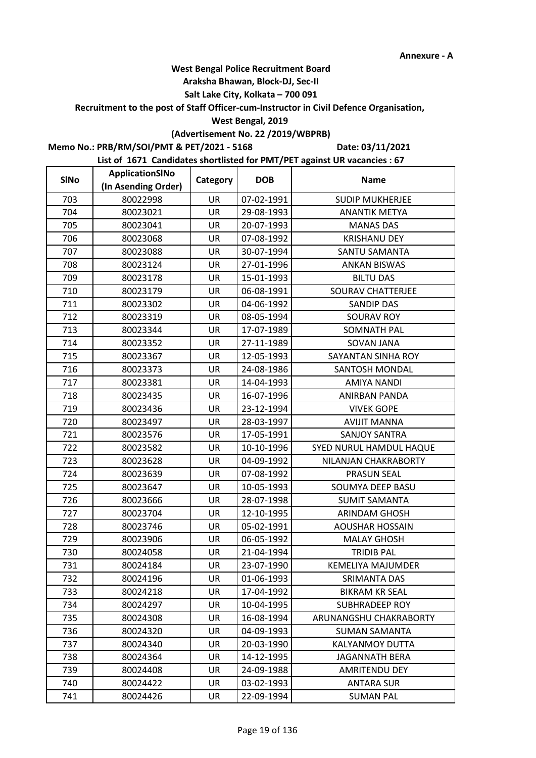### **Araksha Bhawan, Block-DJ, Sec-II**

## **Salt Lake City, Kolkata – 700 091**

**Recruitment to the post of Staff Officer-cum-Instructor in Civil Defence Organisation,** 

#### **West Bengal, 2019**

# **(Advertisement No. 22 /2019/WBPRB)**

**Memo No.: PRB/RM/SOI/PMT & PET/2021 - 5168**

**Date: 03/11/2021**

| <b>SINo</b> | ApplicationSINo     | Category  | <b>DOB</b> | <b>Name</b>              |
|-------------|---------------------|-----------|------------|--------------------------|
|             | (In Asending Order) |           |            |                          |
| 703         | 80022998            | <b>UR</b> | 07-02-1991 | <b>SUDIP MUKHERJEE</b>   |
| 704         | 80023021            | <b>UR</b> | 29-08-1993 | <b>ANANTIK METYA</b>     |
| 705         | 80023041            | UR        | 20-07-1993 | <b>MANAS DAS</b>         |
| 706         | 80023068            | <b>UR</b> | 07-08-1992 | <b>KRISHANU DEY</b>      |
| 707         | 80023088            | UR        | 30-07-1994 | SANTU SAMANTA            |
| 708         | 80023124            | <b>UR</b> | 27-01-1996 | <b>ANKAN BISWAS</b>      |
| 709         | 80023178            | UR        | 15-01-1993 | <b>BILTU DAS</b>         |
| 710         | 80023179            | UR        | 06-08-1991 | <b>SOURAV CHATTERJEE</b> |
| 711         | 80023302            | UR        | 04-06-1992 | <b>SANDIP DAS</b>        |
| 712         | 80023319            | UR        | 08-05-1994 | <b>SOURAV ROY</b>        |
| 713         | 80023344            | <b>UR</b> | 17-07-1989 | <b>SOMNATH PAL</b>       |
| 714         | 80023352            | UR        | 27-11-1989 | SOVAN JANA               |
| 715         | 80023367            | UR        | 12-05-1993 | SAYANTAN SINHA ROY       |
| 716         | 80023373            | UR        | 24-08-1986 | SANTOSH MONDAL           |
| 717         | 80023381            | UR        | 14-04-1993 | <b>AMIYA NANDI</b>       |
| 718         | 80023435            | UR        | 16-07-1996 | ANIRBAN PANDA            |
| 719         | 80023436            | <b>UR</b> | 23-12-1994 | <b>VIVEK GOPE</b>        |
| 720         | 80023497            | UR        | 28-03-1997 | <b>AVIJIT MANNA</b>      |
| 721         | 80023576            | UR        | 17-05-1991 | <b>SANJOY SANTRA</b>     |
| 722         | 80023582            | UR        | 10-10-1996 | SYED NURUL HAMDUL HAQUE  |
| 723         | 80023628            | UR        | 04-09-1992 | NILANJAN CHAKRABORTY     |
| 724         | 80023639            | UR        | 07-08-1992 | <b>PRASUN SEAL</b>       |
| 725         | 80023647            | <b>UR</b> | 10-05-1993 | SOUMYA DEEP BASU         |
| 726         | 80023666            | UR        | 28-07-1998 | <b>SUMIT SAMANTA</b>     |
| 727         | 80023704            | UR        | 12-10-1995 | <b>ARINDAM GHOSH</b>     |
| 728         | 80023746            | UR        | 05-02-1991 | <b>AOUSHAR HOSSAIN</b>   |
| 729         | 80023906            | UR        | 06-05-1992 | <b>MALAY GHOSH</b>       |
| 730         | 80024058            | UR        | 21-04-1994 | <b>TRIDIB PAL</b>        |
| 731         | 80024184            | UR        | 23-07-1990 | <b>KEMELIYA MAJUMDER</b> |
| 732         | 80024196            | UR        | 01-06-1993 | SRIMANTA DAS             |
| 733         | 80024218            | UR        | 17-04-1992 | <b>BIKRAM KR SEAL</b>    |
| 734         | 80024297            | UR        | 10-04-1995 | <b>SUBHRADEEP ROY</b>    |
| 735         | 80024308            | UR        | 16-08-1994 | ARUNANGSHU CHAKRABORTY   |
| 736         | 80024320            | UR        | 04-09-1993 | SUMAN SAMANTA            |
| 737         | 80024340            | UR        | 20-03-1990 | KALYANMOY DUTTA          |
| 738         | 80024364            | UR        | 14-12-1995 | JAGANNATH BERA           |
| 739         | 80024408            | <b>UR</b> | 24-09-1988 | AMRITENDU DEY            |
| 740         | 80024422            | UR        | 03-02-1993 | <b>ANTARA SUR</b>        |
| 741         | 80024426            | UR        | 22-09-1994 | <b>SUMAN PAL</b>         |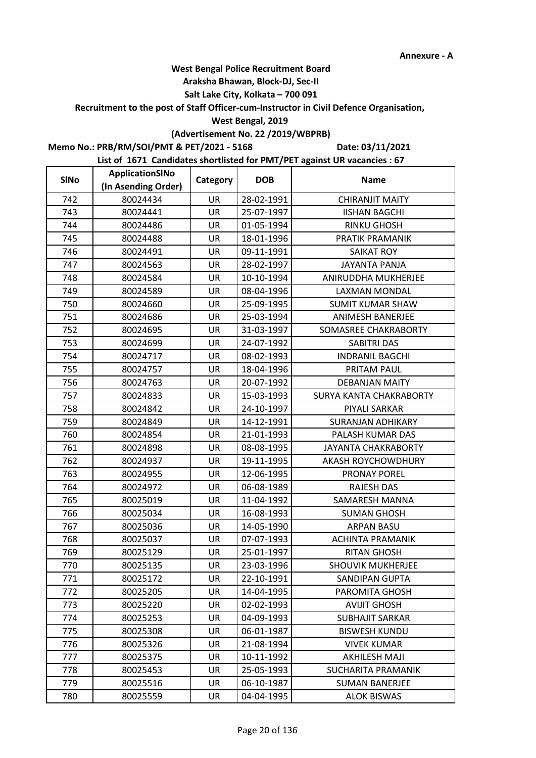#### **Araksha Bhawan, Block-DJ, Sec-II**

## **Salt Lake City, Kolkata – 700 091**

**Recruitment to the post of Staff Officer-cum-Instructor in Civil Defence Organisation,** 

#### **West Bengal, 2019**

# **(Advertisement No. 22 /2019/WBPRB)**

**Memo No.: PRB/RM/SOI/PMT & PET/2021 - 5168**

**Date: 03/11/2021**

| <b>SINo</b> | ApplicationSINo     | Category  | <b>DOB</b> | <b>Name</b>               |
|-------------|---------------------|-----------|------------|---------------------------|
|             | (In Asending Order) |           |            |                           |
| 742         | 80024434            | UR        | 28-02-1991 | <b>CHIRANJIT MAITY</b>    |
| 743         | 80024441            | <b>UR</b> | 25-07-1997 | <b>IISHAN BAGCHI</b>      |
| 744         | 80024486            | UR        | 01-05-1994 | <b>RINKU GHOSH</b>        |
| 745         | 80024488            | <b>UR</b> | 18-01-1996 | PRATIK PRAMANIK           |
| 746         | 80024491            | UR        | 09-11-1991 | <b>SAIKAT ROY</b>         |
| 747         | 80024563            | <b>UR</b> | 28-02-1997 | <b>JAYANTA PANJA</b>      |
| 748         | 80024584            | UR        | 10-10-1994 | ANIRUDDHA MUKHERJEE       |
| 749         | 80024589            | UR        | 08-04-1996 | <b>LAXMAN MONDAL</b>      |
| 750         | 80024660            | UR        | 25-09-1995 | <b>SUMIT KUMAR SHAW</b>   |
| 751         | 80024686            | UR        | 25-03-1994 | ANIMESH BANERJEE          |
| 752         | 80024695            | <b>UR</b> | 31-03-1997 | SOMASREE CHAKRABORTY      |
| 753         | 80024699            | UR        | 24-07-1992 | SABITRI DAS               |
| 754         | 80024717            | <b>UR</b> | 08-02-1993 | <b>INDRANIL BAGCHI</b>    |
| 755         | 80024757            | <b>UR</b> | 18-04-1996 | PRITAM PAUL               |
| 756         | 80024763            | UR        | 20-07-1992 | <b>DEBANJAN MAITY</b>     |
| 757         | 80024833            | UR        | 15-03-1993 | SURYA KANTA CHAKRABORTY   |
| 758         | 80024842            | <b>UR</b> | 24-10-1997 | PIYALI SARKAR             |
| 759         | 80024849            | UR        | 14-12-1991 | <b>SURANJAN ADHIKARY</b>  |
| 760         | 80024854            | <b>UR</b> | 21-01-1993 | PALASH KUMAR DAS          |
| 761         | 80024898            | <b>UR</b> | 08-08-1995 | JAYANTA CHAKRABORTY       |
| 762         | 80024937            | UR        | 19-11-1995 | AKASH ROYCHOWDHURY        |
| 763         | 80024955            | UR        | 12-06-1995 | PRONAY POREL              |
| 764         | 80024972            | <b>UR</b> | 06-08-1989 | <b>RAJESH DAS</b>         |
| 765         | 80025019            | UR        | 11-04-1992 | SAMARESH MANNA            |
| 766         | 80025034            | <b>UR</b> | 16-08-1993 | <b>SUMAN GHOSH</b>        |
| 767         | 80025036            | UR        | 14-05-1990 | <b>ARPAN BASU</b>         |
| 768         | 80025037            | UR        | 07-07-1993 | <b>ACHINTA PRAMANIK</b>   |
| 769         | 80025129            | UR        | 25-01-1997 | <b>RITAN GHOSH</b>        |
| 770         | 80025135            | UR        | 23-03-1996 | <b>SHOUVIK MUKHERJEE</b>  |
| 771         | 80025172            | UR        | 22-10-1991 | SANDIPAN GUPTA            |
| 772         | 80025205            | UR        | 14-04-1995 | PAROMITA GHOSH            |
| 773         | 80025220            | UR        | 02-02-1993 | <b>AVIJIT GHOSH</b>       |
| 774         | 80025253            | UR        | 04-09-1993 | <b>SUBHAJIT SARKAR</b>    |
| 775         | 80025308            | UR        | 06-01-1987 | <b>BISWESH KUNDU</b>      |
| 776         | 80025326            | UR        | 21-08-1994 | <b>VIVEK KUMAR</b>        |
| 777         | 80025375            | UR        | 10-11-1992 | <b>AKHILESH MAJI</b>      |
| 778         | 80025453            | <b>UR</b> | 25-05-1993 | <b>SUCHARITA PRAMANIK</b> |
| 779         | 80025516            | UR        | 06-10-1987 | <b>SUMAN BANERJEE</b>     |
| 780         | 80025559            | UR        | 04-04-1995 | <b>ALOK BISWAS</b>        |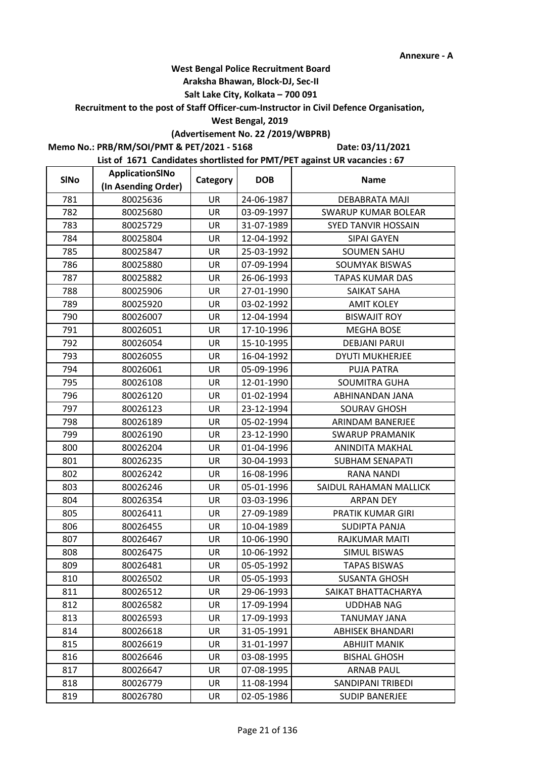### **Araksha Bhawan, Block-DJ, Sec-II**

## **Salt Lake City, Kolkata – 700 091**

**Recruitment to the post of Staff Officer-cum-Instructor in Civil Defence Organisation,** 

### **West Bengal, 2019**

# **(Advertisement No. 22 /2019/WBPRB)**

**Memo No.: PRB/RM/SOI/PMT & PET/2021 - 5168**

**Date: 03/11/2021**

| <b>SINo</b> | ApplicationSINo     | Category  | <b>DOB</b> | <b>Name</b>                |
|-------------|---------------------|-----------|------------|----------------------------|
|             | (In Asending Order) |           |            |                            |
| 781         | 80025636            | <b>UR</b> | 24-06-1987 | <b>DEBABRATA MAJI</b>      |
| 782         | 80025680            | <b>UR</b> | 03-09-1997 | <b>SWARUP KUMAR BOLEAR</b> |
| 783         | 80025729            | UR        | 31-07-1989 | <b>SYED TANVIR HOSSAIN</b> |
| 784         | 80025804            | <b>UR</b> | 12-04-1992 | <b>SIPAI GAYEN</b>         |
| 785         | 80025847            | UR        | 25-03-1992 | <b>SOUMEN SAHU</b>         |
| 786         | 80025880            | UR        | 07-09-1994 | <b>SOUMYAK BISWAS</b>      |
| 787         | 80025882            | UR        | 26-06-1993 | <b>TAPAS KUMAR DAS</b>     |
| 788         | 80025906            | UR        | 27-01-1990 | <b>SAIKAT SAHA</b>         |
| 789         | 80025920            | UR        | 03-02-1992 | <b>AMIT KOLEY</b>          |
| 790         | 80026007            | UR        | 12-04-1994 | <b>BISWAJIT ROY</b>        |
| 791         | 80026051            | <b>UR</b> | 17-10-1996 | <b>MEGHA BOSE</b>          |
| 792         | 80026054            | UR        | 15-10-1995 | <b>DEBJANI PARUI</b>       |
| 793         | 80026055            | <b>UR</b> | 16-04-1992 | <b>DYUTI MUKHERJEE</b>     |
| 794         | 80026061            | UR        | 05-09-1996 | <b>PUJA PATRA</b>          |
| 795         | 80026108            | UR        | 12-01-1990 | <b>SOUMITRA GUHA</b>       |
| 796         | 80026120            | UR        | 01-02-1994 | ABHINANDAN JANA            |
| 797         | 80026123            | <b>UR</b> | 23-12-1994 | <b>SOURAV GHOSH</b>        |
| 798         | 80026189            | UR        | 05-02-1994 | ARINDAM BANERJEE           |
| 799         | 80026190            | UR        | 23-12-1990 | <b>SWARUP PRAMANIK</b>     |
| 800         | 80026204            | UR        | 01-04-1996 | ANINDITA MAKHAL            |
| 801         | 80026235            | UR        | 30-04-1993 | SUBHAM SENAPATI            |
| 802         | 80026242            | UR        | 16-08-1996 | <b>RANA NANDI</b>          |
| 803         | 80026246            | <b>UR</b> | 05-01-1996 | SAIDUL RAHAMAN MALLICK     |
| 804         | 80026354            | UR        | 03-03-1996 | <b>ARPAN DEY</b>           |
| 805         | 80026411            | UR        | 27-09-1989 | PRATIK KUMAR GIRI          |
| 806         | 80026455            | UR        | 10-04-1989 | <b>SUDIPTA PANJA</b>       |
| 807         | 80026467            | UR        | 10-06-1990 | RAJKUMAR MAITI             |
| 808         | 80026475            | UR        | 10-06-1992 | <b>SIMUL BISWAS</b>        |
| 809         | 80026481            | UR        | 05-05-1992 | <b>TAPAS BISWAS</b>        |
| 810         | 80026502            | UR        | 05-05-1993 | <b>SUSANTA GHOSH</b>       |
| 811         | 80026512            | UR        | 29-06-1993 | SAIKAT BHATTACHARYA        |
| 812         | 80026582            | UR        | 17-09-1994 | <b>UDDHAB NAG</b>          |
| 813         | 80026593            | UR        | 17-09-1993 | TANUMAY JANA               |
| 814         | 80026618            | UR        | 31-05-1991 | <b>ABHISEK BHANDARI</b>    |
| 815         | 80026619            | UR        | 31-01-1997 | <b>ABHIJIT MANIK</b>       |
| 816         | 80026646            | UR        | 03-08-1995 | <b>BISHAL GHOSH</b>        |
| 817         | 80026647            | <b>UR</b> | 07-08-1995 | <b>ARNAB PAUL</b>          |
| 818         | 80026779            | UR        | 11-08-1994 | SANDIPANI TRIBEDI          |
| 819         | 80026780            | UR        | 02-05-1986 | <b>SUDIP BANERJEE</b>      |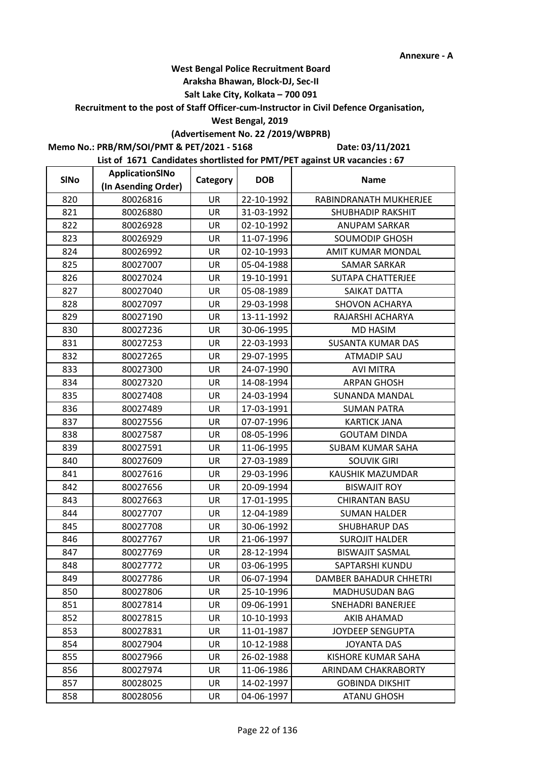### **Araksha Bhawan, Block-DJ, Sec-II**

## **Salt Lake City, Kolkata – 700 091**

**Recruitment to the post of Staff Officer-cum-Instructor in Civil Defence Organisation,** 

### **West Bengal, 2019**

# **(Advertisement No. 22 /2019/WBPRB)**

**Memo No.: PRB/RM/SOI/PMT & PET/2021 - 5168**

**Date: 03/11/2021**

| <b>SINo</b> | ApplicationSINo     | Category  | <b>DOB</b> | <b>Name</b>              |  |
|-------------|---------------------|-----------|------------|--------------------------|--|
|             | (In Asending Order) |           |            |                          |  |
| 820         | 80026816            | <b>UR</b> | 22-10-1992 | RABINDRANATH MUKHERJEE   |  |
| 821         | 80026880            | <b>UR</b> | 31-03-1992 | <b>SHUBHADIP RAKSHIT</b> |  |
| 822         | 80026928            | UR        | 02-10-1992 | ANUPAM SARKAR            |  |
| 823         | 80026929            | <b>UR</b> | 11-07-1996 | <b>SOUMODIP GHOSH</b>    |  |
| 824         | 80026992            | UR        | 02-10-1993 | AMIT KUMAR MONDAL        |  |
| 825         | 80027007            | UR        | 05-04-1988 | <b>SAMAR SARKAR</b>      |  |
| 826         | 80027024            | UR        | 19-10-1991 | <b>SUTAPA CHATTERJEE</b> |  |
| 827         | 80027040            | UR        | 05-08-1989 | SAIKAT DATTA             |  |
| 828         | 80027097            | UR        | 29-03-1998 | <b>SHOVON ACHARYA</b>    |  |
| 829         | 80027190            | UR        | 13-11-1992 | RAJARSHI ACHARYA         |  |
| 830         | 80027236            | <b>UR</b> | 30-06-1995 | <b>MD HASIM</b>          |  |
| 831         | 80027253            | UR        | 22-03-1993 | <b>SUSANTA KUMAR DAS</b> |  |
| 832         | 80027265            | <b>UR</b> | 29-07-1995 | <b>ATMADIP SAU</b>       |  |
| 833         | 80027300            | UR        | 24-07-1990 | <b>AVI MITRA</b>         |  |
| 834         | 80027320            | UR        | 14-08-1994 | <b>ARPAN GHOSH</b>       |  |
| 835         | 80027408            | UR        | 24-03-1994 | <b>SUNANDA MANDAL</b>    |  |
| 836         | 80027489            | <b>UR</b> | 17-03-1991 | <b>SUMAN PATRA</b>       |  |
| 837         | 80027556            | UR        | 07-07-1996 | <b>KARTICK JANA</b>      |  |
| 838         | 80027587            | UR        | 08-05-1996 | <b>GOUTAM DINDA</b>      |  |
| 839         | 80027591            | UR        | 11-06-1995 | <b>SUBAM KUMAR SAHA</b>  |  |
| 840         | 80027609            | UR        | 27-03-1989 | <b>SOUVIK GIRI</b>       |  |
| 841         | 80027616            | UR        | 29-03-1996 | KAUSHIK MAZUMDAR         |  |
| 842         | 80027656            | <b>UR</b> | 20-09-1994 | <b>BISWAJIT ROY</b>      |  |
| 843         | 80027663            | UR        | 17-01-1995 | <b>CHIRANTAN BASU</b>    |  |
| 844         | 80027707            | UR        | 12-04-1989 | <b>SUMAN HALDER</b>      |  |
| 845         | 80027708            | UR        | 30-06-1992 | <b>SHUBHARUP DAS</b>     |  |
| 846         | 80027767            | UR        | 21-06-1997 | <b>SUROJIT HALDER</b>    |  |
| 847         | 80027769            | UR        | 28-12-1994 | <b>BISWAJIT SASMAL</b>   |  |
| 848         | 80027772            | UR        | 03-06-1995 | SAPTARSHI KUNDU          |  |
| 849         | 80027786            | UR        | 06-07-1994 | DAMBER BAHADUR CHHETRI   |  |
| 850         | 80027806            | UR        | 25-10-1996 | <b>MADHUSUDAN BAG</b>    |  |
| 851         | 80027814            | UR        | 09-06-1991 | <b>SNEHADRI BANERJEE</b> |  |
| 852         | 80027815            | UR        | 10-10-1993 | AKIB AHAMAD              |  |
| 853         | 80027831            | UR        | 11-01-1987 | JOYDEEP SENGUPTA         |  |
| 854         | 80027904            | UR        | 10-12-1988 | <b>JOYANTA DAS</b>       |  |
| 855         | 80027966            | UR        | 26-02-1988 | KISHORE KUMAR SAHA       |  |
| 856         | 80027974            | <b>UR</b> | 11-06-1986 | ARINDAM CHAKRABORTY      |  |
| 857         | 80028025            | UR        | 14-02-1997 | <b>GOBINDA DIKSHIT</b>   |  |
| 858         | 80028056            | UR        | 04-06-1997 | <b>ATANU GHOSH</b>       |  |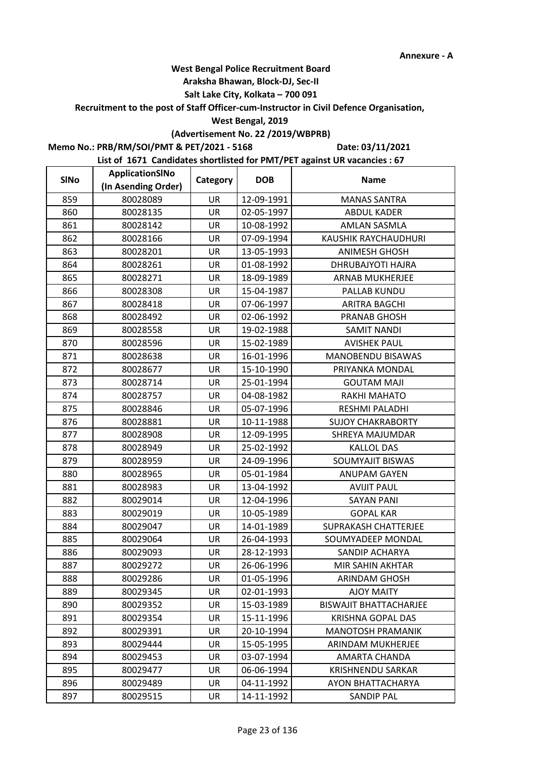### **Araksha Bhawan, Block-DJ, Sec-II**

## **Salt Lake City, Kolkata – 700 091**

**Recruitment to the post of Staff Officer-cum-Instructor in Civil Defence Organisation,** 

#### **West Bengal, 2019**

# **(Advertisement No. 22 /2019/WBPRB)**

**Memo No.: PRB/RM/SOI/PMT & PET/2021 - 5168**

**Date: 03/11/2021**

| <b>SINo</b> | ApplicationSINo     | Category  | <b>DOB</b> | <b>Name</b>                   |
|-------------|---------------------|-----------|------------|-------------------------------|
|             | (In Asending Order) |           |            |                               |
| 859         | 80028089            | <b>UR</b> | 12-09-1991 | <b>MANAS SANTRA</b>           |
| 860         | 80028135            | <b>UR</b> | 02-05-1997 | <b>ABDUL KADER</b>            |
| 861         | 80028142            | UR        | 10-08-1992 | <b>AMLAN SASMLA</b>           |
| 862         | 80028166            | <b>UR</b> | 07-09-1994 | KAUSHIK RAYCHAUDHURI          |
| 863         | 80028201            | UR        | 13-05-1993 | <b>ANIMESH GHOSH</b>          |
| 864         | 80028261            | <b>UR</b> | 01-08-1992 | <b>DHRUBAJYOTI HAJRA</b>      |
| 865         | 80028271            | UR        | 18-09-1989 | <b>ARNAB MUKHERJEE</b>        |
| 866         | 80028308            | UR        | 15-04-1987 | PALLAB KUNDU                  |
| 867         | 80028418            | UR        | 07-06-1997 | <b>ARITRA BAGCHI</b>          |
| 868         | 80028492            | UR        | 02-06-1992 | PRANAB GHOSH                  |
| 869         | 80028558            | <b>UR</b> | 19-02-1988 | <b>SAMIT NANDI</b>            |
| 870         | 80028596            | UR        | 15-02-1989 | <b>AVISHEK PAUL</b>           |
| 871         | 80028638            | <b>UR</b> | 16-01-1996 | MANOBENDU BISAWAS             |
| 872         | 80028677            | UR        | 15-10-1990 | PRIYANKA MONDAL               |
| 873         | 80028714            | UR        | 25-01-1994 | <b>GOUTAM MAJI</b>            |
| 874         | 80028757            | UR        | 04-08-1982 | RAKHI MAHATO                  |
| 875         | 80028846            | <b>UR</b> | 05-07-1996 | RESHMI PALADHI                |
| 876         | 80028881            | UR        | 10-11-1988 | <b>SUJOY CHAKRABORTY</b>      |
| 877         | 80028908            | UR        | 12-09-1995 | SHREYA MAJUMDAR               |
| 878         | 80028949            | UR        | 25-02-1992 | <b>KALLOL DAS</b>             |
| 879         | 80028959            | UR        | 24-09-1996 | SOUMYAJIT BISWAS              |
| 880         | 80028965            | UR        | 05-01-1984 | <b>ANUPAM GAYEN</b>           |
| 881         | 80028983            | <b>UR</b> | 13-04-1992 | <b>AVIJIT PAUL</b>            |
| 882         | 80029014            | UR        | 12-04-1996 | <b>SAYAN PANI</b>             |
| 883         | 80029019            | UR        | 10-05-1989 | <b>GOPAL KAR</b>              |
| 884         | 80029047            | UR        | 14-01-1989 | SUPRAKASH CHATTERJEE          |
| 885         | 80029064            | UR        | 26-04-1993 | SOUMYADEEP MONDAL             |
| 886         | 80029093            | UR        | 28-12-1993 | SANDIP ACHARYA                |
| 887         | 80029272            | UR        | 26-06-1996 | MIR SAHIN AKHTAR              |
| 888         | 80029286            | UR        | 01-05-1996 | <b>ARINDAM GHOSH</b>          |
| 889         | 80029345            | UR        | 02-01-1993 | <b>AJOY MAITY</b>             |
| 890         | 80029352            | UR        | 15-03-1989 | <b>BISWAJIT BHATTACHARJEE</b> |
| 891         | 80029354            | UR        | 15-11-1996 | <b>KRISHNA GOPAL DAS</b>      |
| 892         | 80029391            | UR        | 20-10-1994 | <b>MANOTOSH PRAMANIK</b>      |
| 893         | 80029444            | UR        | 15-05-1995 | ARINDAM MUKHERJEE             |
| 894         | 80029453            | UR        | 03-07-1994 | AMARTA CHANDA                 |
| 895         | 80029477            | <b>UR</b> | 06-06-1994 | <b>KRISHNENDU SARKAR</b>      |
| 896         | 80029489            | UR        | 04-11-1992 | AYON BHATTACHARYA             |
| 897         | 80029515            | UR        | 14-11-1992 | <b>SANDIP PAL</b>             |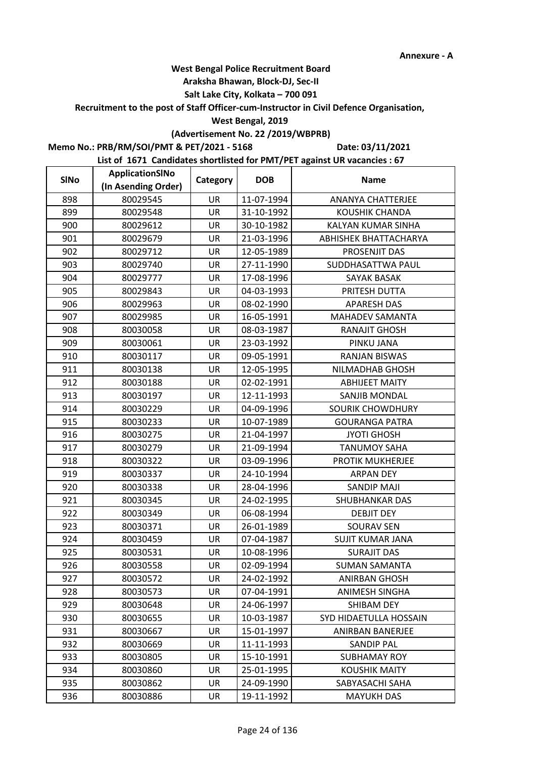### **Araksha Bhawan, Block-DJ, Sec-II**

## **Salt Lake City, Kolkata – 700 091**

**Recruitment to the post of Staff Officer-cum-Instructor in Civil Defence Organisation,** 

#### **West Bengal, 2019**

# **(Advertisement No. 22 /2019/WBPRB)**

**Memo No.: PRB/RM/SOI/PMT & PET/2021 - 5168**

**Date: 03/11/2021**

| <b>SINo</b> | <b>ApplicationSINo</b> | Category  | <b>DOB</b> | <b>Name</b>              |  |
|-------------|------------------------|-----------|------------|--------------------------|--|
|             | (In Asending Order)    |           |            |                          |  |
| 898         | 80029545               | UR        | 11-07-1994 | <b>ANANYA CHATTERJEE</b> |  |
| 899         | 80029548               | <b>UR</b> | 31-10-1992 | KOUSHIK CHANDA           |  |
| 900         | 80029612               | UR        | 30-10-1982 | KALYAN KUMAR SINHA       |  |
| 901         | 80029679               | <b>UR</b> | 21-03-1996 | ABHISHEK BHATTACHARYA    |  |
| 902         | 80029712               | UR        | 12-05-1989 | PROSENJIT DAS            |  |
| 903         | 80029740               | UR        | 27-11-1990 | SUDDHASATTWA PAUL        |  |
| 904         | 80029777               | UR        | 17-08-1996 | SAYAK BASAK              |  |
| 905         | 80029843               | UR        | 04-03-1993 | PRITESH DUTTA            |  |
| 906         | 80029963               | UR        | 08-02-1990 | <b>APARESH DAS</b>       |  |
| 907         | 80029985               | UR        | 16-05-1991 | <b>MAHADEV SAMANTA</b>   |  |
| 908         | 80030058               | <b>UR</b> | 08-03-1987 | <b>RANAJIT GHOSH</b>     |  |
| 909         | 80030061               | UR        | 23-03-1992 | PINKU JANA               |  |
| 910         | 80030117               | UR        | 09-05-1991 | <b>RANJAN BISWAS</b>     |  |
| 911         | 80030138               | UR        | 12-05-1995 | NILMADHAB GHOSH          |  |
| 912         | 80030188               | UR        | 02-02-1991 | <b>ABHIJEET MAITY</b>    |  |
| 913         | 80030197               | UR        | 12-11-1993 | SANJIB MONDAL            |  |
| 914         | 80030229               | <b>UR</b> | 04-09-1996 | SOURIK CHOWDHURY         |  |
| 915         | 80030233               | UR        | 10-07-1989 | <b>GOURANGA PATRA</b>    |  |
| 916         | 80030275               | UR        | 21-04-1997 | <b>JYOTI GHOSH</b>       |  |
| 917         | 80030279               | UR        | 21-09-1994 | <b>TANUMOY SAHA</b>      |  |
| 918         | 80030322               | UR        | 03-09-1996 | PROTIK MUKHERJEE         |  |
| 919         | 80030337               | UR        | 24-10-1994 | <b>ARPAN DEY</b>         |  |
| 920         | 80030338               | <b>UR</b> | 28-04-1996 | <b>SANDIP MAJI</b>       |  |
| 921         | 80030345               | UR        | 24-02-1995 | <b>SHUBHANKAR DAS</b>    |  |
| 922         | 80030349               | UR        | 06-08-1994 | <b>DEBJIT DEY</b>        |  |
| 923         | 80030371               | UR        | 26-01-1989 | <b>SOURAV SEN</b>        |  |
| 924         | 80030459               | UR        | 07-04-1987 | <b>SUJIT KUMAR JANA</b>  |  |
| 925         | 80030531               | UR        | 10-08-1996 | <b>SURAJIT DAS</b>       |  |
| 926         | 80030558               | UR        | 02-09-1994 | <b>SUMAN SAMANTA</b>     |  |
| 927         | 80030572               | UR        | 24-02-1992 | <b>ANIRBAN GHOSH</b>     |  |
| 928         | 80030573               | UR        | 07-04-1991 | ANIMESH SINGHA           |  |
| 929         | 80030648               | UR        | 24-06-1997 | SHIBAM DEY               |  |
| 930         | 80030655               | UR        | 10-03-1987 | SYD HIDAETULLA HOSSAIN   |  |
| 931         | 80030667               | UR        | 15-01-1997 | <b>ANIRBAN BANERJEE</b>  |  |
| 932         | 80030669               | UR        | 11-11-1993 | SANDIP PAL               |  |
| 933         | 80030805               | UR        | 15-10-1991 | <b>SUBHAMAY ROY</b>      |  |
| 934         | 80030860               | <b>UR</b> | 25-01-1995 | <b>KOUSHIK MAITY</b>     |  |
| 935         | 80030862               | UR        | 24-09-1990 | SABYASACHI SAHA          |  |
| 936         | 80030886               | UR        | 19-11-1992 | <b>MAYUKH DAS</b>        |  |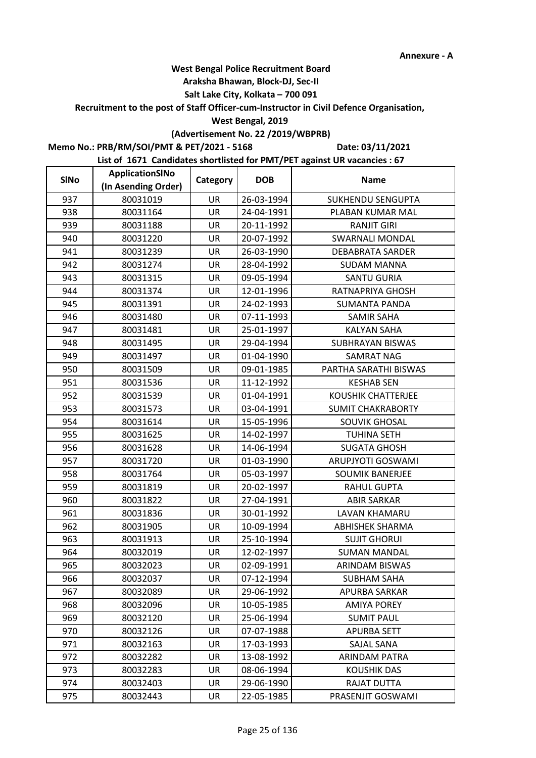### **Araksha Bhawan, Block-DJ, Sec-II**

## **Salt Lake City, Kolkata – 700 091**

**Recruitment to the post of Staff Officer-cum-Instructor in Civil Defence Organisation,** 

#### **West Bengal, 2019**

# **(Advertisement No. 22 /2019/WBPRB)**

**Memo No.: PRB/RM/SOI/PMT & PET/2021 - 5168**

**Date: 03/11/2021**

| <b>SINo</b> | ApplicationSINo     | Category  | <b>DOB</b> | <b>Name</b>               |
|-------------|---------------------|-----------|------------|---------------------------|
|             | (In Asending Order) |           |            |                           |
| 937         | 80031019            | UR        | 26-03-1994 | <b>SUKHENDU SENGUPTA</b>  |
| 938         | 80031164            | UR        | 24-04-1991 | PLABAN KUMAR MAL          |
| 939         | 80031188            | UR        | 20-11-1992 | <b>RANJIT GIRI</b>        |
| 940         | 80031220            | UR        | 20-07-1992 | <b>SWARNALI MONDAL</b>    |
| 941         | 80031239            | UR        | 26-03-1990 | <b>DEBABRATA SARDER</b>   |
| 942         | 80031274            | UR        | 28-04-1992 | <b>SUDAM MANNA</b>        |
| 943         | 80031315            | UR        | 09-05-1994 | <b>SANTU GURIA</b>        |
| 944         | 80031374            | UR        | 12-01-1996 | RATNAPRIYA GHOSH          |
| 945         | 80031391            | UR        | 24-02-1993 | <b>SUMANTA PANDA</b>      |
| 946         | 80031480            | UR        | 07-11-1993 | SAMIR SAHA                |
| 947         | 80031481            | <b>UR</b> | 25-01-1997 | <b>KALYAN SAHA</b>        |
| 948         | 80031495            | UR        | 29-04-1994 | SUBHRAYAN BISWAS          |
| 949         | 80031497            | UR        | 01-04-1990 | <b>SAMRAT NAG</b>         |
| 950         | 80031509            | UR        | 09-01-1985 | PARTHA SARATHI BISWAS     |
| 951         | 80031536            | UR        | 11-12-1992 | <b>KESHAB SEN</b>         |
| 952         | 80031539            | UR        | 01-04-1991 | <b>KOUSHIK CHATTERJEE</b> |
| 953         | 80031573            | <b>UR</b> | 03-04-1991 | <b>SUMIT CHAKRABORTY</b>  |
| 954         | 80031614            | UR        | 15-05-1996 | <b>SOUVIK GHOSAL</b>      |
| 955         | 80031625            | UR        | 14-02-1997 | <b>TUHINA SETH</b>        |
| 956         | 80031628            | UR        | 14-06-1994 | <b>SUGATA GHOSH</b>       |
| 957         | 80031720            | UR        | 01-03-1990 | <b>ARUPJYOTI GOSWAMI</b>  |
| 958         | 80031764            | UR        | 05-03-1997 | <b>SOUMIK BANERJEE</b>    |
| 959         | 80031819            | <b>UR</b> | 20-02-1997 | <b>RAHUL GUPTA</b>        |
| 960         | 80031822            | UR        | 27-04-1991 | <b>ABIR SARKAR</b>        |
| 961         | 80031836            | UR        | 30-01-1992 | LAVAN KHAMARU             |
| 962         | 80031905            | UR        | 10-09-1994 | <b>ABHISHEK SHARMA</b>    |
| 963         | 80031913            | UR        | 25-10-1994 | <b>SUJIT GHORUI</b>       |
| 964         | 80032019            | UR        | 12-02-1997 | <b>SUMAN MANDAL</b>       |
| 965         | 80032023            | UR        | 02-09-1991 | ARINDAM BISWAS            |
| 966         | 80032037            | UR        | 07-12-1994 | <b>SUBHAM SAHA</b>        |
| 967         | 80032089            | UR        | 29-06-1992 | APURBA SARKAR             |
| 968         | 80032096            | UR        | 10-05-1985 | <b>AMIYA POREY</b>        |
| 969         | 80032120            | UR        | 25-06-1994 | <b>SUMIT PAUL</b>         |
| 970         | 80032126            | UR        | 07-07-1988 | <b>APURBA SETT</b>        |
| 971         | 80032163            | UR        | 17-03-1993 | SAJAL SANA                |
| 972         | 80032282            | UR        | 13-08-1992 | ARINDAM PATRA             |
| 973         | 80032283            | <b>UR</b> | 08-06-1994 | <b>KOUSHIK DAS</b>        |
| 974         | 80032403            | UR        | 29-06-1990 | RAJAT DUTTA               |
| 975         | 80032443            | UR        | 22-05-1985 | PRASENJIT GOSWAMI         |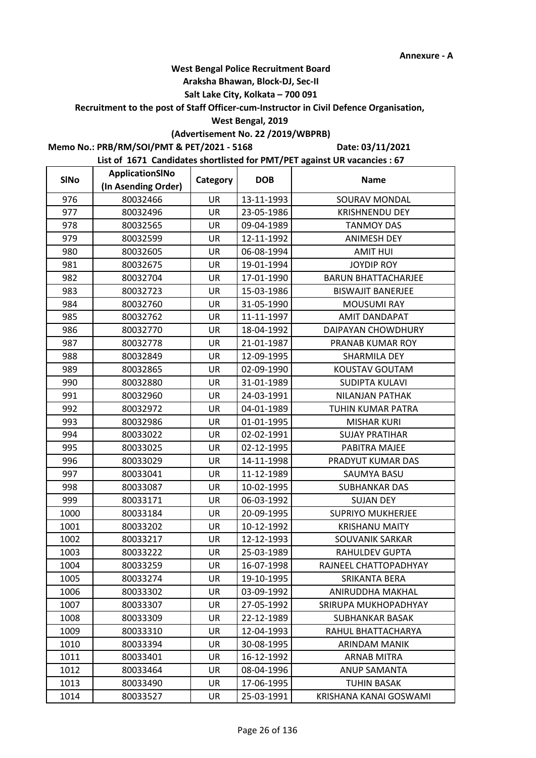### **Araksha Bhawan, Block-DJ, Sec-II**

## **Salt Lake City, Kolkata – 700 091**

**Recruitment to the post of Staff Officer-cum-Instructor in Civil Defence Organisation,** 

#### **West Bengal, 2019**

# **(Advertisement No. 22 /2019/WBPRB)**

**Memo No.: PRB/RM/SOI/PMT & PET/2021 - 5168**

**Date: 03/11/2021**

| <b>SINo</b> | ApplicationSINo     | Category  | <b>DOB</b> | <b>Name</b>                |
|-------------|---------------------|-----------|------------|----------------------------|
|             | (In Asending Order) |           |            |                            |
| 976         | 80032466            | UR        | 13-11-1993 | SOURAV MONDAL              |
| 977         | 80032496            | UR        | 23-05-1986 | <b>KRISHNENDU DEY</b>      |
| 978         | 80032565            | UR        | 09-04-1989 | <b>TANMOY DAS</b>          |
| 979         | 80032599            | <b>UR</b> | 12-11-1992 | <b>ANIMESH DEY</b>         |
| 980         | 80032605            | UR        | 06-08-1994 | <b>AMIT HUI</b>            |
| 981         | 80032675            | UR        | 19-01-1994 | <b>JOYDIP ROY</b>          |
| 982         | 80032704            | UR        | 17-01-1990 | <b>BARUN BHATTACHARJEE</b> |
| 983         | 80032723            | UR        | 15-03-1986 | <b>BISWAJIT BANERJEE</b>   |
| 984         | 80032760            | UR        | 31-05-1990 | <b>MOUSUMI RAY</b>         |
| 985         | 80032762            | UR        | 11-11-1997 | <b>AMIT DANDAPAT</b>       |
| 986         | 80032770            | UR        | 18-04-1992 | DAIPAYAN CHOWDHURY         |
| 987         | 80032778            | UR        | 21-01-1987 | PRANAB KUMAR ROY           |
| 988         | 80032849            | UR        | 12-09-1995 | SHARMILA DEY               |
| 989         | 80032865            | UR        | 02-09-1990 | KOUSTAV GOUTAM             |
| 990         | 80032880            | UR        | 31-01-1989 | <b>SUDIPTA KULAVI</b>      |
| 991         | 80032960            | UR        | 24-03-1991 | NILANJAN PATHAK            |
| 992         | 80032972            | <b>UR</b> | 04-01-1989 | TUHIN KUMAR PATRA          |
| 993         | 80032986            | UR        | 01-01-1995 | <b>MISHAR KURI</b>         |
| 994         | 80033022            | UR        | 02-02-1991 | <b>SUJAY PRATIHAR</b>      |
| 995         | 80033025            | UR        | 02-12-1995 | PABITRA MAJEE              |
| 996         | 80033029            | UR        | 14-11-1998 | PRADYUT KUMAR DAS          |
| 997         | 80033041            | UR        | 11-12-1989 | SAUMYA BASU                |
| 998         | 80033087            | <b>UR</b> | 10-02-1995 | <b>SUBHANKAR DAS</b>       |
| 999         | 80033171            | UR        | 06-03-1992 | <b>SUJAN DEY</b>           |
| 1000        | 80033184            | UR        | 20-09-1995 | <b>SUPRIYO MUKHERJEE</b>   |
| 1001        | 80033202            | UR        | 10-12-1992 | <b>KRISHANU MAITY</b>      |
| 1002        | 80033217            | UR        | 12-12-1993 | <b>SOUVANIK SARKAR</b>     |
| 1003        | 80033222            | UR        | 25-03-1989 | RAHULDEV GUPTA             |
| 1004        | 80033259            | UR        | 16-07-1998 | RAJNEEL CHATTOPADHYAY      |
| 1005        | 80033274            | UR        | 19-10-1995 | SRIKANTA BERA              |
| 1006        | 80033302            | UR        | 03-09-1992 | ANIRUDDHA MAKHAL           |
| 1007        | 80033307            | UR        | 27-05-1992 | SRIRUPA MUKHOPADHYAY       |
| 1008        | 80033309            | UR        | 22-12-1989 | <b>SUBHANKAR BASAK</b>     |
| 1009        | 80033310            | UR        | 12-04-1993 | RAHUL BHATTACHARYA         |
| 1010        | 80033394            | UR        | 30-08-1995 | <b>ARINDAM MANIK</b>       |
| 1011        | 80033401            | UR        | 16-12-1992 | ARNAB MITRA                |
| 1012        | 80033464            | UR        | 08-04-1996 | <b>ANUP SAMANTA</b>        |
| 1013        | 80033490            | UR        | 17-06-1995 | <b>TUHIN BASAK</b>         |
| 1014        | 80033527            | UR        | 25-03-1991 | KRISHANA KANAI GOSWAMI     |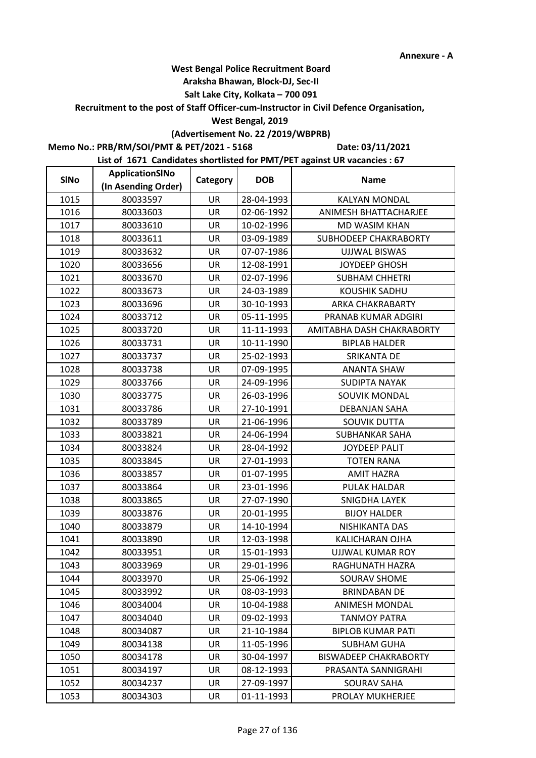### **Araksha Bhawan, Block-DJ, Sec-II**

## **Salt Lake City, Kolkata – 700 091**

**Recruitment to the post of Staff Officer-cum-Instructor in Civil Defence Organisation,** 

#### **West Bengal, 2019**

# **(Advertisement No. 22 /2019/WBPRB)**

**Memo No.: PRB/RM/SOI/PMT & PET/2021 - 5168**

**Date: 03/11/2021**

| <b>SINo</b> | ApplicationSINo     | Category  | <b>DOB</b> | <b>Name</b>                  |
|-------------|---------------------|-----------|------------|------------------------------|
|             | (In Asending Order) |           |            |                              |
| 1015        | 80033597            | UR        | 28-04-1993 | <b>KALYAN MONDAL</b>         |
| 1016        | 80033603            | UR        | 02-06-1992 | ANIMESH BHATTACHARJEE        |
| 1017        | 80033610            | UR        | 10-02-1996 | <b>MD WASIM KHAN</b>         |
| 1018        | 80033611            | <b>UR</b> | 03-09-1989 | SUBHODEEP CHAKRABORTY        |
| 1019        | 80033632            | UR        | 07-07-1986 | <b>UJJWAL BISWAS</b>         |
| 1020        | 80033656            | UR        | 12-08-1991 | <b>JOYDEEP GHOSH</b>         |
| 1021        | 80033670            | UR        | 02-07-1996 | SUBHAM CHHETRI               |
| 1022        | 80033673            | UR        | 24-03-1989 | <b>KOUSHIK SADHU</b>         |
| 1023        | 80033696            | UR        | 30-10-1993 | ARKA CHAKRABARTY             |
| 1024        | 80033712            | UR        | 05-11-1995 | PRANAB KUMAR ADGIRI          |
| 1025        | 80033720            | <b>UR</b> | 11-11-1993 | AMITABHA DASH CHAKRABORTY    |
| 1026        | 80033731            | UR        | 10-11-1990 | <b>BIPLAB HALDER</b>         |
| 1027        | 80033737            | UR        | 25-02-1993 | SRIKANTA DE                  |
| 1028        | 80033738            | UR        | 07-09-1995 | <b>ANANTA SHAW</b>           |
| 1029        | 80033766            | UR        | 24-09-1996 | <b>SUDIPTA NAYAK</b>         |
| 1030        | 80033775            | UR        | 26-03-1996 | SOUVIK MONDAL                |
| 1031        | 80033786            | <b>UR</b> | 27-10-1991 | <b>DEBANJAN SAHA</b>         |
| 1032        | 80033789            | UR        | 21-06-1996 | <b>SOUVIK DUTTA</b>          |
| 1033        | 80033821            | UR        | 24-06-1994 | SUBHANKAR SAHA               |
| 1034        | 80033824            | UR        | 28-04-1992 | <b>JOYDEEP PALIT</b>         |
| 1035        | 80033845            | UR        | 27-01-1993 | <b>TOTEN RANA</b>            |
| 1036        | 80033857            | UR        | 01-07-1995 | <b>AMIT HAZRA</b>            |
| 1037        | 80033864            | <b>UR</b> | 23-01-1996 | PULAK HALDAR                 |
| 1038        | 80033865            | UR        | 27-07-1990 | SNIGDHA LAYEK                |
| 1039        | 80033876            | UR        | 20-01-1995 | <b>BIJOY HALDER</b>          |
| 1040        | 80033879            | UR        | 14-10-1994 | NISHIKANTA DAS               |
| 1041        | 80033890            | UR        | 12-03-1998 | KALICHARAN OJHA              |
| 1042        | 80033951            | UR        | 15-01-1993 | <b>UJJWAL KUMAR ROY</b>      |
| 1043        | 80033969            | UR        | 29-01-1996 | RAGHUNATH HAZRA              |
| 1044        | 80033970            | UR        | 25-06-1992 | SOURAV SHOME                 |
| 1045        | 80033992            | UR        | 08-03-1993 | <b>BRINDABAN DE</b>          |
| 1046        | 80034004            | UR        | 10-04-1988 | <b>ANIMESH MONDAL</b>        |
| 1047        | 80034040            | UR        | 09-02-1993 | <b>TANMOY PATRA</b>          |
| 1048        | 80034087            | UR        | 21-10-1984 | <b>BIPLOB KUMAR PATI</b>     |
| 1049        | 80034138            | UR        | 11-05-1996 | <b>SUBHAM GUHA</b>           |
| 1050        | 80034178            | UR        | 30-04-1997 | <b>BISWADEEP CHAKRABORTY</b> |
| 1051        | 80034197            | UR        | 08-12-1993 | PRASANTA SANNIGRAHI          |
| 1052        | 80034237            | UR        | 27-09-1997 | <b>SOURAV SAHA</b>           |
| 1053        | 80034303            | UR        | 01-11-1993 | PROLAY MUKHERJEE             |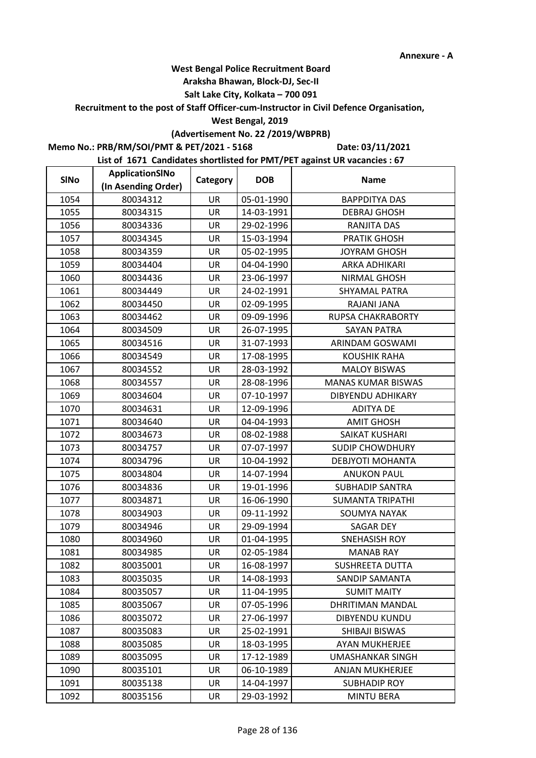### **Araksha Bhawan, Block-DJ, Sec-II**

## **Salt Lake City, Kolkata – 700 091**

**Recruitment to the post of Staff Officer-cum-Instructor in Civil Defence Organisation,** 

#### **West Bengal, 2019**

# **(Advertisement No. 22 /2019/WBPRB)**

**Memo No.: PRB/RM/SOI/PMT & PET/2021 - 5168**

**Date: 03/11/2021**

| <b>SINo</b> | ApplicationSINo     | Category  | <b>DOB</b> | <b>Name</b>               |
|-------------|---------------------|-----------|------------|---------------------------|
|             | (In Asending Order) |           |            |                           |
| 1054        | 80034312            | UR        | 05-01-1990 | <b>BAPPDITYA DAS</b>      |
| 1055        | 80034315            | <b>UR</b> | 14-03-1991 | <b>DEBRAJ GHOSH</b>       |
| 1056        | 80034336            | UR        | 29-02-1996 | RANJITA DAS               |
| 1057        | 80034345            | <b>UR</b> | 15-03-1994 | <b>PRATIK GHOSH</b>       |
| 1058        | 80034359            | UR        | 05-02-1995 | JOYRAM GHOSH              |
| 1059        | 80034404            | UR        | 04-04-1990 | ARKA ADHIKARI             |
| 1060        | 80034436            | UR        | 23-06-1997 | <b>NIRMAL GHOSH</b>       |
| 1061        | 80034449            | UR        | 24-02-1991 | SHYAMAL PATRA             |
| 1062        | 80034450            | UR        | 02-09-1995 | RAJANI JANA               |
| 1063        | 80034462            | UR        | 09-09-1996 | RUPSA CHAKRABORTY         |
| 1064        | 80034509            | <b>UR</b> | 26-07-1995 | <b>SAYAN PATRA</b>        |
| 1065        | 80034516            | UR        | 31-07-1993 | ARINDAM GOSWAMI           |
| 1066        | 80034549            | UR        | 17-08-1995 | <b>KOUSHIK RAHA</b>       |
| 1067        | 80034552            | UR        | 28-03-1992 | <b>MALOY BISWAS</b>       |
| 1068        | 80034557            | UR        | 28-08-1996 | <b>MANAS KUMAR BISWAS</b> |
| 1069        | 80034604            | UR        | 07-10-1997 | DIBYENDU ADHIKARY         |
| 1070        | 80034631            | <b>UR</b> | 12-09-1996 | <b>ADITYA DE</b>          |
| 1071        | 80034640            | UR        | 04-04-1993 | <b>AMIT GHOSH</b>         |
| 1072        | 80034673            | UR        | 08-02-1988 | SAIKAT KUSHARI            |
| 1073        | 80034757            | UR        | 07-07-1997 | <b>SUDIP CHOWDHURY</b>    |
| 1074        | 80034796            | UR        | 10-04-1992 | DEBJYOTI MOHANTA          |
| 1075        | 80034804            | UR        | 14-07-1994 | <b>ANUKON PAUL</b>        |
| 1076        | 80034836            | <b>UR</b> | 19-01-1996 | <b>SUBHADIP SANTRA</b>    |
| 1077        | 80034871            | UR        | 16-06-1990 | <b>SUMANTA TRIPATHI</b>   |
| 1078        | 80034903            | UR        | 09-11-1992 | <b>SOUMYA NAYAK</b>       |
| 1079        | 80034946            | UR        | 29-09-1994 | <b>SAGAR DEY</b>          |
| 1080        | 80034960            | UR        | 01-04-1995 | <b>SNEHASISH ROY</b>      |
| 1081        | 80034985            | UR        | 02-05-1984 | <b>MANAB RAY</b>          |
| 1082        | 80035001            | UR        | 16-08-1997 | <b>SUSHREETA DUTTA</b>    |
| 1083        | 80035035            | UR        | 14-08-1993 | SANDIP SAMANTA            |
| 1084        | 80035057            | UR        | 11-04-1995 | <b>SUMIT MAITY</b>        |
| 1085        | 80035067            | UR        | 07-05-1996 | DHRITIMAN MANDAL          |
| 1086        | 80035072            | UR        | 27-06-1997 | <b>DIBYENDU KUNDU</b>     |
| 1087        | 80035083            | UR        | 25-02-1991 | SHIBAJI BISWAS            |
| 1088        | 80035085            | UR        | 18-03-1995 | <b>AYAN MUKHERJEE</b>     |
| 1089        | 80035095            | UR        | 17-12-1989 | UMASHANKAR SINGH          |
| 1090        | 80035101            | <b>UR</b> | 06-10-1989 | <b>ANJAN MUKHERJEE</b>    |
| 1091        | 80035138            | UR        | 14-04-1997 | <b>SUBHADIP ROY</b>       |
| 1092        | 80035156            | UR        | 29-03-1992 | <b>MINTU BERA</b>         |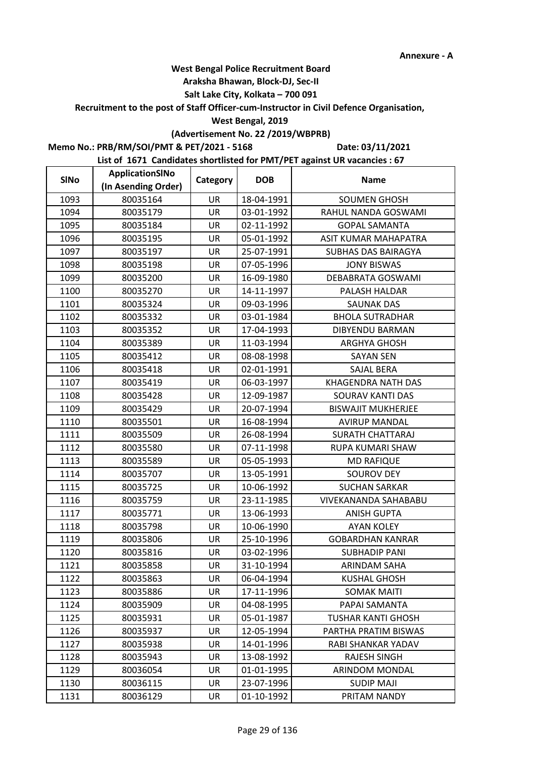### **Araksha Bhawan, Block-DJ, Sec-II**

## **Salt Lake City, Kolkata – 700 091**

**Recruitment to the post of Staff Officer-cum-Instructor in Civil Defence Organisation,** 

#### **West Bengal, 2019**

# **(Advertisement No. 22 /2019/WBPRB)**

**Memo No.: PRB/RM/SOI/PMT & PET/2021 - 5168**

**Date: 03/11/2021**

| <b>SINo</b> | ApplicationSINo     | Category  | <b>DOB</b> | <b>Name</b>               |
|-------------|---------------------|-----------|------------|---------------------------|
|             | (In Asending Order) |           |            |                           |
| 1093        | 80035164            | UR        | 18-04-1991 | <b>SOUMEN GHOSH</b>       |
| 1094        | 80035179            | <b>UR</b> | 03-01-1992 | RAHUL NANDA GOSWAMI       |
| 1095        | 80035184            | UR        | 02-11-1992 | <b>GOPAL SAMANTA</b>      |
| 1096        | 80035195            | <b>UR</b> | 05-01-1992 | ASIT KUMAR MAHAPATRA      |
| 1097        | 80035197            | UR        | 25-07-1991 | SUBHAS DAS BAIRAGYA       |
| 1098        | 80035198            | UR        | 07-05-1996 | <b>JONY BISWAS</b>        |
| 1099        | 80035200            | UR        | 16-09-1980 | DEBABRATA GOSWAMI         |
| 1100        | 80035270            | UR        | 14-11-1997 | PALASH HALDAR             |
| 1101        | 80035324            | UR        | 09-03-1996 | <b>SAUNAK DAS</b>         |
| 1102        | 80035332            | UR        | 03-01-1984 | <b>BHOLA SUTRADHAR</b>    |
| 1103        | 80035352            | <b>UR</b> | 17-04-1993 | <b>DIBYENDU BARMAN</b>    |
| 1104        | 80035389            | UR        | 11-03-1994 | <b>ARGHYA GHOSH</b>       |
| 1105        | 80035412            | UR        | 08-08-1998 | <b>SAYAN SEN</b>          |
| 1106        | 80035418            | UR        | 02-01-1991 | SAJAL BERA                |
| 1107        | 80035419            | UR        | 06-03-1997 | KHAGENDRA NATH DAS        |
| 1108        | 80035428            | UR        | 12-09-1987 | <b>SOURAV KANTI DAS</b>   |
| 1109        | 80035429            | <b>UR</b> | 20-07-1994 | <b>BISWAJIT MUKHERJEE</b> |
| 1110        | 80035501            | UR        | 16-08-1994 | <b>AVIRUP MANDAL</b>      |
| 1111        | 80035509            | UR        | 26-08-1994 | <b>SURATH CHATTARAJ</b>   |
| 1112        | 80035580            | UR        | 07-11-1998 | RUPA KUMARI SHAW          |
| 1113        | 80035589            | UR        | 05-05-1993 | <b>MD RAFIQUE</b>         |
| 1114        | 80035707            | UR        | 13-05-1991 | <b>SOUROV DEY</b>         |
| 1115        | 80035725            | <b>UR</b> | 10-06-1992 | <b>SUCHAN SARKAR</b>      |
| 1116        | 80035759            | UR        | 23-11-1985 | VIVEKANANDA SAHABABU      |
| 1117        | 80035771            | UR        | 13-06-1993 | <b>ANISH GUPTA</b>        |
| 1118        | 80035798            | UR        | 10-06-1990 | <b>AYAN KOLEY</b>         |
| 1119        | 80035806            | UR        | 25-10-1996 | <b>GOBARDHAN KANRAR</b>   |
| 1120        | 80035816            | UR        | 03-02-1996 | SUBHADIP PANI             |
| 1121        | 80035858            | UR        | 31-10-1994 | ARINDAM SAHA              |
| 1122        | 80035863            | UR        | 06-04-1994 | <b>KUSHAL GHOSH</b>       |
| 1123        | 80035886            | UR        | 17-11-1996 | <b>SOMAK MAITI</b>        |
| 1124        | 80035909            | UR        | 04-08-1995 | PAPAI SAMANTA             |
| 1125        | 80035931            | UR        | 05-01-1987 | <b>TUSHAR KANTI GHOSH</b> |
| 1126        | 80035937            | UR        | 12-05-1994 | PARTHA PRATIM BISWAS      |
| 1127        | 80035938            | UR        | 14-01-1996 | RABI SHANKAR YADAV        |
| 1128        | 80035943            | UR        | 13-08-1992 | <b>RAJESH SINGH</b>       |
| 1129        | 80036054            | <b>UR</b> | 01-01-1995 | ARINDOM MONDAL            |
| 1130        | 80036115            | UR        | 23-07-1996 | <b>SUDIP MAJI</b>         |
| 1131        | 80036129            | UR        | 01-10-1992 | PRITAM NANDY              |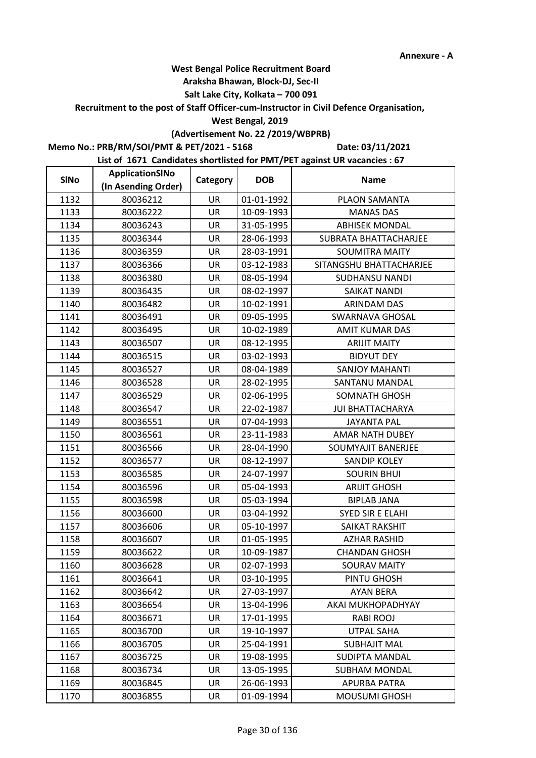### **Araksha Bhawan, Block-DJ, Sec-II**

## **Salt Lake City, Kolkata – 700 091**

**Recruitment to the post of Staff Officer-cum-Instructor in Civil Defence Organisation,** 

#### **West Bengal, 2019**

# **(Advertisement No. 22 /2019/WBPRB)**

**Memo No.: PRB/RM/SOI/PMT & PET/2021 - 5168**

**Date: 03/11/2021**

| <b>SINo</b> | ApplicationSINo     | Category  | <b>DOB</b> | <b>Name</b>             |
|-------------|---------------------|-----------|------------|-------------------------|
|             | (In Asending Order) |           |            |                         |
| 1132        | 80036212            | UR        | 01-01-1992 | PLAON SAMANTA           |
| 1133        | 80036222            | <b>UR</b> | 10-09-1993 | <b>MANAS DAS</b>        |
| 1134        | 80036243            | UR        | 31-05-1995 | <b>ABHISEK MONDAL</b>   |
| 1135        | 80036344            | UR        | 28-06-1993 | SUBRATA BHATTACHARJEE   |
| 1136        | 80036359            | UR        | 28-03-1991 | <b>SOUMITRA MAITY</b>   |
| 1137        | 80036366            | UR        | 03-12-1983 | SITANGSHU BHATTACHARJEE |
| 1138        | 80036380            | UR        | 08-05-1994 | <b>SUDHANSU NANDI</b>   |
| 1139        | 80036435            | UR        | 08-02-1997 | <b>SAIKAT NANDI</b>     |
| 1140        | 80036482            | UR        | 10-02-1991 | <b>ARINDAM DAS</b>      |
| 1141        | 80036491            | UR        | 09-05-1995 | SWARNAVA GHOSAL         |
| 1142        | 80036495            | <b>UR</b> | 10-02-1989 | <b>AMIT KUMAR DAS</b>   |
| 1143        | 80036507            | UR        | 08-12-1995 | <b>ARIJIT MAITY</b>     |
| 1144        | 80036515            | UR        | 03-02-1993 | <b>BIDYUT DEY</b>       |
| 1145        | 80036527            | UR        | 08-04-1989 | <b>SANJOY MAHANTI</b>   |
| 1146        | 80036528            | UR        | 28-02-1995 | SANTANU MANDAL          |
| 1147        | 80036529            | UR        | 02-06-1995 | SOMNATH GHOSH           |
| 1148        | 80036547            | <b>UR</b> | 22-02-1987 | <b>JUI BHATTACHARYA</b> |
| 1149        | 80036551            | UR        | 07-04-1993 | <b>JAYANTA PAL</b>      |
| 1150        | 80036561            | UR        | 23-11-1983 | <b>AMAR NATH DUBEY</b>  |
| 1151        | 80036566            | UR        | 28-04-1990 | SOUMYAJIT BANERJEE      |
| 1152        | 80036577            | UR        | 08-12-1997 | <b>SANDIP KOLEY</b>     |
| 1153        | 80036585            | UR        | 24-07-1997 | <b>SOURIN BHUI</b>      |
| 1154        | 80036596            | <b>UR</b> | 05-04-1993 | <b>ARIJIT GHOSH</b>     |
| 1155        | 80036598            | UR        | 05-03-1994 | <b>BIPLAB JANA</b>      |
| 1156        | 80036600            | UR        | 03-04-1992 | SYED SIR E ELAHI        |
| 1157        | 80036606            | UR        | 05-10-1997 | SAIKAT RAKSHIT          |
| 1158        | 80036607            | UR        | 01-05-1995 | <b>AZHAR RASHID</b>     |
| 1159        | 80036622            | UR        | 10-09-1987 | <b>CHANDAN GHOSH</b>    |
| 1160        | 80036628            | UR        | 02-07-1993 | <b>SOURAV MAITY</b>     |
| 1161        | 80036641            | UR        | 03-10-1995 | PINTU GHOSH             |
| 1162        | 80036642            | UR        | 27-03-1997 | AYAN BERA               |
| 1163        | 80036654            | UR        | 13-04-1996 | AKAI MUKHOPADHYAY       |
| 1164        | 80036671            | UR        | 17-01-1995 | RABI ROOJ               |
| 1165        | 80036700            | UR        | 19-10-1997 | UTPAL SAHA              |
| 1166        | 80036705            | UR        | 25-04-1991 | <b>SUBHAJIT MAL</b>     |
| 1167        | 80036725            | UR        | 19-08-1995 | SUDIPTA MANDAL          |
| 1168        | 80036734            | <b>UR</b> | 13-05-1995 | <b>SUBHAM MONDAL</b>    |
| 1169        | 80036845            | UR        | 26-06-1993 | APURBA PATRA            |
| 1170        | 80036855            | UR        | 01-09-1994 | <b>MOUSUMI GHOSH</b>    |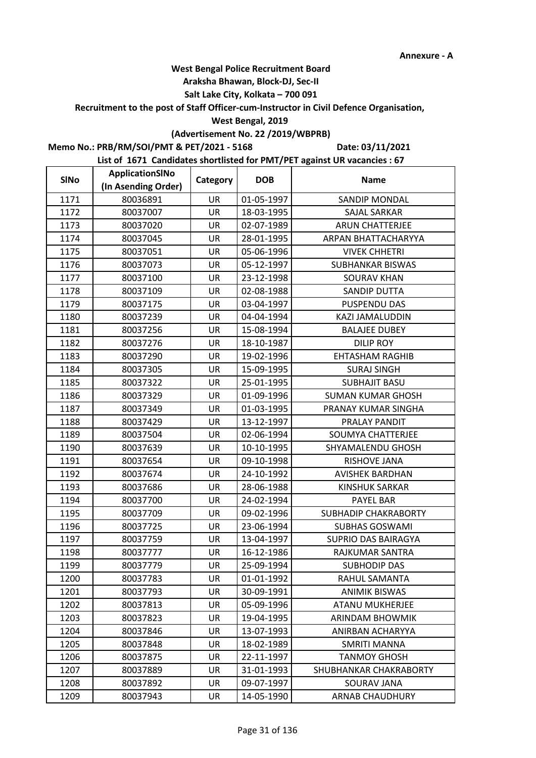#### **Araksha Bhawan, Block-DJ, Sec-II**

## **Salt Lake City, Kolkata – 700 091**

**Recruitment to the post of Staff Officer-cum-Instructor in Civil Defence Organisation,** 

#### **West Bengal, 2019**

# **(Advertisement No. 22 /2019/WBPRB)**

**Memo No.: PRB/RM/SOI/PMT & PET/2021 - 5168**

**Date: 03/11/2021**

| <b>SINo</b> | ApplicationSINo     | Category  | <b>DOB</b> | <b>Name</b>              |
|-------------|---------------------|-----------|------------|--------------------------|
|             | (In Asending Order) |           |            |                          |
| 1171        | 80036891            | UR        | 01-05-1997 | SANDIP MONDAL            |
| 1172        | 80037007            | UR        | 18-03-1995 | SAJAL SARKAR             |
| 1173        | 80037020            | UR        | 02-07-1989 | <b>ARUN CHATTERJEE</b>   |
| 1174        | 80037045            | <b>UR</b> | 28-01-1995 | ARPAN BHATTACHARYYA      |
| 1175        | 80037051            | UR        | 05-06-1996 | <b>VIVEK CHHETRI</b>     |
| 1176        | 80037073            | UR        | 05-12-1997 | <b>SUBHANKAR BISWAS</b>  |
| 1177        | 80037100            | UR        | 23-12-1998 | <b>SOURAV KHAN</b>       |
| 1178        | 80037109            | UR        | 02-08-1988 | SANDIP DUTTA             |
| 1179        | 80037175            | UR        | 03-04-1997 | PUSPENDU DAS             |
| 1180        | 80037239            | UR        | 04-04-1994 | KAZI JAMALUDDIN          |
| 1181        | 80037256            | UR        | 15-08-1994 | <b>BALAJEE DUBEY</b>     |
| 1182        | 80037276            | UR        | 18-10-1987 | <b>DILIP ROY</b>         |
| 1183        | 80037290            | UR        | 19-02-1996 | <b>EHTASHAM RAGHIB</b>   |
| 1184        | 80037305            | UR        | 15-09-1995 | <b>SURAJ SINGH</b>       |
| 1185        | 80037322            | UR        | 25-01-1995 | <b>SUBHAJIT BASU</b>     |
| 1186        | 80037329            | UR        | 01-09-1996 | <b>SUMAN KUMAR GHOSH</b> |
| 1187        | 80037349            | <b>UR</b> | 01-03-1995 | PRANAY KUMAR SINGHA      |
| 1188        | 80037429            | UR        | 13-12-1997 | PRALAY PANDIT            |
| 1189        | 80037504            | UR        | 02-06-1994 | SOUMYA CHATTERJEE        |
| 1190        | 80037639            | UR        | 10-10-1995 | SHYAMALENDU GHOSH        |
| 1191        | 80037654            | <b>UR</b> | 09-10-1998 | RISHOVE JANA             |
| 1192        | 80037674            | UR        | 24-10-1992 | <b>AVISHEK BARDHAN</b>   |
| 1193        | 80037686            | <b>UR</b> | 28-06-1988 | <b>KINSHUK SARKAR</b>    |
| 1194        | 80037700            | UR        | 24-02-1994 | PAYEL BAR                |
| 1195        | 80037709            | UR        | 09-02-1996 | SUBHADIP CHAKRABORTY     |
| 1196        | 80037725            | UR        | 23-06-1994 | <b>SUBHAS GOSWAMI</b>    |
| 1197        | 80037759            | UR        | 13-04-1997 | SUPRIO DAS BAIRAGYA      |
| 1198        | 80037777            | UR        | 16-12-1986 | RAJKUMAR SANTRA          |
| 1199        | 80037779            | UR        | 25-09-1994 | <b>SUBHODIP DAS</b>      |
| 1200        | 80037783            | UR        | 01-01-1992 | RAHUL SAMANTA            |
| 1201        | 80037793            | UR        | 30-09-1991 | <b>ANIMIK BISWAS</b>     |
| 1202        | 80037813            | UR        | 05-09-1996 | <b>ATANU MUKHERJEE</b>   |
| 1203        | 80037823            | UR        | 19-04-1995 | <b>ARINDAM BHOWMIK</b>   |
| 1204        | 80037846            | UR        | 13-07-1993 | ANIRBAN ACHARYYA         |
| 1205        | 80037848            | UR        | 18-02-1989 | <b>SMRITI MANNA</b>      |
| 1206        | 80037875            | UR        | 22-11-1997 | <b>TANMOY GHOSH</b>      |
| 1207        | 80037889            | <b>UR</b> | 31-01-1993 | SHUBHANKAR CHAKRABORTY   |
| 1208        | 80037892            | UR        | 09-07-1997 | SOURAV JANA              |
| 1209        | 80037943            | UR        | 14-05-1990 | <b>ARNAB CHAUDHURY</b>   |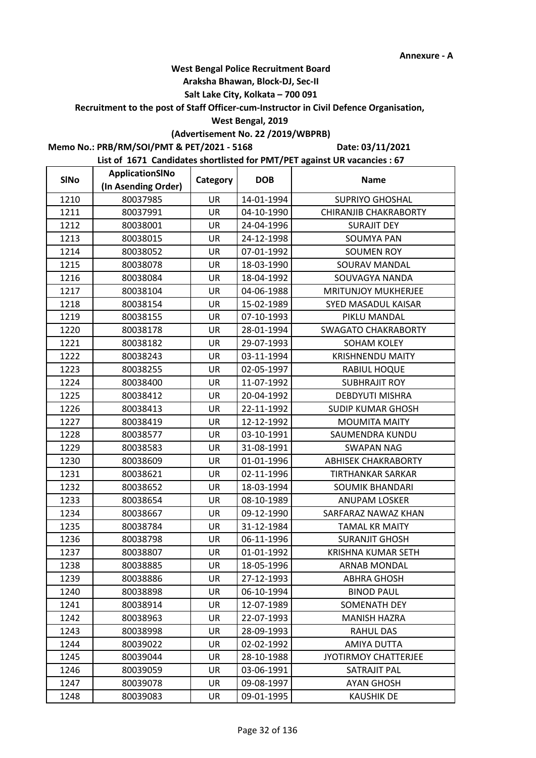### **Araksha Bhawan, Block-DJ, Sec-II**

## **Salt Lake City, Kolkata – 700 091**

**Recruitment to the post of Staff Officer-cum-Instructor in Civil Defence Organisation,** 

### **West Bengal, 2019**

# **(Advertisement No. 22 /2019/WBPRB)**

**Memo No.: PRB/RM/SOI/PMT & PET/2021 - 5168**

**Date: 03/11/2021**

| <b>SINo</b> | ApplicationSINo     | Category  | <b>DOB</b> | <b>Name</b>                |
|-------------|---------------------|-----------|------------|----------------------------|
|             | (In Asending Order) |           |            |                            |
| 1210        | 80037985            | UR        | 14-01-1994 | <b>SUPRIYO GHOSHAL</b>     |
| 1211        | 80037991            | UR        | 04-10-1990 | CHIRANJIB CHAKRABORTY      |
| 1212        | 80038001            | UR        | 24-04-1996 | <b>SURAJIT DEY</b>         |
| 1213        | 80038015            | <b>UR</b> | 24-12-1998 | <b>SOUMYA PAN</b>          |
| 1214        | 80038052            | UR        | 07-01-1992 | <b>SOUMEN ROY</b>          |
| 1215        | 80038078            | UR        | 18-03-1990 | SOURAV MANDAL              |
| 1216        | 80038084            | UR        | 18-04-1992 | SOUVAGYA NANDA             |
| 1217        | 80038104            | UR        | 04-06-1988 | <b>MRITUNJOY MUKHERJEE</b> |
| 1218        | 80038154            | UR        | 15-02-1989 | SYED MASADUL KAISAR        |
| 1219        | 80038155            | UR        | 07-10-1993 | PIKLU MANDAL               |
| 1220        | 80038178            | UR        | 28-01-1994 | <b>SWAGATO CHAKRABORTY</b> |
| 1221        | 80038182            | UR        | 29-07-1993 | SOHAM KOLEY                |
| 1222        | 80038243            | UR        | 03-11-1994 | <b>KRISHNENDU MAITY</b>    |
| 1223        | 80038255            | UR        | 02-05-1997 | RABIUL HOQUE               |
| 1224        | 80038400            | UR        | 11-07-1992 | <b>SUBHRAJIT ROY</b>       |
| 1225        | 80038412            | UR        | 20-04-1992 | <b>DEBDYUTI MISHRA</b>     |
| 1226        | 80038413            | <b>UR</b> | 22-11-1992 | <b>SUDIP KUMAR GHOSH</b>   |
| 1227        | 80038419            | UR        | 12-12-1992 | <b>MOUMITA MAITY</b>       |
| 1228        | 80038577            | UR        | 03-10-1991 | SAUMENDRA KUNDU            |
| 1229        | 80038583            | UR        | 31-08-1991 | <b>SWAPAN NAG</b>          |
| 1230        | 80038609            | UR        | 01-01-1996 | <b>ABHISEK CHAKRABORTY</b> |
| 1231        | 80038621            | UR        | 02-11-1996 | <b>TIRTHANKAR SARKAR</b>   |
| 1232        | 80038652            | <b>UR</b> | 18-03-1994 | <b>SOUMIK BHANDARI</b>     |
| 1233        | 80038654            | UR        | 08-10-1989 | <b>ANUPAM LOSKER</b>       |
| 1234        | 80038667            | UR        | 09-12-1990 | SARFARAZ NAWAZ KHAN        |
| 1235        | 80038784            | UR        | 31-12-1984 | <b>TAMAL KR MAITY</b>      |
| 1236        | 80038798            | UR        | 06-11-1996 | <b>SURANJIT GHOSH</b>      |
| 1237        | 80038807            | UR        | 01-01-1992 | <b>KRISHNA KUMAR SETH</b>  |
| 1238        | 80038885            | UR        | 18-05-1996 | <b>ARNAB MONDAL</b>        |
| 1239        | 80038886            | UR        | 27-12-1993 | <b>ABHRA GHOSH</b>         |
| 1240        | 80038898            | UR        | 06-10-1994 | <b>BINOD PAUL</b>          |
| 1241        | 80038914            | UR        | 12-07-1989 | <b>SOMENATH DEY</b>        |
| 1242        | 80038963            | UR        | 22-07-1993 | <b>MANISH HAZRA</b>        |
| 1243        | 80038998            | UR        | 28-09-1993 | RAHUL DAS                  |
| 1244        | 80039022            | UR        | 02-02-1992 | <b>AMIYA DUTTA</b>         |
| 1245        | 80039044            | UR        | 28-10-1988 | JYOTIRMOY CHATTERJEE       |
| 1246        | 80039059            | <b>UR</b> | 03-06-1991 | <b>SATRAJIT PAL</b>        |
| 1247        | 80039078            | UR        | 09-08-1997 | <b>AYAN GHOSH</b>          |
| 1248        | 80039083            | UR        | 09-01-1995 | <b>KAUSHIK DE</b>          |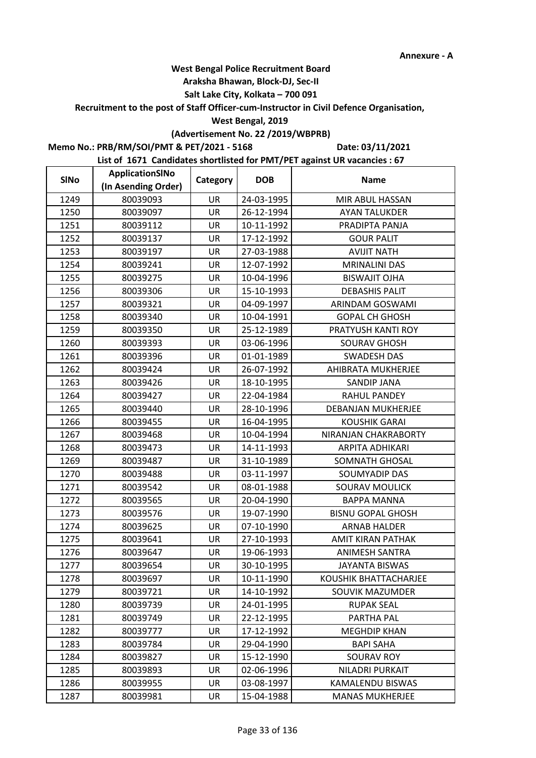### **Araksha Bhawan, Block-DJ, Sec-II**

## **Salt Lake City, Kolkata – 700 091**

**Recruitment to the post of Staff Officer-cum-Instructor in Civil Defence Organisation,** 

#### **West Bengal, 2019**

# **(Advertisement No. 22 /2019/WBPRB)**

**Memo No.: PRB/RM/SOI/PMT & PET/2021 - 5168**

**Date: 03/11/2021**

| <b>SINo</b> | ApplicationSINo     | Category  | <b>DOB</b> | <b>Name</b>              |
|-------------|---------------------|-----------|------------|--------------------------|
|             | (In Asending Order) |           |            |                          |
| 1249        | 80039093            | UR        | 24-03-1995 | MIR ABUL HASSAN          |
| 1250        | 80039097            | <b>UR</b> | 26-12-1994 | <b>AYAN TALUKDER</b>     |
| 1251        | 80039112            | UR        | 10-11-1992 | PRADIPTA PANJA           |
| 1252        | 80039137            | UR        | 17-12-1992 | <b>GOUR PALIT</b>        |
| 1253        | 80039197            | UR        | 27-03-1988 | <b>AVIJIT NATH</b>       |
| 1254        | 80039241            | UR        | 12-07-1992 | <b>MRINALINI DAS</b>     |
| 1255        | 80039275            | UR        | 10-04-1996 | <b>BISWAJIT OJHA</b>     |
| 1256        | 80039306            | UR        | 15-10-1993 | <b>DEBASHIS PALIT</b>    |
| 1257        | 80039321            | UR        | 04-09-1997 | ARINDAM GOSWAMI          |
| 1258        | 80039340            | UR        | 10-04-1991 | <b>GOPAL CH GHOSH</b>    |
| 1259        | 80039350            | <b>UR</b> | 25-12-1989 | PRATYUSH KANTI ROY       |
| 1260        | 80039393            | UR        | 03-06-1996 | <b>SOURAV GHOSH</b>      |
| 1261        | 80039396            | UR        | 01-01-1989 | <b>SWADESH DAS</b>       |
| 1262        | 80039424            | UR        | 26-07-1992 | AHIBRATA MUKHERJEE       |
| 1263        | 80039426            | UR        | 18-10-1995 | <b>SANDIP JANA</b>       |
| 1264        | 80039427            | UR        | 22-04-1984 | <b>RAHUL PANDEY</b>      |
| 1265        | 80039440            | <b>UR</b> | 28-10-1996 | DEBANJAN MUKHERJEE       |
| 1266        | 80039455            | <b>UR</b> | 16-04-1995 | <b>KOUSHIK GARAI</b>     |
| 1267        | 80039468            | UR        | 10-04-1994 | NIRANJAN CHAKRABORTY     |
| 1268        | 80039473            | UR        | 14-11-1993 | ARPITA ADHIKARI          |
| 1269        | 80039487            | UR        | 31-10-1989 | SOMNATH GHOSAL           |
| 1270        | 80039488            | UR        | 03-11-1997 | SOUMYADIP DAS            |
| 1271        | 80039542            | <b>UR</b> | 08-01-1988 | <b>SOURAV MOULICK</b>    |
| 1272        | 80039565            | UR        | 20-04-1990 | <b>BAPPA MANNA</b>       |
| 1273        | 80039576            | UR        | 19-07-1990 | <b>BISNU GOPAL GHOSH</b> |
| 1274        | 80039625            | UR        | 07-10-1990 | <b>ARNAB HALDER</b>      |
| 1275        | 80039641            | UR        | 27-10-1993 | AMIT KIRAN PATHAK        |
| 1276        | 80039647            | UR        | 19-06-1993 | <b>ANIMESH SANTRA</b>    |
| 1277        | 80039654            | UR        | 30-10-1995 | JAYANTA BISWAS           |
| 1278        | 80039697            | UR        | 10-11-1990 | KOUSHIK BHATTACHARJEE    |
| 1279        | 80039721            | UR        | 14-10-1992 | SOUVIK MAZUMDER          |
| 1280        | 80039739            | UR        | 24-01-1995 | <b>RUPAK SEAL</b>        |
| 1281        | 80039749            | UR        | 22-12-1995 | PARTHA PAL               |
| 1282        | 80039777            | UR        | 17-12-1992 | <b>MEGHDIP KHAN</b>      |
| 1283        | 80039784            | UR        | 29-04-1990 | <b>BAPI SAHA</b>         |
| 1284        | 80039827            | UR        | 15-12-1990 | <b>SOURAV ROY</b>        |
| 1285        | 80039893            | <b>UR</b> | 02-06-1996 | NILADRI PURKAIT          |
| 1286        | 80039955            | UR        | 03-08-1997 | KAMALENDU BISWAS         |
| 1287        | 80039981            | UR        | 15-04-1988 | <b>MANAS MUKHERJEE</b>   |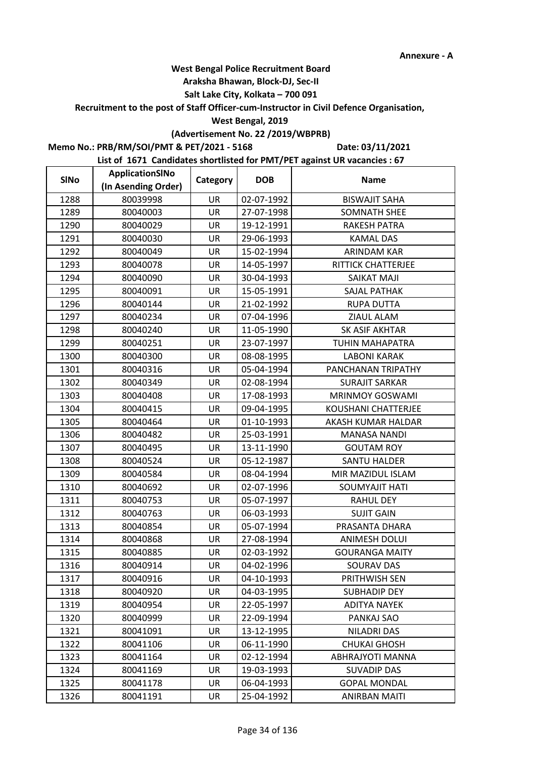### **Araksha Bhawan, Block-DJ, Sec-II**

## **Salt Lake City, Kolkata – 700 091**

**Recruitment to the post of Staff Officer-cum-Instructor in Civil Defence Organisation,** 

#### **West Bengal, 2019**

# **(Advertisement No. 22 /2019/WBPRB)**

**Memo No.: PRB/RM/SOI/PMT & PET/2021 - 5168**

**Date: 03/11/2021**

| <b>SINo</b> | ApplicationSINo     | Category  | <b>DOB</b> | <b>Name</b>             |
|-------------|---------------------|-----------|------------|-------------------------|
|             | (In Asending Order) |           |            |                         |
| 1288        | 80039998            | <b>UR</b> | 02-07-1992 | <b>BISWAJIT SAHA</b>    |
| 1289        | 80040003            | <b>UR</b> | 27-07-1998 | <b>SOMNATH SHEE</b>     |
| 1290        | 80040029            | UR        | 19-12-1991 | <b>RAKESH PATRA</b>     |
| 1291        | 80040030            | <b>UR</b> | 29-06-1993 | <b>KAMAL DAS</b>        |
| 1292        | 80040049            | UR        | 15-02-1994 | ARINDAM KAR             |
| 1293        | 80040078            | UR        | 14-05-1997 | RITTICK CHATTERJEE      |
| 1294        | 80040090            | UR        | 30-04-1993 | <b>SAIKAT MAJI</b>      |
| 1295        | 80040091            | UR        | 15-05-1991 | SAJAL PATHAK            |
| 1296        | 80040144            | UR        | 21-02-1992 | <b>RUPA DUTTA</b>       |
| 1297        | 80040234            | UR        | 07-04-1996 | ZIAUL ALAM              |
| 1298        | 80040240            | <b>UR</b> | 11-05-1990 | <b>SK ASIF AKHTAR</b>   |
| 1299        | 80040251            | UR        | 23-07-1997 | <b>TUHIN MAHAPATRA</b>  |
| 1300        | 80040300            | UR        | 08-08-1995 | <b>LABONI KARAK</b>     |
| 1301        | 80040316            | UR        | 05-04-1994 | PANCHANAN TRIPATHY      |
| 1302        | 80040349            | UR        | 02-08-1994 | <b>SURAJIT SARKAR</b>   |
| 1303        | 80040408            | UR        | 17-08-1993 | <b>MRINMOY GOSWAMI</b>  |
| 1304        | 80040415            | <b>UR</b> | 09-04-1995 | KOUSHANI CHATTERJEE     |
| 1305        | 80040464            | <b>UR</b> | 01-10-1993 | AKASH KUMAR HALDAR      |
| 1306        | 80040482            | UR        | 25-03-1991 | <b>MANASA NANDI</b>     |
| 1307        | 80040495            | UR        | 13-11-1990 | <b>GOUTAM ROY</b>       |
| 1308        | 80040524            | UR        | 05-12-1987 | <b>SANTU HALDER</b>     |
| 1309        | 80040584            | UR        | 08-04-1994 | MIR MAZIDUL ISLAM       |
| 1310        | 80040692            | <b>UR</b> | 02-07-1996 | SOUMYAJIT HATI          |
| 1311        | 80040753            | UR        | 05-07-1997 | <b>RAHUL DEY</b>        |
| 1312        | 80040763            | UR        | 06-03-1993 | <b>SUJIT GAIN</b>       |
| 1313        | 80040854            | UR        | 05-07-1994 | PRASANTA DHARA          |
| 1314        | 80040868            | UR        | 27-08-1994 | <b>ANIMESH DOLUI</b>    |
| 1315        | 80040885            | UR        | 02-03-1992 | <b>GOURANGA MAITY</b>   |
| 1316        | 80040914            | UR        | 04-02-1996 | <b>SOURAV DAS</b>       |
| 1317        | 80040916            | UR        | 04-10-1993 | PRITHWISH SEN           |
| 1318        | 80040920            | UR        | 04-03-1995 | <b>SUBHADIP DEY</b>     |
| 1319        | 80040954            | UR        | 22-05-1997 | <b>ADITYA NAYEK</b>     |
| 1320        | 80040999            | UR        | 22-09-1994 | PANKAJ SAO              |
| 1321        | 80041091            | UR        | 13-12-1995 | NILADRI DAS             |
| 1322        | 80041106            | UR        | 06-11-1990 | <b>CHUKAI GHOSH</b>     |
| 1323        | 80041164            | UR        | 02-12-1994 | <b>ABHRAJYOTI MANNA</b> |
| 1324        | 80041169            | <b>UR</b> | 19-03-1993 | <b>SUVADIP DAS</b>      |
| 1325        | 80041178            | UR        | 06-04-1993 | <b>GOPAL MONDAL</b>     |
| 1326        | 80041191            | UR        | 25-04-1992 | <b>ANIRBAN MAITI</b>    |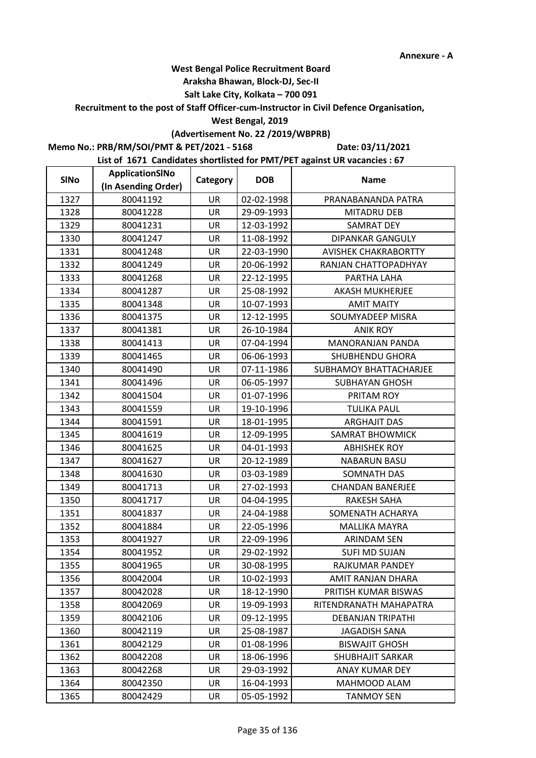### **Araksha Bhawan, Block-DJ, Sec-II**

## **Salt Lake City, Kolkata – 700 091**

**Recruitment to the post of Staff Officer-cum-Instructor in Civil Defence Organisation,** 

#### **West Bengal, 2019**

# **(Advertisement No. 22 /2019/WBPRB)**

**Memo No.: PRB/RM/SOI/PMT & PET/2021 - 5168**

**Date: 03/11/2021**

| <b>SINo</b> | ApplicationSINo     | Category  | <b>DOB</b> | <b>Name</b>                 |
|-------------|---------------------|-----------|------------|-----------------------------|
|             | (In Asending Order) |           |            |                             |
| 1327        | 80041192            | <b>UR</b> | 02-02-1998 | PRANABANANDA PATRA          |
| 1328        | 80041228            | <b>UR</b> | 29-09-1993 | <b>MITADRU DEB</b>          |
| 1329        | 80041231            | UR        | 12-03-1992 | <b>SAMRAT DEY</b>           |
| 1330        | 80041247            | <b>UR</b> | 11-08-1992 | <b>DIPANKAR GANGULY</b>     |
| 1331        | 80041248            | UR        | 22-03-1990 | <b>AVISHEK CHAKRABORTTY</b> |
| 1332        | 80041249            | UR        | 20-06-1992 | RANJAN CHATTOPADHYAY        |
| 1333        | 80041268            | UR        | 22-12-1995 | PARTHA LAHA                 |
| 1334        | 80041287            | UR        | 25-08-1992 | <b>AKASH MUKHERJEE</b>      |
| 1335        | 80041348            | UR        | 10-07-1993 | <b>AMIT MAITY</b>           |
| 1336        | 80041375            | UR        | 12-12-1995 | SOUMYADEEP MISRA            |
| 1337        | 80041381            | <b>UR</b> | 26-10-1984 | <b>ANIK ROY</b>             |
| 1338        | 80041413            | UR        | 07-04-1994 | <b>MANORANJAN PANDA</b>     |
| 1339        | 80041465            | UR        | 06-06-1993 | SHUBHENDU GHORA             |
| 1340        | 80041490            | UR        | 07-11-1986 | SUBHAMOY BHATTACHARJEE      |
| 1341        | 80041496            | UR        | 06-05-1997 | SUBHAYAN GHOSH              |
| 1342        | 80041504            | UR        | 01-07-1996 | PRITAM ROY                  |
| 1343        | 80041559            | <b>UR</b> | 19-10-1996 | <b>TULIKA PAUL</b>          |
| 1344        | 80041591            | UR        | 18-01-1995 | <b>ARGHAJIT DAS</b>         |
| 1345        | 80041619            | UR        | 12-09-1995 | SAMRAT BHOWMICK             |
| 1346        | 80041625            | UR        | 04-01-1993 | <b>ABHISHEK ROY</b>         |
| 1347        | 80041627            | UR        | 20-12-1989 | <b>NABARUN BASU</b>         |
| 1348        | 80041630            | UR        | 03-03-1989 | SOMNATH DAS                 |
| 1349        | 80041713            | <b>UR</b> | 27-02-1993 | <b>CHANDAN BANERJEE</b>     |
| 1350        | 80041717            | UR        | 04-04-1995 | <b>RAKESH SAHA</b>          |
| 1351        | 80041837            | UR        | 24-04-1988 | SOMENATH ACHARYA            |
| 1352        | 80041884            | UR        | 22-05-1996 | <b>MALLIKA MAYRA</b>        |
| 1353        | 80041927            | UR        | 22-09-1996 | <b>ARINDAM SEN</b>          |
| 1354        | 80041952            | UR        | 29-02-1992 | <b>SUFI MD SUJAN</b>        |
| 1355        | 80041965            | UR        | 30-08-1995 | RAJKUMAR PANDEY             |
| 1356        | 80042004            | UR        | 10-02-1993 | AMIT RANJAN DHARA           |
| 1357        | 80042028            | UR        | 18-12-1990 | PRITISH KUMAR BISWAS        |
| 1358        | 80042069            | UR        | 19-09-1993 | RITENDRANATH MAHAPATRA      |
| 1359        | 80042106            | UR        | 09-12-1995 | <b>DEBANJAN TRIPATHI</b>    |
| 1360        | 80042119            | UR        | 25-08-1987 | <b>JAGADISH SANA</b>        |
| 1361        | 80042129            | UR        | 01-08-1996 | <b>BISWAJIT GHOSH</b>       |
| 1362        | 80042208            | UR        | 18-06-1996 | SHUBHAJIT SARKAR            |
| 1363        | 80042268            | <b>UR</b> | 29-03-1992 | ANAY KUMAR DEY              |
| 1364        | 80042350            | UR        | 16-04-1993 | MAHMOOD ALAM                |
| 1365        | 80042429            | UR        | 05-05-1992 | <b>TANMOY SEN</b>           |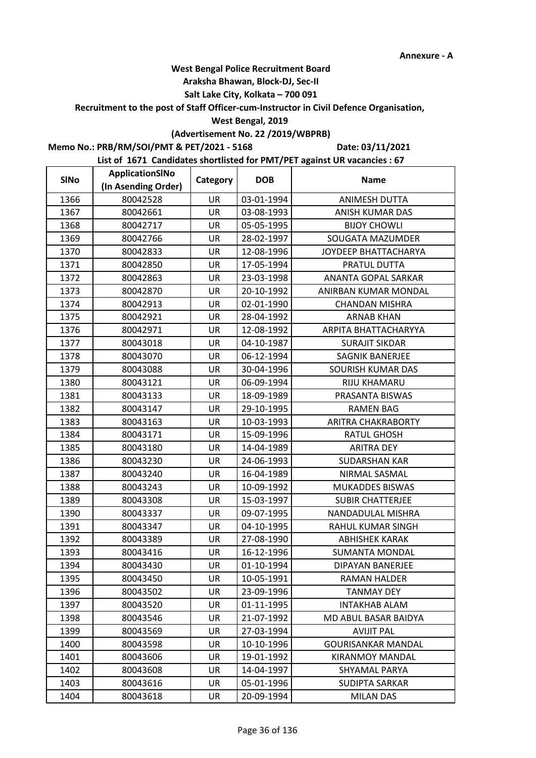### **Araksha Bhawan, Block-DJ, Sec-II**

## **Salt Lake City, Kolkata – 700 091**

**Recruitment to the post of Staff Officer-cum-Instructor in Civil Defence Organisation,** 

#### **West Bengal, 2019**

# **(Advertisement No. 22 /2019/WBPRB)**

**Memo No.: PRB/RM/SOI/PMT & PET/2021 - 5168**

**Date: 03/11/2021**

| <b>SINo</b> | ApplicationSINo     | Category  | <b>DOB</b> | <b>Name</b>               |
|-------------|---------------------|-----------|------------|---------------------------|
|             | (In Asending Order) |           |            |                           |
| 1366        | 80042528            | UR        | 03-01-1994 | <b>ANIMESH DUTTA</b>      |
| 1367        | 80042661            | UR        | 03-08-1993 | ANISH KUMAR DAS           |
| 1368        | 80042717            | UR        | 05-05-1995 | <b>BIJOY CHOWLI</b>       |
| 1369        | 80042766            | <b>UR</b> | 28-02-1997 | SOUGATA MAZUMDER          |
| 1370        | 80042833            | UR        | 12-08-1996 | JOYDEEP BHATTACHARYA      |
| 1371        | 80042850            | UR        | 17-05-1994 | PRATUL DUTTA              |
| 1372        | 80042863            | UR        | 23-03-1998 | ANANTA GOPAL SARKAR       |
| 1373        | 80042870            | UR        | 20-10-1992 | ANIRBAN KUMAR MONDAL      |
| 1374        | 80042913            | UR        | 02-01-1990 | CHANDAN MISHRA            |
| 1375        | 80042921            | UR        | 28-04-1992 | <b>ARNAB KHAN</b>         |
| 1376        | 80042971            | UR        | 12-08-1992 | ARPITA BHATTACHARYYA      |
| 1377        | 80043018            | UR        | 04-10-1987 | <b>SURAJIT SIKDAR</b>     |
| 1378        | 80043070            | UR        | 06-12-1994 | SAGNIK BANERJEE           |
| 1379        | 80043088            | UR        | 30-04-1996 | SOURISH KUMAR DAS         |
| 1380        | 80043121            | UR        | 06-09-1994 | RIJU KHAMARU              |
| 1381        | 80043133            | UR        | 18-09-1989 | PRASANTA BISWAS           |
| 1382        | 80043147            | UR        | 29-10-1995 | <b>RAMEN BAG</b>          |
| 1383        | 80043163            | UR        | 10-03-1993 | ARITRA CHAKRABORTY        |
| 1384        | 80043171            | UR        | 15-09-1996 | RATUL GHOSH               |
| 1385        | 80043180            | UR        | 14-04-1989 | <b>ARITRA DEY</b>         |
| 1386        | 80043230            | UR        | 24-06-1993 | <b>SUDARSHAN KAR</b>      |
| 1387        | 80043240            | UR        | 16-04-1989 | NIRMAL SASMAL             |
| 1388        | 80043243            | <b>UR</b> | 10-09-1992 | <b>MUKADDES BISWAS</b>    |
| 1389        | 80043308            | UR        | 15-03-1997 | <b>SUBIR CHATTERJEE</b>   |
| 1390        | 80043337            | UR        | 09-07-1995 | NANDADULAL MISHRA         |
| 1391        | 80043347            | UR        | 04-10-1995 | RAHUL KUMAR SINGH         |
| 1392        | 80043389            | UR        | 27-08-1990 | <b>ABHISHEK KARAK</b>     |
| 1393        | 80043416            | UR        | 16-12-1996 | <b>SUMANTA MONDAL</b>     |
| 1394        | 80043430            | UR        | 01-10-1994 | DIPAYAN BANERJEE          |
| 1395        | 80043450            | UR        | 10-05-1991 | <b>RAMAN HALDER</b>       |
| 1396        | 80043502            | UR        | 23-09-1996 | <b>TANMAY DEY</b>         |
| 1397        | 80043520            | UR        | 01-11-1995 | <b>INTAKHAB ALAM</b>      |
| 1398        | 80043546            | UR        | 21-07-1992 | MD ABUL BASAR BAIDYA      |
| 1399        | 80043569            | UR        | 27-03-1994 | <b>AVIJIT PAL</b>         |
| 1400        | 80043598            | UR        | 10-10-1996 | <b>GOURISANKAR MANDAL</b> |
| 1401        | 80043606            | UR        | 19-01-1992 | <b>KIRANMOY MANDAL</b>    |
| 1402        | 80043608            | UR        | 14-04-1997 | SHYAMAL PARYA             |
| 1403        | 80043616            | UR        | 05-01-1996 | <b>SUDIPTA SARKAR</b>     |
| 1404        | 80043618            | UR        | 20-09-1994 | <b>MILAN DAS</b>          |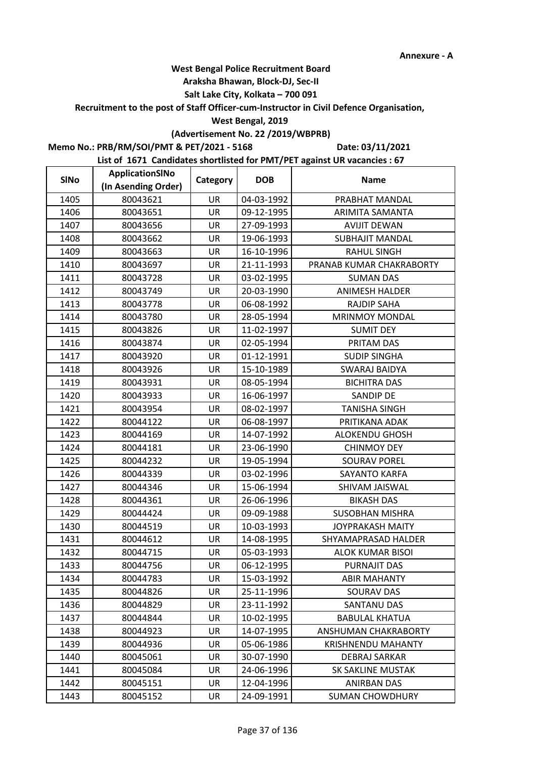## **Araksha Bhawan, Block-DJ, Sec-II**

## **Salt Lake City, Kolkata – 700 091**

**Recruitment to the post of Staff Officer-cum-Instructor in Civil Defence Organisation,** 

### **West Bengal, 2019**

## **(Advertisement No. 22 /2019/WBPRB)**

**Memo No.: PRB/RM/SOI/PMT & PET/2021 - 5168**

**Date: 03/11/2021**

| <b>SINo</b> | ApplicationSINo     | Category  | <b>DOB</b> | <b>Name</b>               |
|-------------|---------------------|-----------|------------|---------------------------|
|             | (In Asending Order) |           |            |                           |
| 1405        | 80043621            | UR        | 04-03-1992 | PRABHAT MANDAL            |
| 1406        | 80043651            | <b>UR</b> | 09-12-1995 | ARIMITA SAMANTA           |
| 1407        | 80043656            | UR        | 27-09-1993 | <b>AVIJIT DEWAN</b>       |
| 1408        | 80043662            | <b>UR</b> | 19-06-1993 | <b>SUBHAJIT MANDAL</b>    |
| 1409        | 80043663            | UR        | 16-10-1996 | <b>RAHUL SINGH</b>        |
| 1410        | 80043697            | <b>UR</b> | 21-11-1993 | PRANAB KUMAR CHAKRABORTY  |
| 1411        | 80043728            | UR        | 03-02-1995 | <b>SUMAN DAS</b>          |
| 1412        | 80043749            | UR        | 20-03-1990 | <b>ANIMESH HALDER</b>     |
| 1413        | 80043778            | UR        | 06-08-1992 | <b>RAJDIP SAHA</b>        |
| 1414        | 80043780            | UR        | 28-05-1994 | <b>MRINMOY MONDAL</b>     |
| 1415        | 80043826            | <b>UR</b> | 11-02-1997 | <b>SUMIT DEY</b>          |
| 1416        | 80043874            | UR        | 02-05-1994 | PRITAM DAS                |
| 1417        | 80043920            | UR        | 01-12-1991 | <b>SUDIP SINGHA</b>       |
| 1418        | 80043926            | <b>UR</b> | 15-10-1989 | <b>SWARAJ BAIDYA</b>      |
| 1419        | 80043931            | UR        | 08-05-1994 | <b>BICHITRA DAS</b>       |
| 1420        | 80043933            | UR        | 16-06-1997 | <b>SANDIP DE</b>          |
| 1421        | 80043954            | <b>UR</b> | 08-02-1997 | <b>TANISHA SINGH</b>      |
| 1422        | 80044122            | UR        | 06-08-1997 | PRITIKANA ADAK            |
| 1423        | 80044169            | UR        | 14-07-1992 | <b>ALOKENDU GHOSH</b>     |
| 1424        | 80044181            | UR        | 23-06-1990 | <b>CHINMOY DEY</b>        |
| 1425        | 80044232            | UR        | 19-05-1994 | <b>SOURAV POREL</b>       |
| 1426        | 80044339            | UR        | 03-02-1996 | SAYANTO KARFA             |
| 1427        | 80044346            | <b>UR</b> | 15-06-1994 | SHIVAM JAISWAL            |
| 1428        | 80044361            | UR        | 26-06-1996 | <b>BIKASH DAS</b>         |
| 1429        | 80044424            | UR        | 09-09-1988 | <b>SUSOBHAN MISHRA</b>    |
| 1430        | 80044519            | UR        | 10-03-1993 | <b>JOYPRAKASH MAITY</b>   |
| 1431        | 80044612            | UR        | 14-08-1995 | SHYAMAPRASAD HALDER       |
| 1432        | 80044715            | UR        | 05-03-1993 | <b>ALOK KUMAR BISOI</b>   |
| 1433        | 80044756            | UR        | 06-12-1995 | PURNAJIT DAS              |
| 1434        | 80044783            | UR        | 15-03-1992 | <b>ABIR MAHANTY</b>       |
| 1435        | 80044826            | UR        | 25-11-1996 | SOURAV DAS                |
| 1436        | 80044829            | UR        | 23-11-1992 | <b>SANTANU DAS</b>        |
| 1437        | 80044844            | UR        | 10-02-1995 | <b>BABULAL KHATUA</b>     |
| 1438        | 80044923            | UR        | 14-07-1995 | ANSHUMAN CHAKRABORTY      |
| 1439        | 80044936            | UR        | 05-06-1986 | <b>KRISHNENDU MAHANTY</b> |
| 1440        | 80045061            | UR        | 30-07-1990 | DEBRAJ SARKAR             |
| 1441        | 80045084            | <b>UR</b> | 24-06-1996 | SK SAKLINE MUSTAK         |
| 1442        | 80045151            | UR        | 12-04-1996 | ANIRBAN DAS               |
| 1443        | 80045152            | UR        | 24-09-1991 | <b>SUMAN CHOWDHURY</b>    |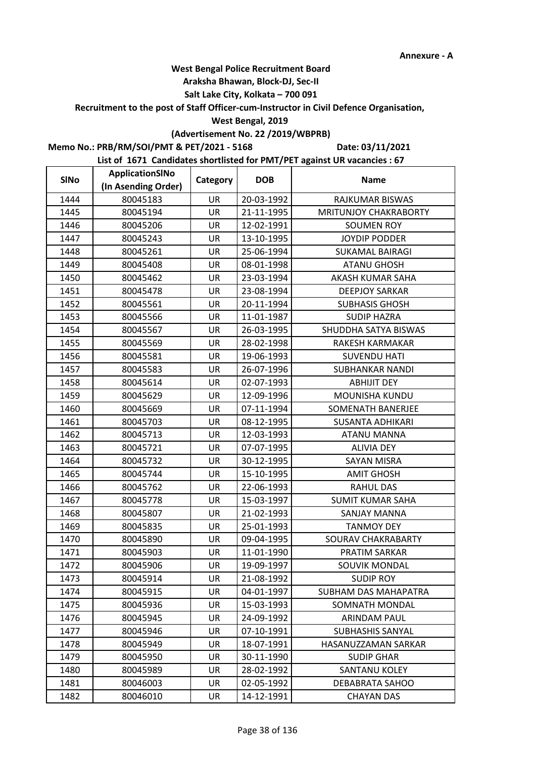## **Araksha Bhawan, Block-DJ, Sec-II**

## **Salt Lake City, Kolkata – 700 091**

**Recruitment to the post of Staff Officer-cum-Instructor in Civil Defence Organisation,** 

### **West Bengal, 2019**

## **(Advertisement No. 22 /2019/WBPRB)**

**Memo No.: PRB/RM/SOI/PMT & PET/2021 - 5168**

**Date: 03/11/2021**

| <b>SINo</b> | ApplicationSINo     | Category  | <b>DOB</b> | <b>Name</b>                  |
|-------------|---------------------|-----------|------------|------------------------------|
|             | (In Asending Order) |           |            |                              |
| 1444        | 80045183            | UR        | 20-03-1992 | RAJKUMAR BISWAS              |
| 1445        | 80045194            | <b>UR</b> | 21-11-1995 | <b>MRITUNJOY CHAKRABORTY</b> |
| 1446        | 80045206            | UR        | 12-02-1991 | <b>SOUMEN ROY</b>            |
| 1447        | 80045243            | <b>UR</b> | 13-10-1995 | <b>JOYDIP PODDER</b>         |
| 1448        | 80045261            | UR        | 25-06-1994 | <b>SUKAMAL BAIRAGI</b>       |
| 1449        | 80045408            | <b>UR</b> | 08-01-1998 | <b>ATANU GHOSH</b>           |
| 1450        | 80045462            | UR        | 23-03-1994 | AKASH KUMAR SAHA             |
| 1451        | 80045478            | UR        | 23-08-1994 | <b>DEEPJOY SARKAR</b>        |
| 1452        | 80045561            | UR        | 20-11-1994 | <b>SUBHASIS GHOSH</b>        |
| 1453        | 80045566            | UR        | 11-01-1987 | <b>SUDIP HAZRA</b>           |
| 1454        | 80045567            | <b>UR</b> | 26-03-1995 | SHUDDHA SATYA BISWAS         |
| 1455        | 80045569            | UR        | 28-02-1998 | RAKESH KARMAKAR              |
| 1456        | 80045581            | UR        | 19-06-1993 | <b>SUVENDU HATI</b>          |
| 1457        | 80045583            | <b>UR</b> | 26-07-1996 | <b>SUBHANKAR NANDI</b>       |
| 1458        | 80045614            | UR        | 02-07-1993 | <b>ABHIJIT DEY</b>           |
| 1459        | 80045629            | UR        | 12-09-1996 | MOUNISHA KUNDU               |
| 1460        | 80045669            | <b>UR</b> | 07-11-1994 | SOMENATH BANERJEE            |
| 1461        | 80045703            | UR        | 08-12-1995 | <b>SUSANTA ADHIKARI</b>      |
| 1462        | 80045713            | UR        | 12-03-1993 | <b>ATANU MANNA</b>           |
| 1463        | 80045721            | UR        | 07-07-1995 | <b>ALIVIA DEY</b>            |
| 1464        | 80045732            | UR        | 30-12-1995 | <b>SAYAN MISRA</b>           |
| 1465        | 80045744            | UR        | 15-10-1995 | <b>AMIT GHOSH</b>            |
| 1466        | 80045762            | <b>UR</b> | 22-06-1993 | <b>RAHUL DAS</b>             |
| 1467        | 80045778            | UR        | 15-03-1997 | <b>SUMIT KUMAR SAHA</b>      |
| 1468        | 80045807            | UR        | 21-02-1993 | <b>SANJAY MANNA</b>          |
| 1469        | 80045835            | UR        | 25-01-1993 | <b>TANMOY DEY</b>            |
| 1470        | 80045890            | UR        | 09-04-1995 | SOURAV CHAKRABARTY           |
| 1471        | 80045903            | UR        | 11-01-1990 | PRATIM SARKAR                |
| 1472        | 80045906            | UR        | 19-09-1997 | SOUVIK MONDAL                |
| 1473        | 80045914            | UR        | 21-08-1992 | <b>SUDIP ROY</b>             |
| 1474        | 80045915            | UR        | 04-01-1997 | SUBHAM DAS MAHAPATRA         |
| 1475        | 80045936            | UR        | 15-03-1993 | SOMNATH MONDAL               |
| 1476        | 80045945            | <b>UR</b> | 24-09-1992 | ARINDAM PAUL                 |
| 1477        | 80045946            | UR        | 07-10-1991 | <b>SUBHASHIS SANYAL</b>      |
| 1478        | 80045949            | UR        | 18-07-1991 | HASANUZZAMAN SARKAR          |
| 1479        | 80045950            | UR        | 30-11-1990 | <b>SUDIP GHAR</b>            |
| 1480        | 80045989            | <b>UR</b> | 28-02-1992 | SANTANU KOLEY                |
| 1481        | 80046003            | UR        | 02-05-1992 | DEBABRATA SAHOO              |
| 1482        | 80046010            | UR        | 14-12-1991 | <b>CHAYAN DAS</b>            |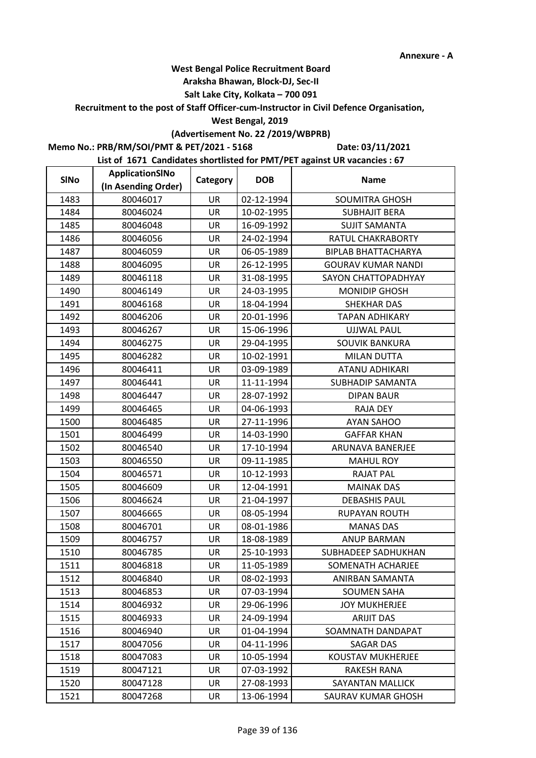## **Araksha Bhawan, Block-DJ, Sec-II**

## **Salt Lake City, Kolkata – 700 091**

**Recruitment to the post of Staff Officer-cum-Instructor in Civil Defence Organisation,** 

#### **West Bengal, 2019**

## **(Advertisement No. 22 /2019/WBPRB)**

**Memo No.: PRB/RM/SOI/PMT & PET/2021 - 5168**

**Date: 03/11/2021**

| <b>SINo</b> | ApplicationSINo     | Category  | <b>DOB</b> | <b>Name</b>                |
|-------------|---------------------|-----------|------------|----------------------------|
|             | (In Asending Order) |           |            |                            |
| 1483        | 80046017            | UR        | 02-12-1994 | <b>SOUMITRA GHOSH</b>      |
| 1484        | 80046024            | UR        | 10-02-1995 | <b>SUBHAJIT BERA</b>       |
| 1485        | 80046048            | UR        | 16-09-1992 | <b>SUJIT SAMANTA</b>       |
| 1486        | 80046056            | <b>UR</b> | 24-02-1994 | RATUL CHAKRABORTY          |
| 1487        | 80046059            | UR        | 06-05-1989 | <b>BIPLAB BHATTACHARYA</b> |
| 1488        | 80046095            | UR        | 26-12-1995 | <b>GOURAV KUMAR NANDI</b>  |
| 1489        | 80046118            | UR        | 31-08-1995 | SAYON CHATTOPADHYAY        |
| 1490        | 80046149            | UR        | 24-03-1995 | <b>MONIDIP GHOSH</b>       |
| 1491        | 80046168            | UR        | 18-04-1994 | <b>SHEKHAR DAS</b>         |
| 1492        | 80046206            | UR        | 20-01-1996 | <b>TAPAN ADHIKARY</b>      |
| 1493        | 80046267            | UR        | 15-06-1996 | <b>UJJWAL PAUL</b>         |
| 1494        | 80046275            | UR        | 29-04-1995 | <b>SOUVIK BANKURA</b>      |
| 1495        | 80046282            | UR        | 10-02-1991 | <b>MILAN DUTTA</b>         |
| 1496        | 80046411            | UR        | 03-09-1989 | ATANU ADHIKARI             |
| 1497        | 80046441            | UR        | 11-11-1994 | <b>SUBHADIP SAMANTA</b>    |
| 1498        | 80046447            | UR        | 28-07-1992 | <b>DIPAN BAUR</b>          |
| 1499        | 80046465            | UR        | 04-06-1993 | <b>RAJA DEY</b>            |
| 1500        | 80046485            | UR        | 27-11-1996 | <b>AYAN SAHOO</b>          |
| 1501        | 80046499            | UR        | 14-03-1990 | <b>GAFFAR KHAN</b>         |
| 1502        | 80046540            | UR        | 17-10-1994 | ARUNAVA BANERJEE           |
| 1503        | 80046550            | UR        | 09-11-1985 | <b>MAHUL ROY</b>           |
| 1504        | 80046571            | UR        | 10-12-1993 | <b>RAJAT PAL</b>           |
| 1505        | 80046609            | UR        | 12-04-1991 | <b>MAINAK DAS</b>          |
| 1506        | 80046624            | UR        | 21-04-1997 | <b>DEBASHIS PAUL</b>       |
| 1507        | 80046665            | UR        | 08-05-1994 | <b>RUPAYAN ROUTH</b>       |
| 1508        | 80046701            | UR        | 08-01-1986 | <b>MANAS DAS</b>           |
| 1509        | 80046757            | UR        | 18-08-1989 | <b>ANUP BARMAN</b>         |
| 1510        | 80046785            | UR        | 25-10-1993 | SUBHADEEP SADHUKHAN        |
| 1511        | 80046818            | UR        | 11-05-1989 | SOMENATH ACHARJEE          |
| 1512        | 80046840            | UR        | 08-02-1993 | ANIRBAN SAMANTA            |
| 1513        | 80046853            | UR        | 07-03-1994 | SOUMEN SAHA                |
| 1514        | 80046932            | UR        | 29-06-1996 | <b>JOY MUKHERJEE</b>       |
| 1515        | 80046933            | UR        | 24-09-1994 | <b>ARIJIT DAS</b>          |
| 1516        | 80046940            | UR        | 01-04-1994 | SOAMNATH DANDAPAT          |
| 1517        | 80047056            | UR        | 04-11-1996 | <b>SAGAR DAS</b>           |
| 1518        | 80047083            | UR        | 10-05-1994 | KOUSTAV MUKHERJEE          |
| 1519        | 80047121            | <b>UR</b> | 07-03-1992 | <b>RAKESH RANA</b>         |
| 1520        | 80047128            | UR        | 27-08-1993 | SAYANTAN MALLICK           |
| 1521        | 80047268            | UR        | 13-06-1994 | SAURAV KUMAR GHOSH         |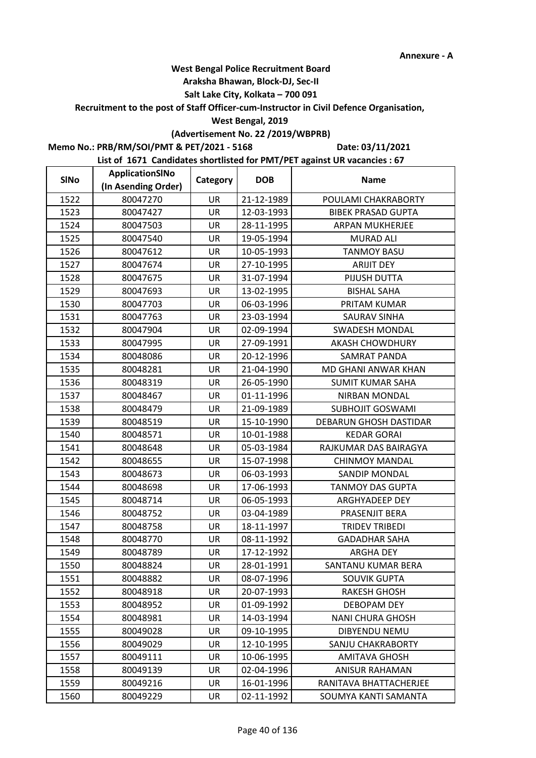## **Araksha Bhawan, Block-DJ, Sec-II**

## **Salt Lake City, Kolkata – 700 091**

**Recruitment to the post of Staff Officer-cum-Instructor in Civil Defence Organisation,** 

### **West Bengal, 2019**

## **(Advertisement No. 22 /2019/WBPRB)**

**Memo No.: PRB/RM/SOI/PMT & PET/2021 - 5168**

**Date: 03/11/2021**

| <b>SINo</b> | ApplicationSINo     | Category  | <b>DOB</b> | <b>Name</b>                |
|-------------|---------------------|-----------|------------|----------------------------|
|             | (In Asending Order) |           |            |                            |
| 1522        | 80047270            | <b>UR</b> | 21-12-1989 | POULAMI CHAKRABORTY        |
| 1523        | 80047427            | <b>UR</b> | 12-03-1993 | <b>BIBEK PRASAD GUPTA</b>  |
| 1524        | 80047503            | UR        | 28-11-1995 | <b>ARPAN MUKHERJEE</b>     |
| 1525        | 80047540            | <b>UR</b> | 19-05-1994 | <b>MURAD ALI</b>           |
| 1526        | 80047612            | UR        | 10-05-1993 | <b>TANMOY BASU</b>         |
| 1527        | 80047674            | UR        | 27-10-1995 | <b>ARIJIT DEY</b>          |
| 1528        | 80047675            | UR        | 31-07-1994 | PIJUSH DUTTA               |
| 1529        | 80047693            | UR        | 13-02-1995 | <b>BISHAL SAHA</b>         |
| 1530        | 80047703            | UR        | 06-03-1996 | PRITAM KUMAR               |
| 1531        | 80047763            | UR        | 23-03-1994 | SAURAV SINHA               |
| 1532        | 80047904            | <b>UR</b> | 02-09-1994 | <b>SWADESH MONDAL</b>      |
| 1533        | 80047995            | UR        | 27-09-1991 | <b>AKASH CHOWDHURY</b>     |
| 1534        | 80048086            | UR        | 20-12-1996 | <b>SAMRAT PANDA</b>        |
| 1535        | 80048281            | UR        | 21-04-1990 | <b>MD GHANI ANWAR KHAN</b> |
| 1536        | 80048319            | UR        | 26-05-1990 | <b>SUMIT KUMAR SAHA</b>    |
| 1537        | 80048467            | UR        | 01-11-1996 | <b>NIRBAN MONDAL</b>       |
| 1538        | 80048479            | <b>UR</b> | 21-09-1989 | <b>SUBHOJIT GOSWAMI</b>    |
| 1539        | 80048519            | UR        | 15-10-1990 | DEBARUN GHOSH DASTIDAR     |
| 1540        | 80048571            | UR        | 10-01-1988 | <b>KEDAR GORAI</b>         |
| 1541        | 80048648            | UR        | 05-03-1984 | RAJKUMAR DAS BAIRAGYA      |
| 1542        | 80048655            | UR        | 15-07-1998 | <b>CHINMOY MANDAL</b>      |
| 1543        | 80048673            | UR        | 06-03-1993 | SANDIP MONDAL              |
| 1544        | 80048698            | <b>UR</b> | 17-06-1993 | <b>TANMOY DAS GUPTA</b>    |
| 1545        | 80048714            | UR        | 06-05-1993 | ARGHYADEEP DEY             |
| 1546        | 80048752            | UR        | 03-04-1989 | PRASENJIT BERA             |
| 1547        | 80048758            | UR        | 18-11-1997 | <b>TRIDEV TRIBEDI</b>      |
| 1548        | 80048770            | UR        | 08-11-1992 | <b>GADADHAR SAHA</b>       |
| 1549        | 80048789            | UR        | 17-12-1992 | <b>ARGHA DEY</b>           |
| 1550        | 80048824            | UR        | 28-01-1991 | SANTANU KUMAR BERA         |
| 1551        | 80048882            | UR        | 08-07-1996 | <b>SOUVIK GUPTA</b>        |
| 1552        | 80048918            | UR        | 20-07-1993 | RAKESH GHOSH               |
| 1553        | 80048952            | UR        | 01-09-1992 | DEBOPAM DEY                |
| 1554        | 80048981            | UR        | 14-03-1994 | <b>NANI CHURA GHOSH</b>    |
| 1555        | 80049028            | UR        | 09-10-1995 | <b>DIBYENDU NEMU</b>       |
| 1556        | 80049029            | UR        | 12-10-1995 | SANJU CHAKRABORTY          |
| 1557        | 80049111            | UR        | 10-06-1995 | <b>AMITAVA GHOSH</b>       |
| 1558        | 80049139            | <b>UR</b> | 02-04-1996 | <b>ANISUR RAHAMAN</b>      |
| 1559        | 80049216            | UR        | 16-01-1996 | RANITAVA BHATTACHERJEE     |
| 1560        | 80049229            | UR        | 02-11-1992 | SOUMYA KANTI SAMANTA       |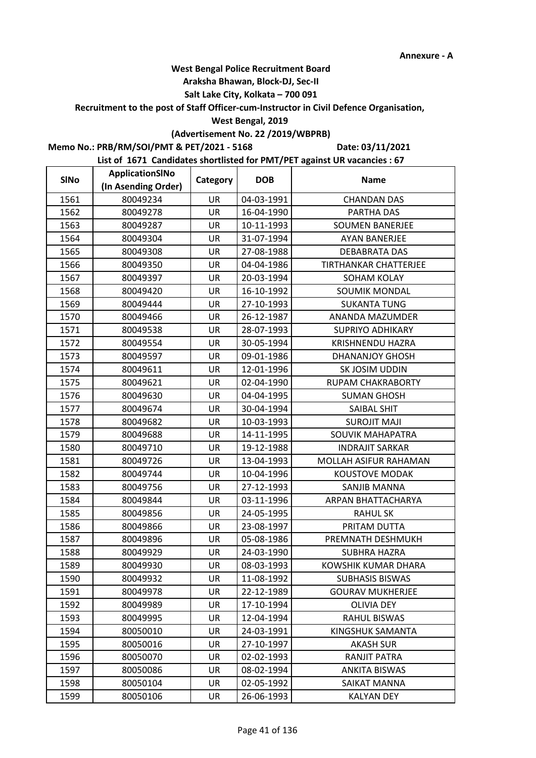### **Araksha Bhawan, Block-DJ, Sec-II**

## **Salt Lake City, Kolkata – 700 091**

**Recruitment to the post of Staff Officer-cum-Instructor in Civil Defence Organisation,** 

### **West Bengal, 2019**

## **(Advertisement No. 22 /2019/WBPRB)**

**Memo No.: PRB/RM/SOI/PMT & PET/2021 - 5168**

**Date: 03/11/2021**

| <b>SINo</b> | ApplicationSINo     | Category  | <b>DOB</b> | <b>Name</b>              |
|-------------|---------------------|-----------|------------|--------------------------|
|             | (In Asending Order) |           |            |                          |
| 1561        | 80049234            | UR        | 04-03-1991 | <b>CHANDAN DAS</b>       |
| 1562        | 80049278            | <b>UR</b> | 16-04-1990 | PARTHA DAS               |
| 1563        | 80049287            | UR        | 10-11-1993 | <b>SOUMEN BANERJEE</b>   |
| 1564        | 80049304            | <b>UR</b> | 31-07-1994 | <b>AYAN BANERJEE</b>     |
| 1565        | 80049308            | UR        | 27-08-1988 | <b>DEBABRATA DAS</b>     |
| 1566        | 80049350            | UR        | 04-04-1986 | TIRTHANKAR CHATTERJEE    |
| 1567        | 80049397            | UR        | 20-03-1994 | SOHAM KOLAY              |
| 1568        | 80049420            | UR        | 16-10-1992 | SOUMIK MONDAL            |
| 1569        | 80049444            | UR        | 27-10-1993 | <b>SUKANTA TUNG</b>      |
| 1570        | 80049466            | UR        | 26-12-1987 | ANANDA MAZUMDER          |
| 1571        | 80049538            | <b>UR</b> | 28-07-1993 | <b>SUPRIYO ADHIKARY</b>  |
| 1572        | 80049554            | UR        | 30-05-1994 | KRISHNENDU HAZRA         |
| 1573        | 80049597            | UR        | 09-01-1986 | <b>DHANANJOY GHOSH</b>   |
| 1574        | 80049611            | UR        | 12-01-1996 | SK JOSIM UDDIN           |
| 1575        | 80049621            | UR        | 02-04-1990 | <b>RUPAM CHAKRABORTY</b> |
| 1576        | 80049630            | UR        | 04-04-1995 | <b>SUMAN GHOSH</b>       |
| 1577        | 80049674            | <b>UR</b> | 30-04-1994 | SAIBAL SHIT              |
| 1578        | 80049682            | UR        | 10-03-1993 | <b>SUROJIT MAJI</b>      |
| 1579        | 80049688            | UR        | 14-11-1995 | SOUVIK MAHAPATRA         |
| 1580        | 80049710            | UR        | 19-12-1988 | <b>INDRAJIT SARKAR</b>   |
| 1581        | 80049726            | UR        | 13-04-1993 | MOLLAH ASIFUR RAHAMAN    |
| 1582        | 80049744            | UR        | 10-04-1996 | <b>KOUSTOVE MODAK</b>    |
| 1583        | 80049756            | <b>UR</b> | 27-12-1993 | <b>SANJIB MANNA</b>      |
| 1584        | 80049844            | UR        | 03-11-1996 | ARPAN BHATTACHARYA       |
| 1585        | 80049856            | UR        | 24-05-1995 | <b>RAHUL SK</b>          |
| 1586        | 80049866            | UR        | 23-08-1997 | PRITAM DUTTA             |
| 1587        | 80049896            | UR        | 05-08-1986 | PREMNATH DESHMUKH        |
| 1588        | 80049929            | UR        | 24-03-1990 | <b>SUBHRA HAZRA</b>      |
| 1589        | 80049930            | UR        | 08-03-1993 | KOWSHIK KUMAR DHARA      |
| 1590        | 80049932            | UR        | 11-08-1992 | <b>SUBHASIS BISWAS</b>   |
| 1591        | 80049978            | UR        | 22-12-1989 | <b>GOURAV MUKHERJEE</b>  |
| 1592        | 80049989            | UR        | 17-10-1994 | <b>OLIVIA DEY</b>        |
| 1593        | 80049995            | <b>UR</b> | 12-04-1994 | RAHUL BISWAS             |
| 1594        | 80050010            | UR        | 24-03-1991 | KINGSHUK SAMANTA         |
| 1595        | 80050016            | <b>UR</b> | 27-10-1997 | <b>AKASH SUR</b>         |
| 1596        | 80050070            | UR        | 02-02-1993 | RANJIT PATRA             |
| 1597        | 80050086            | <b>UR</b> | 08-02-1994 | <b>ANKITA BISWAS</b>     |
| 1598        | 80050104            | UR        | 02-05-1992 | SAIKAT MANNA             |
| 1599        | 80050106            | UR        | 26-06-1993 | <b>KALYAN DEY</b>        |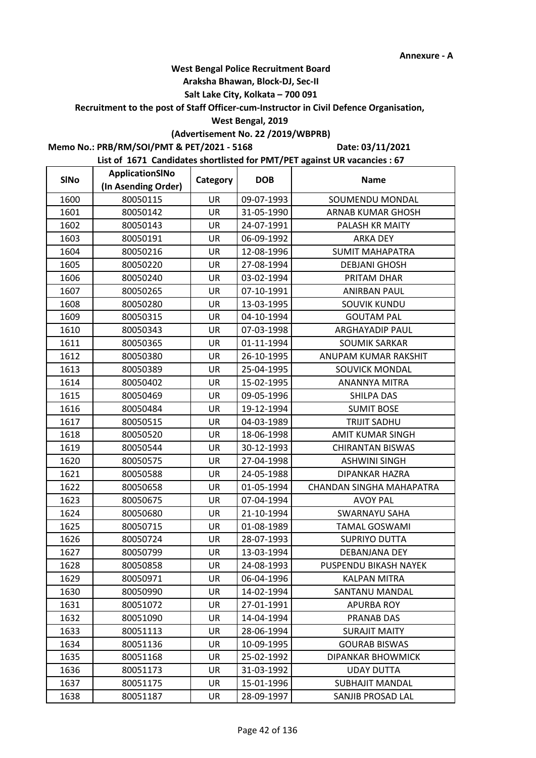## **Araksha Bhawan, Block-DJ, Sec-II**

## **Salt Lake City, Kolkata – 700 091**

**Recruitment to the post of Staff Officer-cum-Instructor in Civil Defence Organisation,** 

## **West Bengal, 2019**

## **(Advertisement No. 22 /2019/WBPRB)**

**Memo No.: PRB/RM/SOI/PMT & PET/2021 - 5168**

**Date: 03/11/2021**

| <b>SINo</b> | ApplicationSINo     | Category  | <b>DOB</b> | <b>Name</b>              |
|-------------|---------------------|-----------|------------|--------------------------|
|             | (In Asending Order) |           |            |                          |
| 1600        | 80050115            | UR        | 09-07-1993 | SOUMENDU MONDAL          |
| 1601        | 80050142            | <b>UR</b> | 31-05-1990 | <b>ARNAB KUMAR GHOSH</b> |
| 1602        | 80050143            | UR        | 24-07-1991 | PALASH KR MAITY          |
| 1603        | 80050191            | <b>UR</b> | 06-09-1992 | <b>ARKA DEY</b>          |
| 1604        | 80050216            | UR        | 12-08-1996 | <b>SUMIT MAHAPATRA</b>   |
| 1605        | 80050220            | UR        | 27-08-1994 | <b>DEBJANI GHOSH</b>     |
| 1606        | 80050240            | UR        | 03-02-1994 | PRITAM DHAR              |
| 1607        | 80050265            | UR        | 07-10-1991 | <b>ANIRBAN PAUL</b>      |
| 1608        | 80050280            | UR        | 13-03-1995 | <b>SOUVIK KUNDU</b>      |
| 1609        | 80050315            | UR        | 04-10-1994 | <b>GOUTAM PAL</b>        |
| 1610        | 80050343            | <b>UR</b> | 07-03-1998 | <b>ARGHAYADIP PAUL</b>   |
| 1611        | 80050365            | UR        | 01-11-1994 | <b>SOUMIK SARKAR</b>     |
| 1612        | 80050380            | UR        | 26-10-1995 | ANUPAM KUMAR RAKSHIT     |
| 1613        | 80050389            | UR        | 25-04-1995 | SOUVICK MONDAL           |
| 1614        | 80050402            | UR        | 15-02-1995 | <b>ANANNYA MITRA</b>     |
| 1615        | 80050469            | UR        | 09-05-1996 | SHILPA DAS               |
| 1616        | 80050484            | <b>UR</b> | 19-12-1994 | <b>SUMIT BOSE</b>        |
| 1617        | 80050515            | UR        | 04-03-1989 | <b>TRIJIT SADHU</b>      |
| 1618        | 80050520            | UR        | 18-06-1998 | <b>AMIT KUMAR SINGH</b>  |
| 1619        | 80050544            | UR        | 30-12-1993 | <b>CHIRANTAN BISWAS</b>  |
| 1620        | 80050575            | UR        | 27-04-1998 | <b>ASHWINI SINGH</b>     |
| 1621        | 80050588            | UR        | 24-05-1988 | DIPANKAR HAZRA           |
| 1622        | 80050658            | <b>UR</b> | 01-05-1994 | CHANDAN SINGHA MAHAPATRA |
| 1623        | 80050675            | UR        | 07-04-1994 | <b>AVOY PAL</b>          |
| 1624        | 80050680            | UR        | 21-10-1994 | <b>SWARNAYU SAHA</b>     |
| 1625        | 80050715            | UR        | 01-08-1989 | <b>TAMAL GOSWAMI</b>     |
| 1626        | 80050724            | UR        | 28-07-1993 | <b>SUPRIYO DUTTA</b>     |
| 1627        | 80050799            | UR        | 13-03-1994 | DEBANJANA DEY            |
| 1628        | 80050858            | UR        | 24-08-1993 | PUSPENDU BIKASH NAYEK    |
| 1629        | 80050971            | UR        | 06-04-1996 | <b>KALPAN MITRA</b>      |
| 1630        | 80050990            | UR        | 14-02-1994 | SANTANU MANDAL           |
| 1631        | 80051072            | UR        | 27-01-1991 | <b>APURBA ROY</b>        |
| 1632        | 80051090            | UR        | 14-04-1994 | PRANAB DAS               |
| 1633        | 80051113            | UR        | 28-06-1994 | <b>SURAJIT MAITY</b>     |
| 1634        | 80051136            | UR        | 10-09-1995 | <b>GOURAB BISWAS</b>     |
| 1635        | 80051168            | UR        | 25-02-1992 | <b>DIPANKAR BHOWMICK</b> |
| 1636        | 80051173            | <b>UR</b> | 31-03-1992 | <b>UDAY DUTTA</b>        |
| 1637        | 80051175            | UR        | 15-01-1996 | <b>SUBHAJIT MANDAL</b>   |
| 1638        | 80051187            | UR        | 28-09-1997 | SANJIB PROSAD LAL        |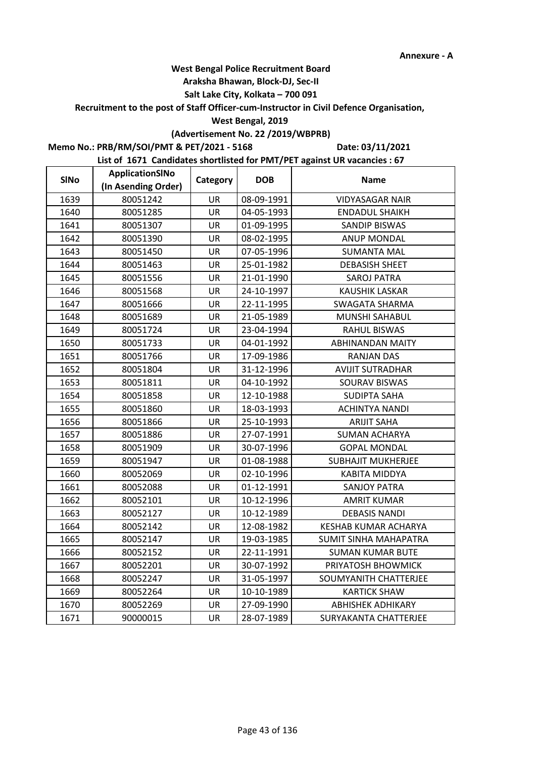## **Araksha Bhawan, Block-DJ, Sec-II**

## **Salt Lake City, Kolkata – 700 091**

## **Recruitment to the post of Staff Officer-cum-Instructor in Civil Defence Organisation,**

### **West Bengal, 2019**

## **(Advertisement No. 22 /2019/WBPRB)**

**Memo No.: PRB/RM/SOI/PMT & PET/2021 - 5168**

**Date: 03/11/2021**

| <b>SINo</b> | ApplicationSINo     | Category  | <b>DOB</b> | <b>Name</b>                  |
|-------------|---------------------|-----------|------------|------------------------------|
|             | (In Asending Order) |           |            |                              |
| 1639        | 80051242            | UR        | 08-09-1991 | <b>VIDYASAGAR NAIR</b>       |
| 1640        | 80051285            | UR        | 04-05-1993 | <b>ENDADUL SHAIKH</b>        |
| 1641        | 80051307            | <b>UR</b> | 01-09-1995 | SANDIP BISWAS                |
| 1642        | 80051390            | <b>UR</b> | 08-02-1995 | <b>ANUP MONDAL</b>           |
| 1643        | 80051450            | UR        | 07-05-1996 | <b>SUMANTA MAL</b>           |
| 1644        | 80051463            | UR        | 25-01-1982 | <b>DEBASISH SHEET</b>        |
| 1645        | 80051556            | <b>UR</b> | 21-01-1990 | <b>SAROJ PATRA</b>           |
| 1646        | 80051568            | UR        | 24-10-1997 | <b>KAUSHIK LASKAR</b>        |
| 1647        | 80051666            | <b>UR</b> | 22-11-1995 | SWAGATA SHARMA               |
| 1648        | 80051689            | UR        | 21-05-1989 | MUNSHI SAHABUL               |
| 1649        | 80051724            | UR        | 23-04-1994 | <b>RAHUL BISWAS</b>          |
| 1650        | 80051733            | UR        | 04-01-1992 | <b>ABHINANDAN MAITY</b>      |
| 1651        | 80051766            | <b>UR</b> | 17-09-1986 | <b>RANJAN DAS</b>            |
| 1652        | 80051804            | UR        | 31-12-1996 | <b>AVIJIT SUTRADHAR</b>      |
| 1653        | 80051811            | UR        | 04-10-1992 | SOURAV BISWAS                |
| 1654        | 80051858            | UR        | 12-10-1988 | <b>SUDIPTA SAHA</b>          |
| 1655        | 80051860            | UR        | 18-03-1993 | <b>ACHINTYA NANDI</b>        |
| 1656        | 80051866            | <b>UR</b> | 25-10-1993 | <b>ARIJIT SAHA</b>           |
| 1657        | 80051886            | UR        | 27-07-1991 | <b>SUMAN ACHARYA</b>         |
| 1658        | 80051909            | UR        | 30-07-1996 | <b>GOPAL MONDAL</b>          |
| 1659        | 80051947            | UR        | 01-08-1988 | <b>SUBHAJIT MUKHERJEE</b>    |
| 1660        | 80052069            | <b>UR</b> | 02-10-1996 | <b>KABITA MIDDYA</b>         |
| 1661        | 80052088            | UR        | 01-12-1991 | <b>SANJOY PATRA</b>          |
| 1662        | 80052101            | UR        | 10-12-1996 | <b>AMRIT KUMAR</b>           |
| 1663        | 80052127            | UR        | 10-12-1989 | <b>DEBASIS NANDI</b>         |
| 1664        | 80052142            | UR        | 12-08-1982 | <b>KESHAB KUMAR ACHARYA</b>  |
| 1665        | 80052147            | <b>UR</b> | 19-03-1985 | <b>SUMIT SINHA MAHAPATRA</b> |
| 1666        | 80052152            | UR        | 22-11-1991 | <b>SUMAN KUMAR BUTE</b>      |
| 1667        | 80052201            | UR        | 30-07-1992 | PRIYATOSH BHOWMICK           |
| 1668        | 80052247            | UR        | 31-05-1997 | SOUMYANITH CHATTERJEE        |
| 1669        | 80052264            | UR        | 10-10-1989 | <b>KARTICK SHAW</b>          |
| 1670        | 80052269            | UR        | 27-09-1990 | <b>ABHISHEK ADHIKARY</b>     |
| 1671        | 90000015            | <b>UR</b> | 28-07-1989 | SURYAKANTA CHATTERJEE        |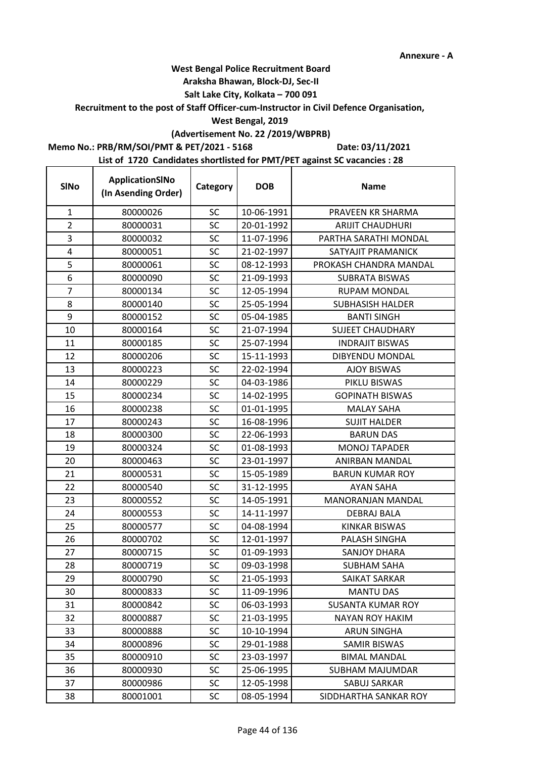t

## **West Bengal Police Recruitment Board**

## **Araksha Bhawan, Block-DJ, Sec-II**

## **Salt Lake City, Kolkata – 700 091**

### **Recruitment to the post of Staff Officer-cum-Instructor in Civil Defence Organisation,**

## **West Bengal, 2019**

# **(Advertisement No. 22 /2019/WBPRB)**

## **Memo No.: PRB/RM/SOI/PMT & PET/2021 - 5168**

**Date: 03/11/2021**

| <b>SINo</b>    | ApplicationSINo<br>(In Asending Order) | Category  | <b>DOB</b> | <b>Name</b>              |
|----------------|----------------------------------------|-----------|------------|--------------------------|
| $\mathbf{1}$   | 80000026                               | <b>SC</b> | 10-06-1991 | PRAVEEN KR SHARMA        |
| $\overline{2}$ | 80000031                               | SC        | 20-01-1992 | <b>ARIJIT CHAUDHURI</b>  |
| 3              | 80000032                               | <b>SC</b> | 11-07-1996 | PARTHA SARATHI MONDAL    |
| 4              | 80000051                               | SC        | 21-02-1997 | SATYAJIT PRAMANICK       |
| 5              | 80000061                               | <b>SC</b> | 08-12-1993 | PROKASH CHANDRA MANDAL   |
| 6              | 80000090                               | <b>SC</b> | 21-09-1993 | <b>SUBRATA BISWAS</b>    |
| $\overline{7}$ | 80000134                               | <b>SC</b> | 12-05-1994 | <b>RUPAM MONDAL</b>      |
| 8              | 80000140                               | <b>SC</b> | 25-05-1994 | <b>SUBHASISH HALDER</b>  |
| 9              | 80000152                               | SC        | 05-04-1985 | <b>BANTI SINGH</b>       |
| 10             | 80000164                               | <b>SC</b> | 21-07-1994 | <b>SUJEET CHAUDHARY</b>  |
| 11             | 80000185                               | SC        | 25-07-1994 | <b>INDRAJIT BISWAS</b>   |
| 12             | 80000206                               | <b>SC</b> | 15-11-1993 | DIBYENDU MONDAL          |
| 13             | 80000223                               | <b>SC</b> | 22-02-1994 | <b>AJOY BISWAS</b>       |
| 14             | 80000229                               | SC        | 04-03-1986 | PIKLU BISWAS             |
| 15             | 80000234                               | SC        | 14-02-1995 | <b>GOPINATH BISWAS</b>   |
| 16             | 80000238                               | <b>SC</b> | 01-01-1995 | <b>MALAY SAHA</b>        |
| 17             | 80000243                               | SC        | 16-08-1996 | <b>SUJIT HALDER</b>      |
| 18             | 80000300                               | SC        | 22-06-1993 | <b>BARUN DAS</b>         |
| 19             | 80000324                               | <b>SC</b> | 01-08-1993 | <b>MONOJ TAPADER</b>     |
| 20             | 80000463                               | <b>SC</b> | 23-01-1997 | ANIRBAN MANDAL           |
| 21             | 80000531                               | <b>SC</b> | 15-05-1989 | <b>BARUN KUMAR ROY</b>   |
| 22             | 80000540                               | <b>SC</b> | 31-12-1995 | AYAN SAHA                |
| 23             | 80000552                               | SC        | 14-05-1991 | <b>MANORANJAN MANDAL</b> |
| 24             | 80000553                               | <b>SC</b> | 14-11-1997 | <b>DEBRAJ BALA</b>       |
| 25             | 80000577                               | <b>SC</b> | 04-08-1994 | <b>KINKAR BISWAS</b>     |
| 26             | 80000702                               | <b>SC</b> | 12-01-1997 | PALASH SINGHA            |
| 27             | 80000715                               | <b>SC</b> | 01-09-1993 | <b>SANJOY DHARA</b>      |
| 28             | 80000719                               | <b>SC</b> | 09-03-1998 | <b>SUBHAM SAHA</b>       |
| 29             | 80000790                               | SC        | 21-05-1993 | SAIKAT SARKAR            |
| 30             | 80000833                               | SC        | 11-09-1996 | <b>MANTU DAS</b>         |
| 31             | 80000842                               | SC        | 06-03-1993 | <b>SUSANTA KUMAR ROY</b> |
| 32             | 80000887                               | <b>SC</b> | 21-03-1995 | <b>NAYAN ROY HAKIM</b>   |
| 33             | 80000888                               | <b>SC</b> | 10-10-1994 | <b>ARUN SINGHA</b>       |
| 34             | 80000896                               | <b>SC</b> | 29-01-1988 | <b>SAMIR BISWAS</b>      |
| 35             | 80000910                               | SC        | 23-03-1997 | <b>BIMAL MANDAL</b>      |
| 36             | 80000930                               | SC        | 25-06-1995 | <b>SUBHAM MAJUMDAR</b>   |
| 37             | 80000986                               | <b>SC</b> | 12-05-1998 | SABUJ SARKAR             |
| 38             | 80001001                               | SC        | 08-05-1994 | SIDDHARTHA SANKAR ROY    |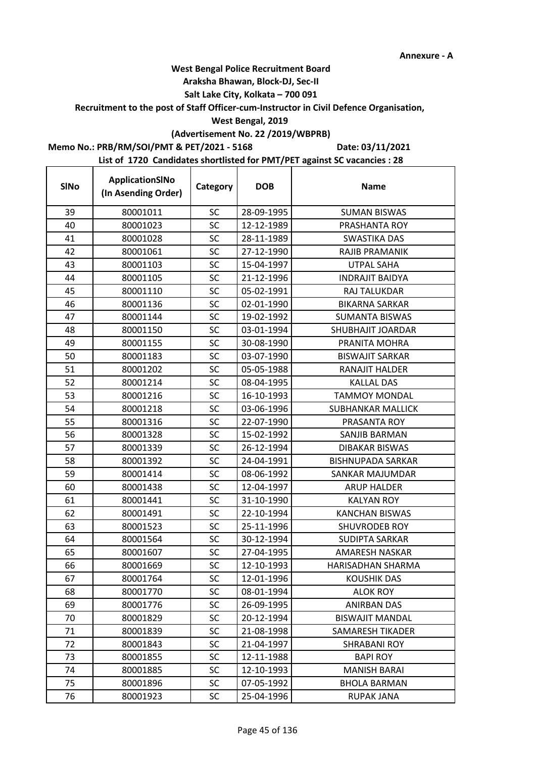## **West Bengal Police Recruitment Board**

### **Araksha Bhawan, Block-DJ, Sec-II**

## **Salt Lake City, Kolkata – 700 091**

**Recruitment to the post of Staff Officer-cum-Instructor in Civil Defence Organisation,** 

## **West Bengal, 2019**

# **(Advertisement No. 22 /2019/WBPRB)**

**Memo No.: PRB/RM/SOI/PMT & PET/2021 - 5168**

 $\mathbf{r}$ 

**Date: 03/11/2021**

| <b>SINo</b> | ApplicationSINo<br>(In Asending Order) | Category  | <b>DOB</b> | <b>Name</b>              |
|-------------|----------------------------------------|-----------|------------|--------------------------|
| 39          | 80001011                               | <b>SC</b> | 28-09-1995 | <b>SUMAN BISWAS</b>      |
| 40          | 80001023                               | <b>SC</b> | 12-12-1989 | PRASHANTA ROY            |
| 41          | 80001028                               | <b>SC</b> | 28-11-1989 | <b>SWASTIKA DAS</b>      |
| 42          | 80001061                               | SC        | 27-12-1990 | <b>RAJIB PRAMANIK</b>    |
| 43          | 80001103                               | <b>SC</b> | 15-04-1997 | <b>UTPAL SAHA</b>        |
| 44          | 80001105                               | SC        | 21-12-1996 | <b>INDRAJIT BAIDYA</b>   |
| 45          | 80001110                               | <b>SC</b> | 05-02-1991 | RAJ TALUKDAR             |
| 46          | 80001136                               | <b>SC</b> | 02-01-1990 | <b>BIKARNA SARKAR</b>    |
| 47          | 80001144                               | <b>SC</b> | 19-02-1992 | <b>SUMANTA BISWAS</b>    |
| 48          | 80001150                               | <b>SC</b> | 03-01-1994 | SHUBHAJIT JOARDAR        |
| 49          | 80001155                               | SC        | 30-08-1990 | PRANITA MOHRA            |
| 50          | 80001183                               | SC        | 03-07-1990 | <b>BISWAJIT SARKAR</b>   |
| 51          | 80001202                               | <b>SC</b> | 05-05-1988 | RANAJIT HALDER           |
| 52          | 80001214                               | SC        | 08-04-1995 | <b>KALLAL DAS</b>        |
| 53          | 80001216                               | SC        | 16-10-1993 | <b>TAMMOY MONDAL</b>     |
| 54          | 80001218                               | <b>SC</b> | 03-06-1996 | <b>SUBHANKAR MALLICK</b> |
| 55          | 80001316                               | SC        | 22-07-1990 | PRASANTA ROY             |
| 56          | 80001328                               | SC        | 15-02-1992 | SANJIB BARMAN            |
| 57          | 80001339                               | SC        | 26-12-1994 | DIBAKAR BISWAS           |
| 58          | 80001392                               | <b>SC</b> | 24-04-1991 | <b>BISHNUPADA SARKAR</b> |
| 59          | 80001414                               | <b>SC</b> | 08-06-1992 | SANKAR MAJUMDAR          |
| 60          | 80001438                               | <b>SC</b> | 12-04-1997 | <b>ARUP HALDER</b>       |
| 61          | 80001441                               | SC        | 31-10-1990 | <b>KALYAN ROY</b>        |
| 62          | 80001491                               | <b>SC</b> | 22-10-1994 | <b>KANCHAN BISWAS</b>    |
| 63          | 80001523                               | SC        | 25-11-1996 | SHUVRODEB ROY            |
| 64          | 80001564                               | <b>SC</b> | 30-12-1994 | <b>SUDIPTA SARKAR</b>    |
| 65          | 80001607                               | <b>SC</b> | 27-04-1995 | <b>AMARESH NASKAR</b>    |
| 66          | 80001669                               | SC        | 12-10-1993 | <b>HARISADHAN SHARMA</b> |
| 67          | 80001764                               | SC        | 12-01-1996 | KOUSHIK DAS              |
| 68          | 80001770                               | SC        | 08-01-1994 | <b>ALOK ROY</b>          |
| 69          | 80001776                               | SC        | 26-09-1995 | <b>ANIRBAN DAS</b>       |
| 70          | 80001829                               | SC        | 20-12-1994 | <b>BISWAJIT MANDAL</b>   |
| 71          | 80001839                               | SC        | 21-08-1998 | SAMARESH TIKADER         |
| 72          | 80001843                               | <b>SC</b> | 21-04-1997 | <b>SHRABANI ROY</b>      |
| 73          | 80001855                               | SC        | 12-11-1988 | <b>BAPI ROY</b>          |
| 74          | 80001885                               | SC        | 12-10-1993 | <b>MANISH BARAI</b>      |
| 75          | 80001896                               | <b>SC</b> | 07-05-1992 | <b>BHOLA BARMAN</b>      |
| 76          | 80001923                               | <b>SC</b> | 25-04-1996 | <b>RUPAK JANA</b>        |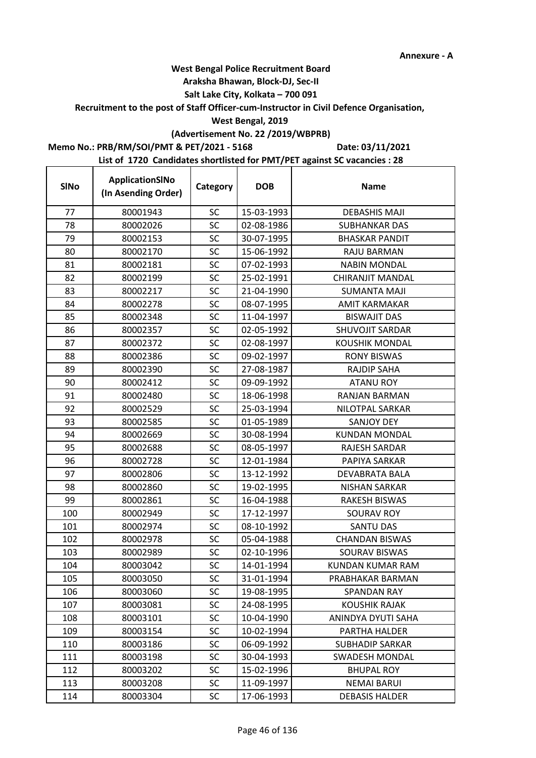## **West Bengal Police Recruitment Board**

### **Araksha Bhawan, Block-DJ, Sec-II**

## **Salt Lake City, Kolkata – 700 091**

**Recruitment to the post of Staff Officer-cum-Instructor in Civil Defence Organisation,** 

## **West Bengal, 2019**

# **(Advertisement No. 22 /2019/WBPRB)**

**Memo No.: PRB/RM/SOI/PMT & PET/2021 - 5168**

**Date: 03/11/2021**

| <b>SINo</b> | ApplicationSINo<br>(In Asending Order) | Category  | <b>DOB</b> | <b>Name</b>             |
|-------------|----------------------------------------|-----------|------------|-------------------------|
| 77          | 80001943                               | <b>SC</b> | 15-03-1993 | <b>DEBASHIS MAJI</b>    |
| 78          | 80002026                               | <b>SC</b> | 02-08-1986 | SUBHANKAR DAS           |
| 79          | 80002153                               | SC        | 30-07-1995 | <b>BHASKAR PANDIT</b>   |
| 80          | 80002170                               | SC        | 15-06-1992 | <b>RAJU BARMAN</b>      |
| 81          | 80002181                               | <b>SC</b> | 07-02-1993 | <b>NABIN MONDAL</b>     |
| 82          | 80002199                               | SC        | 25-02-1991 | <b>CHIRANJIT MANDAL</b> |
| 83          | 80002217                               | <b>SC</b> | 21-04-1990 | <b>SUMANTA MAJI</b>     |
| 84          | 80002278                               | SC        | 08-07-1995 | AMIT KARMAKAR           |
| 85          | 80002348                               | SC        | 11-04-1997 | <b>BISWAJIT DAS</b>     |
| 86          | 80002357                               | SC        | 02-05-1992 | SHUVOJIT SARDAR         |
| 87          | 80002372                               | SC        | 02-08-1997 | <b>KOUSHIK MONDAL</b>   |
| 88          | 80002386                               | SC        | 09-02-1997 | <b>RONY BISWAS</b>      |
| 89          | 80002390                               | SC        | 27-08-1987 | <b>RAJDIP SAHA</b>      |
| 90          | 80002412                               | SC        | 09-09-1992 | <b>ATANU ROY</b>        |
| 91          | 80002480                               | SC        | 18-06-1998 | RANJAN BARMAN           |
| 92          | 80002529                               | SC        | 25-03-1994 | NILOTPAL SARKAR         |
| 93          | 80002585                               | SC        | 01-05-1989 | <b>SANJOY DEY</b>       |
| 94          | 80002669                               | SC        | 30-08-1994 | <b>KUNDAN MONDAL</b>    |
| 95          | 80002688                               | SC        | 08-05-1997 | <b>RAJESH SARDAR</b>    |
| 96          | 80002728                               | <b>SC</b> | 12-01-1984 | PAPIYA SARKAR           |
| 97          | 80002806                               | <b>SC</b> | 13-12-1992 | DEVABRATA BALA          |
| 98          | 80002860                               | SC        | 19-02-1995 | <b>NISHAN SARKAR</b>    |
| 99          | 80002861                               | SC        | 16-04-1988 | <b>RAKESH BISWAS</b>    |
| 100         | 80002949                               | SC        | 17-12-1997 | <b>SOURAV ROY</b>       |
| 101         | 80002974                               | SC        | 08-10-1992 | <b>SANTU DAS</b>        |
| 102         | 80002978                               | <b>SC</b> | 05-04-1988 | <b>CHANDAN BISWAS</b>   |
| 103         | 80002989                               | SC        | 02-10-1996 | SOURAV BISWAS           |
| 104         | 80003042                               | SC        | 14-01-1994 | KUNDAN KUMAR RAM        |
| 105         | 80003050                               | SC        | 31-01-1994 | PRABHAKAR BARMAN        |
| 106         | 80003060                               | SC        | 19-08-1995 | <b>SPANDAN RAY</b>      |
| 107         | 80003081                               | SC        | 24-08-1995 | <b>KOUSHIK RAJAK</b>    |
| 108         | 80003101                               | <b>SC</b> | 10-04-1990 | ANINDYA DYUTI SAHA      |
| 109         | 80003154                               | <b>SC</b> | 10-02-1994 | PARTHA HALDER           |
| 110         | 80003186                               | SC        | 06-09-1992 | <b>SUBHADIP SARKAR</b>  |
| 111         | 80003198                               | <b>SC</b> | 30-04-1993 | <b>SWADESH MONDAL</b>   |
| 112         | 80003202                               | SC        | 15-02-1996 | <b>BHUPAL ROY</b>       |
| 113         | 80003208                               | SC        | 11-09-1997 | <b>NEMAI BARUI</b>      |
| 114         | 80003304                               | <b>SC</b> | 17-06-1993 | <b>DEBASIS HALDER</b>   |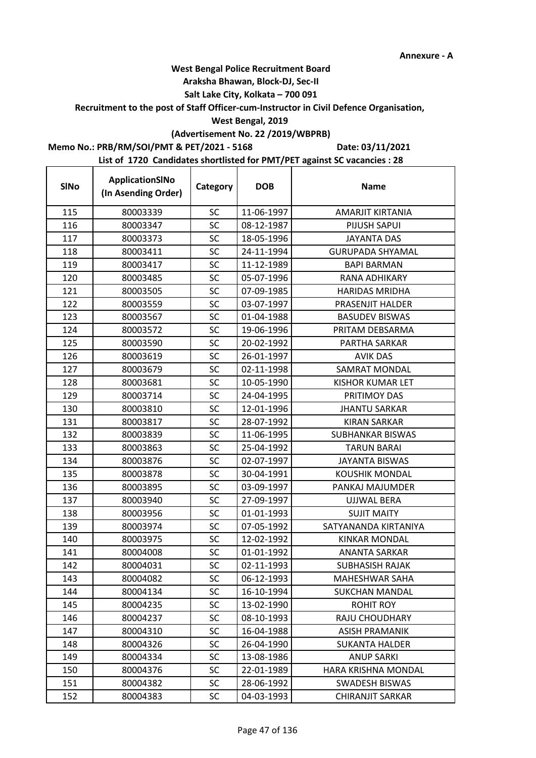## **West Bengal Police Recruitment Board**

### **Araksha Bhawan, Block-DJ, Sec-II**

## **Salt Lake City, Kolkata – 700 091**

## **Recruitment to the post of Staff Officer-cum-Instructor in Civil Defence Organisation,**

### **West Bengal, 2019**

# **(Advertisement No. 22 /2019/WBPRB)**

## **Memo No.: PRB/RM/SOI/PMT & PET/2021 - 5168**

 $\mathbf{r}$ 

**Date: 03/11/2021**

| <b>SINo</b> | ApplicationSINo<br>(In Asending Order) | Category  | <b>DOB</b> | <b>Name</b>             |
|-------------|----------------------------------------|-----------|------------|-------------------------|
| 115         | 80003339                               | <b>SC</b> | 11-06-1997 | AMARJIT KIRTANIA        |
| 116         | 80003347                               | SC        | 08-12-1987 | <b>PIJUSH SAPUI</b>     |
| 117         | 80003373                               | SC        | 18-05-1996 | <b>JAYANTA DAS</b>      |
| 118         | 80003411                               | SC        | 24-11-1994 | <b>GURUPADA SHYAMAL</b> |
| 119         | 80003417                               | SC        | 11-12-1989 | <b>BAPI BARMAN</b>      |
| 120         | 80003485                               | <b>SC</b> | 05-07-1996 | RANA ADHIKARY           |
| 121         | 80003505                               | SC        | 07-09-1985 | <b>HARIDAS MRIDHA</b>   |
| 122         | 80003559                               | SC        | 03-07-1997 | PRASENJIT HALDER        |
| 123         | 80003567                               | <b>SC</b> | 01-04-1988 | <b>BASUDEV BISWAS</b>   |
| 124         | 80003572                               | SC        | 19-06-1996 | PRITAM DEBSARMA         |
| 125         | 80003590                               | SC        | 20-02-1992 | PARTHA SARKAR           |
| 126         | 80003619                               | SC        | 26-01-1997 | <b>AVIK DAS</b>         |
| 127         | 80003679                               | <b>SC</b> | 02-11-1998 | SAMRAT MONDAL           |
| 128         | 80003681                               | SC        | 10-05-1990 | <b>KISHOR KUMAR LET</b> |
| 129         | 80003714                               | <b>SC</b> | 24-04-1995 | PRITIMOY DAS            |
| 130         | 80003810                               | SC        | 12-01-1996 | <b>JHANTU SARKAR</b>    |
| 131         | 80003817                               | <b>SC</b> | 28-07-1992 | <b>KIRAN SARKAR</b>     |
| 132         | 80003839                               | SC        | 11-06-1995 | <b>SUBHANKAR BISWAS</b> |
| 133         | 80003863                               | SC        | 25-04-1992 | <b>TARUN BARAI</b>      |
| 134         | 80003876                               | <b>SC</b> | 02-07-1997 | <b>JAYANTA BISWAS</b>   |
| 135         | 80003878                               | <b>SC</b> | 30-04-1991 | <b>KOUSHIK MONDAL</b>   |
| 136         | 80003895                               | SC        | 03-09-1997 | PANKAJ MAJUMDER         |
| 137         | 80003940                               | SC        | 27-09-1997 | <b>UJJWAL BERA</b>      |
| 138         | 80003956                               | SC        | 01-01-1993 | <b>SUJIT MAITY</b>      |
| 139         | 80003974                               | <b>SC</b> | 07-05-1992 | SATYANANDA KIRTANIYA    |
| 140         | 80003975                               | SC        | 12-02-1992 | <b>KINKAR MONDAL</b>    |
| 141         | 80004008                               | SC        | 01-01-1992 | <b>ANANTA SARKAR</b>    |
| 142         | 80004031                               | SC        | 02-11-1993 | <b>SUBHASISH RAJAK</b>  |
| 143         | 80004082                               | SC        | 06-12-1993 | MAHESHWAR SAHA          |
| 144         | 80004134                               | SC        | 16-10-1994 | <b>SUKCHAN MANDAL</b>   |
| 145         | 80004235                               | SC        | 13-02-1990 | ROHIT ROY               |
| 146         | 80004237                               | SC        | 08-10-1993 | <b>RAJU CHOUDHARY</b>   |
| 147         | 80004310                               | SC        | 16-04-1988 | <b>ASISH PRAMANIK</b>   |
| 148         | 80004326                               | <b>SC</b> | 26-04-1990 | <b>SUKANTA HALDER</b>   |
| 149         | 80004334                               | <b>SC</b> | 13-08-1986 | <b>ANUP SARKI</b>       |
| 150         | 80004376                               | SC        | 22-01-1989 | HARA KRISHNA MONDAL     |
| 151         | 80004382                               | <b>SC</b> | 28-06-1992 | <b>SWADESH BISWAS</b>   |
| 152         | 80004383                               | SC        | 04-03-1993 | CHIRANJIT SARKAR        |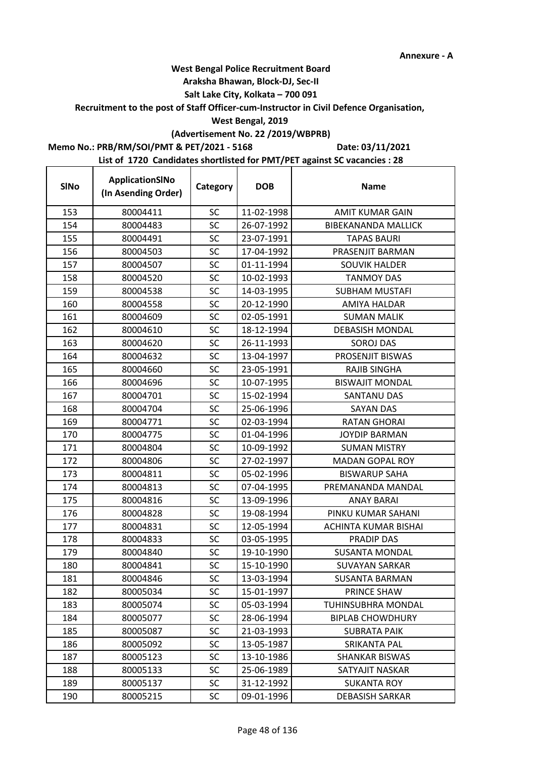## **West Bengal Police Recruitment Board**

### **Araksha Bhawan, Block-DJ, Sec-II**

## **Salt Lake City, Kolkata – 700 091**

**Recruitment to the post of Staff Officer-cum-Instructor in Civil Defence Organisation,** 

### **West Bengal, 2019**

## **(Advertisement No. 22 /2019/WBPRB)**

## **Memo No.: PRB/RM/SOI/PMT & PET/2021 - 5168**

 $\overline{1}$ 

**Date: 03/11/2021**

| <b>SINo</b> | ApplicationSINo<br>(In Asending Order) | Category  | <b>DOB</b> | <b>Name</b>                |
|-------------|----------------------------------------|-----------|------------|----------------------------|
| 153         | 80004411                               | <b>SC</b> | 11-02-1998 | <b>AMIT KUMAR GAIN</b>     |
| 154         | 80004483                               | <b>SC</b> | 26-07-1992 | <b>BIBEKANANDA MALLICK</b> |
| 155         | 80004491                               | <b>SC</b> | 23-07-1991 | <b>TAPAS BAURI</b>         |
| 156         | 80004503                               | SC        | 17-04-1992 | PRASENJIT BARMAN           |
| 157         | 80004507                               | <b>SC</b> | 01-11-1994 | <b>SOUVIK HALDER</b>       |
| 158         | 80004520                               | SC        | 10-02-1993 | <b>TANMOY DAS</b>          |
| 159         | 80004538                               | <b>SC</b> | 14-03-1995 | <b>SUBHAM MUSTAFI</b>      |
| 160         | 80004558                               | <b>SC</b> | 20-12-1990 | AMIYA HALDAR               |
| 161         | 80004609                               | SC        | 02-05-1991 | <b>SUMAN MALIK</b>         |
| 162         | 80004610                               | <b>SC</b> | 18-12-1994 | <b>DEBASISH MONDAL</b>     |
| 163         | 80004620                               | SC        | 26-11-1993 | <b>SOROJ DAS</b>           |
| 164         | 80004632                               | SC        | 13-04-1997 | PROSENJIT BISWAS           |
| 165         | 80004660                               | <b>SC</b> | 23-05-1991 | <b>RAJIB SINGHA</b>        |
| 166         | 80004696                               | SC        | 10-07-1995 | <b>BISWAJIT MONDAL</b>     |
| 167         | 80004701                               | SC        | 15-02-1994 | <b>SANTANU DAS</b>         |
| 168         | 80004704                               | <b>SC</b> | 25-06-1996 | <b>SAYAN DAS</b>           |
| 169         | 80004771                               | SC        | 02-03-1994 | <b>RATAN GHORAI</b>        |
| 170         | 80004775                               | SC        | 01-04-1996 | <b>JOYDIP BARMAN</b>       |
| 171         | 80004804                               | SC        | 10-09-1992 | <b>SUMAN MISTRY</b>        |
| 172         | 80004806                               | <b>SC</b> | 27-02-1997 | <b>MADAN GOPAL ROY</b>     |
| 173         | 80004811                               | <b>SC</b> | 05-02-1996 | <b>BISWARUP SAHA</b>       |
| 174         | 80004813                               | <b>SC</b> | 07-04-1995 | PREMANANDA MANDAL          |
| 175         | 80004816                               | SC        | 13-09-1996 | <b>ANAY BARAI</b>          |
| 176         | 80004828                               | <b>SC</b> | 19-08-1994 | PINKU KUMAR SAHANI         |
| 177         | 80004831                               | SC        | 12-05-1994 | ACHINTA KUMAR BISHAI       |
| 178         | 80004833                               | <b>SC</b> | 03-05-1995 | <b>PRADIP DAS</b>          |
| 179         | 80004840                               | <b>SC</b> | 19-10-1990 | <b>SUSANTA MONDAL</b>      |
| 180         | 80004841                               | SC        | 15-10-1990 | <b>SUVAYAN SARKAR</b>      |
| 181         | 80004846                               | SC        | 13-03-1994 | SUSANTA BARMAN             |
| 182         | 80005034                               | <b>SC</b> | 15-01-1997 | PRINCE SHAW                |
| 183         | 80005074                               | SC        | 05-03-1994 | TUHINSUBHRA MONDAL         |
| 184         | 80005077                               | <b>SC</b> | 28-06-1994 | <b>BIPLAB CHOWDHURY</b>    |
| 185         | 80005087                               | SC        | 21-03-1993 | <b>SUBRATA PAIK</b>        |
| 186         | 80005092                               | <b>SC</b> | 13-05-1987 | SRIKANTA PAL               |
| 187         | 80005123                               | <b>SC</b> | 13-10-1986 | <b>SHANKAR BISWAS</b>      |
| 188         | 80005133                               | SC        | 25-06-1989 | SATYAJIT NASKAR            |
| 189         | 80005137                               | <b>SC</b> | 31-12-1992 | <b>SUKANTA ROY</b>         |
| 190         | 80005215                               | <b>SC</b> | 09-01-1996 | <b>DEBASISH SARKAR</b>     |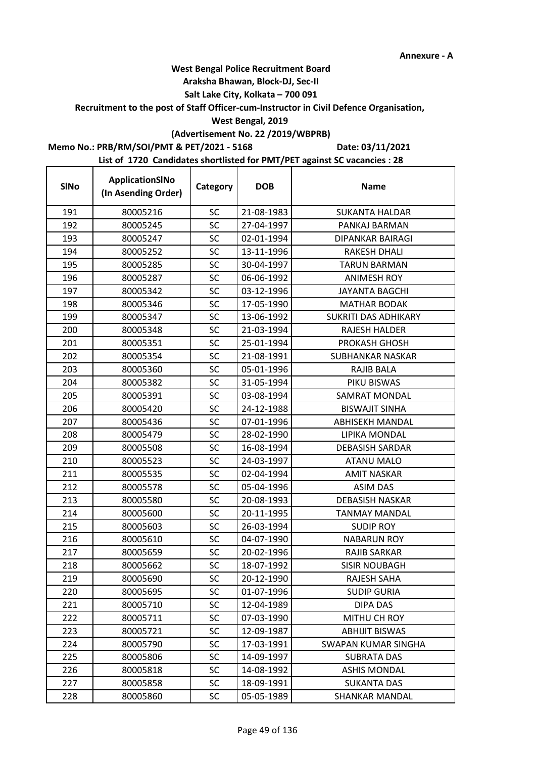### **Araksha Bhawan, Block-DJ, Sec-II**

## **Salt Lake City, Kolkata – 700 091**

### **Recruitment to the post of Staff Officer-cum-Instructor in Civil Defence Organisation,**

## **West Bengal, 2019**

# **(Advertisement No. 22 /2019/WBPRB)**

## **Memo No.: PRB/RM/SOI/PMT & PET/2021 - 5168**

**Date: 03/11/2021**

| <b>SINo</b> | ApplicationSINo<br>(In Asending Order) | Category  | <b>DOB</b> | <b>Name</b>                 |
|-------------|----------------------------------------|-----------|------------|-----------------------------|
| 191         | 80005216                               | <b>SC</b> | 21-08-1983 | <b>SUKANTA HALDAR</b>       |
| 192         | 80005245                               | SC        | 27-04-1997 | PANKAJ BARMAN               |
| 193         | 80005247                               | <b>SC</b> | 02-01-1994 | DIPANKAR BAIRAGI            |
| 194         | 80005252                               | <b>SC</b> | 13-11-1996 | <b>RAKESH DHALI</b>         |
| 195         | 80005285                               | <b>SC</b> | 30-04-1997 | <b>TARUN BARMAN</b>         |
| 196         | 80005287                               | SC        | 06-06-1992 | <b>ANIMESH ROY</b>          |
| 197         | 80005342                               | <b>SC</b> | 03-12-1996 | <b>JAYANTA BAGCHI</b>       |
| 198         | 80005346                               | <b>SC</b> | 17-05-1990 | <b>MATHAR BODAK</b>         |
| 199         | 80005347                               | SC        | 13-06-1992 | <b>SUKRITI DAS ADHIKARY</b> |
| 200         | 80005348                               | <b>SC</b> | 21-03-1994 | <b>RAJESH HALDER</b>        |
| 201         | 80005351                               | SC        | 25-01-1994 | PROKASH GHOSH               |
| 202         | 80005354                               | <b>SC</b> | 21-08-1991 | <b>SUBHANKAR NASKAR</b>     |
| 203         | 80005360                               | SC        | 05-01-1996 | RAJIB BALA                  |
| 204         | 80005382                               | <b>SC</b> | 31-05-1994 | PIKU BISWAS                 |
| 205         | 80005391                               | <b>SC</b> | 03-08-1994 | <b>SAMRAT MONDAL</b>        |
| 206         | 80005420                               | SC        | 24-12-1988 | <b>BISWAJIT SINHA</b>       |
| 207         | 80005436                               | <b>SC</b> | 07-01-1996 | <b>ABHISEKH MANDAL</b>      |
| 208         | 80005479                               | SC        | 28-02-1990 | LIPIKA MONDAL               |
| 209         | 80005508                               | <b>SC</b> | 16-08-1994 | <b>DEBASISH SARDAR</b>      |
| 210         | 80005523                               | <b>SC</b> | 24-03-1997 | <b>ATANU MALO</b>           |
| 211         | 80005535                               | SC        | 02-04-1994 | <b>AMIT NASKAR</b>          |
| 212         | 80005578                               | SC        | 05-04-1996 | <b>ASIM DAS</b>             |
| 213         | 80005580                               | SC        | 20-08-1993 | <b>DEBASISH NASKAR</b>      |
| 214         | 80005600                               | <b>SC</b> | 20-11-1995 | <b>TANMAY MANDAL</b>        |
| 215         | 80005603                               | SC        | 26-03-1994 | <b>SUDIP ROY</b>            |
| 216         | 80005610                               | SC        | 04-07-1990 | <b>NABARUN ROY</b>          |
| 217         | 80005659                               | <b>SC</b> | 20-02-1996 | <b>RAJIB SARKAR</b>         |
| 218         | 80005662                               | SC        | 18-07-1992 | SISIR NOUBAGH               |
| 219         | 80005690                               | SC        | 20-12-1990 | RAJESH SAHA                 |
| 220         | 80005695                               | <b>SC</b> | 01-07-1996 | <b>SUDIP GURIA</b>          |
| 221         | 80005710                               | <b>SC</b> | 12-04-1989 | DIPA DAS                    |
| 222         | 80005711                               | <b>SC</b> | 07-03-1990 | MITHU CH ROY                |
| 223         | 80005721                               | SC        | 12-09-1987 | <b>ABHIJIT BISWAS</b>       |
| 224         | 80005790                               | <b>SC</b> | 17-03-1991 | SWAPAN KUMAR SINGHA         |
| 225         | 80005806                               | SC        | 14-09-1997 | <b>SUBRATA DAS</b>          |
| 226         | 80005818                               | SC        | 14-08-1992 | <b>ASHIS MONDAL</b>         |
| 227         | 80005858                               | SC        | 18-09-1991 | <b>SUKANTA DAS</b>          |
| 228         | 80005860                               | <b>SC</b> | 05-05-1989 | <b>SHANKAR MANDAL</b>       |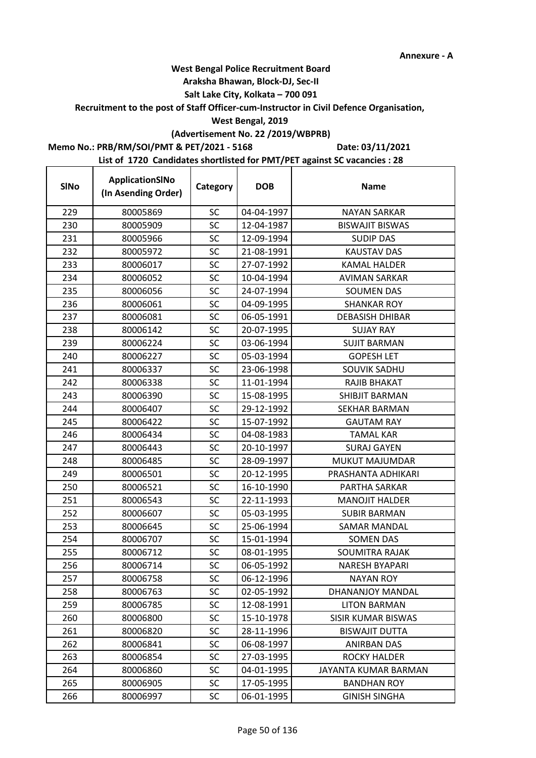### **Araksha Bhawan, Block-DJ, Sec-II**

## **Salt Lake City, Kolkata – 700 091**

**Recruitment to the post of Staff Officer-cum-Instructor in Civil Defence Organisation,** 

## **West Bengal, 2019**

# **(Advertisement No. 22 /2019/WBPRB)**

**Memo No.: PRB/RM/SOI/PMT & PET/2021 - 5168**

r

**Date: 03/11/2021**

| <b>SINo</b> | ApplicationSINo<br>(In Asending Order) | Category  | <b>DOB</b> | <b>Name</b>               |
|-------------|----------------------------------------|-----------|------------|---------------------------|
| 229         | 80005869                               | SC        | 04-04-1997 | <b>NAYAN SARKAR</b>       |
| 230         | 80005909                               | SC        | 12-04-1987 | <b>BISWAJIT BISWAS</b>    |
| 231         | 80005966                               | SC        | 12-09-1994 | <b>SUDIP DAS</b>          |
| 232         | 80005972                               | SC        | 21-08-1991 | <b>KAUSTAV DAS</b>        |
| 233         | 80006017                               | SC        | 27-07-1992 | <b>KAMAL HALDER</b>       |
| 234         | 80006052                               | SC        | 10-04-1994 | <b>AVIMAN SARKAR</b>      |
| 235         | 80006056                               | SC        | 24-07-1994 | <b>SOUMEN DAS</b>         |
| 236         | 80006061                               | SC        | 04-09-1995 | <b>SHANKAR ROY</b>        |
| 237         | 80006081                               | SC        | 06-05-1991 | <b>DEBASISH DHIBAR</b>    |
| 238         | 80006142                               | SC        | 20-07-1995 | <b>SUJAY RAY</b>          |
| 239         | 80006224                               | SC        | 03-06-1994 | <b>SUJIT BARMAN</b>       |
| 240         | 80006227                               | SC        | 05-03-1994 | <b>GOPESH LET</b>         |
| 241         | 80006337                               | SC        | 23-06-1998 | <b>SOUVIK SADHU</b>       |
| 242         | 80006338                               | SC        | 11-01-1994 | RAJIB BHAKAT              |
| 243         | 80006390                               | SC        | 15-08-1995 | SHIBJIT BARMAN            |
| 244         | 80006407                               | SC        | 29-12-1992 | SEKHAR BARMAN             |
| 245         | 80006422                               | SC        | 15-07-1992 | <b>GAUTAM RAY</b>         |
| 246         | 80006434                               | SC        | 04-08-1983 | <b>TAMAL KAR</b>          |
| 247         | 80006443                               | SC        | 20-10-1997 | <b>SURAJ GAYEN</b>        |
| 248         | 80006485                               | <b>SC</b> | 28-09-1997 | MUKUT MAJUMDAR            |
| 249         | 80006501                               | SC        | 20-12-1995 | PRASHANTA ADHIKARI        |
| 250         | 80006521                               | SC        | 16-10-1990 | PARTHA SARKAR             |
| 251         | 80006543                               | SC        | 22-11-1993 | <b>MANOJIT HALDER</b>     |
| 252         | 80006607                               | SC        | 05-03-1995 | <b>SUBIR BARMAN</b>       |
| 253         | 80006645                               | SC        | 25-06-1994 | <b>SAMAR MANDAL</b>       |
| 254         | 80006707                               | <b>SC</b> | 15-01-1994 | <b>SOMEN DAS</b>          |
| 255         | 80006712                               | SC        | 08-01-1995 | SOUMITRA RAJAK            |
| 256         | 80006714                               | SC        | 06-05-1992 | <b>NARESH BYAPARI</b>     |
| 257         | 80006758                               | SC        | 06-12-1996 | NAYAN ROY                 |
| 258         | 80006763                               | <b>SC</b> | 02-05-1992 | <b>DHANANJOY MANDAL</b>   |
| 259         | 80006785                               | SC        | 12-08-1991 | <b>LITON BARMAN</b>       |
| 260         | 80006800                               | SC        | 15-10-1978 | <b>SISIR KUMAR BISWAS</b> |
| 261         | 80006820                               | <b>SC</b> | 28-11-1996 | <b>BISWAJIT DUTTA</b>     |
| 262         | 80006841                               | SC        | 06-08-1997 | <b>ANIRBAN DAS</b>        |
| 263         | 80006854                               | <b>SC</b> | 27-03-1995 | <b>ROCKY HALDER</b>       |
| 264         | 80006860                               | SC        | 04-01-1995 | JAYANTA KUMAR BARMAN      |
| 265         | 80006905                               | SC        | 17-05-1995 | <b>BANDHAN ROY</b>        |
| 266         | 80006997                               | <b>SC</b> | 06-01-1995 | <b>GINISH SINGHA</b>      |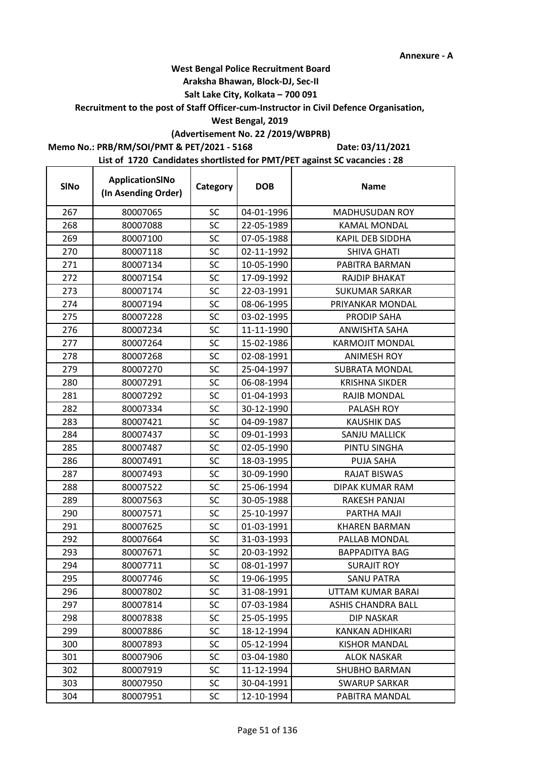### **Araksha Bhawan, Block-DJ, Sec-II**

## **Salt Lake City, Kolkata – 700 091**

### **Recruitment to the post of Staff Officer-cum-Instructor in Civil Defence Organisation,**

### **West Bengal, 2019**

## **(Advertisement No. 22 /2019/WBPRB)**

## **Memo No.: PRB/RM/SOI/PMT & PET/2021 - 5168**

**Date: 03/11/2021**

| <b>SINo</b> | ApplicationSINo<br>(In Asending Order) | Category  | <b>DOB</b> | <b>Name</b>             |
|-------------|----------------------------------------|-----------|------------|-------------------------|
| 267         | 80007065                               | <b>SC</b> | 04-01-1996 | <b>MADHUSUDAN ROY</b>   |
| 268         | 80007088                               | SC        | 22-05-1989 | <b>KAMAL MONDAL</b>     |
| 269         | 80007100                               | <b>SC</b> | 07-05-1988 | <b>KAPIL DEB SIDDHA</b> |
| 270         | 80007118                               | SC        | 02-11-1992 | <b>SHIVA GHATI</b>      |
| 271         | 80007134                               | <b>SC</b> | 10-05-1990 | PABITRA BARMAN          |
| 272         | 80007154                               | SC        | 17-09-1992 | RAJDIP BHAKAT           |
| 273         | 80007174                               | <b>SC</b> | 22-03-1991 | <b>SUKUMAR SARKAR</b>   |
| 274         | 80007194                               | <b>SC</b> | 08-06-1995 | PRIYANKAR MONDAL        |
| 275         | 80007228                               | SC        | 03-02-1995 | PRODIP SAHA             |
| 276         | 80007234                               | <b>SC</b> | 11-11-1990 | ANWISHTA SAHA           |
| 277         | 80007264                               | SC        | 15-02-1986 | <b>KARMOJIT MONDAL</b>  |
| 278         | 80007268                               | <b>SC</b> | 02-08-1991 | <b>ANIMESH ROY</b>      |
| 279         | 80007270                               | <b>SC</b> | 25-04-1997 | <b>SUBRATA MONDAL</b>   |
| 280         | 80007291                               | SC        | 06-08-1994 | <b>KRISHNA SIKDER</b>   |
| 281         | 80007292                               | <b>SC</b> | 01-04-1993 | RAJIB MONDAL            |
| 282         | 80007334                               | SC        | 30-12-1990 | PALASH ROY              |
| 283         | 80007421                               | <b>SC</b> | 04-09-1987 | <b>KAUSHIK DAS</b>      |
| 284         | 80007437                               | SC        | 09-01-1993 | SANJU MALLICK           |
| 285         | 80007487                               | <b>SC</b> | 02-05-1990 | PINTU SINGHA            |
| 286         | 80007491                               | <b>SC</b> | 18-03-1995 | <b>PUJA SAHA</b>        |
| 287         | 80007493                               | <b>SC</b> | 30-09-1990 | <b>RAJAT BISWAS</b>     |
| 288         | 80007522                               | <b>SC</b> | 25-06-1994 | DIPAK KUMAR RAM         |
| 289         | 80007563                               | SC        | 30-05-1988 | <b>RAKESH PANJAI</b>    |
| 290         | 80007571                               | <b>SC</b> | 25-10-1997 | PARTHA MAJI             |
| 291         | 80007625                               | <b>SC</b> | 01-03-1991 | <b>KHAREN BARMAN</b>    |
| 292         | 80007664                               | <b>SC</b> | 31-03-1993 | PALLAB MONDAL           |
| 293         | 80007671                               | <b>SC</b> | 20-03-1992 | <b>BAPPADITYA BAG</b>   |
| 294         | 80007711                               | <b>SC</b> | 08-01-1997 | <b>SURAJIT ROY</b>      |
| 295         | 80007746                               | SC        | 19-06-1995 | SANU PATRA              |
| 296         | 80007802                               | SC        | 31-08-1991 | UTTAM KUMAR BARAI       |
| 297         | 80007814                               | <b>SC</b> | 07-03-1984 | ASHIS CHANDRA BALL      |
| 298         | 80007838                               | <b>SC</b> | 25-05-1995 | <b>DIP NASKAR</b>       |
| 299         | 80007886                               | <b>SC</b> | 18-12-1994 | KANKAN ADHIKARI         |
| 300         | 80007893                               | SC        | 05-12-1994 | <b>KISHOR MANDAL</b>    |
| 301         | 80007906                               | SC        | 03-04-1980 | ALOK NASKAR             |
| 302         | 80007919                               | <b>SC</b> | 11-12-1994 | <b>SHUBHO BARMAN</b>    |
| 303         | 80007950                               | <b>SC</b> | 30-04-1991 | <b>SWARUP SARKAR</b>    |
| 304         | 80007951                               | SC.       | 12-10-1994 | PABITRA MANDAL          |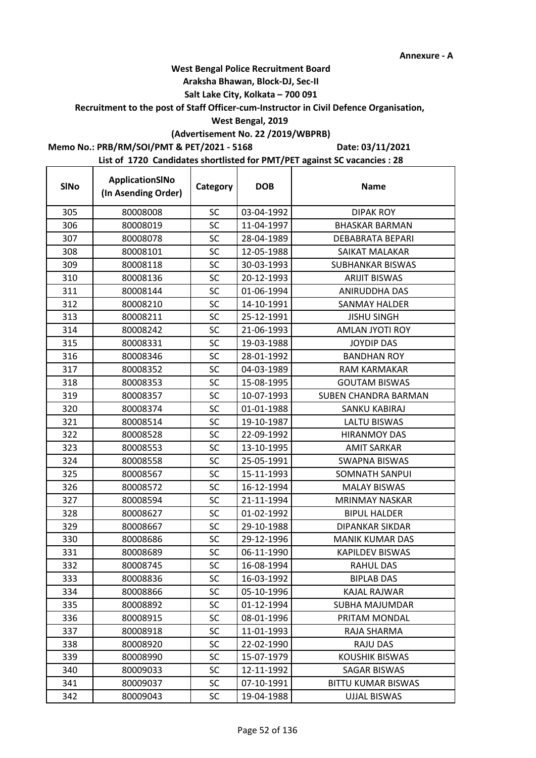## **West Bengal Police Recruitment Board**

### **Araksha Bhawan, Block-DJ, Sec-II**

## **Salt Lake City, Kolkata – 700 091**

### **Recruitment to the post of Staff Officer-cum-Instructor in Civil Defence Organisation,**

## **West Bengal, 2019**

# **(Advertisement No. 22 /2019/WBPRB)**

## **Memo No.: PRB/RM/SOI/PMT & PET/2021 - 5168**

**Date: 03/11/2021**

| <b>SINo</b> | ApplicationSINo<br>(In Asending Order) | Category  | <b>DOB</b> | <b>Name</b>               |
|-------------|----------------------------------------|-----------|------------|---------------------------|
| 305         | 80008008                               | <b>SC</b> | 03-04-1992 | <b>DIPAK ROY</b>          |
| 306         | 80008019                               | SC        | 11-04-1997 | <b>BHASKAR BARMAN</b>     |
| 307         | 80008078                               | SC        | 28-04-1989 | <b>DEBABRATA BEPARI</b>   |
| 308         | 80008101                               | <b>SC</b> | 12-05-1988 | SAIKAT MALAKAR            |
| 309         | 80008118                               | SC        | 30-03-1993 | SUBHANKAR BISWAS          |
| 310         | 80008136                               | SC        | 20-12-1993 | <b>ARIJIT BISWAS</b>      |
| 311         | 80008144                               | SC        | 01-06-1994 | ANIRUDDHA DAS             |
| 312         | 80008210                               | <b>SC</b> | 14-10-1991 | SANMAY HALDER             |
| 313         | 80008211                               | SC        | 25-12-1991 | <b>JISHU SINGH</b>        |
| 314         | 80008242                               | SC        | 21-06-1993 | AMLAN JYOTI ROY           |
| 315         | 80008331                               | SC        | 19-03-1988 | <b>JOYDIP DAS</b>         |
| 316         | 80008346                               | <b>SC</b> | 28-01-1992 | <b>BANDHAN ROY</b>        |
| 317         | 80008352                               | <b>SC</b> | 04-03-1989 | <b>RAM KARMAKAR</b>       |
| 318         | 80008353                               | <b>SC</b> | 15-08-1995 | <b>GOUTAM BISWAS</b>      |
| 319         | 80008357                               | <b>SC</b> | 10-07-1993 | SUBEN CHANDRA BARMAN      |
| 320         | 80008374                               | SC        | 01-01-1988 | SANKU KABIRAJ             |
| 321         | 80008514                               | <b>SC</b> | 19-10-1987 | <b>LALTU BISWAS</b>       |
| 322         | 80008528                               | <b>SC</b> | 22-09-1992 | <b>HIRANMOY DAS</b>       |
| 323         | 80008553                               | SC        | 13-10-1995 | <b>AMIT SARKAR</b>        |
| 324         | 80008558                               | SC        | 25-05-1991 | <b>SWAPNA BISWAS</b>      |
| 325         | 80008567                               | <b>SC</b> | 15-11-1993 | <b>SOMNATH SANPUI</b>     |
| 326         | 80008572                               | <b>SC</b> | 16-12-1994 | <b>MALAY BISWAS</b>       |
| 327         | 80008594                               | SC        | 21-11-1994 | <b>MRINMAY NASKAR</b>     |
| 328         | 80008627                               | SC        | 01-02-1992 | <b>BIPUL HALDER</b>       |
| 329         | 80008667                               | SC        | 29-10-1988 | <b>DIPANKAR SIKDAR</b>    |
| 330         | 80008686                               | SC        | 29-12-1996 | <b>MANIK KUMAR DAS</b>    |
| 331         | 80008689                               | <b>SC</b> | 06-11-1990 | KAPILDEV BISWAS           |
| 332         | 80008745                               | SC        | 16-08-1994 | <b>RAHUL DAS</b>          |
| 333         | 80008836                               | SC        | 16-03-1992 | <b>BIPLAB DAS</b>         |
| 334         | 80008866                               | SC        | 05-10-1996 | KAJAL RAJWAR              |
| 335         | 80008892                               | <b>SC</b> | 01-12-1994 | SUBHA MAJUMDAR            |
| 336         | 80008915                               | <b>SC</b> | 08-01-1996 | PRITAM MONDAL             |
| 337         | 80008918                               | <b>SC</b> | 11-01-1993 | RAJA SHARMA               |
| 338         | 80008920                               | <b>SC</b> | 22-02-1990 | <b>RAJU DAS</b>           |
| 339         | 80008990                               | <b>SC</b> | 15-07-1979 | <b>KOUSHIK BISWAS</b>     |
| 340         | 80009033                               | <b>SC</b> | 12-11-1992 | SAGAR BISWAS              |
| 341         | 80009037                               | <b>SC</b> | 07-10-1991 | <b>BITTU KUMAR BISWAS</b> |
| 342         | 80009043                               | <b>SC</b> | 19-04-1988 | <b>UJJAL BISWAS</b>       |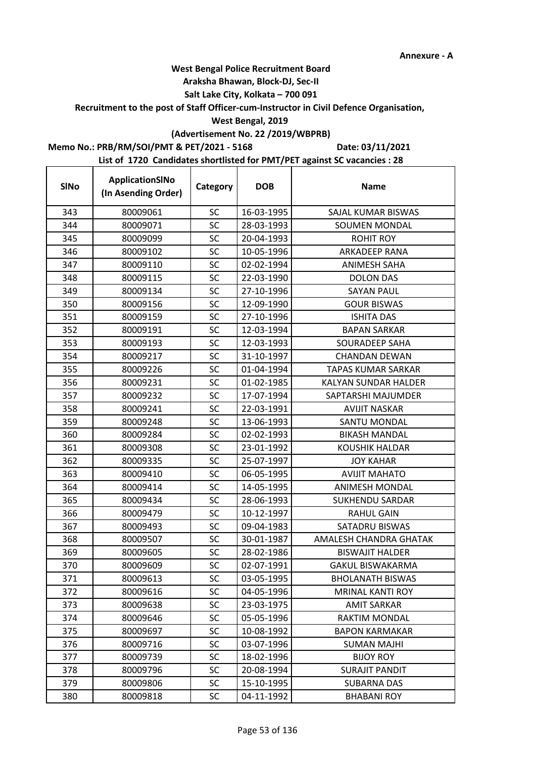## **West Bengal Police Recruitment Board**

### **Araksha Bhawan, Block-DJ, Sec-II**

## **Salt Lake City, Kolkata – 700 091**

## **Recruitment to the post of Staff Officer-cum-Instructor in Civil Defence Organisation,**

## **West Bengal, 2019**

# **(Advertisement No. 22 /2019/WBPRB)**

## **Memo No.: PRB/RM/SOI/PMT & PET/2021 - 5168**

 $\mathbf{r}$ 

**Date: 03/11/2021**

| <b>SINo</b> | ApplicationSINo<br>(In Asending Order) | Category  | <b>DOB</b> | <b>Name</b>                 |
|-------------|----------------------------------------|-----------|------------|-----------------------------|
| 343         | 80009061                               | <b>SC</b> | 16-03-1995 | SAJAL KUMAR BISWAS          |
| 344         | 80009071                               | SC        | 28-03-1993 | <b>SOUMEN MONDAL</b>        |
| 345         | 80009099                               | SC        | 20-04-1993 | <b>ROHIT ROY</b>            |
| 346         | 80009102                               | SC        | 10-05-1996 | ARKADEEP RANA               |
| 347         | 80009110                               | SC        | 02-02-1994 | ANIMESH SAHA                |
| 348         | 80009115                               | <b>SC</b> | 22-03-1990 | <b>DOLON DAS</b>            |
| 349         | 80009134                               | SC        | 27-10-1996 | <b>SAYAN PAUL</b>           |
| 350         | 80009156                               | SC        | 12-09-1990 | <b>GOUR BISWAS</b>          |
| 351         | 80009159                               | <b>SC</b> | 27-10-1996 | <b>ISHITA DAS</b>           |
| 352         | 80009191                               | SC        | 12-03-1994 | <b>BAPAN SARKAR</b>         |
| 353         | 80009193                               | SC        | 12-03-1993 | SOURADEEP SAHA              |
| 354         | 80009217                               | SC        | 31-10-1997 | <b>CHANDAN DEWAN</b>        |
| 355         | 80009226                               | <b>SC</b> | 01-04-1994 | <b>TAPAS KUMAR SARKAR</b>   |
| 356         | 80009231                               | SC        | 01-02-1985 | <b>KALYAN SUNDAR HALDER</b> |
| 357         | 80009232                               | <b>SC</b> | 17-07-1994 | SAPTARSHI MAJUMDER          |
| 358         | 80009241                               | SC        | 22-03-1991 | <b>AVIJIT NASKAR</b>        |
| 359         | 80009248                               | <b>SC</b> | 13-06-1993 | <b>SANTU MONDAL</b>         |
| 360         | 80009284                               | SC        | 02-02-1993 | <b>BIKASH MANDAL</b>        |
| 361         | 80009308                               | SC        | 23-01-1992 | <b>KOUSHIK HALDAR</b>       |
| 362         | 80009335                               | <b>SC</b> | 25-07-1997 | <b>JOY KAHAR</b>            |
| 363         | 80009410                               | <b>SC</b> | 06-05-1995 | <b>AVIJIT MAHATO</b>        |
| 364         | 80009414                               | SC        | 14-05-1995 | <b>ANIMESH MONDAL</b>       |
| 365         | 80009434                               | SC        | 28-06-1993 | <b>SUKHENDU SARDAR</b>      |
| 366         | 80009479                               | SC        | 10-12-1997 | <b>RAHUL GAIN</b>           |
| 367         | 80009493                               | <b>SC</b> | 09-04-1983 | SATADRU BISWAS              |
| 368         | 80009507                               | SC        | 30-01-1987 | AMALESH CHANDRA GHATAK      |
| 369         | 80009605                               | SC        | 28-02-1986 | <b>BISWAJIT HALDER</b>      |
| 370         | 80009609                               | SC        | 02-07-1991 | <b>GAKUL BISWAKARMA</b>     |
| 371         | 80009613                               | SC        | 03-05-1995 | <b>BHOLANATH BISWAS</b>     |
| 372         | 80009616                               | <b>SC</b> | 04-05-1996 | <b>MRINAL KANTI ROY</b>     |
| 373         | 80009638                               | SC        | 23-03-1975 | <b>AMIT SARKAR</b>          |
| 374         | 80009646                               | SC        | 05-05-1996 | <b>RAKTIM MONDAL</b>        |
| 375         | 80009697                               | SC        | 10-08-1992 | <b>BAPON KARMAKAR</b>       |
| 376         | 80009716                               | <b>SC</b> | 03-07-1996 | <b>SUMAN MAJHI</b>          |
| 377         | 80009739                               | SC        | 18-02-1996 | <b>BIJOY ROY</b>            |
| 378         | 80009796                               | SC        | 20-08-1994 | <b>SURAJIT PANDIT</b>       |
| 379         | 80009806                               | <b>SC</b> | 15-10-1995 | <b>SUBARNA DAS</b>          |
| 380         | 80009818                               | SC        | 04-11-1992 | <b>BHABANI ROY</b>          |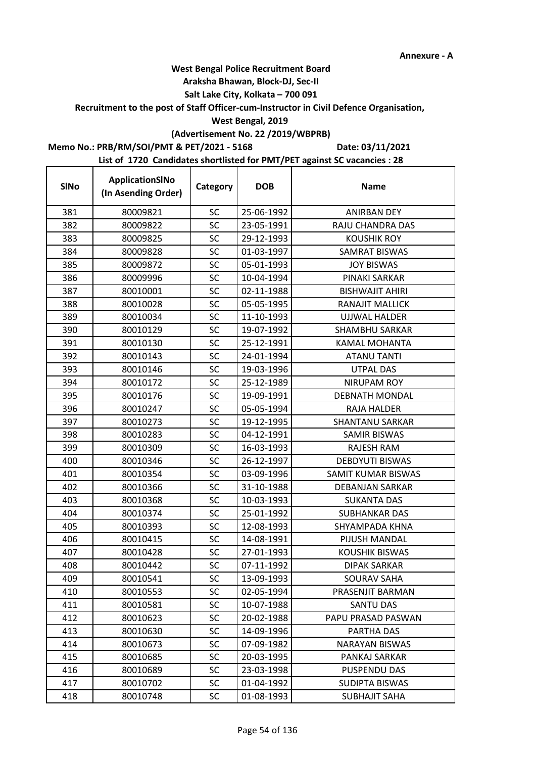### **Araksha Bhawan, Block-DJ, Sec-II**

## **Salt Lake City, Kolkata – 700 091**

**Recruitment to the post of Staff Officer-cum-Instructor in Civil Defence Organisation,** 

## **West Bengal, 2019**

# **(Advertisement No. 22 /2019/WBPRB)**

**Memo No.: PRB/RM/SOI/PMT & PET/2021 - 5168**

r

**Date: 03/11/2021**

| <b>SINo</b> | ApplicationSINo<br>(In Asending Order) | Category  | <b>DOB</b> | <b>Name</b>            |
|-------------|----------------------------------------|-----------|------------|------------------------|
| 381         | 80009821                               | <b>SC</b> | 25-06-1992 | <b>ANIRBAN DEY</b>     |
| 382         | 80009822                               | <b>SC</b> | 23-05-1991 | RAJU CHANDRA DAS       |
| 383         | 80009825                               | <b>SC</b> | 29-12-1993 | <b>KOUSHIK ROY</b>     |
| 384         | 80009828                               | SC        | 01-03-1997 | <b>SAMRAT BISWAS</b>   |
| 385         | 80009872                               | <b>SC</b> | 05-01-1993 | <b>JOY BISWAS</b>      |
| 386         | 80009996                               | SC        | 10-04-1994 | PINAKI SARKAR          |
| 387         | 80010001                               | <b>SC</b> | 02-11-1988 | <b>BISHWAJIT AHIRI</b> |
| 388         | 80010028                               | <b>SC</b> | 05-05-1995 | RANAJIT MALLICK        |
| 389         | 80010034                               | SC        | 11-10-1993 | <b>UJJWAL HALDER</b>   |
| 390         | 80010129                               | <b>SC</b> | 19-07-1992 | <b>SHAMBHU SARKAR</b>  |
| 391         | 80010130                               | SC        | 25-12-1991 | <b>KAMAL MOHANTA</b>   |
| 392         | 80010143                               | SC        | 24-01-1994 | <b>ATANU TANTI</b>     |
| 393         | 80010146                               | <b>SC</b> | 19-03-1996 | <b>UTPAL DAS</b>       |
| 394         | 80010172                               | SC        | 25-12-1989 | <b>NIRUPAM ROY</b>     |
| 395         | 80010176                               | SC        | 19-09-1991 | <b>DEBNATH MONDAL</b>  |
| 396         | 80010247                               | <b>SC</b> | 05-05-1994 | RAJA HALDER            |
| 397         | 80010273                               | SC        | 19-12-1995 | <b>SHANTANU SARKAR</b> |
| 398         | 80010283                               | SC        | 04-12-1991 | <b>SAMIR BISWAS</b>    |
| 399         | 80010309                               | SC        | 16-03-1993 | <b>RAJESH RAM</b>      |
| 400         | 80010346                               | <b>SC</b> | 26-12-1997 | <b>DEBDYUTI BISWAS</b> |
| 401         | 80010354                               | <b>SC</b> | 03-09-1996 | SAMIT KUMAR BISWAS     |
| 402         | 80010366                               | <b>SC</b> | 31-10-1988 | DEBANJAN SARKAR        |
| 403         | 80010368                               | SC        | 10-03-1993 | <b>SUKANTA DAS</b>     |
| 404         | 80010374                               | SC        | 25-01-1992 | SUBHANKAR DAS          |
| 405         | 80010393                               | SC        | 12-08-1993 | SHYAMPADA KHNA         |
| 406         | 80010415                               | <b>SC</b> | 14-08-1991 | PIJUSH MANDAL          |
| 407         | 80010428                               | <b>SC</b> | 27-01-1993 | <b>KOUSHIK BISWAS</b>  |
| 408         | 80010442                               | SC        | 07-11-1992 | <b>DIPAK SARKAR</b>    |
| 409         | 80010541                               | SC        | 13-09-1993 | SOURAV SAHA            |
| 410         | 80010553                               | <b>SC</b> | 02-05-1994 | PRASENJIT BARMAN       |
| 411         | 80010581                               | SC        | 10-07-1988 | SANTU DAS              |
| 412         | 80010623                               | <b>SC</b> | 20-02-1988 | PAPU PRASAD PASWAN     |
| 413         | 80010630                               | SC        | 14-09-1996 | PARTHA DAS             |
| 414         | 80010673                               | SC        | 07-09-1982 | NARAYAN BISWAS         |
| 415         | 80010685                               | <b>SC</b> | 20-03-1995 | PANKAJ SARKAR          |
| 416         | 80010689                               | <b>SC</b> | 23-03-1998 | PUSPENDU DAS           |
| 417         | 80010702                               | SC        | 01-04-1992 | SUDIPTA BISWAS         |
| 418         | 80010748                               | <b>SC</b> | 01-08-1993 | <b>SUBHAJIT SAHA</b>   |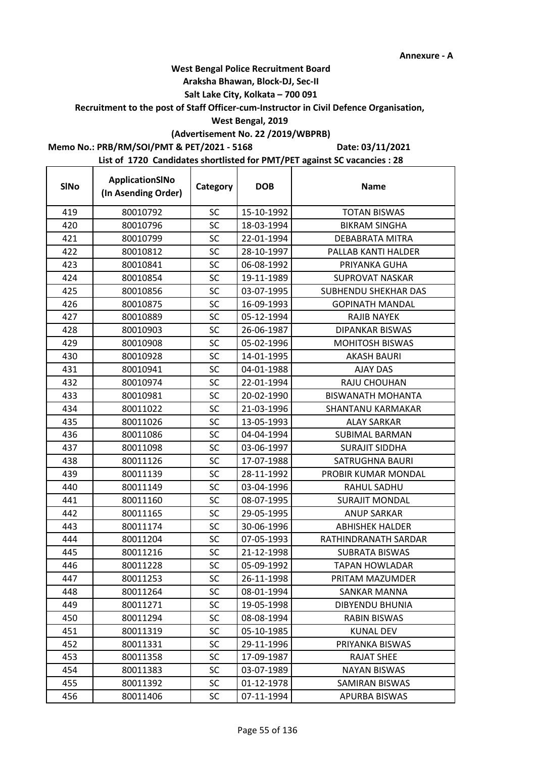## **West Bengal Police Recruitment Board**

## **Araksha Bhawan, Block-DJ, Sec-II**

## **Salt Lake City, Kolkata – 700 091**

### **Recruitment to the post of Staff Officer-cum-Instructor in Civil Defence Organisation,**

## **West Bengal, 2019**

# **(Advertisement No. 22 /2019/WBPRB)**

## **Memo No.: PRB/RM/SOI/PMT & PET/2021 - 5168**

**Date: 03/11/2021**

| <b>SINo</b> | ApplicationSINo<br>(In Asending Order) | Category  | <b>DOB</b> | <b>Name</b>              |
|-------------|----------------------------------------|-----------|------------|--------------------------|
| 419         | 80010792                               | <b>SC</b> | 15-10-1992 | <b>TOTAN BISWAS</b>      |
| 420         | 80010796                               | <b>SC</b> | 18-03-1994 | <b>BIKRAM SINGHA</b>     |
| 421         | 80010799                               | SC        | 22-01-1994 | <b>DEBABRATA MITRA</b>   |
| 422         | 80010812                               | SC        | 28-10-1997 | PALLAB KANTI HALDER      |
| 423         | 80010841                               | <b>SC</b> | 06-08-1992 | PRIYANKA GUHA            |
| 424         | 80010854                               | SC        | 19-11-1989 | <b>SUPROVAT NASKAR</b>   |
| 425         | 80010856                               | <b>SC</b> | 03-07-1995 | SUBHENDU SHEKHAR DAS     |
| 426         | 80010875                               | SC        | 16-09-1993 | <b>GOPINATH MANDAL</b>   |
| 427         | 80010889                               | SC        | 05-12-1994 | RAJIB NAYEK              |
| 428         | 80010903                               | SC        | 26-06-1987 | <b>DIPANKAR BISWAS</b>   |
| 429         | 80010908                               | SC        | 05-02-1996 | <b>MOHITOSH BISWAS</b>   |
| 430         | 80010928                               | SC        | 14-01-1995 | <b>AKASH BAURI</b>       |
| 431         | 80010941                               | <b>SC</b> | 04-01-1988 | <b>AJAY DAS</b>          |
| 432         | 80010974                               | SC        | 22-01-1994 | RAJU CHOUHAN             |
| 433         | 80010981                               | SC        | 20-02-1990 | <b>BISWANATH MOHANTA</b> |
| 434         | 80011022                               | SC        | 21-03-1996 | SHANTANU KARMAKAR        |
| 435         | 80011026                               | SC        | 13-05-1993 | <b>ALAY SARKAR</b>       |
| 436         | 80011086                               | SC        | 04-04-1994 | <b>SUBIMAL BARMAN</b>    |
| 437         | 80011098                               | SC        | 03-06-1997 | <b>SURAJIT SIDDHA</b>    |
| 438         | 80011126                               | <b>SC</b> | 17-07-1988 | SATRUGHNA BAURI          |
| 439         | 80011139                               | SC        | 28-11-1992 | PROBIR KUMAR MONDAL      |
| 440         | 80011149                               | SC        | 03-04-1996 | RAHUL SADHU              |
| 441         | 80011160                               | SC        | 08-07-1995 | <b>SURAJIT MONDAL</b>    |
| 442         | 80011165                               | SC        | 29-05-1995 | <b>ANUP SARKAR</b>       |
| 443         | 80011174                               | SC        | 30-06-1996 | <b>ABHISHEK HALDER</b>   |
| 444         | 80011204                               | <b>SC</b> | 07-05-1993 | RATHINDRANATH SARDAR     |
| 445         | 80011216                               | <b>SC</b> | 21-12-1998 | <b>SUBRATA BISWAS</b>    |
| 446         | 80011228                               | SC        | 05-09-1992 | TAPAN HOWLADAR           |
| 447         | 80011253                               | SC        | 26-11-1998 | PRITAM MAZUMDER          |
| 448         | 80011264                               | <b>SC</b> | 08-01-1994 | <b>SANKAR MANNA</b>      |
| 449         | 80011271                               | <b>SC</b> | 19-05-1998 | <b>DIBYENDU BHUNIA</b>   |
| 450         | 80011294                               | <b>SC</b> | 08-08-1994 | <b>RABIN BISWAS</b>      |
| 451         | 80011319                               | SC        | 05-10-1985 | <b>KUNAL DEV</b>         |
| 452         | 80011331                               | SC        | 29-11-1996 | PRIYANKA BISWAS          |
| 453         | 80011358                               | SC        | 17-09-1987 | <b>RAJAT SHEE</b>        |
| 454         | 80011383                               | SC        | 03-07-1989 | <b>NAYAN BISWAS</b>      |
| 455         | 80011392                               | SC        | 01-12-1978 | SAMIRAN BISWAS           |
| 456         | 80011406                               | <b>SC</b> | 07-11-1994 | APURBA BISWAS            |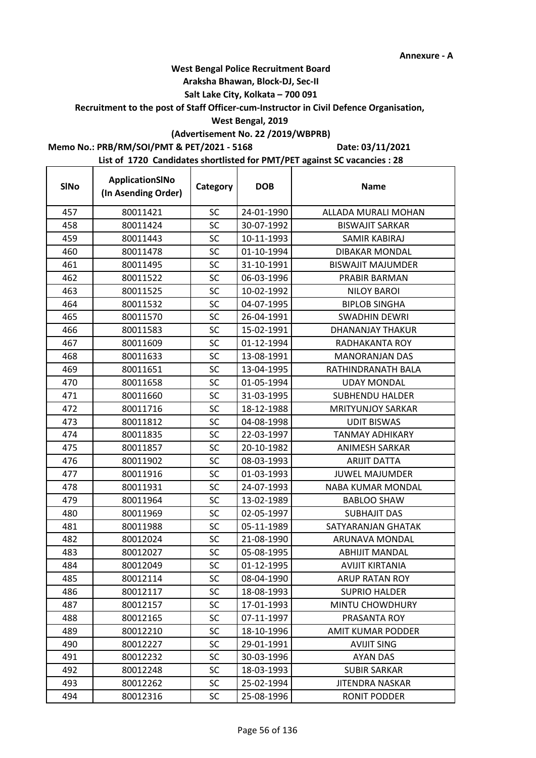## **Araksha Bhawan, Block-DJ, Sec-II**

## **Salt Lake City, Kolkata – 700 091**

### **Recruitment to the post of Staff Officer-cum-Instructor in Civil Defence Organisation,**

## **West Bengal, 2019**

# **(Advertisement No. 22 /2019/WBPRB)**

## **Memo No.: PRB/RM/SOI/PMT & PET/2021 - 5168**

**Date: 03/11/2021**

| <b>SINo</b> | ApplicationSINo<br>(In Asending Order) | Category  | <b>DOB</b> | <b>Name</b>              |
|-------------|----------------------------------------|-----------|------------|--------------------------|
| 457         | 80011421                               | SC        | 24-01-1990 | ALLADA MURALI MOHAN      |
| 458         | 80011424                               | SC        | 30-07-1992 | <b>BISWAJIT SARKAR</b>   |
| 459         | 80011443                               | <b>SC</b> | 10-11-1993 | SAMIR KABIRAJ            |
| 460         | 80011478                               | SC        | 01-10-1994 | <b>DIBAKAR MONDAL</b>    |
| 461         | 80011495                               | SC        | 31-10-1991 | <b>BISWAJIT MAJUMDER</b> |
| 462         | 80011522                               | SC        | 06-03-1996 | PRABIR BARMAN            |
| 463         | 80011525                               | <b>SC</b> | 10-02-1992 | <b>NILOY BAROI</b>       |
| 464         | 80011532                               | SC        | 04-07-1995 | <b>BIPLOB SINGHA</b>     |
| 465         | 80011570                               | SC        | 26-04-1991 | <b>SWADHIN DEWRI</b>     |
| 466         | 80011583                               | <b>SC</b> | 15-02-1991 | DHANANJAY THAKUR         |
| 467         | 80011609                               | SC        | 01-12-1994 | RADHAKANTA ROY           |
| 468         | 80011633                               | SC        | 13-08-1991 | <b>MANORANJAN DAS</b>    |
| 469         | 80011651                               | SC        | 13-04-1995 | RATHINDRANATH BALA       |
| 470         | 80011658                               | SC        | 01-05-1994 | <b>UDAY MONDAL</b>       |
| 471         | 80011660                               | SC        | 31-03-1995 | <b>SUBHENDU HALDER</b>   |
| 472         | 80011716                               | <b>SC</b> | 18-12-1988 | <b>MRITYUNJOY SARKAR</b> |
| 473         | 80011812                               | SC        | 04-08-1998 | <b>UDIT BISWAS</b>       |
| 474         | 80011835                               | SC        | 22-03-1997 | <b>TANMAY ADHIKARY</b>   |
| 475         | 80011857                               | <b>SC</b> | 20-10-1982 | <b>ANIMESH SARKAR</b>    |
| 476         | 80011902                               | SC        | 08-03-1993 | <b>ARIJIT DATTA</b>      |
| 477         | 80011916                               | SC        | 01-03-1993 | <b>JUWEL MAJUMDER</b>    |
| 478         | 80011931                               | <b>SC</b> | 24-07-1993 | NABA KUMAR MONDAL        |
| 479         | 80011964                               | SC        | 13-02-1989 | <b>BABLOO SHAW</b>       |
| 480         | 80011969                               | SC        | 02-05-1997 | <b>SUBHAJIT DAS</b>      |
| 481         | 80011988                               | SC        | 05-11-1989 | SATYARANJAN GHATAK       |
| 482         | 80012024                               | <b>SC</b> | 21-08-1990 | ARUNAVA MONDAL           |
| 483         | 80012027                               | SC        | 05-08-1995 | <b>ABHIJIT MANDAL</b>    |
| 484         | 80012049                               | <b>SC</b> | 01-12-1995 | AVIJIT KIRTANIA          |
| 485         | 80012114                               | SC        | 08-04-1990 | ARUP RATAN ROY           |
| 486         | 80012117                               | SC        | 18-08-1993 | <b>SUPRIO HALDER</b>     |
| 487         | 80012157                               | <b>SC</b> | 17-01-1993 | MINTU CHOWDHURY          |
| 488         | 80012165                               | <b>SC</b> | 07-11-1997 | PRASANTA ROY             |
| 489         | 80012210                               | <b>SC</b> | 18-10-1996 | <b>AMIT KUMAR PODDER</b> |
| 490         | 80012227                               | SC        | 29-01-1991 | <b>AVIJIT SING</b>       |
| 491         | 80012232                               | <b>SC</b> | 30-03-1996 | <b>AYAN DAS</b>          |
| 492         | 80012248                               | <b>SC</b> | 18-03-1993 | <b>SUBIR SARKAR</b>      |
| 493         | 80012262                               | <b>SC</b> | 25-02-1994 | <b>JITENDRA NASKAR</b>   |
| 494         | 80012316                               | <b>SC</b> | 25-08-1996 | <b>RONIT PODDER</b>      |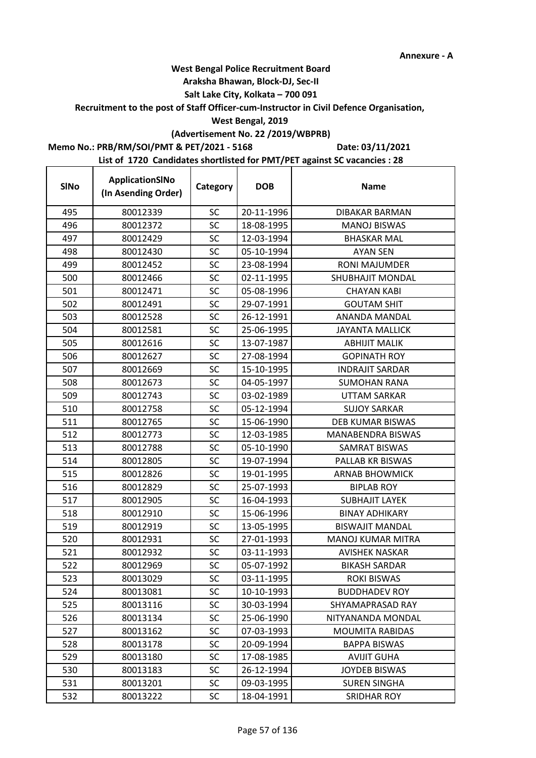## **West Bengal Police Recruitment Board**

## **Araksha Bhawan, Block-DJ, Sec-II**

## **Salt Lake City, Kolkata – 700 091**

## **Recruitment to the post of Staff Officer-cum-Instructor in Civil Defence Organisation,**

## **West Bengal, 2019**

# **(Advertisement No. 22 /2019/WBPRB)**

## **Memo No.: PRB/RM/SOI/PMT & PET/2021 - 5168**

 $\mathbf{r}$ 

**Date: 03/11/2021**

| <b>SINo</b> | ApplicationSINo<br>(In Asending Order) | Category  | <b>DOB</b> | <b>Name</b>              |
|-------------|----------------------------------------|-----------|------------|--------------------------|
| 495         | 80012339                               | <b>SC</b> | 20-11-1996 | <b>DIBAKAR BARMAN</b>    |
| 496         | 80012372                               | SC        | 18-08-1995 | <b>MANOJ BISWAS</b>      |
| 497         | 80012429                               | <b>SC</b> | 12-03-1994 | <b>BHASKAR MAL</b>       |
| 498         | 80012430                               | <b>SC</b> | 05-10-1994 | <b>AYAN SEN</b>          |
| 499         | 80012452                               | SC        | 23-08-1994 | <b>RONI MAJUMDER</b>     |
| 500         | 80012466                               | SC        | 02-11-1995 | <b>SHUBHAJIT MONDAL</b>  |
| 501         | 80012471                               | SC        | 05-08-1996 | <b>CHAYAN KABI</b>       |
| 502         | 80012491                               | <b>SC</b> | 29-07-1991 | <b>GOUTAM SHIT</b>       |
| 503         | 80012528                               | <b>SC</b> | 26-12-1991 | ANANDA MANDAL            |
| 504         | 80012581                               | <b>SC</b> | 25-06-1995 | <b>JAYANTA MALLICK</b>   |
| 505         | 80012616                               | SC        | 13-07-1987 | <b>ABHIJIT MALIK</b>     |
| 506         | 80012627                               | SC        | 27-08-1994 | <b>GOPINATH ROY</b>      |
| 507         | 80012669                               | SC        | 15-10-1995 | <b>INDRAJIT SARDAR</b>   |
| 508         | 80012673                               | <b>SC</b> | 04-05-1997 | <b>SUMOHAN RANA</b>      |
| 509         | 80012743                               | <b>SC</b> | 03-02-1989 | <b>UTTAM SARKAR</b>      |
| 510         | 80012758                               | SC        | 05-12-1994 | <b>SUJOY SARKAR</b>      |
| 511         | 80012765                               | <b>SC</b> | 15-06-1990 | <b>DEB KUMAR BISWAS</b>  |
| 512         | 80012773                               | SC        | 12-03-1985 | MANABENDRA BISWAS        |
| 513         | 80012788                               | SC        | 05-10-1990 | <b>SAMRAT BISWAS</b>     |
| 514         | 80012805                               | <b>SC</b> | 19-07-1994 | PALLAB KR BISWAS         |
| 515         | 80012826                               | SC        | 19-01-1995 | <b>ARNAB BHOWMICK</b>    |
| 516         | 80012829                               | SC        | 25-07-1993 | <b>BIPLAB ROY</b>        |
| 517         | 80012905                               | SC        | 16-04-1993 | <b>SUBHAJIT LAYEK</b>    |
| 518         | 80012910                               | SC        | 15-06-1996 | <b>BINAY ADHIKARY</b>    |
| 519         | 80012919                               | SC        | 13-05-1995 | <b>BISWAJIT MANDAL</b>   |
| 520         | 80012931                               | <b>SC</b> | 27-01-1993 | <b>MANOJ KUMAR MITRA</b> |
| 521         | 80012932                               | <b>SC</b> | 03-11-1993 | <b>AVISHEK NASKAR</b>    |
| 522         | 80012969                               | SC        | 05-07-1992 | <b>BIKASH SARDAR</b>     |
| 523         | 80013029                               | SC        | 03-11-1995 | <b>ROKI BISWAS</b>       |
| 524         | 80013081                               | SC        | 10-10-1993 | <b>BUDDHADEV ROY</b>     |
| 525         | 80013116                               | SC        | 30-03-1994 | SHYAMAPRASAD RAY         |
| 526         | 80013134                               | SC        | 25-06-1990 | NITYANANDA MONDAL        |
| 527         | 80013162                               | SC        | 07-03-1993 | <b>MOUMITA RABIDAS</b>   |
| 528         | 80013178                               | <b>SC</b> | 20-09-1994 | <b>BAPPA BISWAS</b>      |
| 529         | 80013180                               | SC        | 17-08-1985 | <b>AVIJIT GUHA</b>       |
| 530         | 80013183                               | <b>SC</b> | 26-12-1994 | <b>JOYDEB BISWAS</b>     |
| 531         | 80013201                               | <b>SC</b> | 09-03-1995 | <b>SUREN SINGHA</b>      |
| 532         | 80013222                               | SC        | 18-04-1991 | <b>SRIDHAR ROY</b>       |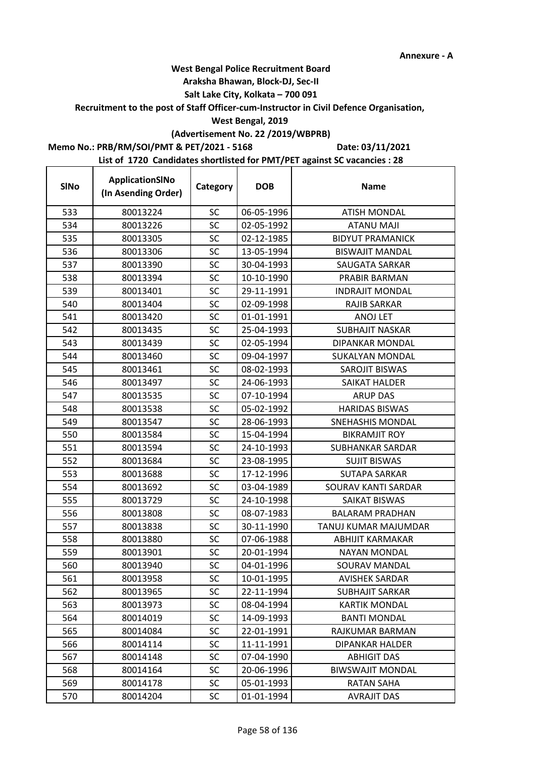## **West Bengal Police Recruitment Board**

## **Araksha Bhawan, Block-DJ, Sec-II**

## **Salt Lake City, Kolkata – 700 091**

## **Recruitment to the post of Staff Officer-cum-Instructor in Civil Defence Organisation,**

## **West Bengal, 2019**

# **(Advertisement No. 22 /2019/WBPRB)**

## **Memo No.: PRB/RM/SOI/PMT & PET/2021 - 5168**

 $\mathbf{r}$ 

**Date: 03/11/2021**

| <b>SINo</b> | ApplicationSINo<br>(In Asending Order) | Category  | <b>DOB</b> | <b>Name</b>             |
|-------------|----------------------------------------|-----------|------------|-------------------------|
| 533         | 80013224                               | <b>SC</b> | 06-05-1996 | <b>ATISH MONDAL</b>     |
| 534         | 80013226                               | <b>SC</b> | 02-05-1992 | <b>ATANU MAJI</b>       |
| 535         | 80013305                               | <b>SC</b> | 02-12-1985 | <b>BIDYUT PRAMANICK</b> |
| 536         | 80013306                               | SC        | 13-05-1994 | <b>BISWAJIT MANDAL</b>  |
| 537         | 80013390                               | <b>SC</b> | 30-04-1993 | SAUGATA SARKAR          |
| 538         | 80013394                               | SC        | 10-10-1990 | PRABIR BARMAN           |
| 539         | 80013401                               | <b>SC</b> | 29-11-1991 | <b>INDRAJIT MONDAL</b>  |
| 540         | 80013404                               | <b>SC</b> | 02-09-1998 | <b>RAJIB SARKAR</b>     |
| 541         | 80013420                               | SC        | 01-01-1991 | <b>ANOJ LET</b>         |
| 542         | 80013435                               | <b>SC</b> | 25-04-1993 | <b>SUBHAJIT NASKAR</b>  |
| 543         | 80013439                               | SC        | 02-05-1994 | DIPANKAR MONDAL         |
| 544         | 80013460                               | SC        | 09-04-1997 | <b>SUKALYAN MONDAL</b>  |
| 545         | 80013461                               | <b>SC</b> | 08-02-1993 | SAROJIT BISWAS          |
| 546         | 80013497                               | SC        | 24-06-1993 | <b>SAIKAT HALDER</b>    |
| 547         | 80013535                               | SC        | 07-10-1994 | <b>ARUP DAS</b>         |
| 548         | 80013538                               | <b>SC</b> | 05-02-1992 | <b>HARIDAS BISWAS</b>   |
| 549         | 80013547                               | SC        | 28-06-1993 | <b>SNEHASHIS MONDAL</b> |
| 550         | 80013584                               | SC        | 15-04-1994 | <b>BIKRAMJIT ROY</b>    |
| 551         | 80013594                               | SC        | 24-10-1993 | SUBHANKAR SARDAR        |
| 552         | 80013684                               | <b>SC</b> | 23-08-1995 | <b>SUJIT BISWAS</b>     |
| 553         | 80013688                               | <b>SC</b> | 17-12-1996 | <b>SUTAPA SARKAR</b>    |
| 554         | 80013692                               | <b>SC</b> | 03-04-1989 | SOURAV KANTI SARDAR     |
| 555         | 80013729                               | SC        | 24-10-1998 | SAIKAT BISWAS           |
| 556         | 80013808                               | SC        | 08-07-1983 | <b>BALARAM PRADHAN</b>  |
| 557         | 80013838                               | SC        | 30-11-1990 | TANUJ KUMAR MAJUMDAR    |
| 558         | 80013880                               | <b>SC</b> | 07-06-1988 | ABHIJIT KARMAKAR        |
| 559         | 80013901                               | <b>SC</b> | 20-01-1994 | <b>NAYAN MONDAL</b>     |
| 560         | 80013940                               | SC        | 04-01-1996 | SOURAV MANDAL           |
| 561         | 80013958                               | SC        | 10-01-1995 | AVISHEK SARDAR          |
| 562         | 80013965                               | SC        | 22-11-1994 | <b>SUBHAJIT SARKAR</b>  |
| 563         | 80013973                               | SC        | 08-04-1994 | <b>KARTIK MONDAL</b>    |
| 564         | 80014019                               | <b>SC</b> | 14-09-1993 | <b>BANTI MONDAL</b>     |
| 565         | 80014084                               | <b>SC</b> | 22-01-1991 | RAJKUMAR BARMAN         |
| 566         | 80014114                               | SC        | 11-11-1991 | <b>DIPANKAR HALDER</b>  |
| 567         | 80014148                               | SC        | 07-04-1990 | <b>ABHIGIT DAS</b>      |
| 568         | 80014164                               | <b>SC</b> | 20-06-1996 | <b>BIWSWAJIT MONDAL</b> |
| 569         | 80014178                               | SC        | 05-01-1993 | <b>RATAN SAHA</b>       |
| 570         | 80014204                               | <b>SC</b> | 01-01-1994 | <b>AVRAJIT DAS</b>      |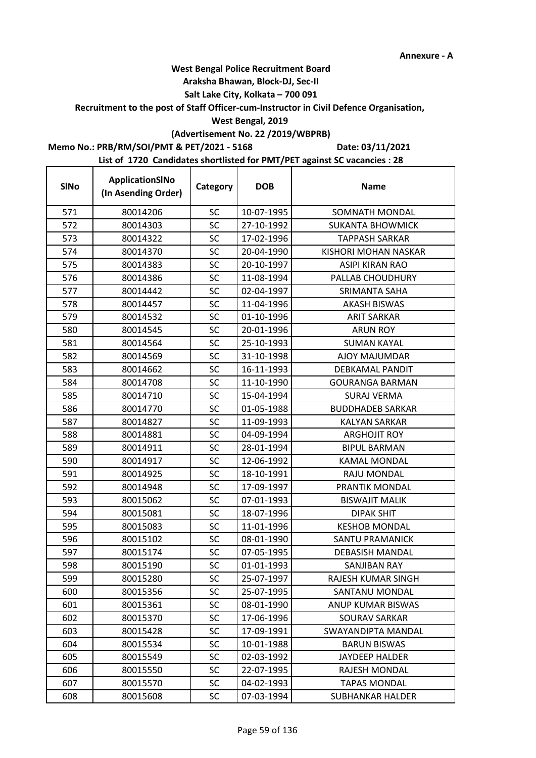## **West Bengal Police Recruitment Board**

## **Araksha Bhawan, Block-DJ, Sec-II**

## **Salt Lake City, Kolkata – 700 091**

### **Recruitment to the post of Staff Officer-cum-Instructor in Civil Defence Organisation,**

## **West Bengal, 2019**

# **(Advertisement No. 22 /2019/WBPRB)**

## **Memo No.: PRB/RM/SOI/PMT & PET/2021 - 5168**

**Date: 03/11/2021**

| <b>SINo</b> | ApplicationSINo<br>(In Asending Order) | Category  | <b>DOB</b> | <b>Name</b>             |
|-------------|----------------------------------------|-----------|------------|-------------------------|
| 571         | 80014206                               | <b>SC</b> | 10-07-1995 | SOMNATH MONDAL          |
| 572         | 80014303                               | SC        | 27-10-1992 | <b>SUKANTA BHOWMICK</b> |
| 573         | 80014322                               | SC        | 17-02-1996 | <b>TAPPASH SARKAR</b>   |
| 574         | 80014370                               | <b>SC</b> | 20-04-1990 | KISHORI MOHAN NASKAR    |
| 575         | 80014383                               | SC        | 20-10-1997 | <b>ASIPI KIRAN RAO</b>  |
| 576         | 80014386                               | SC        | 11-08-1994 | PALLAB CHOUDHURY        |
| 577         | 80014442                               | SC        | 02-04-1997 | SRIMANTA SAHA           |
| 578         | 80014457                               | <b>SC</b> | 11-04-1996 | <b>AKASH BISWAS</b>     |
| 579         | 80014532                               | SC        | 01-10-1996 | <b>ARIT SARKAR</b>      |
| 580         | 80014545                               | SC        | 20-01-1996 | <b>ARUN ROY</b>         |
| 581         | 80014564                               | SC        | 25-10-1993 | <b>SUMAN KAYAL</b>      |
| 582         | 80014569                               | <b>SC</b> | 31-10-1998 | AJOY MAJUMDAR           |
| 583         | 80014662                               | <b>SC</b> | 16-11-1993 | <b>DEBKAMAL PANDIT</b>  |
| 584         | 80014708                               | SC        | 11-10-1990 | <b>GOURANGA BARMAN</b>  |
| 585         | 80014710                               | <b>SC</b> | 15-04-1994 | <b>SURAJ VERMA</b>      |
| 586         | 80014770                               | SC        | 01-05-1988 | <b>BUDDHADEB SARKAR</b> |
| 587         | 80014827                               | <b>SC</b> | 11-09-1993 | <b>KALYAN SARKAR</b>    |
| 588         | 80014881                               | <b>SC</b> | 04-09-1994 | <b>ARGHOJIT ROY</b>     |
| 589         | 80014911                               | SC        | 28-01-1994 | <b>BIPUL BARMAN</b>     |
| 590         | 80014917                               | SC        | 12-06-1992 | KAMAL MONDAL            |
| 591         | 80014925                               | <b>SC</b> | 18-10-1991 | RAJU MONDAL             |
| 592         | 80014948                               | <b>SC</b> | 17-09-1997 | PRANTIK MONDAL          |
| 593         | 80015062                               | SC        | 07-01-1993 | <b>BISWAJIT MALIK</b>   |
| 594         | 80015081                               | SC        | 18-07-1996 | <b>DIPAK SHIT</b>       |
| 595         | 80015083                               | SC        | 11-01-1996 | <b>KESHOB MONDAL</b>    |
| 596         | 80015102                               | SC        | 08-01-1990 | <b>SANTU PRAMANICK</b>  |
| 597         | 80015174                               | <b>SC</b> | 07-05-1995 | <b>DEBASISH MANDAL</b>  |
| 598         | 80015190                               | <b>SC</b> | 01-01-1993 | <b>SANJIBAN RAY</b>     |
| 599         | 80015280                               | SC        | 25-07-1997 | RAJESH KUMAR SINGH      |
| 600         | 80015356                               | SC        | 25-07-1995 | SANTANU MONDAL          |
| 601         | 80015361                               | <b>SC</b> | 08-01-1990 | ANUP KUMAR BISWAS       |
| 602         | 80015370                               | <b>SC</b> | 17-06-1996 | <b>SOURAV SARKAR</b>    |
| 603         | 80015428                               | SC        | 17-09-1991 | SWAYANDIPTA MANDAL      |
| 604         | 80015534                               | <b>SC</b> | 10-01-1988 | <b>BARUN BISWAS</b>     |
| 605         | 80015549                               | SC        | 02-03-1992 | <b>JAYDEEP HALDER</b>   |
| 606         | 80015550                               | SC        | 22-07-1995 | RAJESH MONDAL           |
| 607         | 80015570                               | <b>SC</b> | 04-02-1993 | <b>TAPAS MONDAL</b>     |
| 608         | 80015608                               | <b>SC</b> | 07-03-1994 | SUBHANKAR HALDER        |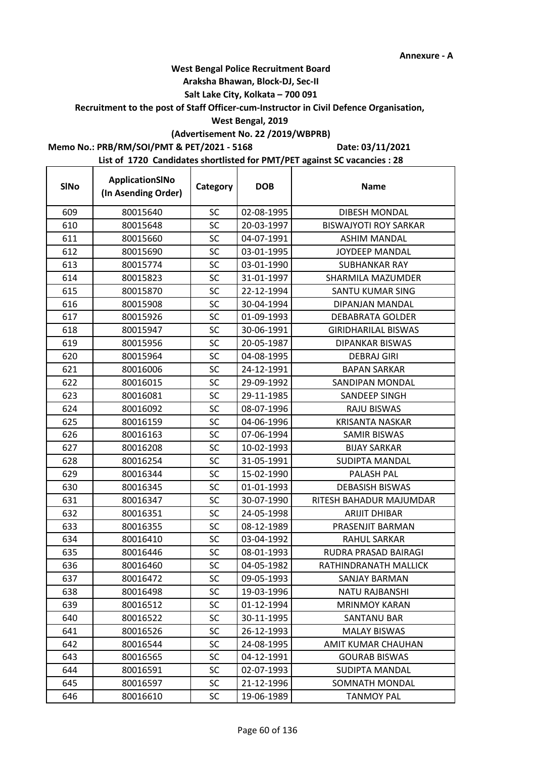### **Araksha Bhawan, Block-DJ, Sec-II**

## **Salt Lake City, Kolkata – 700 091**

**Recruitment to the post of Staff Officer-cum-Instructor in Civil Defence Organisation,** 

### **West Bengal, 2019**

## **(Advertisement No. 22 /2019/WBPRB)**

## **Memo No.: PRB/RM/SOI/PMT & PET/2021 - 5168**

r

**Date: 03/11/2021**

| <b>SINo</b> | ApplicationSINo<br>(In Asending Order) | Category  | <b>DOB</b> | <b>Name</b>                  |
|-------------|----------------------------------------|-----------|------------|------------------------------|
| 609         | 80015640                               | <b>SC</b> | 02-08-1995 | DIBESH MONDAL                |
| 610         | 80015648                               | <b>SC</b> | 20-03-1997 | <b>BISWAJYOTI ROY SARKAR</b> |
| 611         | 80015660                               | <b>SC</b> | 04-07-1991 | <b>ASHIM MANDAL</b>          |
| 612         | 80015690                               | SC        | 03-01-1995 | <b>JOYDEEP MANDAL</b>        |
| 613         | 80015774                               | <b>SC</b> | 03-01-1990 | <b>SUBHANKAR RAY</b>         |
| 614         | 80015823                               | SC        | 31-01-1997 | SHARMILA MAZUMDER            |
| 615         | 80015870                               | <b>SC</b> | 22-12-1994 | SANTU KUMAR SING             |
| 616         | 80015908                               | <b>SC</b> | 30-04-1994 | <b>DIPANJAN MANDAL</b>       |
| 617         | 80015926                               | SC        | 01-09-1993 | <b>DEBABRATA GOLDER</b>      |
| 618         | 80015947                               | <b>SC</b> | 30-06-1991 | <b>GIRIDHARILAL BISWAS</b>   |
| 619         | 80015956                               | SC        | 20-05-1987 | <b>DIPANKAR BISWAS</b>       |
| 620         | 80015964                               | SC        | 04-08-1995 | <b>DEBRAJ GIRI</b>           |
| 621         | 80016006                               | <b>SC</b> | 24-12-1991 | <b>BAPAN SARKAR</b>          |
| 622         | 80016015                               | SC        | 29-09-1992 | SANDIPAN MONDAL              |
| 623         | 80016081                               | SC        | 29-11-1985 | SANDEEP SINGH                |
| 624         | 80016092                               | <b>SC</b> | 08-07-1996 | <b>RAJU BISWAS</b>           |
| 625         | 80016159                               | SC        | 04-06-1996 | <b>KRISANTA NASKAR</b>       |
| 626         | 80016163                               | SC        | 07-06-1994 | <b>SAMIR BISWAS</b>          |
| 627         | 80016208                               | SC        | 10-02-1993 | <b>BIJAY SARKAR</b>          |
| 628         | 80016254                               | <b>SC</b> | 31-05-1991 | SUDIPTA MANDAL               |
| 629         | 80016344                               | <b>SC</b> | 15-02-1990 | PALASH PAL                   |
| 630         | 80016345                               | <b>SC</b> | 01-01-1993 | <b>DEBASISH BISWAS</b>       |
| 631         | 80016347                               | SC        | 30-07-1990 | RITESH BAHADUR MAJUMDAR      |
| 632         | 80016351                               | SC        | 24-05-1998 | <b>ARIJIT DHIBAR</b>         |
| 633         | 80016355                               | SC        | 08-12-1989 | PRASENJIT BARMAN             |
| 634         | 80016410                               | <b>SC</b> | 03-04-1992 | <b>RAHUL SARKAR</b>          |
| 635         | 80016446                               | <b>SC</b> | 08-01-1993 | RUDRA PRASAD BAIRAGI         |
| 636         | 80016460                               | SC        | 04-05-1982 | RATHINDRANATH MALLICK        |
| 637         | 80016472                               | SC        | 09-05-1993 | SANJAY BARMAN                |
| 638         | 80016498                               | SC        | 19-03-1996 | <b>NATU RAJBANSHI</b>        |
| 639         | 80016512                               | <b>SC</b> | 01-12-1994 | <b>MRINMOY KARAN</b>         |
| 640         | 80016522                               | <b>SC</b> | 30-11-1995 | SANTANU BAR                  |
| 641         | 80016526                               | <b>SC</b> | 26-12-1993 | <b>MALAY BISWAS</b>          |
| 642         | 80016544                               | SC        | 24-08-1995 | AMIT KUMAR CHAUHAN           |
| 643         | 80016565                               | SC        | 04-12-1991 | <b>GOURAB BISWAS</b>         |
| 644         | 80016591                               | SC        | 02-07-1993 | SUDIPTA MANDAL               |
| 645         | 80016597                               | <b>SC</b> | 21-12-1996 | SOMNATH MONDAL               |
| 646         | 80016610                               | <b>SC</b> | 19-06-1989 | <b>TANMOY PAL</b>            |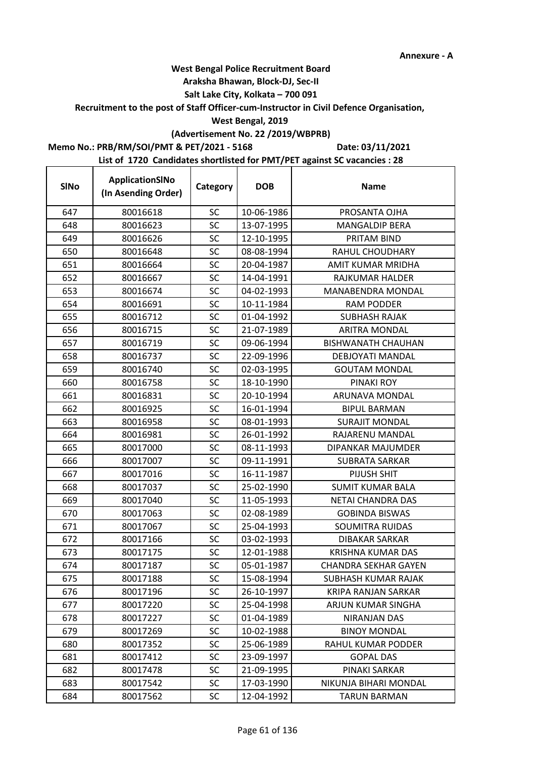## **West Bengal Police Recruitment Board**

### **Araksha Bhawan, Block-DJ, Sec-II**

## **Salt Lake City, Kolkata – 700 091**

**Recruitment to the post of Staff Officer-cum-Instructor in Civil Defence Organisation,** 

## **West Bengal, 2019**

# **(Advertisement No. 22 /2019/WBPRB)**

**Memo No.: PRB/RM/SOI/PMT & PET/2021 - 5168**

**Date: 03/11/2021**

| <b>SINo</b> | ApplicationSINo<br>(In Asending Order) | Category  | <b>DOB</b> | <b>Name</b>                 |
|-------------|----------------------------------------|-----------|------------|-----------------------------|
| 647         | 80016618                               | SC        | 10-06-1986 | PROSANTA OJHA               |
| 648         | 80016623                               | SC        | 13-07-1995 | <b>MANGALDIP BERA</b>       |
| 649         | 80016626                               | <b>SC</b> | 12-10-1995 | PRITAM BIND                 |
| 650         | 80016648                               | SC        | 08-08-1994 | RAHUL CHOUDHARY             |
| 651         | 80016664                               | SC        | 20-04-1987 | AMIT KUMAR MRIDHA           |
| 652         | 80016667                               | SC        | 14-04-1991 | RAJKUMAR HALDER             |
| 653         | 80016674                               | <b>SC</b> | 04-02-1993 | MANABENDRA MONDAL           |
| 654         | 80016691                               | SC        | 10-11-1984 | <b>RAM PODDER</b>           |
| 655         | 80016712                               | SC        | 01-04-1992 | <b>SUBHASH RAJAK</b>        |
| 656         | 80016715                               | <b>SC</b> | 21-07-1989 | <b>ARITRA MONDAL</b>        |
| 657         | 80016719                               | SC        | 09-06-1994 | <b>BISHWANATH CHAUHAN</b>   |
| 658         | 80016737                               | SC        | 22-09-1996 | DEBJOYATI MANDAL            |
| 659         | 80016740                               | SC        | 02-03-1995 | <b>GOUTAM MONDAL</b>        |
| 660         | 80016758                               | SC        | 18-10-1990 | PINAKI ROY                  |
| 661         | 80016831                               | SC        | 20-10-1994 | ARUNAVA MONDAL              |
| 662         | 80016925                               | SC        | 16-01-1994 | <b>BIPUL BARMAN</b>         |
| 663         | 80016958                               | SC        | 08-01-1993 | <b>SURAJIT MONDAL</b>       |
| 664         | 80016981                               | SC        | 26-01-1992 | RAJARENU MANDAL             |
| 665         | 80017000                               | <b>SC</b> | 08-11-1993 | DIPANKAR MAJUMDER           |
| 666         | 80017007                               | SC        | 09-11-1991 | <b>SUBRATA SARKAR</b>       |
| 667         | 80017016                               | SC        | 16-11-1987 | PIJUSH SHIT                 |
| 668         | 80017037                               | <b>SC</b> | 25-02-1990 | SUMIT KUMAR BALA            |
| 669         | 80017040                               | SC        | 11-05-1993 | NETAI CHANDRA DAS           |
| 670         | 80017063                               | SC        | 02-08-1989 | <b>GOBINDA BISWAS</b>       |
| 671         | 80017067                               | SC        | 25-04-1993 | <b>SOUMITRA RUIDAS</b>      |
| 672         | 80017166                               | SC        | 03-02-1993 | <b>DIBAKAR SARKAR</b>       |
| 673         | 80017175                               | SC        | 12-01-1988 | <b>KRISHNA KUMAR DAS</b>    |
| 674         | 80017187                               | <b>SC</b> | 05-01-1987 | <b>CHANDRA SEKHAR GAYEN</b> |
| 675         | 80017188                               | SC        | 15-08-1994 | SUBHASH KUMAR RAJAK         |
| 676         | 80017196                               | <b>SC</b> | 26-10-1997 | <b>KRIPA RANJAN SARKAR</b>  |
| 677         | 80017220                               | <b>SC</b> | 25-04-1998 | ARJUN KUMAR SINGHA          |
| 678         | 80017227                               | <b>SC</b> | 01-04-1989 | NIRANJAN DAS                |
| 679         | 80017269                               | <b>SC</b> | 10-02-1988 | <b>BINOY MONDAL</b>         |
| 680         | 80017352                               | SC        | 25-06-1989 | <b>RAHUL KUMAR PODDER</b>   |
| 681         | 80017412                               | <b>SC</b> | 23-09-1997 | <b>GOPAL DAS</b>            |
| 682         | 80017478                               | <b>SC</b> | 21-09-1995 | PINAKI SARKAR               |
| 683         | 80017542                               | <b>SC</b> | 17-03-1990 | NIKUNJA BIHARI MONDAL       |
| 684         | 80017562                               | <b>SC</b> | 12-04-1992 | <b>TARUN BARMAN</b>         |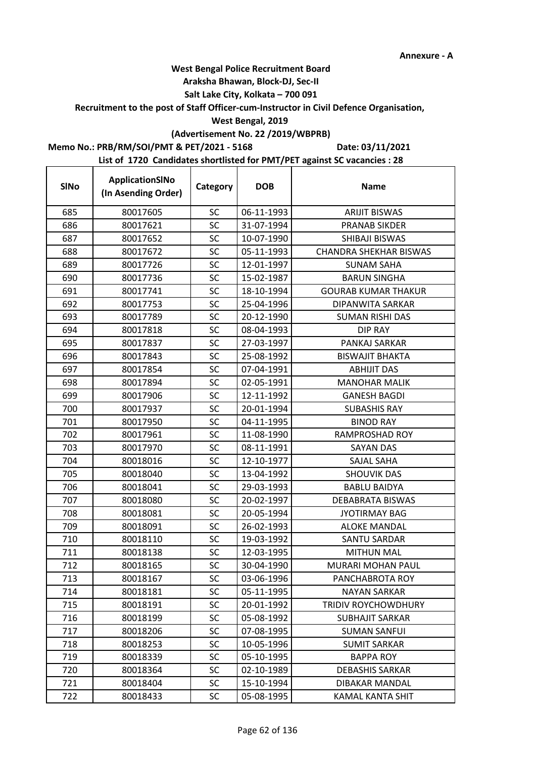### **Araksha Bhawan, Block-DJ, Sec-II**

## **Salt Lake City, Kolkata – 700 091**

### **Recruitment to the post of Staff Officer-cum-Instructor in Civil Defence Organisation,**

### **West Bengal, 2019**

## **(Advertisement No. 22 /2019/WBPRB)**

## **Memo No.: PRB/RM/SOI/PMT & PET/2021 - 5168**

**Date: 03/11/2021**

| <b>SINo</b> | ApplicationSINo<br>(In Asending Order) | Category  | <b>DOB</b> | <b>Name</b>                   |
|-------------|----------------------------------------|-----------|------------|-------------------------------|
| 685         | 80017605                               | <b>SC</b> | 06-11-1993 | <b>ARIJIT BISWAS</b>          |
| 686         | 80017621                               | SC        | 31-07-1994 | PRANAB SIKDER                 |
| 687         | 80017652                               | <b>SC</b> | 10-07-1990 | SHIBAJI BISWAS                |
| 688         | 80017672                               | SC        | 05-11-1993 | <b>CHANDRA SHEKHAR BISWAS</b> |
| 689         | 80017726                               | <b>SC</b> | 12-01-1997 | <b>SUNAM SAHA</b>             |
| 690         | 80017736                               | SC        | 15-02-1987 | <b>BARUN SINGHA</b>           |
| 691         | 80017741                               | <b>SC</b> | 18-10-1994 | <b>GOURAB KUMAR THAKUR</b>    |
| 692         | 80017753                               | <b>SC</b> | 25-04-1996 | DIPANWITA SARKAR              |
| 693         | 80017789                               | SC        | 20-12-1990 | <b>SUMAN RISHI DAS</b>        |
| 694         | 80017818                               | <b>SC</b> | 08-04-1993 | DIP RAY                       |
| 695         | 80017837                               | SC        | 27-03-1997 | PANKAJ SARKAR                 |
| 696         | 80017843                               | <b>SC</b> | 25-08-1992 | <b>BISWAJIT BHAKTA</b>        |
| 697         | 80017854                               | <b>SC</b> | 07-04-1991 | <b>ABHIJIT DAS</b>            |
| 698         | 80017894                               | SC        | 02-05-1991 | <b>MANOHAR MALIK</b>          |
| 699         | 80017906                               | <b>SC</b> | 12-11-1992 | <b>GANESH BAGDI</b>           |
| 700         | 80017937                               | SC        | 20-01-1994 | <b>SUBASHIS RAY</b>           |
| 701         | 80017950                               | SC        | 04-11-1995 | <b>BINOD RAY</b>              |
| 702         | 80017961                               | SC        | 11-08-1990 | <b>RAMPROSHAD ROY</b>         |
| 703         | 80017970                               | <b>SC</b> | 08-11-1991 | SAYAN DAS                     |
| 704         | 80018016                               | SC        | 12-10-1977 | <b>SAJAL SAHA</b>             |
| 705         | 80018040                               | <b>SC</b> | 13-04-1992 | <b>SHOUVIK DAS</b>            |
| 706         | 80018041                               | <b>SC</b> | 29-03-1993 | <b>BABLU BAIDYA</b>           |
| 707         | 80018080                               | SC        | 20-02-1997 | <b>DEBABRATA BISWAS</b>       |
| 708         | 80018081                               | SC        | 20-05-1994 | <b>JYOTIRMAY BAG</b>          |
| 709         | 80018091                               | <b>SC</b> | 26-02-1993 | <b>ALOKE MANDAL</b>           |
| 710         | 80018110                               | <b>SC</b> | 19-03-1992 | <b>SANTU SARDAR</b>           |
| 711         | 80018138                               | <b>SC</b> | 12-03-1995 | <b>MITHUN MAL</b>             |
| 712         | 80018165                               | <b>SC</b> | 30-04-1990 | MURARI MOHAN PAUL             |
| 713         | 80018167                               | SC        | 03-06-1996 | PANCHABROTA ROY               |
| 714         | 80018181                               | SC        | 05-11-1995 | <b>NAYAN SARKAR</b>           |
| 715         | 80018191                               | <b>SC</b> | 20-01-1992 | TRIDIV ROYCHOWDHURY           |
| 716         | 80018199                               | <b>SC</b> | 05-08-1992 | <b>SUBHAJIT SARKAR</b>        |
| 717         | 80018206                               | <b>SC</b> | 07-08-1995 | <b>SUMAN SANFUI</b>           |
| 718         | 80018253                               | SC        | 10-05-1996 | <b>SUMIT SARKAR</b>           |
| 719         | 80018339                               | <b>SC</b> | 05-10-1995 | <b>BAPPA ROY</b>              |
| 720         | 80018364                               | <b>SC</b> | 02-10-1989 | <b>DEBASHIS SARKAR</b>        |
| 721         | 80018404                               | <b>SC</b> | 15-10-1994 | <b>DIBAKAR MANDAL</b>         |
| 722         | 80018433                               | <b>SC</b> | 05-08-1995 | <b>KAMAL KANTA SHIT</b>       |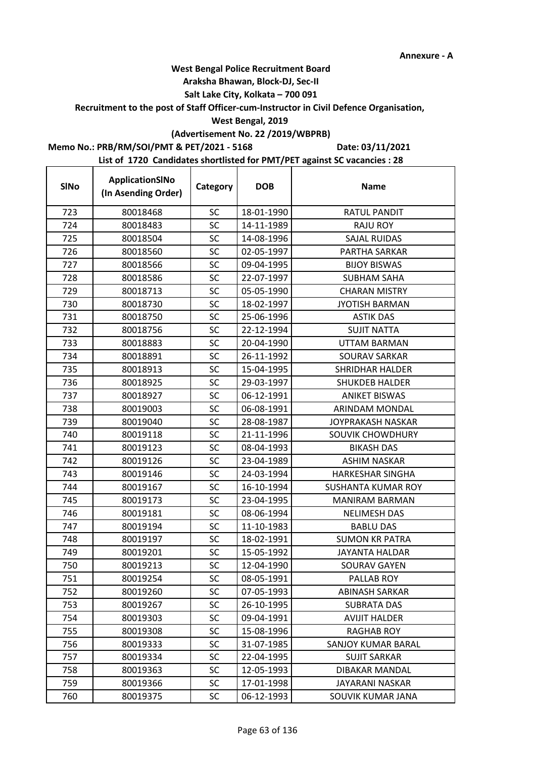### **Araksha Bhawan, Block-DJ, Sec-II**

## **Salt Lake City, Kolkata – 700 091**

**Recruitment to the post of Staff Officer-cum-Instructor in Civil Defence Organisation,** 

## **West Bengal, 2019**

# **(Advertisement No. 22 /2019/WBPRB)**

**Memo No.: PRB/RM/SOI/PMT & PET/2021 - 5168**

r

**Date: 03/11/2021**

| <b>SINo</b> | ApplicationSINo<br>(In Asending Order) | Category  | <b>DOB</b> | <b>Name</b>               |
|-------------|----------------------------------------|-----------|------------|---------------------------|
| 723         | 80018468                               | SC        | 18-01-1990 | <b>RATUL PANDIT</b>       |
| 724         | 80018483                               | <b>SC</b> | 14-11-1989 | <b>RAJU ROY</b>           |
| 725         | 80018504                               | <b>SC</b> | 14-08-1996 | <b>SAJAL RUIDAS</b>       |
| 726         | 80018560                               | SC        | 02-05-1997 | PARTHA SARKAR             |
| 727         | 80018566                               | <b>SC</b> | 09-04-1995 | <b>BIJOY BISWAS</b>       |
| 728         | 80018586                               | <b>SC</b> | 22-07-1997 | <b>SUBHAM SAHA</b>        |
| 729         | 80018713                               | <b>SC</b> | 05-05-1990 | <b>CHARAN MISTRY</b>      |
| 730         | 80018730                               | <b>SC</b> | 18-02-1997 | <b>JYOTISH BARMAN</b>     |
| 731         | 80018750                               | SC        | 25-06-1996 | <b>ASTIK DAS</b>          |
| 732         | 80018756                               | <b>SC</b> | 22-12-1994 | <b>SUJIT NATTA</b>        |
| 733         | 80018883                               | SC        | 20-04-1990 | UTTAM BARMAN              |
| 734         | 80018891                               | <b>SC</b> | 26-11-1992 | SOURAV SARKAR             |
| 735         | 80018913                               | <b>SC</b> | 15-04-1995 | <b>SHRIDHAR HALDER</b>    |
| 736         | 80018925                               | SC        | 29-03-1997 | SHUKDEB HALDER            |
| 737         | 80018927                               | <b>SC</b> | 06-12-1991 | <b>ANIKET BISWAS</b>      |
| 738         | 80019003                               | SC        | 06-08-1991 | ARINDAM MONDAL            |
| 739         | 80019040                               | SC        | 28-08-1987 | JOYPRAKASH NASKAR         |
| 740         | 80019118                               | SC        | 21-11-1996 | SOUVIK CHOWDHURY          |
| 741         | 80019123                               | <b>SC</b> | 08-04-1993 | <b>BIKASH DAS</b>         |
| 742         | 80019126                               | <b>SC</b> | 23-04-1989 | <b>ASHIM NASKAR</b>       |
| 743         | 80019146                               | SC        | 24-03-1994 | <b>HARKESHAR SINGHA</b>   |
| 744         | 80019167                               | <b>SC</b> | 16-10-1994 | <b>SUSHANTA KUMAR ROY</b> |
| 745         | 80019173                               | SC        | 23-04-1995 | <b>MANIRAM BARMAN</b>     |
| 746         | 80019181                               | <b>SC</b> | 08-06-1994 | <b>NELIMESH DAS</b>       |
| 747         | 80019194                               | <b>SC</b> | 11-10-1983 | <b>BABLU DAS</b>          |
| 748         | 80019197                               | <b>SC</b> | 18-02-1991 | <b>SUMON KR PATRA</b>     |
| 749         | 80019201                               | <b>SC</b> | 15-05-1992 | <b>JAYANTA HALDAR</b>     |
| 750         | 80019213                               | <b>SC</b> | 12-04-1990 | SOURAV GAYEN              |
| 751         | 80019254                               | SC        | 08-05-1991 | PALLAB ROY                |
| 752         | 80019260                               | SC        | 07-05-1993 | <b>ABINASH SARKAR</b>     |
| 753         | 80019267                               | <b>SC</b> | 26-10-1995 | <b>SUBRATA DAS</b>        |
| 754         | 80019303                               | <b>SC</b> | 09-04-1991 | <b>AVIJIT HALDER</b>      |
| 755         | 80019308                               | <b>SC</b> | 15-08-1996 | <b>RAGHAB ROY</b>         |
| 756         | 80019333                               | <b>SC</b> | 31-07-1985 | SANJOY KUMAR BARAL        |
| 757         | 80019334                               | <b>SC</b> | 22-04-1995 | <b>SUJIT SARKAR</b>       |
| 758         | 80019363                               | <b>SC</b> | 12-05-1993 | DIBAKAR MANDAL            |
| 759         | 80019366                               | <b>SC</b> | 17-01-1998 | JAYARANI NASKAR           |
| 760         | 80019375                               | <b>SC</b> | 06-12-1993 | SOUVIK KUMAR JANA         |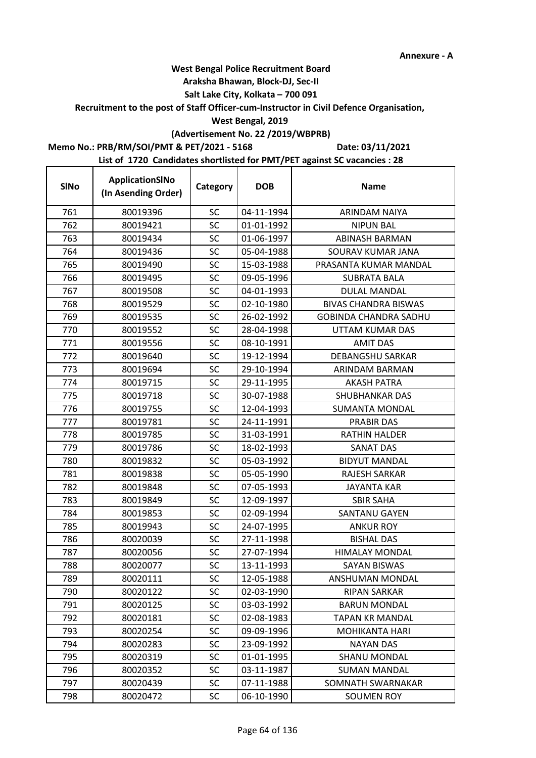## **West Bengal Police Recruitment Board**

### **Araksha Bhawan, Block-DJ, Sec-II**

## **Salt Lake City, Kolkata – 700 091**

**Recruitment to the post of Staff Officer-cum-Instructor in Civil Defence Organisation,** 

## **West Bengal, 2019**

# **(Advertisement No. 22 /2019/WBPRB)**

**Memo No.: PRB/RM/SOI/PMT & PET/2021 - 5168**

**Date: 03/11/2021**

| <b>SINo</b> | ApplicationSINo<br>(In Asending Order) | Category  | <b>DOB</b> | <b>Name</b>                  |
|-------------|----------------------------------------|-----------|------------|------------------------------|
| 761         | 80019396                               | <b>SC</b> | 04-11-1994 | <b>ARINDAM NAIYA</b>         |
| 762         | 80019421                               | SC        | 01-01-1992 | <b>NIPUN BAL</b>             |
| 763         | 80019434                               | SC        | 01-06-1997 | <b>ABINASH BARMAN</b>        |
| 764         | 80019436                               | SC        | 05-04-1988 | SOURAV KUMAR JANA            |
| 765         | 80019490                               | <b>SC</b> | 15-03-1988 | PRASANTA KUMAR MANDAL        |
| 766         | 80019495                               | SC        | 09-05-1996 | <b>SUBRATA BALA</b>          |
| 767         | 80019508                               | <b>SC</b> | 04-01-1993 | <b>DULAL MANDAL</b>          |
| 768         | 80019529                               | <b>SC</b> | 02-10-1980 | <b>BIVAS CHANDRA BISWAS</b>  |
| 769         | 80019535                               | SC        | 26-02-1992 | <b>GOBINDA CHANDRA SADHU</b> |
| 770         | 80019552                               | SC        | 28-04-1998 | UTTAM KUMAR DAS              |
| 771         | 80019556                               | SC        | 08-10-1991 | <b>AMIT DAS</b>              |
| 772         | 80019640                               | <b>SC</b> | 19-12-1994 | <b>DEBANGSHU SARKAR</b>      |
| 773         | 80019694                               | <b>SC</b> | 29-10-1994 | ARINDAM BARMAN               |
| 774         | 80019715                               | SC        | 29-11-1995 | <b>AKASH PATRA</b>           |
| 775         | 80019718                               | <b>SC</b> | 30-07-1988 | SHUBHANKAR DAS               |
| 776         | 80019755                               | SC        | 12-04-1993 | <b>SUMANTA MONDAL</b>        |
| 777         | 80019781                               | SC        | 24-11-1991 | <b>PRABIR DAS</b>            |
| 778         | 80019785                               | SC        | 31-03-1991 | <b>RATHIN HALDER</b>         |
| 779         | 80019786                               | <b>SC</b> | 18-02-1993 | SANAT DAS                    |
| 780         | 80019832                               | <b>SC</b> | 05-03-1992 | <b>BIDYUT MANDAL</b>         |
| 781         | 80019838                               | <b>SC</b> | 05-05-1990 | <b>RAJESH SARKAR</b>         |
| 782         | 80019848                               | <b>SC</b> | 07-05-1993 | JAYANTA KAR                  |
| 783         | 80019849                               | SC        | 12-09-1997 | <b>SBIR SAHA</b>             |
| 784         | 80019853                               | SC        | 02-09-1994 | SANTANU GAYEN                |
| 785         | 80019943                               | <b>SC</b> | 24-07-1995 | <b>ANKUR ROY</b>             |
| 786         | 80020039                               | SC        | 27-11-1998 | <b>BISHAL DAS</b>            |
| 787         | 80020056                               | <b>SC</b> | 27-07-1994 | <b>HIMALAY MONDAL</b>        |
| 788         | 80020077                               | <b>SC</b> | 13-11-1993 | <b>SAYAN BISWAS</b>          |
| 789         | 80020111                               | SC        | 12-05-1988 | ANSHUMAN MONDAL              |
| 790         | 80020122                               | SC        | 02-03-1990 | RIPAN SARKAR                 |
| 791         | 80020125                               | <b>SC</b> | 03-03-1992 | <b>BARUN MONDAL</b>          |
| 792         | 80020181                               | <b>SC</b> | 02-08-1983 | <b>TAPAN KR MANDAL</b>       |
| 793         | 80020254                               | <b>SC</b> | 09-09-1996 | <b>MOHIKANTA HARI</b>        |
| 794         | 80020283                               | <b>SC</b> | 23-09-1992 | <b>NAYAN DAS</b>             |
| 795         | 80020319                               | <b>SC</b> | 01-01-1995 | <b>SHANU MONDAL</b>          |
| 796         | 80020352                               | <b>SC</b> | 03-11-1987 | <b>SUMAN MANDAL</b>          |
| 797         | 80020439                               | <b>SC</b> | 07-11-1988 | SOMNATH SWARNAKAR            |
| 798         | 80020472                               | <b>SC</b> | 06-10-1990 | <b>SOUMEN ROY</b>            |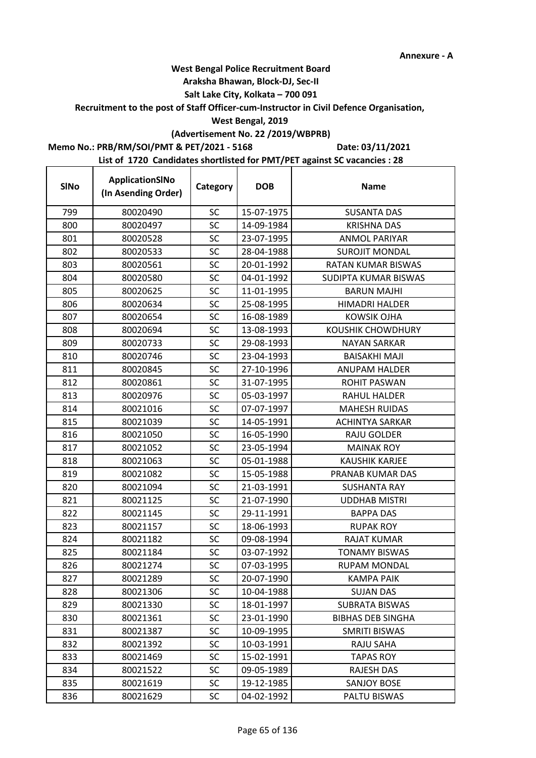### **Araksha Bhawan, Block-DJ, Sec-II**

## **Salt Lake City, Kolkata – 700 091**

### **Recruitment to the post of Staff Officer-cum-Instructor in Civil Defence Organisation,**

## **West Bengal, 2019**

# **(Advertisement No. 22 /2019/WBPRB)**

## **Memo No.: PRB/RM/SOI/PMT & PET/2021 - 5168**

**Date: 03/11/2021**

| <b>SINo</b> | ApplicationSINo<br>(In Asending Order) | Category  | <b>DOB</b> | <b>Name</b>              |
|-------------|----------------------------------------|-----------|------------|--------------------------|
| 799         | 80020490                               | SC        | 15-07-1975 | <b>SUSANTA DAS</b>       |
| 800         | 80020497                               | SC        | 14-09-1984 | <b>KRISHNA DAS</b>       |
| 801         | 80020528                               | <b>SC</b> | 23-07-1995 | <b>ANMOL PARIYAR</b>     |
| 802         | 80020533                               | SC        | 28-04-1988 | <b>SUROJIT MONDAL</b>    |
| 803         | 80020561                               | <b>SC</b> | 20-01-1992 | RATAN KUMAR BISWAS       |
| 804         | 80020580                               | SC        | 04-01-1992 | SUDIPTA KUMAR BISWAS     |
| 805         | 80020625                               | <b>SC</b> | 11-01-1995 | <b>BARUN MAJHI</b>       |
| 806         | 80020634                               | <b>SC</b> | 25-08-1995 | <b>HIMADRI HALDER</b>    |
| 807         | 80020654                               | SC        | 16-08-1989 | <b>KOWSIK OJHA</b>       |
| 808         | 80020694                               | <b>SC</b> | 13-08-1993 | <b>KOUSHIK CHOWDHURY</b> |
| 809         | 80020733                               | SC        | 29-08-1993 | <b>NAYAN SARKAR</b>      |
| 810         | 80020746                               | <b>SC</b> | 23-04-1993 | <b>BAISAKHI MAJI</b>     |
| 811         | 80020845                               | <b>SC</b> | 27-10-1996 | <b>ANUPAM HALDER</b>     |
| 812         | 80020861                               | SC        | 31-07-1995 | <b>ROHIT PASWAN</b>      |
| 813         | 80020976                               | <b>SC</b> | 05-03-1997 | <b>RAHUL HALDER</b>      |
| 814         | 80021016                               | SC        | 07-07-1997 | <b>MAHESH RUIDAS</b>     |
| 815         | 80021039                               | SC        | 14-05-1991 | <b>ACHINTYA SARKAR</b>   |
| 816         | 80021050                               | SC        | 16-05-1990 | RAJU GOLDER              |
| 817         | 80021052                               | SC        | 23-05-1994 | <b>MAINAK ROY</b>        |
| 818         | 80021063                               | <b>SC</b> | 05-01-1988 | <b>KAUSHIK KARJEE</b>    |
| 819         | 80021082                               | <b>SC</b> | 15-05-1988 | PRANAB KUMAR DAS         |
| 820         | 80021094                               | <b>SC</b> | 21-03-1991 | <b>SUSHANTA RAY</b>      |
| 821         | 80021125                               | SC        | 21-07-1990 | <b>UDDHAB MISTRI</b>     |
| 822         | 80021145                               | SC        | 29-11-1991 | <b>BAPPA DAS</b>         |
| 823         | 80021157                               | <b>SC</b> | 18-06-1993 | <b>RUPAK ROY</b>         |
| 824         | 80021182                               | <b>SC</b> | 09-08-1994 | <b>RAJAT KUMAR</b>       |
| 825         | 80021184                               | <b>SC</b> | 03-07-1992 | <b>TONAMY BISWAS</b>     |
| 826         | 80021274                               | <b>SC</b> | 07-03-1995 | <b>RUPAM MONDAL</b>      |
| 827         | 80021289                               | SC        | 20-07-1990 | KAMPA PAIK               |
| 828         | 80021306                               | <b>SC</b> | 10-04-1988 | <b>SUJAN DAS</b>         |
| 829         | 80021330                               | <b>SC</b> | 18-01-1997 | <b>SUBRATA BISWAS</b>    |
| 830         | 80021361                               | <b>SC</b> | 23-01-1990 | <b>BIBHAS DEB SINGHA</b> |
| 831         | 80021387                               | <b>SC</b> | 10-09-1995 | <b>SMRITI BISWAS</b>     |
| 832         | 80021392                               | SC        | 10-03-1991 | RAJU SAHA                |
| 833         | 80021469                               | SC        | 15-02-1991 | <b>TAPAS ROY</b>         |
| 834         | 80021522                               | <b>SC</b> | 09-05-1989 | RAJESH DAS               |
| 835         | 80021619                               | <b>SC</b> | 19-12-1985 | SANJOY BOSE              |
| 836         | 80021629                               | SC.       | 04-02-1992 | PALTU BISWAS             |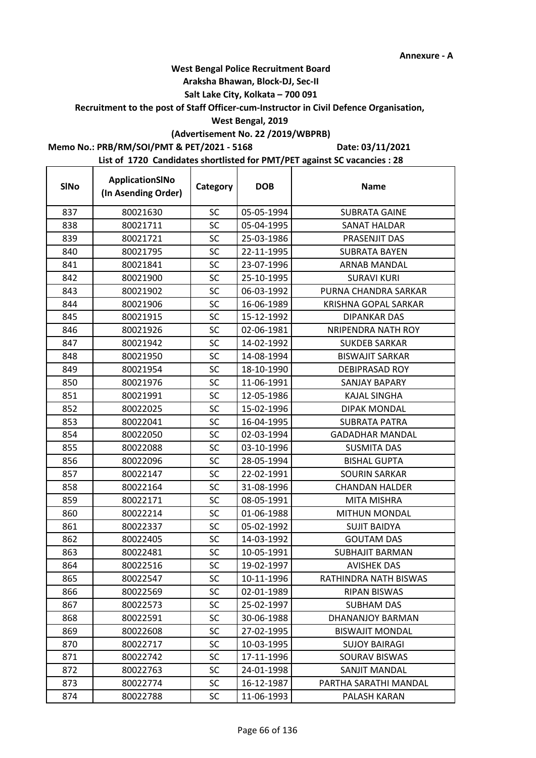## **West Bengal Police Recruitment Board**

### **Araksha Bhawan, Block-DJ, Sec-II**

## **Salt Lake City, Kolkata – 700 091**

## **Recruitment to the post of Staff Officer-cum-Instructor in Civil Defence Organisation,**

### **West Bengal, 2019**

# **(Advertisement No. 22 /2019/WBPRB)**

## **Memo No.: PRB/RM/SOI/PMT & PET/2021 - 5168**

 $\mathbf{r}$ 

**Date: 03/11/2021**

| <b>SINo</b> | ApplicationSINo<br>(In Asending Order) | Category  | <b>DOB</b> | <b>Name</b>            |
|-------------|----------------------------------------|-----------|------------|------------------------|
| 837         | 80021630                               | <b>SC</b> | 05-05-1994 | <b>SUBRATA GAINE</b>   |
| 838         | 80021711                               | SC        | 05-04-1995 | <b>SANAT HALDAR</b>    |
| 839         | 80021721                               | SC        | 25-03-1986 | PRASENJIT DAS          |
| 840         | 80021795                               | SC        | 22-11-1995 | <b>SUBRATA BAYEN</b>   |
| 841         | 80021841                               | SC        | 23-07-1996 | ARNAB MANDAL           |
| 842         | 80021900                               | SC        | 25-10-1995 | <b>SURAVI KURI</b>     |
| 843         | 80021902                               | SC        | 06-03-1992 | PURNA CHANDRA SARKAR   |
| 844         | 80021906                               | <b>SC</b> | 16-06-1989 | KRISHNA GOPAL SARKAR   |
| 845         | 80021915                               | SC        | 15-12-1992 | <b>DIPANKAR DAS</b>    |
| 846         | 80021926                               | SC        | 02-06-1981 | NRIPENDRA NATH ROY     |
| 847         | 80021942                               | SC        | 14-02-1992 | <b>SUKDEB SARKAR</b>   |
| 848         | 80021950                               | <b>SC</b> | 14-08-1994 | <b>BISWAJIT SARKAR</b> |
| 849         | 80021954                               | <b>SC</b> | 18-10-1990 | DEBIPRASAD ROY         |
| 850         | 80021976                               | SC        | 11-06-1991 | <b>SANJAY BAPARY</b>   |
| 851         | 80021991                               | SC        | 12-05-1986 | <b>KAJAL SINGHA</b>    |
| 852         | 80022025                               | SC        | 15-02-1996 | <b>DIPAK MONDAL</b>    |
| 853         | 80022041                               | <b>SC</b> | 16-04-1995 | <b>SUBRATA PATRA</b>   |
| 854         | 80022050                               | <b>SC</b> | 02-03-1994 | <b>GADADHAR MANDAL</b> |
| 855         | 80022088                               | SC        | 03-10-1996 | <b>SUSMITA DAS</b>     |
| 856         | 80022096                               | <b>SC</b> | 28-05-1994 | <b>BISHAL GUPTA</b>    |
| 857         | 80022147                               | <b>SC</b> | 22-02-1991 | <b>SOURIN SARKAR</b>   |
| 858         | 80022164                               | SC        | 31-08-1996 | <b>CHANDAN HALDER</b>  |
| 859         | 80022171                               | SC        | 08-05-1991 | <b>MITA MISHRA</b>     |
| 860         | 80022214                               | SC        | 01-06-1988 | <b>MITHUN MONDAL</b>   |
| 861         | 80022337                               | <b>SC</b> | 05-02-1992 | <b>SUJIT BAIDYA</b>    |
| 862         | 80022405                               | SC        | 14-03-1992 | <b>GOUTAM DAS</b>      |
| 863         | 80022481                               | <b>SC</b> | 10-05-1991 | <b>SUBHAJIT BARMAN</b> |
| 864         | 80022516                               | SC        | 19-02-1997 | <b>AVISHEK DAS</b>     |
| 865         | 80022547                               | SC        | 10-11-1996 | RATHINDRA NATH BISWAS  |
| 866         | 80022569                               | <b>SC</b> | 02-01-1989 | <b>RIPAN BISWAS</b>    |
| 867         | 80022573                               | SC        | 25-02-1997 | SUBHAM DAS             |
| 868         | 80022591                               | SC        | 30-06-1988 | DHANANJOY BARMAN       |
| 869         | 80022608                               | SC        | 27-02-1995 | <b>BISWAJIT MONDAL</b> |
| 870         | 80022717                               | SC        | 10-03-1995 | <b>SUJOY BAIRAGI</b>   |
| 871         | 80022742                               | <b>SC</b> | 17-11-1996 | SOURAV BISWAS          |
| 872         | 80022763                               | SC        | 24-01-1998 | SANJIT MANDAL          |
| 873         | 80022774                               | <b>SC</b> | 16-12-1987 | PARTHA SARATHI MANDAL  |
| 874         | 80022788                               | <b>SC</b> | 11-06-1993 | PALASH KARAN           |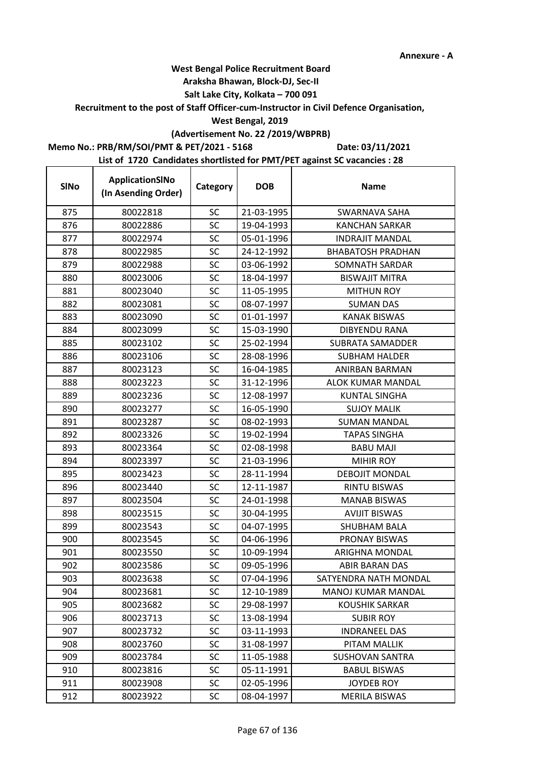## **West Bengal Police Recruitment Board**

## **Araksha Bhawan, Block-DJ, Sec-II**

## **Salt Lake City, Kolkata – 700 091**

### **Recruitment to the post of Staff Officer-cum-Instructor in Civil Defence Organisation,**

## **West Bengal, 2019**

# **(Advertisement No. 22 /2019/WBPRB)**

## **Memo No.: PRB/RM/SOI/PMT & PET/2021 - 5168**

**Date: 03/11/2021**

| <b>SINo</b> | ApplicationSINo<br>(In Asending Order) | Category  | <b>DOB</b> | <b>Name</b>              |
|-------------|----------------------------------------|-----------|------------|--------------------------|
| 875         | 80022818                               | <b>SC</b> | 21-03-1995 | SWARNAVA SAHA            |
| 876         | 80022886                               | SC        | 19-04-1993 | <b>KANCHAN SARKAR</b>    |
| 877         | 80022974                               | <b>SC</b> | 05-01-1996 | <b>INDRAJIT MANDAL</b>   |
| 878         | 80022985                               | SC        | 24-12-1992 | <b>BHABATOSH PRADHAN</b> |
| 879         | 80022988                               | SC        | 03-06-1992 | SOMNATH SARDAR           |
| 880         | 80023006                               | SC        | 18-04-1997 | <b>BISWAJIT MITRA</b>    |
| 881         | 80023040                               | SC        | 11-05-1995 | <b>MITHUN ROY</b>        |
| 882         | 80023081                               | <b>SC</b> | 08-07-1997 | <b>SUMAN DAS</b>         |
| 883         | 80023090                               | SC        | 01-01-1997 | <b>KANAK BISWAS</b>      |
| 884         | 80023099                               | <b>SC</b> | 15-03-1990 | <b>DIBYENDU RANA</b>     |
| 885         | 80023102                               | <b>SC</b> | 25-02-1994 | <b>SUBRATA SAMADDER</b>  |
| 886         | 80023106                               | SC        | 28-08-1996 | <b>SUBHAM HALDER</b>     |
| 887         | 80023123                               | SC        | 16-04-1985 | ANIRBAN BARMAN           |
| 888         | 80023223                               | SC        | 31-12-1996 | ALOK KUMAR MANDAL        |
| 889         | 80023236                               | <b>SC</b> | 12-08-1997 | <b>KUNTAL SINGHA</b>     |
| 890         | 80023277                               | SC        | 16-05-1990 | <b>SUJOY MALIK</b>       |
| 891         | 80023287                               | SC        | 08-02-1993 | <b>SUMAN MANDAL</b>      |
| 892         | 80023326                               | <b>SC</b> | 19-02-1994 | <b>TAPAS SINGHA</b>      |
| 893         | 80023364                               | SC        | 02-08-1998 | <b>BABU MAJI</b>         |
| 894         | 80023397                               | <b>SC</b> | 21-03-1996 | <b>MIHIR ROY</b>         |
| 895         | 80023423                               | <b>SC</b> | 28-11-1994 | <b>DEBOJIT MONDAL</b>    |
| 896         | 80023440                               | <b>SC</b> | 12-11-1987 | <b>RINTU BISWAS</b>      |
| 897         | 80023504                               | SC        | 24-01-1998 | <b>MANAB BISWAS</b>      |
| 898         | 80023515                               | <b>SC</b> | 30-04-1995 | <b>AVIJIT BISWAS</b>     |
| 899         | 80023543                               | <b>SC</b> | 04-07-1995 | SHUBHAM BALA             |
| 900         | 80023545                               | SC        | 04-06-1996 | PRONAY BISWAS            |
| 901         | 80023550                               | SC        | 10-09-1994 | ARIGHNA MONDAL           |
| 902         | 80023586                               | SC        | 09-05-1996 | ABIR BARAN DAS           |
| 903         | 80023638                               | <b>SC</b> | 07-04-1996 | SATYENDRA NATH MONDAL    |
| 904         | 80023681                               | <b>SC</b> | 12-10-1989 | MANOJ KUMAR MANDAL       |
| 905         | 80023682                               | <b>SC</b> | 29-08-1997 | <b>KOUSHIK SARKAR</b>    |
| 906         | 80023713                               | SC        | 13-08-1994 | <b>SUBIR ROY</b>         |
| 907         | 80023732                               | SC        | 03-11-1993 | <b>INDRANEEL DAS</b>     |
| 908         | 80023760                               | <b>SC</b> | 31-08-1997 | PITAM MALLIK             |
| 909         | 80023784                               | <b>SC</b> | 11-05-1988 | <b>SUSHOVAN SANTRA</b>   |
| 910         | 80023816                               | <b>SC</b> | 05-11-1991 | <b>BABUL BISWAS</b>      |
| 911         | 80023908                               | <b>SC</b> | 02-05-1996 | <b>JOYDEB ROY</b>        |
| 912         | 80023922                               | <b>SC</b> | 08-04-1997 | <b>MERILA BISWAS</b>     |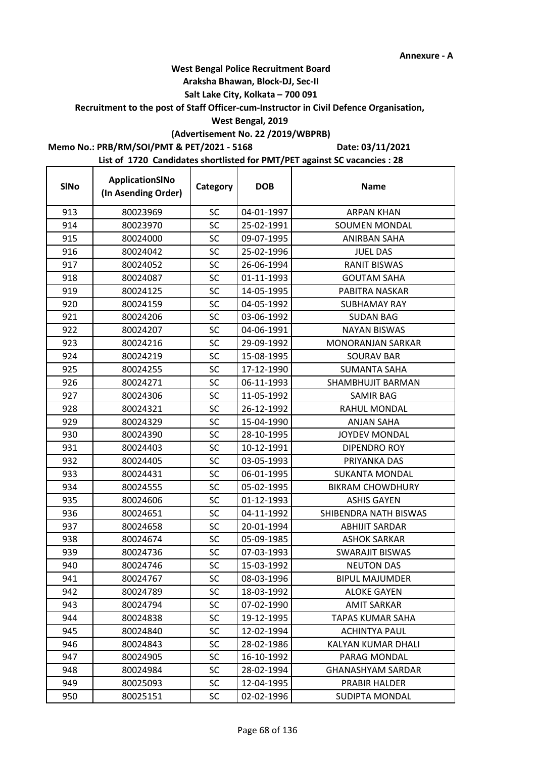### **Araksha Bhawan, Block-DJ, Sec-II**

## **Salt Lake City, Kolkata – 700 091**

**Recruitment to the post of Staff Officer-cum-Instructor in Civil Defence Organisation,** 

## **West Bengal, 2019**

# **(Advertisement No. 22 /2019/WBPRB)**

**Memo No.: PRB/RM/SOI/PMT & PET/2021 - 5168**

r

**Date: 03/11/2021**

| <b>SINo</b> | ApplicationSINo<br>(In Asending Order) | Category  | <b>DOB</b> | <b>Name</b>               |
|-------------|----------------------------------------|-----------|------------|---------------------------|
| 913         | 80023969                               | <b>SC</b> | 04-01-1997 | <b>ARPAN KHAN</b>         |
| 914         | 80023970                               | <b>SC</b> | 25-02-1991 | <b>SOUMEN MONDAL</b>      |
| 915         | 80024000                               | <b>SC</b> | 09-07-1995 | <b>ANIRBAN SAHA</b>       |
| 916         | 80024042                               | SC        | 25-02-1996 | <b>JUEL DAS</b>           |
| 917         | 80024052                               | <b>SC</b> | 26-06-1994 | <b>RANIT BISWAS</b>       |
| 918         | 80024087                               | SC        | 01-11-1993 | <b>GOUTAM SAHA</b>        |
| 919         | 80024125                               | <b>SC</b> | 14-05-1995 | PABITRA NASKAR            |
| 920         | 80024159                               | <b>SC</b> | 04-05-1992 | <b>SUBHAMAY RAY</b>       |
| 921         | 80024206                               | SC        | 03-06-1992 | <b>SUDAN BAG</b>          |
| 922         | 80024207                               | <b>SC</b> | 04-06-1991 | <b>NAYAN BISWAS</b>       |
| 923         | 80024216                               | SC        | 29-09-1992 | <b>MONORANJAN SARKAR</b>  |
| 924         | 80024219                               | SC        | 15-08-1995 | <b>SOURAV BAR</b>         |
| 925         | 80024255                               | <b>SC</b> | 17-12-1990 | <b>SUMANTA SAHA</b>       |
| 926         | 80024271                               | SC        | 06-11-1993 | SHAMBHUJIT BARMAN         |
| 927         | 80024306                               | SC        | 11-05-1992 | <b>SAMIR BAG</b>          |
| 928         | 80024321                               | <b>SC</b> | 26-12-1992 | RAHUL MONDAL              |
| 929         | 80024329                               | SC        | 15-04-1990 | <b>ANJAN SAHA</b>         |
| 930         | 80024390                               | SC        | 28-10-1995 | <b>JOYDEV MONDAL</b>      |
| 931         | 80024403                               | SC        | 10-12-1991 | DIPENDRO ROY              |
| 932         | 80024405                               | <b>SC</b> | 03-05-1993 | PRIYANKA DAS              |
| 933         | 80024431                               | <b>SC</b> | 06-01-1995 | <b>SUKANTA MONDAL</b>     |
| 934         | 80024555                               | <b>SC</b> | 05-02-1995 | <b>BIKRAM CHOWDHURY</b>   |
| 935         | 80024606                               | SC        | 01-12-1993 | <b>ASHIS GAYEN</b>        |
| 936         | 80024651                               | SC        | 04-11-1992 | SHIBENDRA NATH BISWAS     |
| 937         | 80024658                               | SC        | 20-01-1994 | <b>ABHIJIT SARDAR</b>     |
| 938         | 80024674                               | <b>SC</b> | 05-09-1985 | <b>ASHOK SARKAR</b>       |
| 939         | 80024736                               | <b>SC</b> | 07-03-1993 | <b>SWARAJIT BISWAS</b>    |
| 940         | 80024746                               | SC        | 15-03-1992 | <b>NEUTON DAS</b>         |
| 941         | 80024767                               | SC        | 08-03-1996 | <b>BIPUL MAJUMDER</b>     |
| 942         | 80024789                               | <b>SC</b> | 18-03-1992 | <b>ALOKE GAYEN</b>        |
| 943         | 80024794                               | SC        | 07-02-1990 | <b>AMIT SARKAR</b>        |
| 944         | 80024838                               | SC        | 19-12-1995 | <b>TAPAS KUMAR SAHA</b>   |
| 945         | 80024840                               | <b>SC</b> | 12-02-1994 | <b>ACHINTYA PAUL</b>      |
| 946         | 80024843                               | SC        | 28-02-1986 | <b>KALYAN KUMAR DHALI</b> |
| 947         | 80024905                               | SC        | 16-10-1992 | PARAG MONDAL              |
| 948         | 80024984                               | SC        | 28-02-1994 | <b>GHANASHYAM SARDAR</b>  |
| 949         | 80025093                               | <b>SC</b> | 12-04-1995 | PRABIR HALDER             |
| 950         | 80025151                               | <b>SC</b> | 02-02-1996 | <b>SUDIPTA MONDAL</b>     |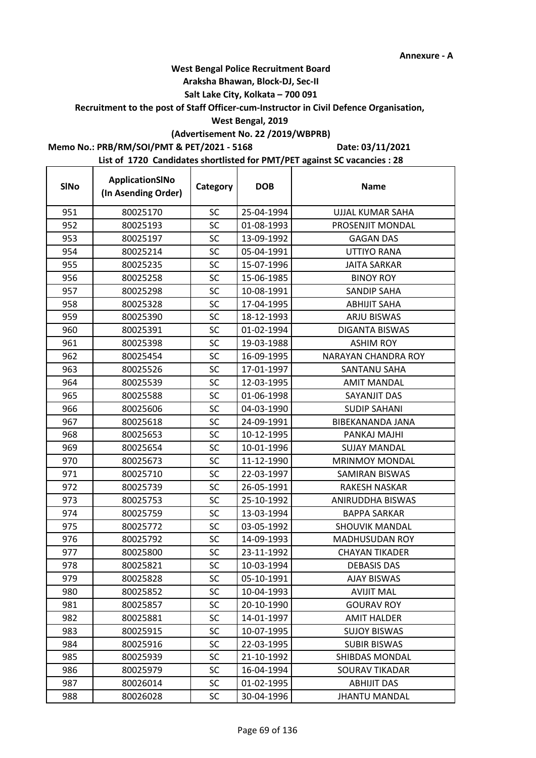### **Araksha Bhawan, Block-DJ, Sec-II**

## **Salt Lake City, Kolkata – 700 091**

## **Recruitment to the post of Staff Officer-cum-Instructor in Civil Defence Organisation,**

### **West Bengal, 2019**

## **(Advertisement No. 22 /2019/WBPRB)**

## **Memo No.: PRB/RM/SOI/PMT & PET/2021 - 5168**

r

**Date: 03/11/2021**

| <b>SINo</b> | ApplicationSINo<br>(In Asending Order) | Category  | <b>DOB</b> | <b>Name</b>                |
|-------------|----------------------------------------|-----------|------------|----------------------------|
| 951         | 80025170                               | <b>SC</b> | 25-04-1994 | <b>UJJAL KUMAR SAHA</b>    |
| 952         | 80025193                               | SC        | 01-08-1993 | PROSENJIT MONDAL           |
| 953         | 80025197                               | <b>SC</b> | 13-09-1992 | <b>GAGAN DAS</b>           |
| 954         | 80025214                               | SC        | 05-04-1991 | <b>UTTIYO RANA</b>         |
| 955         | 80025235                               | SC        | 15-07-1996 | <b>JAITA SARKAR</b>        |
| 956         | 80025258                               | SC        | 15-06-1985 | <b>BINOY ROY</b>           |
| 957         | 80025298                               | <b>SC</b> | 10-08-1991 | <b>SANDIP SAHA</b>         |
| 958         | 80025328                               | <b>SC</b> | 17-04-1995 | <b>ABHIJIT SAHA</b>        |
| 959         | 80025390                               | <b>SC</b> | 18-12-1993 | <b>ARJU BISWAS</b>         |
| 960         | 80025391                               | <b>SC</b> | 01-02-1994 | <b>DIGANTA BISWAS</b>      |
| 961         | 80025398                               | SC        | 19-03-1988 | <b>ASHIM ROY</b>           |
| 962         | 80025454                               | SC        | 16-09-1995 | <b>NARAYAN CHANDRA ROY</b> |
| 963         | 80025526                               | SC        | 17-01-1997 | <b>SANTANU SAHA</b>        |
| 964         | 80025539                               | <b>SC</b> | 12-03-1995 | <b>AMIT MANDAL</b>         |
| 965         | 80025588                               | <b>SC</b> | 01-06-1998 | SAYANJIT DAS               |
| 966         | 80025606                               | SC        | 04-03-1990 | <b>SUDIP SAHANI</b>        |
| 967         | 80025618                               | <b>SC</b> | 24-09-1991 | BIBEKANANDA JANA           |
| 968         | 80025653                               | SC        | 10-12-1995 | PANKAJ MAJHI               |
| 969         | 80025654                               | SC        | 10-01-1996 | <b>SUJAY MANDAL</b>        |
| 970         | 80025673                               | <b>SC</b> | 11-12-1990 | <b>MRINMOY MONDAL</b>      |
| 971         | 80025710                               | SC        | 22-03-1997 | SAMIRAN BISWAS             |
| 972         | 80025739                               | SC        | 26-05-1991 | <b>RAKESH NASKAR</b>       |
| 973         | 80025753                               | SC        | 25-10-1992 | ANIRUDDHA BISWAS           |
| 974         | 80025759                               | SC        | 13-03-1994 | <b>BAPPA SARKAR</b>        |
| 975         | 80025772                               | SC        | 03-05-1992 | <b>SHOUVIK MANDAL</b>      |
| 976         | 80025792                               | <b>SC</b> | 14-09-1993 | <b>MADHUSUDAN ROY</b>      |
| 977         | 80025800                               | <b>SC</b> | 23-11-1992 | <b>CHAYAN TIKADER</b>      |
| 978         | 80025821                               | SC        | 10-03-1994 | <b>DEBASIS DAS</b>         |
| 979         | 80025828                               | SC        | 05-10-1991 | <b>AJAY BISWAS</b>         |
| 980         | 80025852                               | SC        | 10-04-1993 | <b>AVIJIT MAL</b>          |
| 981         | 80025857                               | SC        | 20-10-1990 | <b>GOURAV ROY</b>          |
| 982         | 80025881                               | SC        | 14-01-1997 | <b>AMIT HALDER</b>         |
| 983         | 80025915                               | SC        | 10-07-1995 | <b>SUJOY BISWAS</b>        |
| 984         | 80025916                               | <b>SC</b> | 22-03-1995 | <b>SUBIR BISWAS</b>        |
| 985         | 80025939                               | <b>SC</b> | 21-10-1992 | SHIBDAS MONDAL             |
| 986         | 80025979                               | SC        | 16-04-1994 | SOURAV TIKADAR             |
| 987         | 80026014                               | <b>SC</b> | 01-02-1995 | <b>ABHIJIT DAS</b>         |
| 988         | 80026028                               | SC        | 30-04-1996 | <b>JHANTU MANDAL</b>       |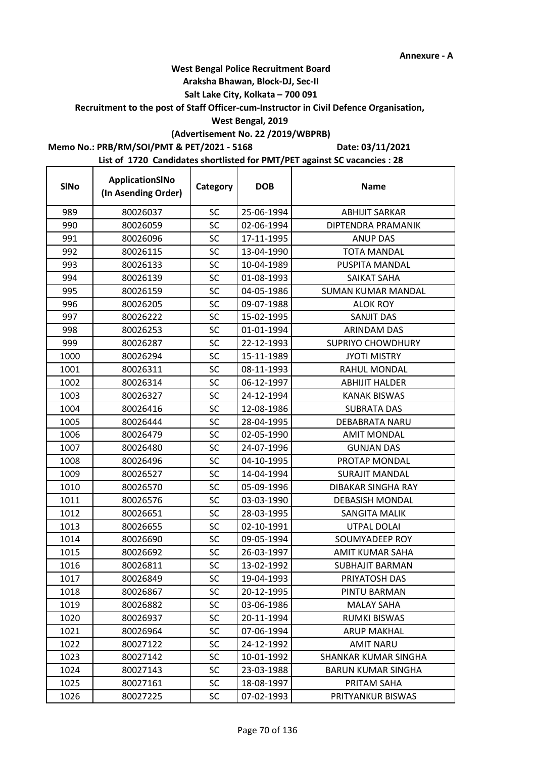t

## **West Bengal Police Recruitment Board**

### **Araksha Bhawan, Block-DJ, Sec-II**

## **Salt Lake City, Kolkata – 700 091**

### **Recruitment to the post of Staff Officer-cum-Instructor in Civil Defence Organisation,**

## **West Bengal, 2019**

# **(Advertisement No. 22 /2019/WBPRB)**

## **Memo No.: PRB/RM/SOI/PMT & PET/2021 - 5168**

**Date: 03/11/2021**

| <b>SINo</b> | ApplicationSINo<br>(In Asending Order) | Category  | <b>DOB</b> | <b>Name</b>               |
|-------------|----------------------------------------|-----------|------------|---------------------------|
| 989         | 80026037                               | <b>SC</b> | 25-06-1994 | <b>ABHIJIT SARKAR</b>     |
| 990         | 80026059                               | SC        | 02-06-1994 | DIPTENDRA PRAMANIK        |
| 991         | 80026096                               | <b>SC</b> | 17-11-1995 | <b>ANUP DAS</b>           |
| 992         | 80026115                               | SC        | 13-04-1990 | <b>TOTA MANDAL</b>        |
| 993         | 80026133                               | <b>SC</b> | 10-04-1989 | PUSPITA MANDAL            |
| 994         | 80026139                               | SC        | 01-08-1993 | <b>SAIKAT SAHA</b>        |
| 995         | 80026159                               | SC        | 04-05-1986 | <b>SUMAN KUMAR MANDAL</b> |
| 996         | 80026205                               | SC        | 09-07-1988 | <b>ALOK ROY</b>           |
| 997         | 80026222                               | SC        | 15-02-1995 | SANJIT DAS                |
| 998         | 80026253                               | SC        | 01-01-1994 | ARINDAM DAS               |
| 999         | 80026287                               | SC        | 22-12-1993 | <b>SUPRIYO CHOWDHURY</b>  |
| 1000        | 80026294                               | <b>SC</b> | 15-11-1989 | <b>JYOTI MISTRY</b>       |
| 1001        | 80026311                               | SC        | 08-11-1993 | RAHUL MONDAL              |
| 1002        | 80026314                               | SC        | 06-12-1997 | <b>ABHIJIT HALDER</b>     |
| 1003        | 80026327                               | SC        | 24-12-1994 | <b>KANAK BISWAS</b>       |
| 1004        | 80026416                               | SC        | 12-08-1986 | <b>SUBRATA DAS</b>        |
| 1005        | 80026444                               | <b>SC</b> | 28-04-1995 | <b>DEBABRATA NARU</b>     |
| 1006        | 80026479                               | SC        | 02-05-1990 | <b>AMIT MONDAL</b>        |
| 1007        | 80026480                               | SC        | 24-07-1996 | <b>GUNJAN DAS</b>         |
| 1008        | 80026496                               | SC        | 04-10-1995 | PROTAP MONDAL             |
| 1009        | 80026527                               | SC        | 14-04-1994 | <b>SURAJIT MANDAL</b>     |
| 1010        | 80026570                               | SC        | 05-09-1996 | DIBAKAR SINGHA RAY        |
| 1011        | 80026576                               | SC        | 03-03-1990 | <b>DEBASISH MONDAL</b>    |
| 1012        | 80026651                               | SC        | 28-03-1995 | <b>SANGITA MALIK</b>      |
| 1013        | 80026655                               | SC        | 02-10-1991 | UTPAL DOLAI               |
| 1014        | 80026690                               | SC        | 09-05-1994 | SOUMYADEEP ROY            |
| 1015        | 80026692                               | <b>SC</b> | 26-03-1997 | AMIT KUMAR SAHA           |
| 1016        | 80026811                               | SC        | 13-02-1992 | <b>SUBHAJIT BARMAN</b>    |
| 1017        | 80026849                               | <b>SC</b> | 19-04-1993 | PRIYATOSH DAS             |
| 1018        | 80026867                               | SC        | 20-12-1995 | PINTU BARMAN              |
| 1019        | 80026882                               | <b>SC</b> | 03-06-1986 | <b>MALAY SAHA</b>         |
| 1020        | 80026937                               | <b>SC</b> | 20-11-1994 | <b>RUMKI BISWAS</b>       |
| 1021        | 80026964                               | <b>SC</b> | 07-06-1994 | <b>ARUP MAKHAL</b>        |
| 1022        | 80027122                               | <b>SC</b> | 24-12-1992 | <b>AMIT NARU</b>          |
| 1023        | 80027142                               | <b>SC</b> | 10-01-1992 | SHANKAR KUMAR SINGHA      |
| 1024        | 80027143                               | SC        | 23-03-1988 | <b>BARUN KUMAR SINGHA</b> |
| 1025        | 80027161                               | <b>SC</b> | 18-08-1997 | PRITAM SAHA               |
| 1026        | 80027225                               | <b>SC</b> | 07-02-1993 | PRITYANKUR BISWAS         |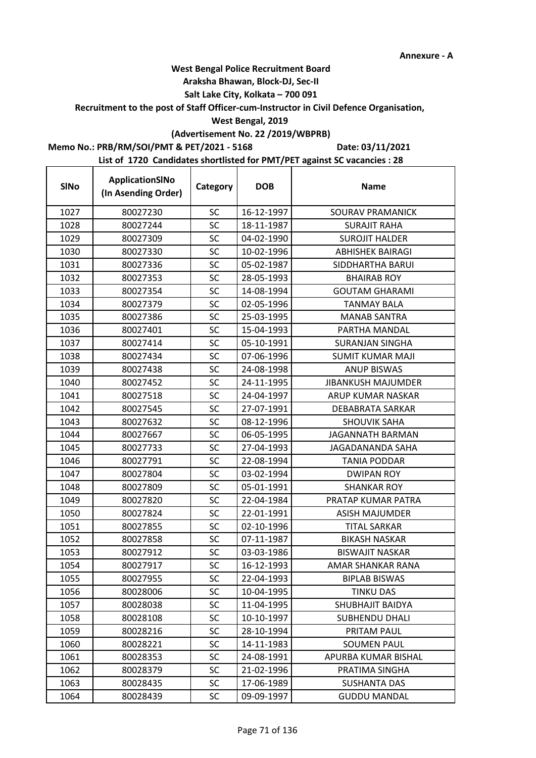### **Araksha Bhawan, Block-DJ, Sec-II**

## **Salt Lake City, Kolkata – 700 091**

**Recruitment to the post of Staff Officer-cum-Instructor in Civil Defence Organisation,** 

## **West Bengal, 2019**

# **(Advertisement No. 22 /2019/WBPRB)**

**Memo No.: PRB/RM/SOI/PMT & PET/2021 - 5168**

r

**Date: 03/11/2021**

| <b>SINo</b> | ApplicationSINo<br>(In Asending Order) | Category  | <b>DOB</b> | <b>Name</b>               |
|-------------|----------------------------------------|-----------|------------|---------------------------|
| 1027        | 80027230                               | <b>SC</b> | 16-12-1997 | SOURAV PRAMANICK          |
| 1028        | 80027244                               | <b>SC</b> | 18-11-1987 | <b>SURAJIT RAHA</b>       |
| 1029        | 80027309                               | <b>SC</b> | 04-02-1990 | <b>SUROJIT HALDER</b>     |
| 1030        | 80027330                               | SC        | 10-02-1996 | <b>ABHISHEK BAIRAGI</b>   |
| 1031        | 80027336                               | <b>SC</b> | 05-02-1987 | SIDDHARTHA BARUI          |
| 1032        | 80027353                               | SC        | 28-05-1993 | <b>BHAIRAB ROY</b>        |
| 1033        | 80027354                               | <b>SC</b> | 14-08-1994 | <b>GOUTAM GHARAMI</b>     |
| 1034        | 80027379                               | <b>SC</b> | 02-05-1996 | <b>TANMAY BALA</b>        |
| 1035        | 80027386                               | SC        | 25-03-1995 | <b>MANAB SANTRA</b>       |
| 1036        | 80027401                               | <b>SC</b> | 15-04-1993 | PARTHA MANDAL             |
| 1037        | 80027414                               | SC        | 05-10-1991 | <b>SURANJAN SINGHA</b>    |
| 1038        | 80027434                               | SC        | 07-06-1996 | <b>SUMIT KUMAR MAJI</b>   |
| 1039        | 80027438                               | <b>SC</b> | 24-08-1998 | <b>ANUP BISWAS</b>        |
| 1040        | 80027452                               | SC        | 24-11-1995 | <b>JIBANKUSH MAJUMDER</b> |
| 1041        | 80027518                               | SC        | 24-04-1997 | ARUP KUMAR NASKAR         |
| 1042        | 80027545                               | <b>SC</b> | 27-07-1991 | DEBABRATA SARKAR          |
| 1043        | 80027632                               | SC        | 08-12-1996 | <b>SHOUVIK SAHA</b>       |
| 1044        | 80027667                               | SC        | 06-05-1995 | <b>JAGANNATH BARMAN</b>   |
| 1045        | 80027733                               | SC        | 27-04-1993 | JAGADANANDA SAHA          |
| 1046        | 80027791                               | <b>SC</b> | 22-08-1994 | <b>TANIA PODDAR</b>       |
| 1047        | 80027804                               | <b>SC</b> | 03-02-1994 | <b>DWIPAN ROY</b>         |
| 1048        | 80027809                               | <b>SC</b> | 05-01-1991 | <b>SHANKAR ROY</b>        |
| 1049        | 80027820                               | SC        | 22-04-1984 | PRATAP KUMAR PATRA        |
| 1050        | 80027824                               | <b>SC</b> | 22-01-1991 | ASISH MAJUMDER            |
| 1051        | 80027855                               | SC        | 02-10-1996 | <b>TITAL SARKAR</b>       |
| 1052        | 80027858                               | <b>SC</b> | 07-11-1987 | <b>BIKASH NASKAR</b>      |
| 1053        | 80027912                               | <b>SC</b> | 03-03-1986 | <b>BISWAJIT NASKAR</b>    |
| 1054        | 80027917                               | SC        | 16-12-1993 | AMAR SHANKAR RANA         |
| 1055        | 80027955                               | SC        | 22-04-1993 | <b>BIPLAB BISWAS</b>      |
| 1056        | 80028006                               | <b>SC</b> | 10-04-1995 | <b>TINKU DAS</b>          |
| 1057        | 80028038                               | <b>SC</b> | 11-04-1995 | SHUBHAJIT BAIDYA          |
| 1058        | 80028108                               | <b>SC</b> | 10-10-1997 | <b>SUBHENDU DHALI</b>     |
| 1059        | 80028216                               | <b>SC</b> | 28-10-1994 | PRITAM PAUL               |
| 1060        | 80028221                               | SC        | 14-11-1983 | <b>SOUMEN PAUL</b>        |
| 1061        | 80028353                               | <b>SC</b> | 24-08-1991 | APURBA KUMAR BISHAL       |
| 1062        | 80028379                               | SC        | 21-02-1996 | PRATIMA SINGHA            |
| 1063        | 80028435                               | <b>SC</b> | 17-06-1989 | <b>SUSHANTA DAS</b>       |
| 1064        | 80028439                               | <b>SC</b> | 09-09-1997 | <b>GUDDU MANDAL</b>       |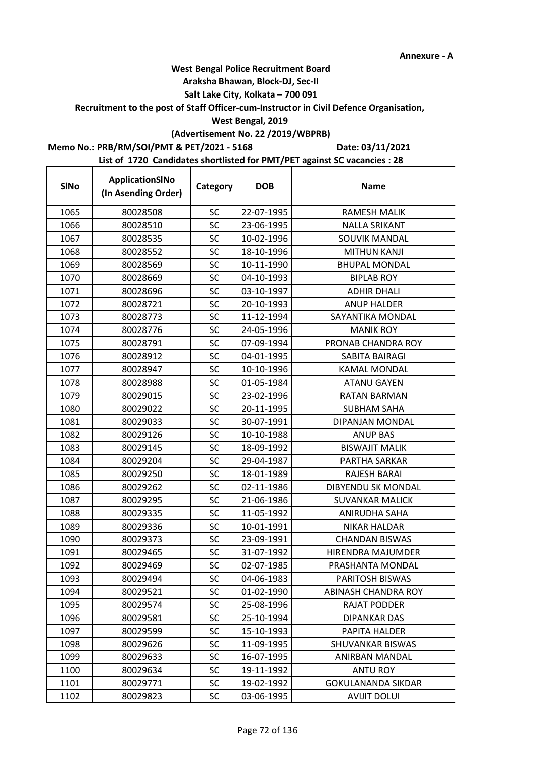t

## **West Bengal Police Recruitment Board**

### **Araksha Bhawan, Block-DJ, Sec-II**

## **Salt Lake City, Kolkata – 700 091**

### **Recruitment to the post of Staff Officer-cum-Instructor in Civil Defence Organisation,**

### **West Bengal, 2019**

## **(Advertisement No. 22 /2019/WBPRB)**

## **Memo No.: PRB/RM/SOI/PMT & PET/2021 - 5168**

**Date: 03/11/2021**

| <b>SINo</b> | ApplicationSINo<br>(In Asending Order) | Category  | <b>DOB</b> | <b>Name</b>                |
|-------------|----------------------------------------|-----------|------------|----------------------------|
| 1065        | 80028508                               | <b>SC</b> | 22-07-1995 | <b>RAMESH MALIK</b>        |
| 1066        | 80028510                               | SC        | 23-06-1995 | <b>NALLA SRIKANT</b>       |
| 1067        | 80028535                               | SC        | 10-02-1996 | <b>SOUVIK MANDAL</b>       |
| 1068        | 80028552                               | SC        | 18-10-1996 | <b>MITHUN KANJI</b>        |
| 1069        | 80028569                               | SC        | 10-11-1990 | <b>BHUPAL MONDAL</b>       |
| 1070        | 80028669                               | SC        | 04-10-1993 | <b>BIPLAB ROY</b>          |
| 1071        | 80028696                               | SC        | 03-10-1997 | <b>ADHIR DHALI</b>         |
| 1072        | 80028721                               | SC        | 20-10-1993 | <b>ANUP HALDER</b>         |
| 1073        | 80028773                               | SC        | 11-12-1994 | SAYANTIKA MONDAL           |
| 1074        | 80028776                               | <b>SC</b> | 24-05-1996 | <b>MANIK ROY</b>           |
| 1075        | 80028791                               | SC        | 07-09-1994 | PRONAB CHANDRA ROY         |
| 1076        | 80028912                               | SC        | 04-01-1995 | SABITA BAIRAGI             |
| 1077        | 80028947                               | SC        | 10-10-1996 | <b>KAMAL MONDAL</b>        |
| 1078        | 80028988                               | SC        | 01-05-1984 | <b>ATANU GAYEN</b>         |
| 1079        | 80029015                               | SC        | 23-02-1996 | <b>RATAN BARMAN</b>        |
| 1080        | 80029022                               | SC        | 20-11-1995 | <b>SUBHAM SAHA</b>         |
| 1081        | 80029033                               | <b>SC</b> | 30-07-1991 | DIPANJAN MONDAL            |
| 1082        | 80029126                               | SC        | 10-10-1988 | <b>ANUP BAS</b>            |
| 1083        | 80029145                               | <b>SC</b> | 18-09-1992 | <b>BISWAJIT MALIK</b>      |
| 1084        | 80029204                               | SC        | 29-04-1987 | PARTHA SARKAR              |
| 1085        | 80029250                               | SC        | 18-01-1989 | RAJESH BARAI               |
| 1086        | 80029262                               | SC        | 02-11-1986 | DIBYENDU SK MONDAL         |
| 1087        | 80029295                               | SC        | 21-06-1986 | <b>SUVANKAR MALICK</b>     |
| 1088        | 80029335                               | <b>SC</b> | 11-05-1992 | ANIRUDHA SAHA              |
| 1089        | 80029336                               | SC        | 10-01-1991 | <b>NIKAR HALDAR</b>        |
| 1090        | 80029373                               | SC        | 23-09-1991 | <b>CHANDAN BISWAS</b>      |
| 1091        | 80029465                               | SC        | 31-07-1992 | HIRENDRA MAJUMDER          |
| 1092        | 80029469                               | SC        | 02-07-1985 | PRASHANTA MONDAL           |
| 1093        | 80029494                               | SC        | 04-06-1983 | <b>PARITOSH BISWAS</b>     |
| 1094        | 80029521                               | <b>SC</b> | 01-02-1990 | <b>ABINASH CHANDRA ROY</b> |
| 1095        | 80029574                               | <b>SC</b> | 25-08-1996 | <b>RAJAT PODDER</b>        |
| 1096        | 80029581                               | <b>SC</b> | 25-10-1994 | <b>DIPANKAR DAS</b>        |
| 1097        | 80029599                               | <b>SC</b> | 15-10-1993 | PAPITA HALDER              |
| 1098        | 80029626                               | <b>SC</b> | 11-09-1995 | SHUVANKAR BISWAS           |
| 1099        | 80029633                               | SC        | 16-07-1995 | ANIRBAN MANDAL             |
| 1100        | 80029634                               | SC        | 19-11-1992 | ANTU ROY                   |
| 1101        | 80029771                               | <b>SC</b> | 19-02-1992 | <b>GOKULANANDA SIKDAR</b>  |
| 1102        | 80029823                               | <b>SC</b> | 03-06-1995 | <b>AVIJIT DOLUI</b>        |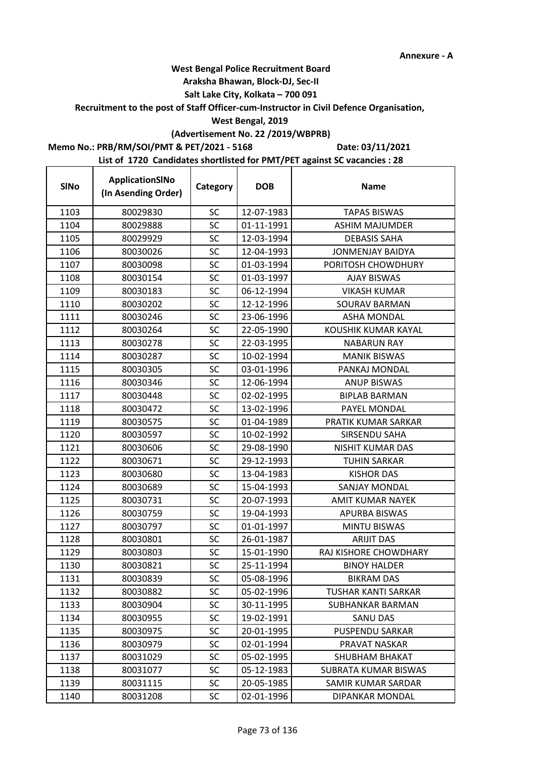## **West Bengal Police Recruitment Board**

#### **Araksha Bhawan, Block-DJ, Sec-II**

## **Salt Lake City, Kolkata – 700 091**

#### **Recruitment to the post of Staff Officer-cum-Instructor in Civil Defence Organisation,**

#### **West Bengal, 2019**

# **(Advertisement No. 22 /2019/WBPRB)**

#### **Memo No.: PRB/RM/SOI/PMT & PET/2021 - 5168**

**Date: 03/11/2021**

| <b>SINo</b> | ApplicationSINo<br>(In Asending Order) | Category  | <b>DOB</b> | <b>Name</b>                |
|-------------|----------------------------------------|-----------|------------|----------------------------|
| 1103        | 80029830                               | <b>SC</b> | 12-07-1983 | <b>TAPAS BISWAS</b>        |
| 1104        | 80029888                               | <b>SC</b> | 01-11-1991 | <b>ASHIM MAJUMDER</b>      |
| 1105        | 80029929                               | <b>SC</b> | 12-03-1994 | <b>DEBASIS SAHA</b>        |
| 1106        | 80030026                               | SC        | 12-04-1993 | <b>JONMENJAY BAIDYA</b>    |
| 1107        | 80030098                               | <b>SC</b> | 01-03-1994 | PORITOSH CHOWDHURY         |
| 1108        | 80030154                               | SC        | 01-03-1997 | <b>AJAY BISWAS</b>         |
| 1109        | 80030183                               | <b>SC</b> | 06-12-1994 | <b>VIKASH KUMAR</b>        |
| 1110        | 80030202                               | SC        | 12-12-1996 | SOURAV BARMAN              |
| 1111        | 80030246                               | SC        | 23-06-1996 | <b>ASHA MONDAL</b>         |
| 1112        | 80030264                               | <b>SC</b> | 22-05-1990 | KOUSHIK KUMAR KAYAL        |
| 1113        | 80030278                               | SC        | 22-03-1995 | <b>NABARUN RAY</b>         |
| 1114        | 80030287                               | <b>SC</b> | 10-02-1994 | <b>MANIK BISWAS</b>        |
| 1115        | 80030305                               | SC        | 03-01-1996 | PANKAJ MONDAL              |
| 1116        | 80030346                               | SC        | 12-06-1994 | <b>ANUP BISWAS</b>         |
| 1117        | 80030448                               | <b>SC</b> | 02-02-1995 | <b>BIPLAB BARMAN</b>       |
| 1118        | 80030472                               | SC        | 13-02-1996 | PAYEL MONDAL               |
| 1119        | 80030575                               | SC        | 01-04-1989 | PRATIK KUMAR SARKAR        |
| 1120        | 80030597                               | <b>SC</b> | 10-02-1992 | SIRSENDU SAHA              |
| 1121        | 80030606                               | <b>SC</b> | 29-08-1990 | <b>NISHIT KUMAR DAS</b>    |
| 1122        | 80030671                               | <b>SC</b> | 29-12-1993 | <b>TUHIN SARKAR</b>        |
| 1123        | 80030680                               | <b>SC</b> | 13-04-1983 | <b>KISHOR DAS</b>          |
| 1124        | 80030689                               | <b>SC</b> | 15-04-1993 | <b>SANJAY MONDAL</b>       |
| 1125        | 80030731                               | SC        | 20-07-1993 | <b>AMIT KUMAR NAYEK</b>    |
| 1126        | 80030759                               | <b>SC</b> | 19-04-1993 | <b>APURBA BISWAS</b>       |
| 1127        | 80030797                               | <b>SC</b> | 01-01-1997 | <b>MINTU BISWAS</b>        |
| 1128        | 80030801                               | <b>SC</b> | 26-01-1987 | <b>ARIJIT DAS</b>          |
| 1129        | 80030803                               | SC        | 15-01-1990 | RAJ KISHORE CHOWDHARY      |
| 1130        | 80030821                               | <b>SC</b> | 25-11-1994 | <b>BINOY HALDER</b>        |
| 1131        | 80030839                               | SC        | 05-08-1996 | BIKRAM DAS                 |
| 1132        | 80030882                               | SC        | 05-02-1996 | <b>TUSHAR KANTI SARKAR</b> |
| 1133        | 80030904                               | <b>SC</b> | 30-11-1995 | SUBHANKAR BARMAN           |
| 1134        | 80030955                               | <b>SC</b> | 19-02-1991 | SANU DAS                   |
| 1135        | 80030975                               | <b>SC</b> | 20-01-1995 | <b>PUSPENDU SARKAR</b>     |
| 1136        | 80030979                               | SC        | 02-01-1994 | PRAVAT NASKAR              |
| 1137        | 80031029                               | SC        | 05-02-1995 | <b>SHUBHAM BHAKAT</b>      |
| 1138        | 80031077                               | <b>SC</b> | 05-12-1983 | SUBRATA KUMAR BISWAS       |
| 1139        | 80031115                               | <b>SC</b> | 20-05-1985 | SAMIR KUMAR SARDAR         |
| 1140        | 80031208                               | SC.       | 02-01-1996 | DIPANKAR MONDAL            |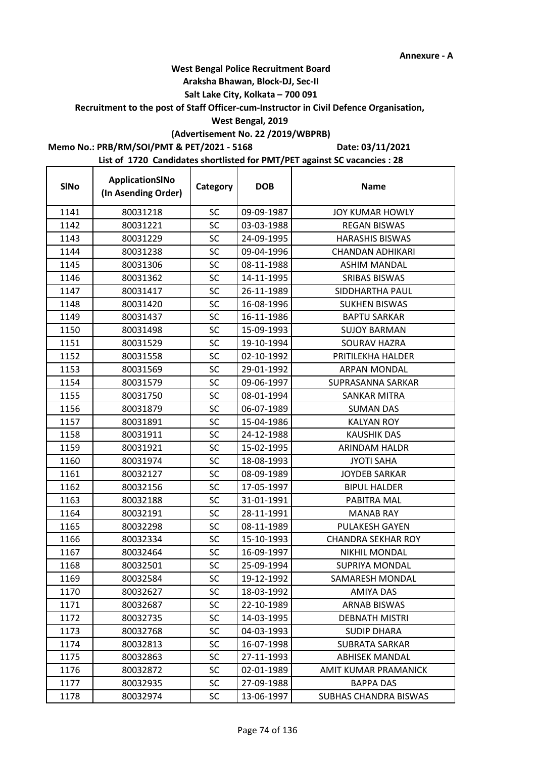## **West Bengal Police Recruitment Board**

#### **Araksha Bhawan, Block-DJ, Sec-II**

#### **Salt Lake City, Kolkata – 700 091**

**Recruitment to the post of Staff Officer-cum-Instructor in Civil Defence Organisation,** 

#### **West Bengal, 2019**

# **(Advertisement No. 22 /2019/WBPRB)**

### **Memo No.: PRB/RM/SOI/PMT & PET/2021 - 5168**

 $\mathbf{r}$ 

**Date: 03/11/2021**

| <b>SINo</b> | ApplicationSINo<br>(In Asending Order) | Category  | <b>DOB</b> | <b>Name</b>                  |
|-------------|----------------------------------------|-----------|------------|------------------------------|
| 1141        | 80031218                               | <b>SC</b> | 09-09-1987 | <b>JOY KUMAR HOWLY</b>       |
| 1142        | 80031221                               | <b>SC</b> | 03-03-1988 | <b>REGAN BISWAS</b>          |
| 1143        | 80031229                               | <b>SC</b> | 24-09-1995 | <b>HARASHIS BISWAS</b>       |
| 1144        | 80031238                               | SC        | 09-04-1996 | <b>CHANDAN ADHIKARI</b>      |
| 1145        | 80031306                               | <b>SC</b> | 08-11-1988 | <b>ASHIM MANDAL</b>          |
| 1146        | 80031362                               | SC        | 14-11-1995 | <b>SRIBAS BISWAS</b>         |
| 1147        | 80031417                               | <b>SC</b> | 26-11-1989 | SIDDHARTHA PAUL              |
| 1148        | 80031420                               | <b>SC</b> | 16-08-1996 | <b>SUKHEN BISWAS</b>         |
| 1149        | 80031437                               | SC        | 16-11-1986 | <b>BAPTU SARKAR</b>          |
| 1150        | 80031498                               | <b>SC</b> | 15-09-1993 | <b>SUJOY BARMAN</b>          |
| 1151        | 80031529                               | SC        | 19-10-1994 | <b>SOURAV HAZRA</b>          |
| 1152        | 80031558                               | SC        | 02-10-1992 | PRITILEKHA HALDER            |
| 1153        | 80031569                               | <b>SC</b> | 29-01-1992 | <b>ARPAN MONDAL</b>          |
| 1154        | 80031579                               | SC        | 09-06-1997 | SUPRASANNA SARKAR            |
| 1155        | 80031750                               | <b>SC</b> | 08-01-1994 | <b>SANKAR MITRA</b>          |
| 1156        | 80031879                               | <b>SC</b> | 06-07-1989 | <b>SUMAN DAS</b>             |
| 1157        | 80031891                               | SC        | 15-04-1986 | <b>KALYAN ROY</b>            |
| 1158        | 80031911                               | SC        | 24-12-1988 | <b>KAUSHIK DAS</b>           |
| 1159        | 80031921                               | SC        | 15-02-1995 | ARINDAM HALDR                |
| 1160        | 80031974                               | <b>SC</b> | 18-08-1993 | <b>JYOTI SAHA</b>            |
| 1161        | 80032127                               | <b>SC</b> | 08-09-1989 | <b>JOYDEB SARKAR</b>         |
| 1162        | 80032156                               | <b>SC</b> | 17-05-1997 | <b>BIPUL HALDER</b>          |
| 1163        | 80032188                               | SC        | 31-01-1991 | PABITRA MAL                  |
| 1164        | 80032191                               | SC        | 28-11-1991 | <b>MANAB RAY</b>             |
| 1165        | 80032298                               | SC        | 08-11-1989 | <b>PULAKESH GAYEN</b>        |
| 1166        | 80032334                               | <b>SC</b> | 15-10-1993 | <b>CHANDRA SEKHAR ROY</b>    |
| 1167        | 80032464                               | <b>SC</b> | 16-09-1997 | NIKHIL MONDAL                |
| 1168        | 80032501                               | SC        | 25-09-1994 | <b>SUPRIYA MONDAL</b>        |
| 1169        | 80032584                               | SC        | 19-12-1992 | SAMARESH MONDAL              |
| 1170        | 80032627                               | SC        | 18-03-1992 | <b>AMIYA DAS</b>             |
| 1171        | 80032687                               | SC        | 22-10-1989 | <b>ARNAB BISWAS</b>          |
| 1172        | 80032735                               | SC        | 14-03-1995 | <b>DEBNATH MISTRI</b>        |
| 1173        | 80032768                               | <b>SC</b> | 04-03-1993 | <b>SUDIP DHARA</b>           |
| 1174        | 80032813                               | SC        | 16-07-1998 | <b>SUBRATA SARKAR</b>        |
| 1175        | 80032863                               | SC        | 27-11-1993 | <b>ABHISEK MANDAL</b>        |
| 1176        | 80032872                               | SC        | 02-01-1989 | AMIT KUMAR PRAMANICK         |
| 1177        | 80032935                               | <b>SC</b> | 27-09-1988 | <b>BAPPA DAS</b>             |
| 1178        | 80032974                               | <b>SC</b> | 13-06-1997 | <b>SUBHAS CHANDRA BISWAS</b> |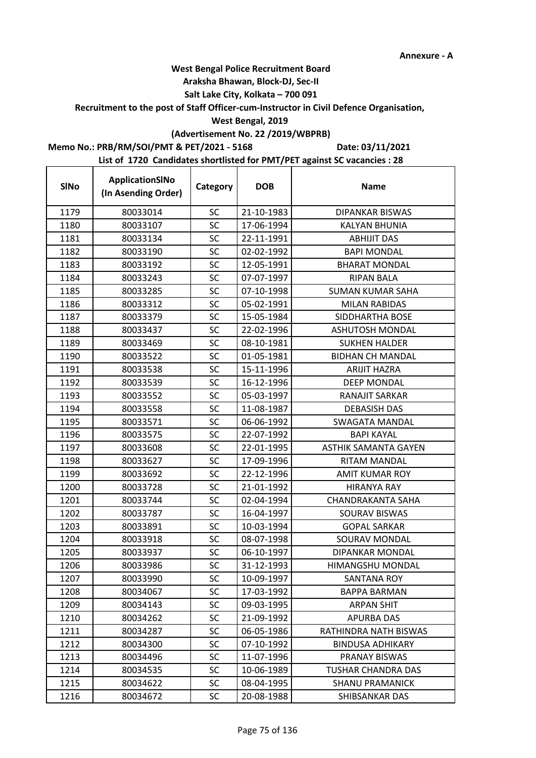## **West Bengal Police Recruitment Board**

#### **Araksha Bhawan, Block-DJ, Sec-II**

## **Salt Lake City, Kolkata – 700 091**

**Recruitment to the post of Staff Officer-cum-Instructor in Civil Defence Organisation,** 

#### **West Bengal, 2019**

# **(Advertisement No. 22 /2019/WBPRB)**

**Memo No.: PRB/RM/SOI/PMT & PET/2021 - 5168**

 $\mathbf{r}$ 

**Date: 03/11/2021**

| <b>SINo</b> | ApplicationSINo<br>(In Asending Order) | Category  | <b>DOB</b> | <b>Name</b>                 |
|-------------|----------------------------------------|-----------|------------|-----------------------------|
| 1179        | 80033014                               | SC        | 21-10-1983 | <b>DIPANKAR BISWAS</b>      |
| 1180        | 80033107                               | <b>SC</b> | 17-06-1994 | <b>KALYAN BHUNIA</b>        |
| 1181        | 80033134                               | <b>SC</b> | 22-11-1991 | <b>ABHIJIT DAS</b>          |
| 1182        | 80033190                               | SC        | 02-02-1992 | <b>BAPI MONDAL</b>          |
| 1183        | 80033192                               | <b>SC</b> | 12-05-1991 | <b>BHARAT MONDAL</b>        |
| 1184        | 80033243                               | SC        | 07-07-1997 | <b>RIPAN BALA</b>           |
| 1185        | 80033285                               | <b>SC</b> | 07-10-1998 | <b>SUMAN KUMAR SAHA</b>     |
| 1186        | 80033312                               | <b>SC</b> | 05-02-1991 | <b>MILAN RABIDAS</b>        |
| 1187        | 80033379                               | SC        | 15-05-1984 | SIDDHARTHA BOSE             |
| 1188        | 80033437                               | <b>SC</b> | 22-02-1996 | <b>ASHUTOSH MONDAL</b>      |
| 1189        | 80033469                               | SC        | 08-10-1981 | <b>SUKHEN HALDER</b>        |
| 1190        | 80033522                               | SC        | 01-05-1981 | <b>BIDHAN CH MANDAL</b>     |
| 1191        | 80033538                               | <b>SC</b> | 15-11-1996 | <b>ARIJIT HAZRA</b>         |
| 1192        | 80033539                               | SC        | 16-12-1996 | <b>DEEP MONDAL</b>          |
| 1193        | 80033552                               | SC        | 05-03-1997 | RANAJIT SARKAR              |
| 1194        | 80033558                               | <b>SC</b> | 11-08-1987 | <b>DEBASISH DAS</b>         |
| 1195        | 80033571                               | SC        | 06-06-1992 | <b>SWAGATA MANDAL</b>       |
| 1196        | 80033575                               | SC        | 22-07-1992 | <b>BAPI KAYAL</b>           |
| 1197        | 80033608                               | SC        | 22-01-1995 | <b>ASTHIK SAMANTA GAYEN</b> |
| 1198        | 80033627                               | <b>SC</b> | 17-09-1996 | RITAM MANDAL                |
| 1199        | 80033692                               | <b>SC</b> | 22-12-1996 | <b>AMIT KUMAR ROY</b>       |
| 1200        | 80033728                               | <b>SC</b> | 21-01-1992 | <b>HIRANYA RAY</b>          |
| 1201        | 80033744                               | SC        | 02-04-1994 | CHANDRAKANTA SAHA           |
| 1202        | 80033787                               | SC        | 16-04-1997 | SOURAV BISWAS               |
| 1203        | 80033891                               | SC        | 10-03-1994 | <b>GOPAL SARKAR</b>         |
| 1204        | 80033918                               | <b>SC</b> | 08-07-1998 | SOURAV MONDAL               |
| 1205        | 80033937                               | <b>SC</b> | 06-10-1997 | DIPANKAR MONDAL             |
| 1206        | 80033986                               | SC        | 31-12-1993 | HIMANGSHU MONDAL            |
| 1207        | 80033990                               | SC        | 10-09-1997 | SANTANA ROY                 |
| 1208        | 80034067                               | SC        | 17-03-1992 | <b>BAPPA BARMAN</b>         |
| 1209        | 80034143                               | SC        | 09-03-1995 | <b>ARPAN SHIT</b>           |
| 1210        | 80034262                               | SC        | 21-09-1992 | <b>APURBA DAS</b>           |
| 1211        | 80034287                               | SC        | 06-05-1986 | RATHINDRA NATH BISWAS       |
| 1212        | 80034300                               | SC        | 07-10-1992 | <b>BINDUSA ADHIKARY</b>     |
| 1213        | 80034496                               | SC        | 11-07-1996 | PRANAY BISWAS               |
| 1214        | 80034535                               | SC        | 10-06-1989 | <b>TUSHAR CHANDRA DAS</b>   |
| 1215        | 80034622                               | <b>SC</b> | 08-04-1995 | <b>SHANU PRAMANICK</b>      |
| 1216        | 80034672                               | <b>SC</b> | 20-08-1988 | SHIBSANKAR DAS              |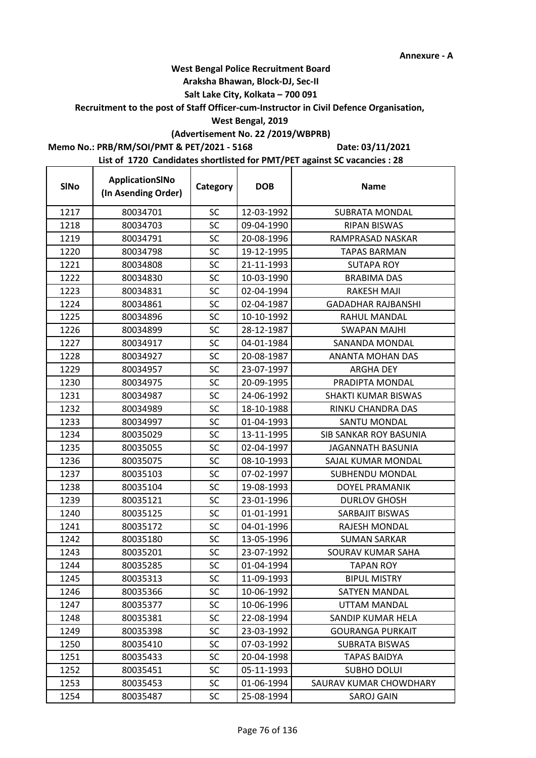## **West Bengal Police Recruitment Board**

#### **Araksha Bhawan, Block-DJ, Sec-II**

## **Salt Lake City, Kolkata – 700 091**

#### **Recruitment to the post of Staff Officer-cum-Instructor in Civil Defence Organisation,**

#### **West Bengal, 2019**

# **(Advertisement No. 22 /2019/WBPRB)**

### **Memo No.: PRB/RM/SOI/PMT & PET/2021 - 5168**

**Date: 03/11/2021**

| <b>SINo</b> | ApplicationSINo<br>(In Asending Order) | Category  | <b>DOB</b> | <b>Name</b>               |
|-------------|----------------------------------------|-----------|------------|---------------------------|
| 1217        | 80034701                               | SC        | 12-03-1992 | <b>SUBRATA MONDAL</b>     |
| 1218        | 80034703                               | SC        | 09-04-1990 | <b>RIPAN BISWAS</b>       |
| 1219        | 80034791                               | SC        | 20-08-1996 | RAMPRASAD NASKAR          |
| 1220        | 80034798                               | SC        | 19-12-1995 | <b>TAPAS BARMAN</b>       |
| 1221        | 80034808                               | SC        | 21-11-1993 | <b>SUTAPA ROY</b>         |
| 1222        | 80034830                               | SC        | 10-03-1990 | <b>BRABIMA DAS</b>        |
| 1223        | 80034831                               | SC        | 02-04-1994 | RAKESH MAJI               |
| 1224        | 80034861                               | SC        | 02-04-1987 | <b>GADADHAR RAJBANSHI</b> |
| 1225        | 80034896                               | SC        | 10-10-1992 | RAHUL MANDAL              |
| 1226        | 80034899                               | SC        | 28-12-1987 | SWAPAN MAJHI              |
| 1227        | 80034917                               | SC        | 04-01-1984 | <b>SANANDA MONDAL</b>     |
| 1228        | 80034927                               | SC        | 20-08-1987 | ANANTA MOHAN DAS          |
| 1229        | 80034957                               | SC        | 23-07-1997 | <b>ARGHA DEY</b>          |
| 1230        | 80034975                               | SC        | 20-09-1995 | PRADIPTA MONDAL           |
| 1231        | 80034987                               | SC        | 24-06-1992 | SHAKTI KUMAR BISWAS       |
| 1232        | 80034989                               | SC        | 18-10-1988 | RINKU CHANDRA DAS         |
| 1233        | 80034997                               | SC        | 01-04-1993 | SANTU MONDAL              |
| 1234        | 80035029                               | SC        | 13-11-1995 | SIB SANKAR ROY BASUNIA    |
| 1235        | 80035055                               | SC        | 02-04-1997 | JAGANNATH BASUNIA         |
| 1236        | 80035075                               | SC        | 08-10-1993 | SAJAL KUMAR MONDAL        |
| 1237        | 80035103                               | SC        | 07-02-1997 | <b>SUBHENDU MONDAL</b>    |
| 1238        | 80035104                               | SC        | 19-08-1993 | <b>DOYEL PRAMANIK</b>     |
| 1239        | 80035121                               | SC        | 23-01-1996 | <b>DURLOV GHOSH</b>       |
| 1240        | 80035125                               | SC        | 01-01-1991 | SARBAJIT BISWAS           |
| 1241        | 80035172                               | SC        | 04-01-1996 | RAJESH MONDAL             |
| 1242        | 80035180                               | SC        | 13-05-1996 | <b>SUMAN SARKAR</b>       |
| 1243        | 80035201                               | SC        | 23-07-1992 | SOURAV KUMAR SAHA         |
| 1244        | 80035285                               | SC        | 01-04-1994 | <b>TAPAN ROY</b>          |
| 1245        | 80035313                               | <b>SC</b> | 11-09-1993 | <b>BIPUL MISTRY</b>       |
| 1246        | 80035366                               | <b>SC</b> | 10-06-1992 | <b>SATYEN MANDAL</b>      |
| 1247        | 80035377                               | <b>SC</b> | 10-06-1996 | <b>UTTAM MANDAL</b>       |
| 1248        | 80035381                               | <b>SC</b> | 22-08-1994 | SANDIP KUMAR HELA         |
| 1249        | 80035398                               | <b>SC</b> | 23-03-1992 | <b>GOURANGA PURKAIT</b>   |
| 1250        | 80035410                               | SC        | 07-03-1992 | SUBRATA BISWAS            |
| 1251        | 80035433                               | <b>SC</b> | 20-04-1998 | <b>TAPAS BAIDYA</b>       |
| 1252        | 80035451                               | <b>SC</b> | 05-11-1993 | <b>SUBHO DOLUI</b>        |
| 1253        | 80035453                               | SC.       | 01-06-1994 | SAURAV KUMAR CHOWDHARY    |
| 1254        | 80035487                               | SC        | 25-08-1994 | <b>SAROJ GAIN</b>         |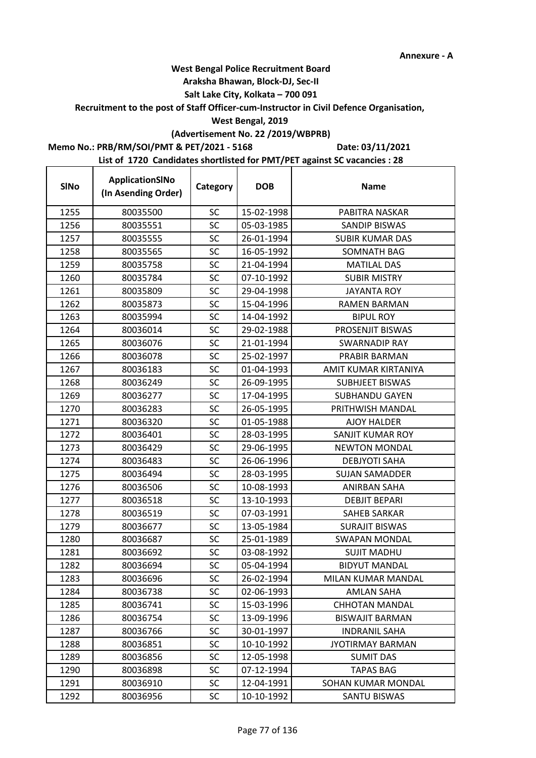## **West Bengal Police Recruitment Board**

#### **Araksha Bhawan, Block-DJ, Sec-II**

#### **Salt Lake City, Kolkata – 700 091**

#### **Recruitment to the post of Staff Officer-cum-Instructor in Civil Defence Organisation,**

#### **West Bengal, 2019**

# **(Advertisement No. 22 /2019/WBPRB)**

## **Memo No.: PRB/RM/SOI/PMT & PET/2021 - 5168**

**Date: 03/11/2021**

| <b>SINo</b> | ApplicationSINo<br>(In Asending Order) | Category  | <b>DOB</b> | <b>Name</b>             |
|-------------|----------------------------------------|-----------|------------|-------------------------|
| 1255        | 80035500                               | SC        | 15-02-1998 | PABITRA NASKAR          |
| 1256        | 80035551                               | SC        | 05-03-1985 | <b>SANDIP BISWAS</b>    |
| 1257        | 80035555                               | SC        | 26-01-1994 | <b>SUBIR KUMAR DAS</b>  |
| 1258        | 80035565                               | SC        | 16-05-1992 | SOMNATH BAG             |
| 1259        | 80035758                               | SC        | 21-04-1994 | <b>MATILAL DAS</b>      |
| 1260        | 80035784                               | SC        | 07-10-1992 | <b>SUBIR MISTRY</b>     |
| 1261        | 80035809                               | SC        | 29-04-1998 | <b>JAYANTA ROY</b>      |
| 1262        | 80035873                               | SC        | 15-04-1996 | <b>RAMEN BARMAN</b>     |
| 1263        | 80035994                               | SC        | 14-04-1992 | <b>BIPUL ROY</b>        |
| 1264        | 80036014                               | SC        | 29-02-1988 | PROSENJIT BISWAS        |
| 1265        | 80036076                               | SC        | 21-01-1994 | <b>SWARNADIP RAY</b>    |
| 1266        | 80036078                               | SC        | 25-02-1997 | PRABIR BARMAN           |
| 1267        | 80036183                               | SC        | 01-04-1993 | AMIT KUMAR KIRTANIYA    |
| 1268        | 80036249                               | SC        | 26-09-1995 | <b>SUBHJEET BISWAS</b>  |
| 1269        | 80036277                               | SC        | 17-04-1995 | <b>SUBHANDU GAYEN</b>   |
| 1270        | 80036283                               | SC        | 26-05-1995 | PRITHWISH MANDAL        |
| 1271        | 80036320                               | SC        | 01-05-1988 | <b>AJOY HALDER</b>      |
| 1272        | 80036401                               | SC        | 28-03-1995 | SANJIT KUMAR ROY        |
| 1273        | 80036429                               | SC        | 29-06-1995 | <b>NEWTON MONDAL</b>    |
| 1274        | 80036483                               | SC        | 26-06-1996 | <b>DEBJYOTI SAHA</b>    |
| 1275        | 80036494                               | SC        | 28-03-1995 | <b>SUJAN SAMADDER</b>   |
| 1276        | 80036506                               | SC        | 10-08-1993 | ANIRBAN SAHA            |
| 1277        | 80036518                               | SC        | 13-10-1993 | <b>DEBJIT BEPARI</b>    |
| 1278        | 80036519                               | SC        | 07-03-1991 | <b>SAHEB SARKAR</b>     |
| 1279        | 80036677                               | SC        | 13-05-1984 | <b>SURAJIT BISWAS</b>   |
| 1280        | 80036687                               | SC        | 25-01-1989 | <b>SWAPAN MONDAL</b>    |
| 1281        | 80036692                               | SC        | 03-08-1992 | <b>SUJIT MADHU</b>      |
| 1282        | 80036694                               | SC        | 05-04-1994 | <b>BIDYUT MANDAL</b>    |
| 1283        | 80036696                               | <b>SC</b> | 26-02-1994 | MILAN KUMAR MANDAL      |
| 1284        | 80036738                               | <b>SC</b> | 02-06-1993 | <b>AMLAN SAHA</b>       |
| 1285        | 80036741                               | <b>SC</b> | 15-03-1996 | <b>CHHOTAN MANDAL</b>   |
| 1286        | 80036754                               | <b>SC</b> | 13-09-1996 | <b>BISWAJIT BARMAN</b>  |
| 1287        | 80036766                               | <b>SC</b> | 30-01-1997 | <b>INDRANIL SAHA</b>    |
| 1288        | 80036851                               | SC        | 10-10-1992 | <b>JYOTIRMAY BARMAN</b> |
| 1289        | 80036856                               | <b>SC</b> | 12-05-1998 | <b>SUMIT DAS</b>        |
| 1290        | 80036898                               | <b>SC</b> | 07-12-1994 | <b>TAPAS BAG</b>        |
| 1291        | 80036910                               | SC.       | 12-04-1991 | SOHAN KUMAR MONDAL      |
| 1292        | 80036956                               | <b>SC</b> | 10-10-1992 | SANTU BISWAS            |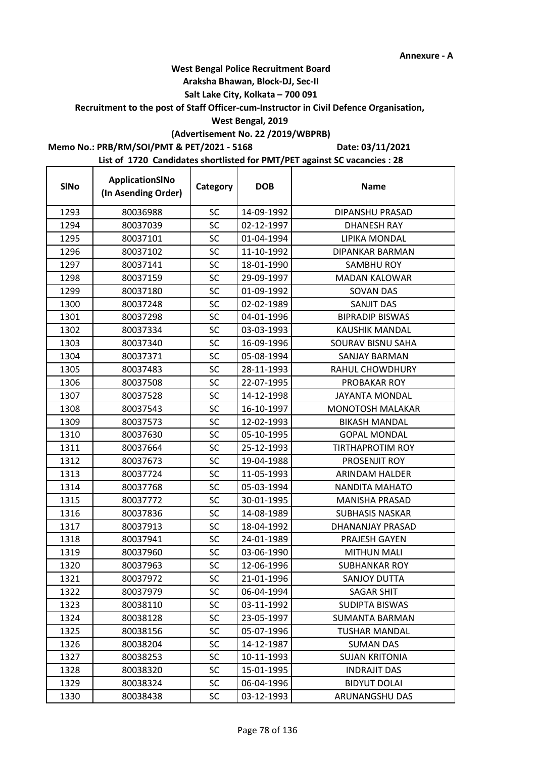## **West Bengal Police Recruitment Board**

#### **Araksha Bhawan, Block-DJ, Sec-II**

#### **Salt Lake City, Kolkata – 700 091**

## **Recruitment to the post of Staff Officer-cum-Instructor in Civil Defence Organisation,**

#### **West Bengal, 2019**

# **(Advertisement No. 22 /2019/WBPRB)**

#### **Memo No.: PRB/RM/SOI/PMT & PET/2021 - 5168**

 $\mathbf{r}$ 

**Date: 03/11/2021**

| <b>SINo</b> | ApplicationSINo<br>(In Asending Order) | Category  | <b>DOB</b> | <b>Name</b>             |
|-------------|----------------------------------------|-----------|------------|-------------------------|
| 1293        | 80036988                               | <b>SC</b> | 14-09-1992 | DIPANSHU PRASAD         |
| 1294        | 80037039                               | <b>SC</b> | 02-12-1997 | <b>DHANESH RAY</b>      |
| 1295        | 80037101                               | <b>SC</b> | 01-04-1994 | LIPIKA MONDAL           |
| 1296        | 80037102                               | SC        | 11-10-1992 | <b>DIPANKAR BARMAN</b>  |
| 1297        | 80037141                               | <b>SC</b> | 18-01-1990 | <b>SAMBHU ROY</b>       |
| 1298        | 80037159                               | SC        | 29-09-1997 | <b>MADAN KALOWAR</b>    |
| 1299        | 80037180                               | <b>SC</b> | 01-09-1992 | <b>SOVAN DAS</b>        |
| 1300        | 80037248                               | <b>SC</b> | 02-02-1989 | <b>SANJIT DAS</b>       |
| 1301        | 80037298                               | SC        | 04-01-1996 | <b>BIPRADIP BISWAS</b>  |
| 1302        | 80037334                               | <b>SC</b> | 03-03-1993 | <b>KAUSHIK MANDAL</b>   |
| 1303        | 80037340                               | SC        | 16-09-1996 | SOURAV BISNU SAHA       |
| 1304        | 80037371                               | SC        | 05-08-1994 | SANJAY BARMAN           |
| 1305        | 80037483                               | <b>SC</b> | 28-11-1993 | <b>RAHUL CHOWDHURY</b>  |
| 1306        | 80037508                               | SC        | 22-07-1995 | PROBAKAR ROY            |
| 1307        | 80037528                               | SC        | 14-12-1998 | <b>JAYANTA MONDAL</b>   |
| 1308        | 80037543                               | <b>SC</b> | 16-10-1997 | <b>MONOTOSH MALAKAR</b> |
| 1309        | 80037573                               | SC        | 12-02-1993 | <b>BIKASH MANDAL</b>    |
| 1310        | 80037630                               | SC        | 05-10-1995 | <b>GOPAL MONDAL</b>     |
| 1311        | 80037664                               | SC        | 25-12-1993 | <b>TIRTHAPROTIM ROY</b> |
| 1312        | 80037673                               | <b>SC</b> | 19-04-1988 | PROSENJIT ROY           |
| 1313        | 80037724                               | <b>SC</b> | 11-05-1993 | ARINDAM HALDER          |
| 1314        | 80037768                               | <b>SC</b> | 05-03-1994 | NANDITA MAHATO          |
| 1315        | 80037772                               | SC        | 30-01-1995 | <b>MANISHA PRASAD</b>   |
| 1316        | 80037836                               | SC        | 14-08-1989 | <b>SUBHASIS NASKAR</b>  |
| 1317        | 80037913                               | SC        | 18-04-1992 | DHANANJAY PRASAD        |
| 1318        | 80037941                               | <b>SC</b> | 24-01-1989 | PRAJESH GAYEN           |
| 1319        | 80037960                               | <b>SC</b> | 03-06-1990 | <b>MITHUN MALI</b>      |
| 1320        | 80037963                               | SC        | 12-06-1996 | <b>SUBHANKAR ROY</b>    |
| 1321        | 80037972                               | SC        | 21-01-1996 | SANJOY DUTTA            |
| 1322        | 80037979                               | <b>SC</b> | 06-04-1994 | <b>SAGAR SHIT</b>       |
| 1323        | 80038110                               | SC        | 03-11-1992 | <b>SUDIPTA BISWAS</b>   |
| 1324        | 80038128                               | SC        | 23-05-1997 | <b>SUMANTA BARMAN</b>   |
| 1325        | 80038156                               | <b>SC</b> | 05-07-1996 | <b>TUSHAR MANDAL</b>    |
| 1326        | 80038204                               | SC        | 14-12-1987 | <b>SUMAN DAS</b>        |
| 1327        | 80038253                               | <b>SC</b> | 10-11-1993 | <b>SUJAN KRITONIA</b>   |
| 1328        | 80038320                               | SC        | 15-01-1995 | <b>INDRAJIT DAS</b>     |
| 1329        | 80038324                               | <b>SC</b> | 06-04-1996 | <b>BIDYUT DOLAI</b>     |
| 1330        | 80038438                               | <b>SC</b> | 03-12-1993 | ARUNANGSHU DAS          |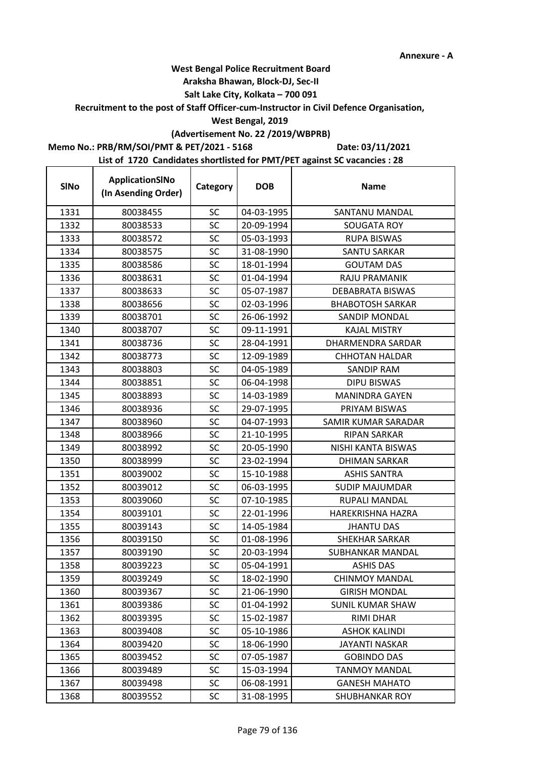## **West Bengal Police Recruitment Board**

#### **Araksha Bhawan, Block-DJ, Sec-II**

## **Salt Lake City, Kolkata – 700 091**

## **Recruitment to the post of Staff Officer-cum-Instructor in Civil Defence Organisation,**

#### **West Bengal, 2019**

# **(Advertisement No. 22 /2019/WBPRB)**

#### **Memo No.: PRB/RM/SOI/PMT & PET/2021 - 5168**

 $\mathbf{r}$ 

**Date: 03/11/2021**

| <b>SINo</b> | ApplicationSINo<br>(In Asending Order) | Category  | <b>DOB</b> | <b>Name</b>             |
|-------------|----------------------------------------|-----------|------------|-------------------------|
| 1331        | 80038455                               | <b>SC</b> | 04-03-1995 | SANTANU MANDAL          |
| 1332        | 80038533                               | SC        | 20-09-1994 | <b>SOUGATA ROY</b>      |
| 1333        | 80038572                               | <b>SC</b> | 05-03-1993 | <b>RUPA BISWAS</b>      |
| 1334        | 80038575                               | <b>SC</b> | 31-08-1990 | SANTU SARKAR            |
| 1335        | 80038586                               | SC        | 18-01-1994 | <b>GOUTAM DAS</b>       |
| 1336        | 80038631                               | <b>SC</b> | 01-04-1994 | RAJU PRAMANIK           |
| 1337        | 80038633                               | SC        | 05-07-1987 | DEBABRATA BISWAS        |
| 1338        | 80038656                               | SC        | 02-03-1996 | <b>BHABOTOSH SARKAR</b> |
| 1339        | 80038701                               | SC        | 26-06-1992 | SANDIP MONDAL           |
| 1340        | 80038707                               | SC        | 09-11-1991 | <b>KAJAL MISTRY</b>     |
| 1341        | 80038736                               | SC        | 28-04-1991 | DHARMENDRA SARDAR       |
| 1342        | 80038773                               | <b>SC</b> | 12-09-1989 | <b>CHHOTAN HALDAR</b>   |
| 1343        | 80038803                               | SC        | 04-05-1989 | <b>SANDIP RAM</b>       |
| 1344        | 80038851                               | SC        | 06-04-1998 | DIPU BISWAS             |
| 1345        | 80038893                               | <b>SC</b> | 14-03-1989 | <b>MANINDRA GAYEN</b>   |
| 1346        | 80038936                               | SC        | 29-07-1995 | PRIYAM BISWAS           |
| 1347        | 80038960                               | SC        | 04-07-1993 | SAMIR KUMAR SARADAR     |
| 1348        | 80038966                               | SC        | 21-10-1995 | <b>RIPAN SARKAR</b>     |
| 1349        | 80038992                               | SC        | 20-05-1990 | NISHI KANTA BISWAS      |
| 1350        | 80038999                               | SC        | 23-02-1994 | <b>DHIMAN SARKAR</b>    |
| 1351        | 80039002                               | SC        | 15-10-1988 | <b>ASHIS SANTRA</b>     |
| 1352        | 80039012                               | SC        | 06-03-1995 | <b>SUDIP MAJUMDAR</b>   |
| 1353        | 80039060                               | SC        | 07-10-1985 | RUPALI MANDAL           |
| 1354        | 80039101                               | <b>SC</b> | 22-01-1996 | HAREKRISHNA HAZRA       |
| 1355        | 80039143                               | SC        | 14-05-1984 | <b>JHANTU DAS</b>       |
| 1356        | 80039150                               | SC        | 01-08-1996 | SHEKHAR SARKAR          |
| 1357        | 80039190                               | SC        | 20-03-1994 | SUBHANKAR MANDAL        |
| 1358        | 80039223                               | SC        | 05-04-1991 | <b>ASHIS DAS</b>        |
| 1359        | 80039249                               | <b>SC</b> | 18-02-1990 | <b>CHINMOY MANDAL</b>   |
| 1360        | 80039367                               | <b>SC</b> | 21-06-1990 | <b>GIRISH MONDAL</b>    |
| 1361        | 80039386                               | <b>SC</b> | 01-04-1992 | <b>SUNIL KUMAR SHAW</b> |
| 1362        | 80039395                               | <b>SC</b> | 15-02-1987 | <b>RIMI DHAR</b>        |
| 1363        | 80039408                               | SC        | 05-10-1986 | <b>ASHOK KALINDI</b>    |
| 1364        | 80039420                               | <b>SC</b> | 18-06-1990 | JAYANTI NASKAR          |
| 1365        | 80039452                               | <b>SC</b> | 07-05-1987 | <b>GOBINDO DAS</b>      |
| 1366        | 80039489                               | <b>SC</b> | 15-03-1994 | <b>TANMOY MANDAL</b>    |
| 1367        | 80039498                               | <b>SC</b> | 06-08-1991 | <b>GANESH MAHATO</b>    |
| 1368        | 80039552                               | <b>SC</b> | 31-08-1995 | <b>SHUBHANKAR ROY</b>   |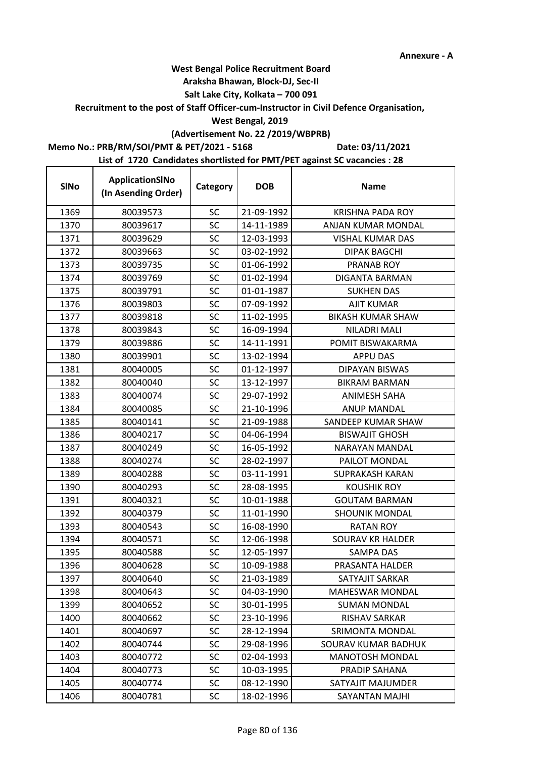## **West Bengal Police Recruitment Board**

#### **Araksha Bhawan, Block-DJ, Sec-II**

#### **Salt Lake City, Kolkata – 700 091**

## **Recruitment to the post of Staff Officer-cum-Instructor in Civil Defence Organisation,**

#### **West Bengal, 2019**

# **(Advertisement No. 22 /2019/WBPRB)**

#### **Memo No.: PRB/RM/SOI/PMT & PET/2021 - 5168**

 $\mathbf{r}$ 

**Date: 03/11/2021**

| <b>SINo</b> | ApplicationSINo<br>(In Asending Order) | Category  | <b>DOB</b> | <b>Name</b>              |
|-------------|----------------------------------------|-----------|------------|--------------------------|
| 1369        | 80039573                               | <b>SC</b> | 21-09-1992 | <b>KRISHNA PADA ROY</b>  |
| 1370        | 80039617                               | SC        | 14-11-1989 | ANJAN KUMAR MONDAL       |
| 1371        | 80039629                               | SC        | 12-03-1993 | <b>VISHAL KUMAR DAS</b>  |
| 1372        | 80039663                               | SC        | 03-02-1992 | <b>DIPAK BAGCHI</b>      |
| 1373        | 80039735                               | SC        | 01-06-1992 | PRANAB ROY               |
| 1374        | 80039769                               | SC        | 01-02-1994 | <b>DIGANTA BARMAN</b>    |
| 1375        | 80039791                               | SC        | 01-01-1987 | <b>SUKHEN DAS</b>        |
| 1376        | 80039803                               | <b>SC</b> | 07-09-1992 | AJIT KUMAR               |
| 1377        | 80039818                               | SC        | 11-02-1995 | <b>BIKASH KUMAR SHAW</b> |
| 1378        | 80039843                               | SC        | 16-09-1994 | NILADRI MALI             |
| 1379        | 80039886                               | <b>SC</b> | 14-11-1991 | POMIT BISWAKARMA         |
| 1380        | 80039901                               | <b>SC</b> | 13-02-1994 | <b>APPU DAS</b>          |
| 1381        | 80040005                               | <b>SC</b> | 01-12-1997 | DIPAYAN BISWAS           |
| 1382        | 80040040                               | SC        | 13-12-1997 | <b>BIKRAM BARMAN</b>     |
| 1383        | 80040074                               | SC        | 29-07-1992 | <b>ANIMESH SAHA</b>      |
| 1384        | 80040085                               | SC        | 21-10-1996 | <b>ANUP MANDAL</b>       |
| 1385        | 80040141                               | <b>SC</b> | 21-09-1988 | SANDEEP KUMAR SHAW       |
| 1386        | 80040217                               | <b>SC</b> | 04-06-1994 | <b>BISWAJIT GHOSH</b>    |
| 1387        | 80040249                               | SC        | 16-05-1992 | NARAYAN MANDAL           |
| 1388        | 80040274                               | <b>SC</b> | 28-02-1997 | PAILOT MONDAL            |
| 1389        | 80040288                               | <b>SC</b> | 03-11-1991 | <b>SUPRAKASH KARAN</b>   |
| 1390        | 80040293                               | SC        | 28-08-1995 | <b>KOUSHIK ROY</b>       |
| 1391        | 80040321                               | SC        | 10-01-1988 | <b>GOUTAM BARMAN</b>     |
| 1392        | 80040379                               | SC        | 11-01-1990 | <b>SHOUNIK MONDAL</b>    |
| 1393        | 80040543                               | <b>SC</b> | 16-08-1990 | <b>RATAN ROY</b>         |
| 1394        | 80040571                               | SC        | 12-06-1998 | <b>SOURAV KR HALDER</b>  |
| 1395        | 80040588                               | <b>SC</b> | 12-05-1997 | SAMPA DAS                |
| 1396        | 80040628                               | SC        | 10-09-1988 | PRASANTA HALDER          |
| 1397        | 80040640                               | SC        | 21-03-1989 | SATYAJIT SARKAR          |
| 1398        | 80040643                               | <b>SC</b> | 04-03-1990 | <b>MAHESWAR MONDAL</b>   |
| 1399        | 80040652                               | SC        | 30-01-1995 | <b>SUMAN MONDAL</b>      |
| 1400        | 80040662                               | SC        | 23-10-1996 | RISHAV SARKAR            |
| 1401        | 80040697                               | SC        | 28-12-1994 | SRIMONTA MONDAL          |
| 1402        | 80040744                               | SC        | 29-08-1996 | SOURAV KUMAR BADHUK      |
| 1403        | 80040772                               | <b>SC</b> | 02-04-1993 | <b>MANOTOSH MONDAL</b>   |
| 1404        | 80040773                               | SC        | 10-03-1995 | PRADIP SAHANA            |
| 1405        | 80040774                               | SC        | 08-12-1990 | SATYAJIT MAJUMDER        |
| 1406        | 80040781                               | <b>SC</b> | 18-02-1996 | SAYANTAN MAJHI           |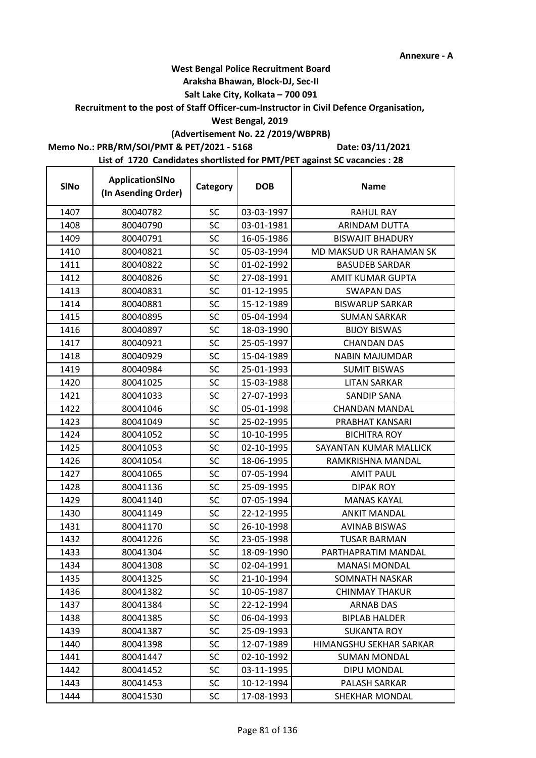## **West Bengal Police Recruitment Board**

#### **Araksha Bhawan, Block-DJ, Sec-II**

## **Salt Lake City, Kolkata – 700 091**

#### **Recruitment to the post of Staff Officer-cum-Instructor in Civil Defence Organisation,**

#### **West Bengal, 2019**

# **(Advertisement No. 22 /2019/WBPRB)**

#### **Memo No.: PRB/RM/SOI/PMT & PET/2021 - 5168**

**Date: 03/11/2021**

| <b>SINo</b> | ApplicationSINo<br>(In Asending Order) | Category  | <b>DOB</b> | <b>Name</b>             |
|-------------|----------------------------------------|-----------|------------|-------------------------|
| 1407        | 80040782                               | <b>SC</b> | 03-03-1997 | <b>RAHUL RAY</b>        |
| 1408        | 80040790                               | SC        | 03-01-1981 | ARINDAM DUTTA           |
| 1409        | 80040791                               | <b>SC</b> | 16-05-1986 | <b>BISWAJIT BHADURY</b> |
| 1410        | 80040821                               | <b>SC</b> | 05-03-1994 | MD MAKSUD UR RAHAMAN SK |
| 1411        | 80040822                               | SC        | 01-02-1992 | <b>BASUDEB SARDAR</b>   |
| 1412        | 80040826                               | SC        | 27-08-1991 | <b>AMIT KUMAR GUPTA</b> |
| 1413        | 80040831                               | SC        | 01-12-1995 | <b>SWAPAN DAS</b>       |
| 1414        | 80040881                               | <b>SC</b> | 15-12-1989 | <b>BISWARUP SARKAR</b>  |
| 1415        | 80040895                               | SC        | 05-04-1994 | <b>SUMAN SARKAR</b>     |
| 1416        | 80040897                               | <b>SC</b> | 18-03-1990 | <b>BIJOY BISWAS</b>     |
| 1417        | 80040921                               | <b>SC</b> | 25-05-1997 | <b>CHANDAN DAS</b>      |
| 1418        | 80040929                               | SC        | 15-04-1989 | <b>NABIN MAJUMDAR</b>   |
| 1419        | 80040984                               | SC        | 25-01-1993 | <b>SUMIT BISWAS</b>     |
| 1420        | 80041025                               | SC        | 15-03-1988 | <b>LITAN SARKAR</b>     |
| 1421        | 80041033                               | <b>SC</b> | 27-07-1993 | SANDIP SANA             |
| 1422        | 80041046                               | SC        | 05-01-1998 | <b>CHANDAN MANDAL</b>   |
| 1423        | 80041049                               | SC        | 25-02-1995 | PRABHAT KANSARI         |
| 1424        | 80041052                               | <b>SC</b> | 10-10-1995 | <b>BICHITRA ROY</b>     |
| 1425        | 80041053                               | <b>SC</b> | 02-10-1995 | SAYANTAN KUMAR MALLICK  |
| 1426        | 80041054                               | <b>SC</b> | 18-06-1995 | RAMKRISHNA MANDAL       |
| 1427        | 80041065                               | <b>SC</b> | 07-05-1994 | <b>AMIT PAUL</b>        |
| 1428        | 80041136                               | <b>SC</b> | 25-09-1995 | <b>DIPAK ROY</b>        |
| 1429        | 80041140                               | SC        | 07-05-1994 | <b>MANAS KAYAL</b>      |
| 1430        | 80041149                               | <b>SC</b> | 22-12-1995 | <b>ANKIT MANDAL</b>     |
| 1431        | 80041170                               | <b>SC</b> | 26-10-1998 | <b>AVINAB BISWAS</b>    |
| 1432        | 80041226                               | SC        | 23-05-1998 | <b>TUSAR BARMAN</b>     |
| 1433        | 80041304                               | SC        | 18-09-1990 | PARTHAPRATIM MANDAL     |
| 1434        | 80041308                               | SC        | 02-04-1991 | <b>MANASI MONDAL</b>    |
| 1435        | 80041325                               | <b>SC</b> | 21-10-1994 | SOMNATH NASKAR          |
| 1436        | 80041382                               | <b>SC</b> | 10-05-1987 | <b>CHINMAY THAKUR</b>   |
| 1437        | 80041384                               | <b>SC</b> | 22-12-1994 | <b>ARNAB DAS</b>        |
| 1438        | 80041385                               | <b>SC</b> | 06-04-1993 | <b>BIPLAB HALDER</b>    |
| 1439        | 80041387                               | SC        | 25-09-1993 | <b>SUKANTA ROY</b>      |
| 1440        | 80041398                               | <b>SC</b> | 12-07-1989 | HIMANGSHU SEKHAR SARKAR |
| 1441        | 80041447                               | <b>SC</b> | 02-10-1992 | <b>SUMAN MONDAL</b>     |
| 1442        | 80041452                               | <b>SC</b> | 03-11-1995 | DIPU MONDAL             |
| 1443        | 80041453                               | <b>SC</b> | 10-12-1994 | PALASH SARKAR           |
| 1444        | 80041530                               | SC        | 17-08-1993 | SHEKHAR MONDAL          |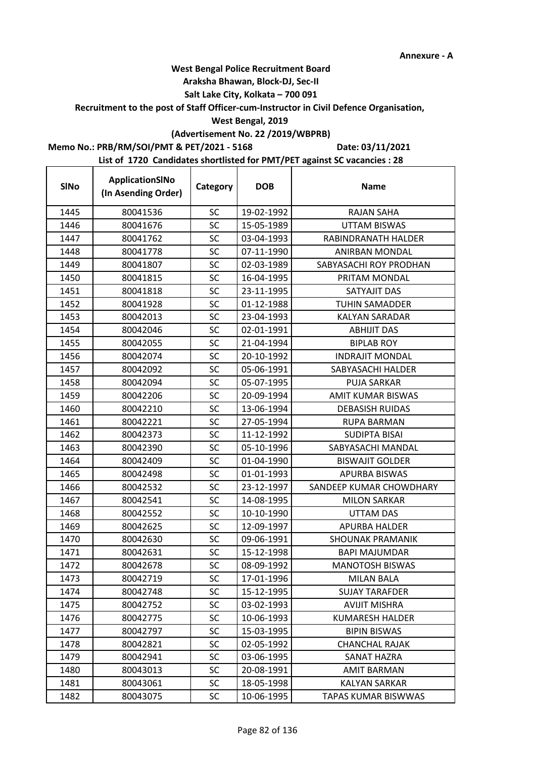## **West Bengal Police Recruitment Board**

#### **Araksha Bhawan, Block-DJ, Sec-II**

## **Salt Lake City, Kolkata – 700 091**

**Recruitment to the post of Staff Officer-cum-Instructor in Civil Defence Organisation,** 

#### **West Bengal, 2019**

# **(Advertisement No. 22 /2019/WBPRB)**

**Memo No.: PRB/RM/SOI/PMT & PET/2021 - 5168**

**Date: 03/11/2021**

| <b>SINo</b> | ApplicationSINo<br>(In Asending Order) | Category  | <b>DOB</b> | <b>Name</b>             |
|-------------|----------------------------------------|-----------|------------|-------------------------|
| 1445        | 80041536                               | <b>SC</b> | 19-02-1992 | <b>RAJAN SAHA</b>       |
| 1446        | 80041676                               | SC        | 15-05-1989 | <b>UTTAM BISWAS</b>     |
| 1447        | 80041762                               | SC        | 03-04-1993 | RABINDRANATH HALDER     |
| 1448        | 80041778                               | <b>SC</b> | 07-11-1990 | ANIRBAN MONDAL          |
| 1449        | 80041807                               | <b>SC</b> | 02-03-1989 | SABYASACHI ROY PRODHAN  |
| 1450        | 80041815                               | SC        | 16-04-1995 | PRITAM MONDAL           |
| 1451        | 80041818                               | SC        | 23-11-1995 | SATYAJIT DAS            |
| 1452        | 80041928                               | <b>SC</b> | 01-12-1988 | <b>TUHIN SAMADDER</b>   |
| 1453        | 80042013                               | SC        | 23-04-1993 | <b>KALYAN SARADAR</b>   |
| 1454        | 80042046                               | SC        | 02-01-1991 | <b>ABHIJIT DAS</b>      |
| 1455        | 80042055                               | SC        | 21-04-1994 | <b>BIPLAB ROY</b>       |
| 1456        | 80042074                               | <b>SC</b> | 20-10-1992 | <b>INDRAJIT MONDAL</b>  |
| 1457        | 80042092                               | <b>SC</b> | 05-06-1991 | SABYASACHI HALDER       |
| 1458        | 80042094                               | <b>SC</b> | 05-07-1995 | <b>PUJA SARKAR</b>      |
| 1459        | 80042206                               | <b>SC</b> | 20-09-1994 | AMIT KUMAR BISWAS       |
| 1460        | 80042210                               | SC        | 13-06-1994 | <b>DEBASISH RUIDAS</b>  |
| 1461        | 80042221                               | <b>SC</b> | 27-05-1994 | <b>RUPA BARMAN</b>      |
| 1462        | 80042373                               | <b>SC</b> | 11-12-1992 | <b>SUDIPTA BISAI</b>    |
| 1463        | 80042390                               | SC        | 05-10-1996 | SABYASACHI MANDAL       |
| 1464        | 80042409                               | SC        | 01-04-1990 | <b>BISWAJIT GOLDER</b>  |
| 1465        | 80042498                               | <b>SC</b> | 01-01-1993 | APURBA BISWAS           |
| 1466        | 80042532                               | <b>SC</b> | 23-12-1997 | SANDEEP KUMAR CHOWDHARY |
| 1467        | 80042541                               | SC        | 14-08-1995 | <b>MILON SARKAR</b>     |
| 1468        | 80042552                               | <b>SC</b> | 10-10-1990 | <b>UTTAM DAS</b>        |
| 1469        | 80042625                               | <b>SC</b> | 12-09-1997 | APURBA HALDER           |
| 1470        | 80042630                               | SC        | 09-06-1991 | <b>SHOUNAK PRAMANIK</b> |
| 1471        | 80042631                               | <b>SC</b> | 15-12-1998 | <b>BAPI MAJUMDAR</b>    |
| 1472        | 80042678                               | <b>SC</b> | 08-09-1992 | <b>MANOTOSH BISWAS</b>  |
| 1473        | 80042719                               | SC        | 17-01-1996 | <b>MILAN BALA</b>       |
| 1474        | 80042748                               | <b>SC</b> | 15-12-1995 | <b>SUJAY TARAFDER</b>   |
| 1475        | 80042752                               | <b>SC</b> | 03-02-1993 | <b>AVIJIT MISHRA</b>    |
| 1476        | 80042775                               | SC        | 10-06-1993 | <b>KUMARESH HALDER</b>  |
| 1477        | 80042797                               | <b>SC</b> | 15-03-1995 | <b>BIPIN BISWAS</b>     |
| 1478        | 80042821                               | SC        | 02-05-1992 | CHANCHAL RAJAK          |
| 1479        | 80042941                               | <b>SC</b> | 03-06-1995 | <b>SANAT HAZRA</b>      |
| 1480        | 80043013                               | <b>SC</b> | 20-08-1991 | <b>AMIT BARMAN</b>      |
| 1481        | 80043061                               | <b>SC</b> | 18-05-1998 | <b>KALYAN SARKAR</b>    |
| 1482        | 80043075                               | <b>SC</b> | 10-06-1995 | TAPAS KUMAR BISWWAS     |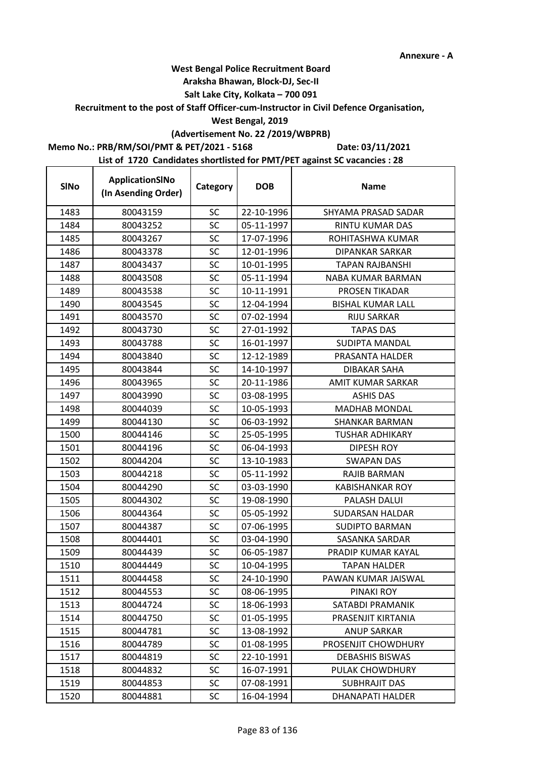## **West Bengal Police Recruitment Board**

#### **Araksha Bhawan, Block-DJ, Sec-II**

#### **Salt Lake City, Kolkata – 700 091**

## **Recruitment to the post of Staff Officer-cum-Instructor in Civil Defence Organisation,**

#### **West Bengal, 2019**

## **(Advertisement No. 22 /2019/WBPRB)**

### **Memo No.: PRB/RM/SOI/PMT & PET/2021 - 5168**

 $\mathbf{r}$ 

**Date: 03/11/2021**

| <b>SINo</b> | ApplicationSINo<br>(In Asending Order) | Category  | <b>DOB</b> | <b>Name</b>              |
|-------------|----------------------------------------|-----------|------------|--------------------------|
| 1483        | 80043159                               | <b>SC</b> | 22-10-1996 | SHYAMA PRASAD SADAR      |
| 1484        | 80043252                               | SC        | 05-11-1997 | RINTU KUMAR DAS          |
| 1485        | 80043267                               | SC        | 17-07-1996 | ROHITASHWA KUMAR         |
| 1486        | 80043378                               | <b>SC</b> | 12-01-1996 | <b>DIPANKAR SARKAR</b>   |
| 1487        | 80043437                               | <b>SC</b> | 10-01-1995 | <b>TAPAN RAJBANSHI</b>   |
| 1488        | 80043508                               | <b>SC</b> | 05-11-1994 | <b>NABA KUMAR BARMAN</b> |
| 1489        | 80043538                               | SC        | 10-11-1991 | PROSEN TIKADAR           |
| 1490        | 80043545                               | SC        | 12-04-1994 | <b>BISHAL KUMAR LALL</b> |
| 1491        | 80043570                               | SC        | 07-02-1994 | <b>RIJU SARKAR</b>       |
| 1492        | 80043730                               | SC        | 27-01-1992 | <b>TAPAS DAS</b>         |
| 1493        | 80043788                               | <b>SC</b> | 16-01-1997 | SUDIPTA MANDAL           |
| 1494        | 80043840                               | <b>SC</b> | 12-12-1989 | PRASANTA HALDER          |
| 1495        | 80043844                               | SC        | 14-10-1997 | <b>DIBAKAR SAHA</b>      |
| 1496        | 80043965                               | SC        | 20-11-1986 | AMIT KUMAR SARKAR        |
| 1497        | 80043990                               | SC        | 03-08-1995 | <b>ASHIS DAS</b>         |
| 1498        | 80044039                               | SC        | 10-05-1993 | <b>MADHAB MONDAL</b>     |
| 1499        | 80044130                               | <b>SC</b> | 06-03-1992 | SHANKAR BARMAN           |
| 1500        | 80044146                               | SC        | 25-05-1995 | <b>TUSHAR ADHIKARY</b>   |
| 1501        | 80044196                               | SC        | 06-04-1993 | <b>DIPESH ROY</b>        |
| 1502        | 80044204                               | SC        | 13-10-1983 | SWAPAN DAS               |
| 1503        | 80044218                               | SC        | 05-11-1992 | RAJIB BARMAN             |
| 1504        | 80044290                               | SC        | 03-03-1990 | <b>KABISHANKAR ROY</b>   |
| 1505        | 80044302                               | SC        | 19-08-1990 | PALASH DALUI             |
| 1506        | 80044364                               | <b>SC</b> | 05-05-1992 | SUDARSAN HALDAR          |
| 1507        | 80044387                               | <b>SC</b> | 07-06-1995 | <b>SUDIPTO BARMAN</b>    |
| 1508        | 80044401                               | SC        | 03-04-1990 | SASANKA SARDAR           |
| 1509        | 80044439                               | SC        | 06-05-1987 | PRADIP KUMAR KAYAL       |
| 1510        | 80044449                               | <b>SC</b> | 10-04-1995 | <b>TAPAN HALDER</b>      |
| 1511        | 80044458                               | SC        | 24-10-1990 | PAWAN KUMAR JAISWAL      |
| 1512        | 80044553                               | SC        | 08-06-1995 | PINAKI ROY               |
| 1513        | 80044724                               | SC        | 18-06-1993 | SATABDI PRAMANIK         |
| 1514        | 80044750                               | SC        | 01-05-1995 | PRASENJIT KIRTANIA       |
| 1515        | 80044781                               | SC        | 13-08-1992 | <b>ANUP SARKAR</b>       |
| 1516        | 80044789                               | SC        | 01-08-1995 | PROSENJIT CHOWDHURY      |
| 1517        | 80044819                               | SC        | 22-10-1991 | <b>DEBASHIS BISWAS</b>   |
| 1518        | 80044832                               | SC        | 16-07-1991 | PULAK CHOWDHURY          |
| 1519        | 80044853                               | <b>SC</b> | 07-08-1991 | <b>SUBHRAJIT DAS</b>     |
| 1520        | 80044881                               | <b>SC</b> | 16-04-1994 | DHANAPATI HALDER         |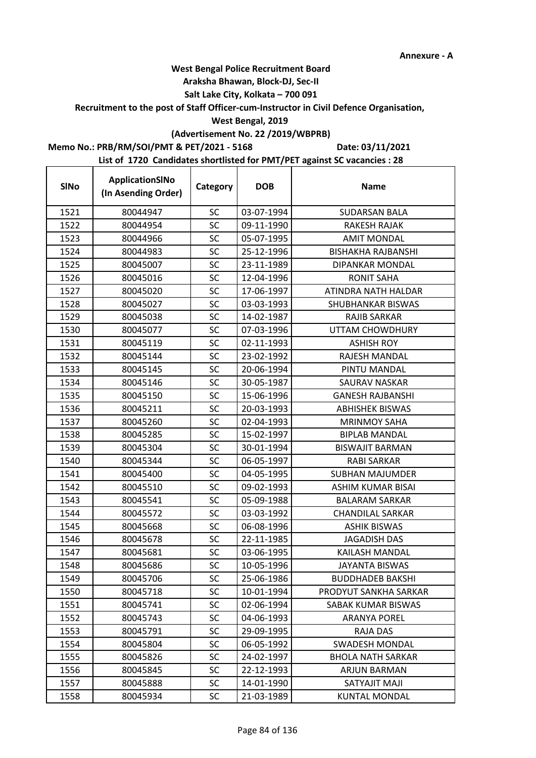#### **Araksha Bhawan, Block-DJ, Sec-II**

## **Salt Lake City, Kolkata – 700 091**

#### **Recruitment to the post of Staff Officer-cum-Instructor in Civil Defence Organisation,**

#### **West Bengal, 2019**

# **(Advertisement No. 22 /2019/WBPRB)**

#### **Memo No.: PRB/RM/SOI/PMT & PET/2021 - 5168**

**Date: 03/11/2021**

| <b>SINo</b> | ApplicationSINo<br>(In Asending Order) | Category  | <b>DOB</b> | <b>Name</b>               |
|-------------|----------------------------------------|-----------|------------|---------------------------|
| 1521        | 80044947                               | <b>SC</b> | 03-07-1994 | <b>SUDARSAN BALA</b>      |
| 1522        | 80044954                               | <b>SC</b> | 09-11-1990 | RAKESH RAJAK              |
| 1523        | 80044966                               | <b>SC</b> | 05-07-1995 | <b>AMIT MONDAL</b>        |
| 1524        | 80044983                               | <b>SC</b> | 25-12-1996 | <b>BISHAKHA RAJBANSHI</b> |
| 1525        | 80045007                               | <b>SC</b> | 23-11-1989 | DIPANKAR MONDAL           |
| 1526        | 80045016                               | SC        | 12-04-1996 | <b>RONIT SAHA</b>         |
| 1527        | 80045020                               | <b>SC</b> | 17-06-1997 | ATINDRA NATH HALDAR       |
| 1528        | 80045027                               | <b>SC</b> | 03-03-1993 | SHUBHANKAR BISWAS         |
| 1529        | 80045038                               | <b>SC</b> | 14-02-1987 | <b>RAJIB SARKAR</b>       |
| 1530        | 80045077                               | <b>SC</b> | 07-03-1996 | UTTAM CHOWDHURY           |
| 1531        | 80045119                               | SC        | 02-11-1993 | <b>ASHISH ROY</b>         |
| 1532        | 80045144                               | <b>SC</b> | 23-02-1992 | RAJESH MANDAL             |
| 1533        | 80045145                               | SC        | 20-06-1994 | PINTU MANDAL              |
| 1534        | 80045146                               | <b>SC</b> | 30-05-1987 | SAURAV NASKAR             |
| 1535        | 80045150                               | SC        | 15-06-1996 | <b>GANESH RAJBANSHI</b>   |
| 1536        | 80045211                               | SC        | 20-03-1993 | <b>ABHISHEK BISWAS</b>    |
| 1537        | 80045260                               | <b>SC</b> | 02-04-1993 | <b>MRINMOY SAHA</b>       |
| 1538        | 80045285                               | SC        | 15-02-1997 | <b>BIPLAB MANDAL</b>      |
| 1539        | 80045304                               | <b>SC</b> | 30-01-1994 | <b>BISWAJIT BARMAN</b>    |
| 1540        | 80045344                               | <b>SC</b> | 06-05-1997 | <b>RABI SARKAR</b>        |
| 1541        | 80045400                               | SC        | 04-05-1995 | <b>SUBHAN MAJUMDER</b>    |
| 1542        | 80045510                               | <b>SC</b> | 09-02-1993 | ASHIM KUMAR BISAI         |
| 1543        | 80045541                               | SC        | 05-09-1988 | <b>BALARAM SARKAR</b>     |
| 1544        | 80045572                               | <b>SC</b> | 03-03-1992 | <b>CHANDILAL SARKAR</b>   |
| 1545        | 80045668                               | SC        | 06-08-1996 | <b>ASHIK BISWAS</b>       |
| 1546        | 80045678                               | SC        | 22-11-1985 | <b>JAGADISH DAS</b>       |
| 1547        | 80045681                               | <b>SC</b> | 03-06-1995 | KAILASH MANDAL            |
| 1548        | 80045686                               | SC        | 10-05-1996 | JAYANTA BISWAS            |
| 1549        | 80045706                               | SC        | 25-06-1986 | <b>BUDDHADEB BAKSHI</b>   |
| 1550        | 80045718                               | <b>SC</b> | 10-01-1994 | PRODYUT SANKHA SARKAR     |
| 1551        | 80045741                               | <b>SC</b> | 02-06-1994 | SABAK KUMAR BISWAS        |
| 1552        | 80045743                               | <b>SC</b> | 04-06-1993 | <b>ARANYA POREL</b>       |
| 1553        | 80045791                               | SC        | 29-09-1995 | RAJA DAS                  |
| 1554        | 80045804                               | <b>SC</b> | 06-05-1992 | <b>SWADESH MONDAL</b>     |
| 1555        | 80045826                               | SC        | 24-02-1997 | <b>BHOLA NATH SARKAR</b>  |
| 1556        | 80045845                               | SC        | 22-12-1993 | <b>ARJUN BARMAN</b>       |
| 1557        | 80045888                               | <b>SC</b> | 14-01-1990 | <b>SATYAJIT MAJI</b>      |
| 1558        | 80045934                               | SC        | 21-03-1989 | <b>KUNTAL MONDAL</b>      |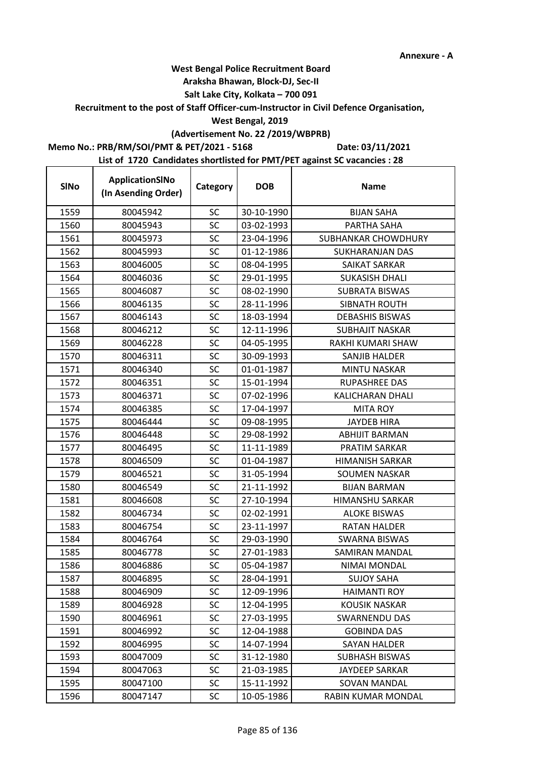t

## **West Bengal Police Recruitment Board**

#### **Araksha Bhawan, Block-DJ, Sec-II**

#### **Salt Lake City, Kolkata – 700 091**

#### **Recruitment to the post of Staff Officer-cum-Instructor in Civil Defence Organisation,**

#### **West Bengal, 2019**

## **(Advertisement No. 22 /2019/WBPRB)**

## **Memo No.: PRB/RM/SOI/PMT & PET/2021 - 5168**

**Date: 03/11/2021**

| <b>SINo</b> | ApplicationSINo<br>(In Asending Order) | Category  | <b>DOB</b> | <b>Name</b>            |
|-------------|----------------------------------------|-----------|------------|------------------------|
| 1559        | 80045942                               | <b>SC</b> | 30-10-1990 | <b>BIJAN SAHA</b>      |
| 1560        | 80045943                               | SC        | 03-02-1993 | PARTHA SAHA            |
| 1561        | 80045973                               | <b>SC</b> | 23-04-1996 | SUBHANKAR CHOWDHURY    |
| 1562        | 80045993                               | SC        | 01-12-1986 | SUKHARANJAN DAS        |
| 1563        | 80046005                               | <b>SC</b> | 08-04-1995 | <b>SAIKAT SARKAR</b>   |
| 1564        | 80046036                               | SC        | 29-01-1995 | <b>SUKASISH DHALI</b>  |
| 1565        | 80046087                               | SC        | 08-02-1990 | SUBRATA BISWAS         |
| 1566        | 80046135                               | SC        | 28-11-1996 | <b>SIBNATH ROUTH</b>   |
| 1567        | 80046143                               | SC        | 18-03-1994 | <b>DEBASHIS BISWAS</b> |
| 1568        | 80046212                               | <b>SC</b> | 12-11-1996 | <b>SUBHAJIT NASKAR</b> |
| 1569        | 80046228                               | SC        | 04-05-1995 | RAKHI KUMARI SHAW      |
| 1570        | 80046311                               | SC        | 30-09-1993 | SANJIB HALDER          |
| 1571        | 80046340                               | SC        | 01-01-1987 | <b>MINTU NASKAR</b>    |
| 1572        | 80046351                               | SC        | 15-01-1994 | <b>RUPASHREE DAS</b>   |
| 1573        | 80046371                               | <b>SC</b> | 07-02-1996 | KALICHARAN DHALI       |
| 1574        | 80046385                               | SC        | 17-04-1997 | <b>MITA ROY</b>        |
| 1575        | 80046444                               | <b>SC</b> | 09-08-1995 | <b>JAYDEB HIRA</b>     |
| 1576        | 80046448                               | SC        | 29-08-1992 | <b>ABHIJIT BARMAN</b>  |
| 1577        | 80046495                               | SC        | 11-11-1989 | PRATIM SARKAR          |
| 1578        | 80046509                               | <b>SC</b> | 01-04-1987 | <b>HIMANISH SARKAR</b> |
| 1579        | 80046521                               | SC        | 31-05-1994 | <b>SOUMEN NASKAR</b>   |
| 1580        | 80046549                               | SC        | 21-11-1992 | <b>BIJAN BARMAN</b>    |
| 1581        | 80046608                               | SC        | 27-10-1994 | <b>HIMANSHU SARKAR</b> |
| 1582        | 80046734                               | <b>SC</b> | 02-02-1991 | <b>ALOKE BISWAS</b>    |
| 1583        | 80046754                               | SC        | 23-11-1997 | <b>RATAN HALDER</b>    |
| 1584        | 80046764                               | SC        | 29-03-1990 | <b>SWARNA BISWAS</b>   |
| 1585        | 80046778                               | SC        | 27-01-1983 | <b>SAMIRAN MANDAL</b>  |
| 1586        | 80046886                               | SC        | 05-04-1987 | NIMAI MONDAL           |
| 1587        | 80046895                               | SC        | 28-04-1991 | <b>SUJOY SAHA</b>      |
| 1588        | 80046909                               | <b>SC</b> | 12-09-1996 | <b>HAIMANTI ROY</b>    |
| 1589        | 80046928                               | SC        | 12-04-1995 | <b>KOUSIK NASKAR</b>   |
| 1590        | 80046961                               | <b>SC</b> | 27-03-1995 | <b>SWARNENDU DAS</b>   |
| 1591        | 80046992                               | <b>SC</b> | 12-04-1988 | <b>GOBINDA DAS</b>     |
| 1592        | 80046995                               | <b>SC</b> | 14-07-1994 | <b>SAYAN HALDER</b>    |
| 1593        | 80047009                               | SC        | 31-12-1980 | <b>SUBHASH BISWAS</b>  |
| 1594        | 80047063                               | SC        | 21-03-1985 | <b>JAYDEEP SARKAR</b>  |
| 1595        | 80047100                               | <b>SC</b> | 15-11-1992 | <b>SOVAN MANDAL</b>    |
| 1596        | 80047147                               | <b>SC</b> | 10-05-1986 | RABIN KUMAR MONDAL     |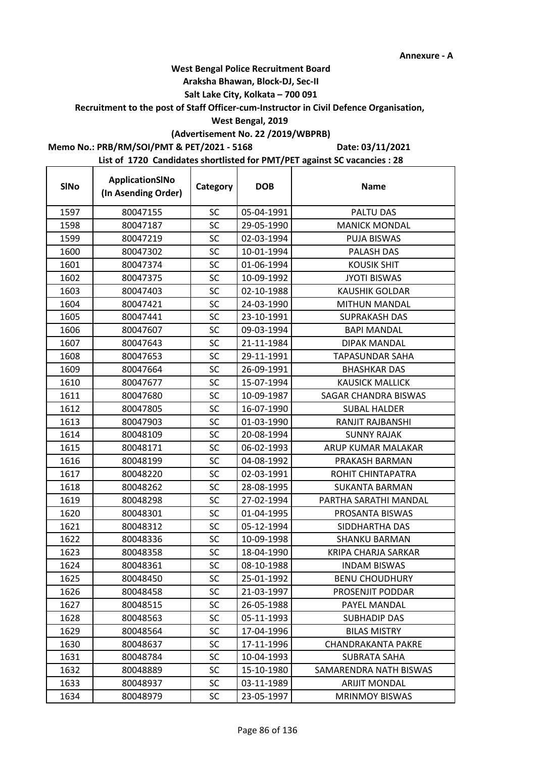t

## **West Bengal Police Recruitment Board**

#### **Araksha Bhawan, Block-DJ, Sec-II**

#### **Salt Lake City, Kolkata – 700 091**

#### **Recruitment to the post of Staff Officer-cum-Instructor in Civil Defence Organisation,**

#### **West Bengal, 2019**

# **(Advertisement No. 22 /2019/WBPRB)**

### **Memo No.: PRB/RM/SOI/PMT & PET/2021 - 5168**

**Date: 03/11/2021**

| <b>SINo</b> | ApplicationSINo<br>(In Asending Order) | Category  | <b>DOB</b> | <b>Name</b>               |
|-------------|----------------------------------------|-----------|------------|---------------------------|
| 1597        | 80047155                               | <b>SC</b> | 05-04-1991 | PALTU DAS                 |
| 1598        | 80047187                               | <b>SC</b> | 29-05-1990 | <b>MANICK MONDAL</b>      |
| 1599        | 80047219                               | SC        | 02-03-1994 | <b>PUJA BISWAS</b>        |
| 1600        | 80047302                               | <b>SC</b> | 10-01-1994 | PALASH DAS                |
| 1601        | 80047374                               | <b>SC</b> | 01-06-1994 | <b>KOUSIK SHIT</b>        |
| 1602        | 80047375                               | SC        | 10-09-1992 | <b>JYOTI BISWAS</b>       |
| 1603        | 80047403                               | <b>SC</b> | 02-10-1988 | <b>KAUSHIK GOLDAR</b>     |
| 1604        | 80047421                               | <b>SC</b> | 24-03-1990 | <b>MITHUN MANDAL</b>      |
| 1605        | 80047441                               | <b>SC</b> | 23-10-1991 | <b>SUPRAKASH DAS</b>      |
| 1606        | 80047607                               | SC        | 09-03-1994 | <b>BAPI MANDAL</b>        |
| 1607        | 80047643                               | SC        | 21-11-1984 | <b>DIPAK MANDAL</b>       |
| 1608        | 80047653                               | <b>SC</b> | 29-11-1991 | <b>TAPASUNDAR SAHA</b>    |
| 1609        | 80047664                               | <b>SC</b> | 26-09-1991 | <b>BHASHKAR DAS</b>       |
| 1610        | 80047677                               | <b>SC</b> | 15-07-1994 | <b>KAUSICK MALLICK</b>    |
| 1611        | 80047680                               | SC        | 10-09-1987 | SAGAR CHANDRA BISWAS      |
| 1612        | 80047805                               | SC        | 16-07-1990 | <b>SUBAL HALDER</b>       |
| 1613        | 80047903                               | <b>SC</b> | 01-03-1990 | RANJIT RAJBANSHI          |
| 1614        | 80048109                               | SC        | 20-08-1994 | <b>SUNNY RAJAK</b>        |
| 1615        | 80048171                               | SC        | 06-02-1993 | ARUP KUMAR MALAKAR        |
| 1616        | 80048199                               | <b>SC</b> | 04-08-1992 | PRAKASH BARMAN            |
| 1617        | 80048220                               | SC        | 02-03-1991 | ROHIT CHINTAPATRA         |
| 1618        | 80048262                               | SC        | 28-08-1995 | <b>SUKANTA BARMAN</b>     |
| 1619        | 80048298                               | <b>SC</b> | 27-02-1994 | PARTHA SARATHI MANDAL     |
| 1620        | 80048301                               | <b>SC</b> | 01-04-1995 | PROSANTA BISWAS           |
| 1621        | 80048312                               | <b>SC</b> | 05-12-1994 | SIDDHARTHA DAS            |
| 1622        | 80048336                               | <b>SC</b> | 10-09-1998 | <b>SHANKU BARMAN</b>      |
| 1623        | 80048358                               | <b>SC</b> | 18-04-1990 | KRIPA CHARJA SARKAR       |
| 1624        | 80048361                               | <b>SC</b> | 08-10-1988 | <b>INDAM BISWAS</b>       |
| 1625        | 80048450                               | SC        | 25-01-1992 | <b>BENU CHOUDHURY</b>     |
| 1626        | 80048458                               | <b>SC</b> | 21-03-1997 | PROSENJIT PODDAR          |
| 1627        | 80048515                               | <b>SC</b> | 26-05-1988 | PAYEL MANDAL              |
| 1628        | 80048563                               | <b>SC</b> | 05-11-1993 | <b>SUBHADIP DAS</b>       |
| 1629        | 80048564                               | <b>SC</b> | 17-04-1996 | <b>BILAS MISTRY</b>       |
| 1630        | 80048637                               | <b>SC</b> | 17-11-1996 | <b>CHANDRAKANTA PAKRE</b> |
| 1631        | 80048784                               | <b>SC</b> | 10-04-1993 | <b>SUBRATA SAHA</b>       |
| 1632        | 80048889                               | <b>SC</b> | 15-10-1980 | SAMARENDRA NATH BISWAS    |
| 1633        | 80048937                               | <b>SC</b> | 03-11-1989 | <b>ARIJIT MONDAL</b>      |
| 1634        | 80048979                               | <b>SC</b> | 23-05-1997 | <b>MRINMOY BISWAS</b>     |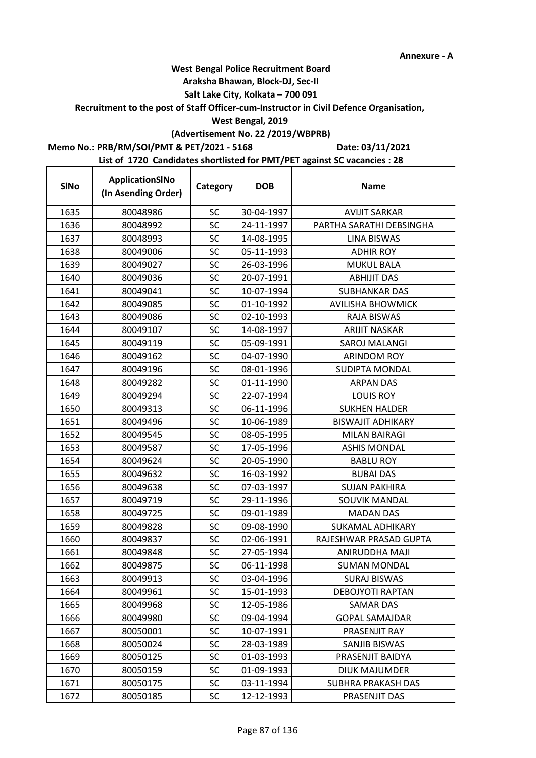## **West Bengal Police Recruitment Board**

#### **Araksha Bhawan, Block-DJ, Sec-II**

#### **Salt Lake City, Kolkata – 700 091**

#### **Recruitment to the post of Staff Officer-cum-Instructor in Civil Defence Organisation,**

#### **West Bengal, 2019**

# **(Advertisement No. 22 /2019/WBPRB)**

## **Memo No.: PRB/RM/SOI/PMT & PET/2021 - 5168**

 $\mathbf{r}$ 

**Date: 03/11/2021**

| <b>SINo</b> | ApplicationSINo<br>(In Asending Order) | Category  | <b>DOB</b> | <b>Name</b>               |
|-------------|----------------------------------------|-----------|------------|---------------------------|
| 1635        | 80048986                               | <b>SC</b> | 30-04-1997 | <b>AVIJIT SARKAR</b>      |
| 1636        | 80048992                               | SC        | 24-11-1997 | PARTHA SARATHI DEBSINGHA  |
| 1637        | 80048993                               | SC        | 14-08-1995 | <b>LINA BISWAS</b>        |
| 1638        | 80049006                               | SC        | 05-11-1993 | <b>ADHIR ROY</b>          |
| 1639        | 80049027                               | <b>SC</b> | 26-03-1996 | <b>MUKUL BALA</b>         |
| 1640        | 80049036                               | SC        | 20-07-1991 | <b>ABHIJIT DAS</b>        |
| 1641        | 80049041                               | SC        | 10-07-1994 | <b>SUBHANKAR DAS</b>      |
| 1642        | 80049085                               | <b>SC</b> | 01-10-1992 | <b>AVILISHA BHOWMICK</b>  |
| 1643        | 80049086                               | SC        | 02-10-1993 | <b>RAJA BISWAS</b>        |
| 1644        | 80049107                               | SC        | 14-08-1997 | <b>ARIJIT NASKAR</b>      |
| 1645        | 80049119                               | <b>SC</b> | 05-09-1991 | SAROJ MALANGI             |
| 1646        | 80049162                               | SC        | 04-07-1990 | <b>ARINDOM ROY</b>        |
| 1647        | 80049196                               | <b>SC</b> | 08-01-1996 | <b>SUDIPTA MONDAL</b>     |
| 1648        | 80049282                               | <b>SC</b> | 01-11-1990 | <b>ARPAN DAS</b>          |
| 1649        | 80049294                               | SC        | 22-07-1994 | <b>LOUIS ROY</b>          |
| 1650        | 80049313                               | SC        | 06-11-1996 | <b>SUKHEN HALDER</b>      |
| 1651        | 80049496                               | <b>SC</b> | 10-06-1989 | <b>BISWAJIT ADHIKARY</b>  |
| 1652        | 80049545                               | <b>SC</b> | 08-05-1995 | <b>MILAN BAIRAGI</b>      |
| 1653        | 80049587                               | SC        | 17-05-1996 | <b>ASHIS MONDAL</b>       |
| 1654        | 80049624                               | SC        | 20-05-1990 | <b>BABLU ROY</b>          |
| 1655        | 80049632                               | SC        | 16-03-1992 | <b>BUBAI DAS</b>          |
| 1656        | 80049638                               | SC        | 07-03-1997 | <b>SUJAN PAKHIRA</b>      |
| 1657        | 80049719                               | <b>SC</b> | 29-11-1996 | SOUVIK MANDAL             |
| 1658        | 80049725                               | <b>SC</b> | 09-01-1989 | <b>MADAN DAS</b>          |
| 1659        | 80049828                               | SC        | 09-08-1990 | <b>SUKAMAL ADHIKARY</b>   |
| 1660        | 80049837                               | SC        | 02-06-1991 | RAJESHWAR PRASAD GUPTA    |
| 1661        | 80049848                               | <b>SC</b> | 27-05-1994 | ANIRUDDHA MAJI            |
| 1662        | 80049875                               | SC        | 06-11-1998 | <b>SUMAN MONDAL</b>       |
| 1663        | 80049913                               | <b>SC</b> | 03-04-1996 | <b>SURAJ BISWAS</b>       |
| 1664        | 80049961                               | <b>SC</b> | 15-01-1993 | <b>DEBOJYOTI RAPTAN</b>   |
| 1665        | 80049968                               | <b>SC</b> | 12-05-1986 | <b>SAMAR DAS</b>          |
| 1666        | 80049980                               | <b>SC</b> | 09-04-1994 | <b>GOPAL SAMAJDAR</b>     |
| 1667        | 80050001                               | <b>SC</b> | 10-07-1991 | PRASENJIT RAY             |
| 1668        | 80050024                               | <b>SC</b> | 28-03-1989 | SANJIB BISWAS             |
| 1669        | 80050125                               | <b>SC</b> | 01-03-1993 | PRASENJIT BAIDYA          |
| 1670        | 80050159                               | SC        | 01-09-1993 | <b>DIUK MAJUMDER</b>      |
| 1671        | 80050175                               | <b>SC</b> | 03-11-1994 | <b>SUBHRA PRAKASH DAS</b> |
| 1672        | 80050185                               | <b>SC</b> | 12-12-1993 | PRASENJIT DAS             |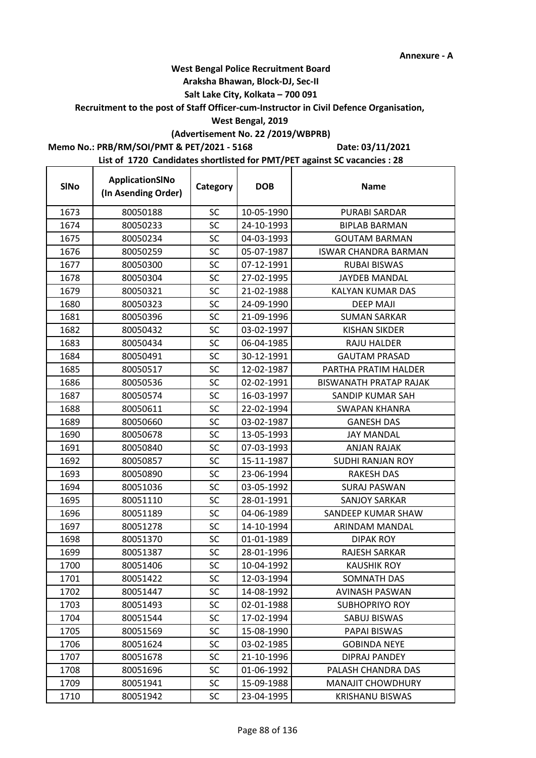## **West Bengal Police Recruitment Board**

#### **Araksha Bhawan, Block-DJ, Sec-II**

#### **Salt Lake City, Kolkata – 700 091**

## **Recruitment to the post of Staff Officer-cum-Instructor in Civil Defence Organisation,**

#### **West Bengal, 2019**

# **(Advertisement No. 22 /2019/WBPRB)**

#### **Memo No.: PRB/RM/SOI/PMT & PET/2021 - 5168**

 $\mathbf{r}$ 

**Date: 03/11/2021**

| <b>SINo</b> | ApplicationSINo<br>(In Asending Order) | Category  | <b>DOB</b> | <b>Name</b>                   |
|-------------|----------------------------------------|-----------|------------|-------------------------------|
| 1673        | 80050188                               | <b>SC</b> | 10-05-1990 | <b>PURABI SARDAR</b>          |
| 1674        | 80050233                               | <b>SC</b> | 24-10-1993 | <b>BIPLAB BARMAN</b>          |
| 1675        | 80050234                               | <b>SC</b> | 04-03-1993 | <b>GOUTAM BARMAN</b>          |
| 1676        | 80050259                               | <b>SC</b> | 05-07-1987 | <b>ISWAR CHANDRA BARMAN</b>   |
| 1677        | 80050300                               | <b>SC</b> | 07-12-1991 | <b>RUBAI BISWAS</b>           |
| 1678        | 80050304                               | SC        | 27-02-1995 | <b>JAYDEB MANDAL</b>          |
| 1679        | 80050321                               | <b>SC</b> | 21-02-1988 | KALYAN KUMAR DAS              |
| 1680        | 80050323                               | <b>SC</b> | 24-09-1990 | <b>DEEP MAJI</b>              |
| 1681        | 80050396                               | SC        | 21-09-1996 | <b>SUMAN SARKAR</b>           |
| 1682        | 80050432                               | <b>SC</b> | 03-02-1997 | KISHAN SIKDER                 |
| 1683        | 80050434                               | <b>SC</b> | 06-04-1985 | <b>RAJU HALDER</b>            |
| 1684        | 80050491                               | SC        | 30-12-1991 | <b>GAUTAM PRASAD</b>          |
| 1685        | 80050517                               | <b>SC</b> | 12-02-1987 | PARTHA PRATIM HALDER          |
| 1686        | 80050536                               | SC        | 02-02-1991 | <b>BISWANATH PRATAP RAJAK</b> |
| 1687        | 80050574                               | SC        | 16-03-1997 | SANDIP KUMAR SAH              |
| 1688        | 80050611                               | <b>SC</b> | 22-02-1994 | <b>SWAPAN KHANRA</b>          |
| 1689        | 80050660                               | SC        | 03-02-1987 | <b>GANESH DAS</b>             |
| 1690        | 80050678                               | <b>SC</b> | 13-05-1993 | <b>JAY MANDAL</b>             |
| 1691        | 80050840                               | <b>SC</b> | 07-03-1993 | <b>ANJAN RAJAK</b>            |
| 1692        | 80050857                               | <b>SC</b> | 15-11-1987 | <b>SUDHI RANJAN ROY</b>       |
| 1693        | 80050890                               | SC        | 23-06-1994 | <b>RAKESH DAS</b>             |
| 1694        | 80051036                               | <b>SC</b> | 03-05-1992 | <b>SURAJ PASWAN</b>           |
| 1695        | 80051110                               | SC        | 28-01-1991 | <b>SANJOY SARKAR</b>          |
| 1696        | 80051189                               | <b>SC</b> | 04-06-1989 | SANDEEP KUMAR SHAW            |
| 1697        | 80051278                               | <b>SC</b> | 14-10-1994 | ARINDAM MANDAL                |
| 1698        | 80051370                               | <b>SC</b> | 01-01-1989 | DIPAK ROY                     |
| 1699        | 80051387                               | <b>SC</b> | 28-01-1996 | <b>RAJESH SARKAR</b>          |
| 1700        | 80051406                               | <b>SC</b> | 10-04-1992 | KAUSHIK ROY                   |
| 1701        | 80051422                               | SC        | 12-03-1994 | SOMNATH DAS                   |
| 1702        | 80051447                               | SC        | 14-08-1992 | <b>AVINASH PASWAN</b>         |
| 1703        | 80051493                               | <b>SC</b> | 02-01-1988 | <b>SUBHOPRIYO ROY</b>         |
| 1704        | 80051544                               | <b>SC</b> | 17-02-1994 | <b>SABUJ BISWAS</b>           |
| 1705        | 80051569                               | <b>SC</b> | 15-08-1990 | PAPAI BISWAS                  |
| 1706        | 80051624                               | SC        | 03-02-1985 | <b>GOBINDA NEYE</b>           |
| 1707        | 80051678                               | <b>SC</b> | 21-10-1996 | <b>DIPRAJ PANDEY</b>          |
| 1708        | 80051696                               | <b>SC</b> | 01-06-1992 | PALASH CHANDRA DAS            |
| 1709        | 80051941                               | <b>SC</b> | 15-09-1988 | <b>MANAJIT CHOWDHURY</b>      |
| 1710        | 80051942                               | <b>SC</b> | 23-04-1995 | <b>KRISHANU BISWAS</b>        |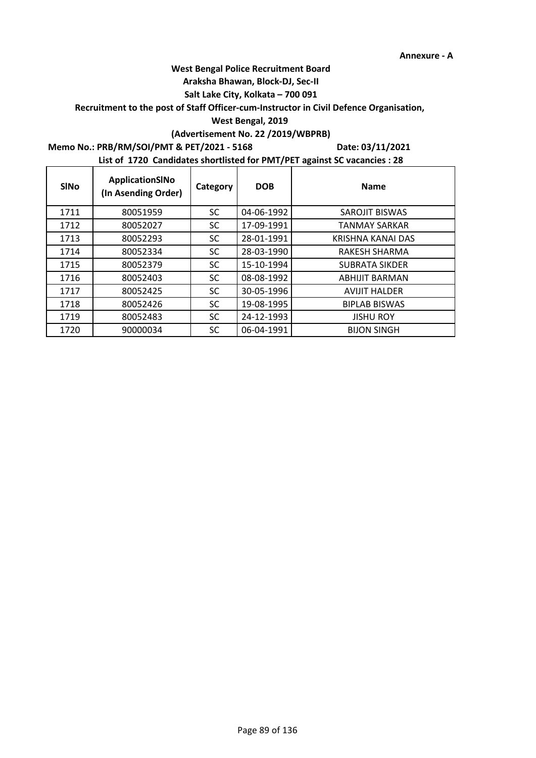## **Araksha Bhawan, Block-DJ, Sec-II**

## **Salt Lake City, Kolkata – 700 091**

## **Recruitment to the post of Staff Officer-cum-Instructor in Civil Defence Organisation,**

#### **West Bengal, 2019**

# **(Advertisement No. 22 /2019/WBPRB)**

### **Memo No.: PRB/RM/SOI/PMT & PET/2021 - 5168**

r

**Date: 03/11/2021**

| <b>SINO</b> | ApplicationSINo<br>(In Asending Order) | Category  | <b>DOB</b> | <b>Name</b>           |
|-------------|----------------------------------------|-----------|------------|-----------------------|
| 1711        | 80051959                               | SC        | 04-06-1992 | SAROJIT BISWAS        |
| 1712        | 80052027                               | SC        | 17-09-1991 | <b>TANMAY SARKAR</b>  |
| 1713        | 80052293                               | <b>SC</b> | 28-01-1991 | KRISHNA KANAI DAS     |
| 1714        | 80052334                               | SC        | 28-03-1990 | RAKESH SHARMA         |
| 1715        | 80052379                               | SC        | 15-10-1994 | <b>SUBRATA SIKDER</b> |
| 1716        | 80052403                               | <b>SC</b> | 08-08-1992 | <b>ABHIJIT BARMAN</b> |
| 1717        | 80052425                               | SC        | 30-05-1996 | <b>AVIJIT HALDER</b>  |
| 1718        | 80052426                               | SC        | 19-08-1995 | <b>BIPLAB BISWAS</b>  |
| 1719        | 80052483                               | <b>SC</b> | 24-12-1993 | <b>JISHU ROY</b>      |
| 1720        | 90000034                               | SC        | 06-04-1991 | <b>BIJON SINGH</b>    |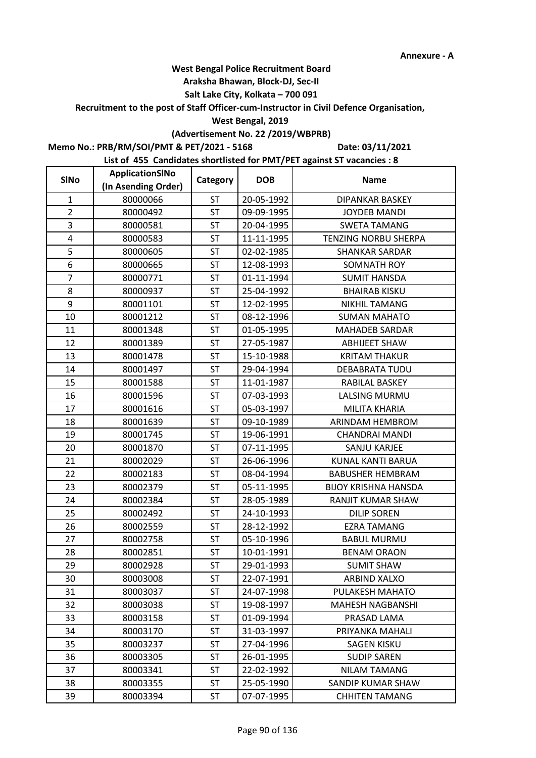#### **Araksha Bhawan, Block-DJ, Sec-II**

## **Salt Lake City, Kolkata – 700 091**

**Recruitment to the post of Staff Officer-cum-Instructor in Civil Defence Organisation,** 

#### **West Bengal, 2019**

## **(Advertisement No. 22 /2019/WBPRB)**

**Memo No.: PRB/RM/SOI/PMT & PET/2021 - 5168**

**Date: 03/11/2021**

| <b>SINo</b>    | ApplicationSINo     | Category  | <b>DOB</b> | <b>Name</b>                 |
|----------------|---------------------|-----------|------------|-----------------------------|
|                | (In Asending Order) |           |            |                             |
| $\mathbf{1}$   | 80000066            | <b>ST</b> | 20-05-1992 | <b>DIPANKAR BASKEY</b>      |
| $\overline{2}$ | 80000492            | ST        | 09-09-1995 | <b>JOYDEB MANDI</b>         |
| 3              | 80000581            | ST        | 20-04-1995 | <b>SWETA TAMANG</b>         |
| 4              | 80000583            | <b>ST</b> | 11-11-1995 | <b>TENZING NORBU SHERPA</b> |
| 5              | 80000605            | <b>ST</b> | 02-02-1985 | <b>SHANKAR SARDAR</b>       |
| 6              | 80000665            | <b>ST</b> | 12-08-1993 | <b>SOMNATH ROY</b>          |
| $\overline{7}$ | 80000771            | <b>ST</b> | 01-11-1994 | <b>SUMIT HANSDA</b>         |
| 8              | 80000937            | ST        | 25-04-1992 | <b>BHAIRAB KISKU</b>        |
| 9              | 80001101            | ST        | 12-02-1995 | <b>NIKHIL TAMANG</b>        |
| 10             | 80001212            | <b>ST</b> | 08-12-1996 | <b>SUMAN MAHATO</b>         |
| 11             | 80001348            | <b>ST</b> | 01-05-1995 | <b>MAHADEB SARDAR</b>       |
| 12             | 80001389            | ST        | 27-05-1987 | ABHIJEET SHAW               |
| 13             | 80001478            | <b>ST</b> | 15-10-1988 | <b>KRITAM THAKUR</b>        |
| 14             | 80001497            | ST        | 29-04-1994 | DEBABRATA TUDU              |
| 15             | 80001588            | ST        | 11-01-1987 | RABILAL BASKEY              |
| 16             | 80001596            | ST        | 07-03-1993 | LALSING MURMU               |
| 17             | 80001616            | ST        | 05-03-1997 | <b>MILITA KHARIA</b>        |
| 18             | 80001639            | <b>ST</b> | 09-10-1989 | ARINDAM HEMBROM             |
| 19             | 80001745            | ST        | 19-06-1991 | CHANDRAI MANDI              |
| 20             | 80001870            | <b>ST</b> | 07-11-1995 | SANJU KARJEE                |
| 21             | 80002029            | ST        | 26-06-1996 | KUNAL KANTI BARUA           |
| 22             | 80002183            | ST        | 08-04-1994 | <b>BABUSHER HEMBRAM</b>     |
| 23             | 80002379            | <b>ST</b> | 05-11-1995 | <b>BIJOY KRISHNA HANSDA</b> |
| 24             | 80002384            | <b>ST</b> | 28-05-1989 | RANJIT KUMAR SHAW           |
| 25             | 80002492            | <b>ST</b> | 24-10-1993 | <b>DILIP SOREN</b>          |
| 26             | 80002559            | <b>ST</b> | 28-12-1992 | <b>EZRA TAMANG</b>          |
| 27             | 80002758            | ST        | 05-10-1996 | <b>BABUL MURMU</b>          |
| 28             | 80002851            | ST        | 10-01-1991 | <b>BENAM ORAON</b>          |
| 29             | 80002928            | ST        | 29-01-1993 | <b>SUMIT SHAW</b>           |
| 30             | 80003008            | <b>ST</b> | 22-07-1991 | ARBIND XALXO                |
| 31             | 80003037            | <b>ST</b> | 24-07-1998 | PULAKESH MAHATO             |
| 32             | 80003038            | ST        | 19-08-1997 | <b>MAHESH NAGBANSHI</b>     |
| 33             | 80003158            | <b>ST</b> | 01-09-1994 | PRASAD LAMA                 |
| 34             | 80003170            | <b>ST</b> | 31-03-1997 | PRIYANKA MAHALI             |
| 35             | 80003237            | <b>ST</b> | 27-04-1996 | <b>SAGEN KISKU</b>          |
| 36             | 80003305            | ST        | 26-01-1995 | <b>SUDIP SAREN</b>          |
| 37             | 80003341            | <b>ST</b> | 22-02-1992 | <b>NILAM TAMANG</b>         |
| 38             | 80003355            | ST        | 25-05-1990 | SANDIP KUMAR SHAW           |
| 39             | 80003394            | ST        | 07-07-1995 | <b>CHHITEN TAMANG</b>       |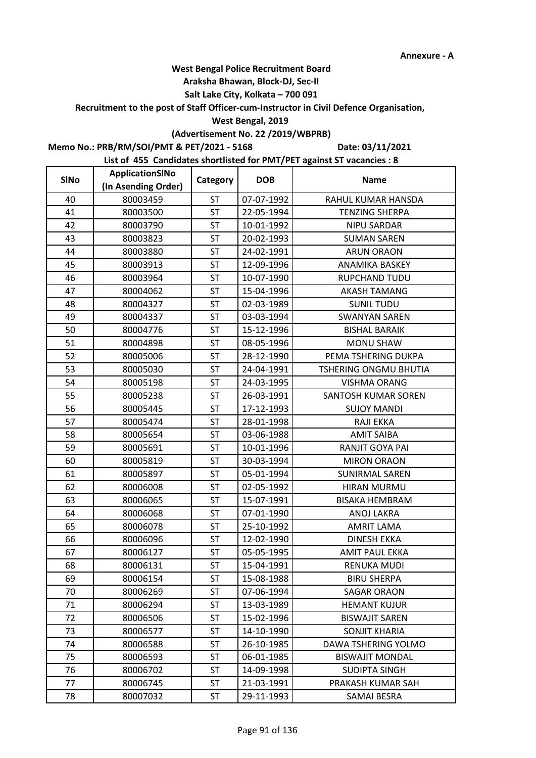#### **Araksha Bhawan, Block-DJ, Sec-II**

## **Salt Lake City, Kolkata – 700 091**

## **Recruitment to the post of Staff Officer-cum-Instructor in Civil Defence Organisation,**

#### **West Bengal, 2019**

## **(Advertisement No. 22 /2019/WBPRB)**

## **Memo No.: PRB/RM/SOI/PMT & PET/2021 - 5168**

**Date: 03/11/2021**

| <b>SINo</b> | ApplicationSINo     | Category  | <b>DOB</b> | <b>Name</b>                  |
|-------------|---------------------|-----------|------------|------------------------------|
|             | (In Asending Order) |           |            |                              |
| 40          | 80003459            | <b>ST</b> | 07-07-1992 | RAHUL KUMAR HANSDA           |
| 41          | 80003500            | ST        | 22-05-1994 | <b>TENZING SHERPA</b>        |
| 42          | 80003790            | ST        | 10-01-1992 | <b>NIPU SARDAR</b>           |
| 43          | 80003823            | <b>ST</b> | 20-02-1993 | <b>SUMAN SAREN</b>           |
| 44          | 80003880            | <b>ST</b> | 24-02-1991 | <b>ARUN ORAON</b>            |
| 45          | 80003913            | <b>ST</b> | 12-09-1996 | ANAMIKA BASKEY               |
| 46          | 80003964            | <b>ST</b> | 10-07-1990 | <b>RUPCHAND TUDU</b>         |
| 47          | 80004062            | <b>ST</b> | 15-04-1996 | <b>AKASH TAMANG</b>          |
| 48          | 80004327            | ST        | 02-03-1989 | <b>SUNIL TUDU</b>            |
| 49          | 80004337            | <b>ST</b> | 03-03-1994 | <b>SWANYAN SAREN</b>         |
| 50          | 80004776            | <b>ST</b> | 15-12-1996 | <b>BISHAL BARAIK</b>         |
| 51          | 80004898            | ST        | 08-05-1996 | <b>MONU SHAW</b>             |
| 52          | 80005006            | <b>ST</b> | 28-12-1990 | PEMA TSHERING DUKPA          |
| 53          | 80005030            | ST        | 24-04-1991 | <b>TSHERING ONGMU BHUTIA</b> |
| 54          | 80005198            | ST        | 24-03-1995 | <b>VISHMA ORANG</b>          |
| 55          | 80005238            | <b>ST</b> | 26-03-1991 | SANTOSH KUMAR SOREN          |
| 56          | 80005445            | ST        | 17-12-1993 | <b>SUJOY MANDI</b>           |
| 57          | 80005474            | <b>ST</b> | 28-01-1998 | RAJI EKKA                    |
| 58          | 80005654            | ST        | 03-06-1988 | <b>AMIT SAIBA</b>            |
| 59          | 80005691            | <b>ST</b> | 10-01-1996 | RANJIT GOYA PAI              |
| 60          | 80005819            | ST        | 30-03-1994 | <b>MIRON ORAON</b>           |
| 61          | 80005897            | ST        | 05-01-1994 | <b>SUNIRMAL SAREN</b>        |
| 62          | 80006008            | <b>ST</b> | 02-05-1992 | <b>HIRAN MURMU</b>           |
| 63          | 80006065            | <b>ST</b> | 15-07-1991 | <b>BISAKA HEMBRAM</b>        |
| 64          | 80006068            | <b>ST</b> | 07-01-1990 | ANOJ LAKRA                   |
| 65          | 80006078            | <b>ST</b> | 25-10-1992 | <b>AMRIT LAMA</b>            |
| 66          | 80006096            | ST        | 12-02-1990 | <b>DINESH EKKA</b>           |
| 67          | 80006127            | <b>ST</b> | 05-05-1995 | <b>AMIT PAUL EKKA</b>        |
| 68          | 80006131            | ST        | 15-04-1991 | RENUKA MUDI                  |
| 69          | 80006154            | <b>ST</b> | 15-08-1988 | <b>BIRU SHERPA</b>           |
| 70          | 80006269            | <b>ST</b> | 07-06-1994 | <b>SAGAR ORAON</b>           |
| 71          | 80006294            | <b>ST</b> | 13-03-1989 | <b>HEMANT KUJUR</b>          |
| 72          | 80006506            | <b>ST</b> | 15-02-1996 | <b>BISWAJIT SAREN</b>        |
| 73          | 80006577            | <b>ST</b> | 14-10-1990 | <b>SONJIT KHARIA</b>         |
| 74          | 80006588            | <b>ST</b> | 26-10-1985 | DAWA TSHERING YOLMO          |
| 75          | 80006593            | <b>ST</b> | 06-01-1985 | <b>BISWAJIT MONDAL</b>       |
| 76          | 80006702            | <b>ST</b> | 14-09-1998 | <b>SUDIPTA SINGH</b>         |
| 77          | 80006745            | <b>ST</b> | 21-03-1991 | PRAKASH KUMAR SAH            |
| 78          | 80007032            | ST        | 29-11-1993 | SAMAI BESRA                  |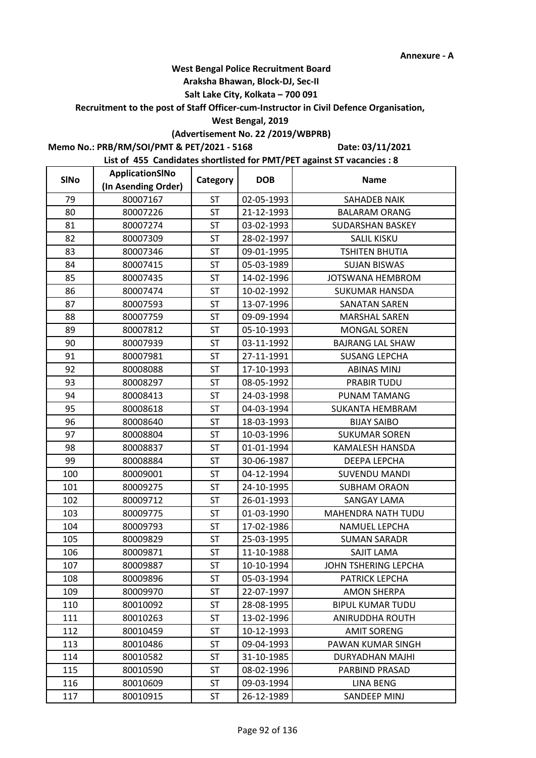#### **Araksha Bhawan, Block-DJ, Sec-II**

## **Salt Lake City, Kolkata – 700 091**

## **Recruitment to the post of Staff Officer-cum-Instructor in Civil Defence Organisation,**

#### **West Bengal, 2019**

## **(Advertisement No. 22 /2019/WBPRB)**

**Memo No.: PRB/RM/SOI/PMT & PET/2021 - 5168**

**Date: 03/11/2021**

| <b>SINo</b> | ApplicationSINo     | Category  | <b>DOB</b> | <b>Name</b>             |
|-------------|---------------------|-----------|------------|-------------------------|
|             | (In Asending Order) |           |            |                         |
| 79          | 80007167            | ST        | 02-05-1993 | <b>SAHADEB NAIK</b>     |
| 80          | 80007226            | <b>ST</b> | 21-12-1993 | <b>BALARAM ORANG</b>    |
| 81          | 80007274            | <b>ST</b> | 03-02-1993 | <b>SUDARSHAN BASKEY</b> |
| 82          | 80007309            | <b>ST</b> | 28-02-1997 | SALIL KISKU             |
| 83          | 80007346            | <b>ST</b> | 09-01-1995 | <b>TSHITEN BHUTIA</b>   |
| 84          | 80007415            | <b>ST</b> | 05-03-1989 | <b>SUJAN BISWAS</b>     |
| 85          | 80007435            | <b>ST</b> | 14-02-1996 | JOTSWANA HEMBROM        |
| 86          | 80007474            | ST        | 10-02-1992 | <b>SUKUMAR HANSDA</b>   |
| 87          | 80007593            | <b>ST</b> | 13-07-1996 | <b>SANATAN SAREN</b>    |
| 88          | 80007759            | <b>ST</b> | 09-09-1994 | <b>MARSHAL SAREN</b>    |
| 89          | 80007812            | <b>ST</b> | 05-10-1993 | MONGAL SOREN            |
| 90          | 80007939            | <b>ST</b> | 03-11-1992 | <b>BAJRANG LAL SHAW</b> |
| 91          | 80007981            | ST        | 27-11-1991 | <b>SUSANG LEPCHA</b>    |
| 92          | 80008088            | <b>ST</b> | 17-10-1993 | <b>ABINAS MINJ</b>      |
| 93          | 80008297            | ST        | 08-05-1992 | <b>PRABIR TUDU</b>      |
| 94          | 80008413            | <b>ST</b> | 24-03-1998 | <b>PUNAM TAMANG</b>     |
| 95          | 80008618            | <b>ST</b> | 04-03-1994 | <b>SUKANTA HEMBRAM</b>  |
| 96          | 80008640            | <b>ST</b> | 18-03-1993 | <b>BIJAY SAIBO</b>      |
| 97          | 80008804            | <b>ST</b> | 10-03-1996 | <b>SUKUMAR SOREN</b>    |
| 98          | 80008837            | ST        | 01-01-1994 | KAMALESH HANSDA         |
| 99          | 80008884            | <b>ST</b> | 30-06-1987 | <b>DEEPA LEPCHA</b>     |
| 100         | 80009001            | ST        | 04-12-1994 | <b>SUVENDU MANDI</b>    |
| 101         | 80009275            | <b>ST</b> | 24-10-1995 | <b>SUBHAM ORAON</b>     |
| 102         | 80009712            | <b>ST</b> | 26-01-1993 | <b>SANGAY LAMA</b>      |
| 103         | 80009775            | <b>ST</b> | 01-03-1990 | MAHENDRA NATH TUDU      |
| 104         | 80009793            | <b>ST</b> | 17-02-1986 | <b>NAMUEL LEPCHA</b>    |
| 105         | 80009829            | ST        | 25-03-1995 | <b>SUMAN SARADR</b>     |
| 106         | 80009871            | <b>ST</b> | 11-10-1988 | SAJIT LAMA              |
| 107         | 80009887            | <b>ST</b> | 10-10-1994 | JOHN TSHERING LEPCHA    |
| 108         | 80009896            | <b>ST</b> | 05-03-1994 | PATRICK LEPCHA          |
| 109         | 80009970            | <b>ST</b> | 22-07-1997 | <b>AMON SHERPA</b>      |
| 110         | 80010092            | <b>ST</b> | 28-08-1995 | <b>BIPUL KUMAR TUDU</b> |
| 111         | 80010263            | <b>ST</b> | 13-02-1996 | ANIRUDDHA ROUTH         |
| 112         | 80010459            | <b>ST</b> | 10-12-1993 | <b>AMIT SORENG</b>      |
| 113         | 80010486            | <b>ST</b> | 09-04-1993 | PAWAN KUMAR SINGH       |
| 114         | 80010582            | <b>ST</b> | 31-10-1985 | DURYADHAN MAJHI         |
| 115         | 80010590            | <b>ST</b> | 08-02-1996 | PARBIND PRASAD          |
| 116         | 80010609            | <b>ST</b> | 09-03-1994 | LINA BENG               |
| 117         | 80010915            | <b>ST</b> | 26-12-1989 | <b>SANDEEP MINJ</b>     |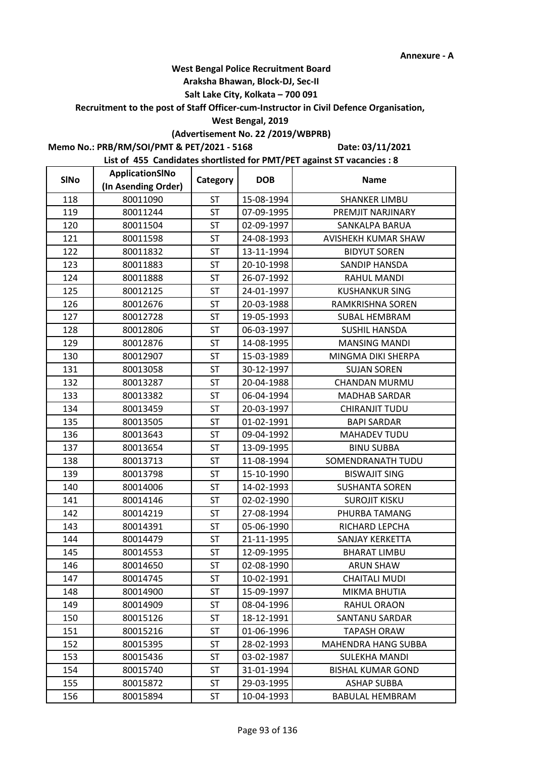h

## **West Bengal Police Recruitment Board**

#### **Araksha Bhawan, Block-DJ, Sec-II**

## **Salt Lake City, Kolkata – 700 091**

## **Recruitment to the post of Staff Officer-cum-Instructor in Civil Defence Organisation,**

#### **West Bengal, 2019**

## **(Advertisement No. 22 /2019/WBPRB)**

**Memo No.: PRB/RM/SOI/PMT & PET/2021 - 5168**

 $\blacksquare$ 

**Date: 03/11/2021**

| <b>SINo</b> | ApplicationSINo     | Category  | <b>DOB</b> | <b>Name</b>              |
|-------------|---------------------|-----------|------------|--------------------------|
|             | (In Asending Order) |           |            |                          |
| 118         | 80011090            | ST        | 15-08-1994 | <b>SHANKER LIMBU</b>     |
| 119         | 80011244            | ST        | 07-09-1995 | PREMJIT NARJINARY        |
| 120         | 80011504            | ST        | 02-09-1997 | SANKALPA BARUA           |
| 121         | 80011598            | <b>ST</b> | 24-08-1993 | AVISHEKH KUMAR SHAW      |
| 122         | 80011832            | <b>ST</b> | 13-11-1994 | <b>BIDYUT SOREN</b>      |
| 123         | 80011883            | <b>ST</b> | 20-10-1998 | SANDIP HANSDA            |
| 124         | 80011888            | <b>ST</b> | 26-07-1992 | <b>RAHUL MANDI</b>       |
| 125         | 80012125            | <b>ST</b> | 24-01-1997 | <b>KUSHANKUR SING</b>    |
| 126         | 80012676            | ST        | 20-03-1988 | RAMKRISHNA SOREN         |
| 127         | 80012728            | <b>ST</b> | 19-05-1993 | <b>SUBAL HEMBRAM</b>     |
| 128         | 80012806            | <b>ST</b> | 06-03-1997 | <b>SUSHIL HANSDA</b>     |
| 129         | 80012876            | <b>ST</b> | 14-08-1995 | <b>MANSING MANDI</b>     |
| 130         | 80012907            | <b>ST</b> | 15-03-1989 | MINGMA DIKI SHERPA       |
| 131         | 80013058            | ST        | 30-12-1997 | <b>SUJAN SOREN</b>       |
| 132         | 80013287            | ST        | 20-04-1988 | <b>CHANDAN MURMU</b>     |
| 133         | 80013382            | ST        | 06-04-1994 | <b>MADHAB SARDAR</b>     |
| 134         | 80013459            | ST        | 20-03-1997 | <b>CHIRANJIT TUDU</b>    |
| 135         | 80013505            | <b>ST</b> | 01-02-1991 | <b>BAPI SARDAR</b>       |
| 136         | 80013643            | ST        | 09-04-1992 | <b>MAHADEV TUDU</b>      |
| 137         | 80013654            | <b>ST</b> | 13-09-1995 | <b>BINU SUBBA</b>        |
| 138         | 80013713            | ST        | 11-08-1994 | SOMENDRANATH TUDU        |
| 139         | 80013798            | <b>ST</b> | 15-10-1990 | <b>BISWAJIT SING</b>     |
| 140         | 80014006            | <b>ST</b> | 14-02-1993 | <b>SUSHANTA SOREN</b>    |
| 141         | 80014146            | <b>ST</b> | 02-02-1990 | <b>SUROJIT KISKU</b>     |
| 142         | 80014219            | <b>ST</b> | 27-08-1994 | PHURBA TAMANG            |
| 143         | 80014391            | <b>ST</b> | 05-06-1990 | RICHARD LEPCHA           |
| 144         | 80014479            | ST        | 21-11-1995 | <b>SANJAY KERKETTA</b>   |
| 145         | 80014553            | ST        | 12-09-1995 | <b>BHARAT LIMBU</b>      |
| 146         | 80014650            | ST        | 02-08-1990 | ARUN SHAW                |
| 147         | 80014745            | <b>ST</b> | 10-02-1991 | <b>CHAITALI MUDI</b>     |
| 148         | 80014900            | <b>ST</b> | 15-09-1997 | MIKMA BHUTIA             |
| 149         | 80014909            | ST        | 08-04-1996 | RAHUL ORAON              |
| 150         | 80015126            | <b>ST</b> | 18-12-1991 | SANTANU SARDAR           |
| 151         | 80015216            | <b>ST</b> | 01-06-1996 | <b>TAPASH ORAW</b>       |
| 152         | 80015395            | <b>ST</b> | 28-02-1993 | MAHENDRA HANG SUBBA      |
| 153         | 80015436            | ST        | 03-02-1987 | <b>SULEKHA MANDI</b>     |
| 154         | 80015740            | <b>ST</b> | 31-01-1994 | <b>BISHAL KUMAR GOND</b> |
| 155         | 80015872            | ST        | 29-03-1995 | <b>ASHAP SUBBA</b>       |
| 156         | 80015894            | ST        | 10-04-1993 | <b>BABULAL HEMBRAM</b>   |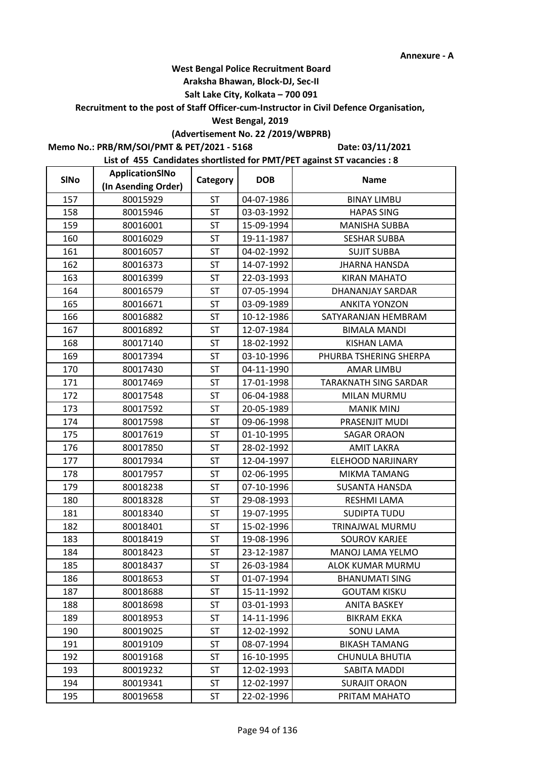Ē,

## **West Bengal Police Recruitment Board**

#### **Araksha Bhawan, Block-DJ, Sec-II**

## **Salt Lake City, Kolkata – 700 091**

## **Recruitment to the post of Staff Officer-cum-Instructor in Civil Defence Organisation,**

#### **West Bengal, 2019**

## **(Advertisement No. 22 /2019/WBPRB)**

**Memo No.: PRB/RM/SOI/PMT & PET/2021 - 5168**

 $\blacksquare$ 

**Date: 03/11/2021**

| <b>SINo</b> | ApplicationSINo     | Category  | <b>DOB</b> | <b>Name</b>                  |
|-------------|---------------------|-----------|------------|------------------------------|
|             | (In Asending Order) |           |            |                              |
| 157         | 80015929            | <b>ST</b> | 04-07-1986 | <b>BINAY LIMBU</b>           |
| 158         | 80015946            | ST        | 03-03-1992 | <b>HAPAS SING</b>            |
| 159         | 80016001            | ST        | 15-09-1994 | <b>MANISHA SUBBA</b>         |
| 160         | 80016029            | <b>ST</b> | 19-11-1987 | <b>SESHAR SUBBA</b>          |
| 161         | 80016057            | <b>ST</b> | 04-02-1992 | <b>SUJIT SUBBA</b>           |
| 162         | 80016373            | <b>ST</b> | 14-07-1992 | <b>JHARNA HANSDA</b>         |
| 163         | 80016399            | <b>ST</b> | 22-03-1993 | <b>KIRAN MAHATO</b>          |
| 164         | 80016579            | ST        | 07-05-1994 | DHANANJAY SARDAR             |
| 165         | 80016671            | <b>ST</b> | 03-09-1989 | <b>ANKITA YONZON</b>         |
| 166         | 80016882            | ST        | 10-12-1986 | SATYARANJAN HEMBRAM          |
| 167         | 80016892            | <b>ST</b> | 12-07-1984 | <b>BIMALA MANDI</b>          |
| 168         | 80017140            | <b>ST</b> | 18-02-1992 | <b>KISHAN LAMA</b>           |
| 169         | 80017394            | <b>ST</b> | 03-10-1996 | PHURBA TSHERING SHERPA       |
| 170         | 80017430            | <b>ST</b> | 04-11-1990 | <b>AMAR LIMBU</b>            |
| 171         | 80017469            | <b>ST</b> | 17-01-1998 | <b>TARAKNATH SING SARDAR</b> |
| 172         | 80017548            | <b>ST</b> | 06-04-1988 | <b>MILAN MURMU</b>           |
| 173         | 80017592            | <b>ST</b> | 20-05-1989 | <b>MANIK MINJ</b>            |
| 174         | 80017598            | <b>ST</b> | 09-06-1998 | PRASENJIT MUDI               |
| 175         | 80017619            | <b>ST</b> | 01-10-1995 | <b>SAGAR ORAON</b>           |
| 176         | 80017850            | <b>ST</b> | 28-02-1992 | <b>AMIT LAKRA</b>            |
| 177         | 80017934            | <b>ST</b> | 12-04-1997 | ELEHOOD NARJINARY            |
| 178         | 80017957            | <b>ST</b> | 02-06-1995 | <b>MIKMA TAMANG</b>          |
| 179         | 80018238            | <b>ST</b> | 07-10-1996 | <b>SUSANTA HANSDA</b>        |
| 180         | 80018328            | <b>ST</b> | 29-08-1993 | RESHMI LAMA                  |
| 181         | 80018340            | <b>ST</b> | 19-07-1995 | <b>SUDIPTA TUDU</b>          |
| 182         | 80018401            | <b>ST</b> | 15-02-1996 | TRINAJWAL MURMU              |
| 183         | 80018419            | <b>ST</b> | 19-08-1996 | <b>SOUROV KARJEE</b>         |
| 184         | 80018423            | <b>ST</b> | 23-12-1987 | MANOJ LAMA YELMO             |
| 185         | 80018437            | ST        | 26-03-1984 | ALOK KUMAR MURMU             |
| 186         | 80018653            | <b>ST</b> | 01-07-1994 | <b>BHANUMATI SING</b>        |
| 187         | 80018688            | <b>ST</b> | 15-11-1992 | <b>GOUTAM KISKU</b>          |
| 188         | 80018698            | ST        | 03-01-1993 | <b>ANITA BASKEY</b>          |
| 189         | 80018953            | <b>ST</b> | 14-11-1996 | <b>BIKRAM EKKA</b>           |
| 190         | 80019025            | <b>ST</b> | 12-02-1992 | <b>SONU LAMA</b>             |
| 191         | 80019109            | <b>ST</b> | 08-07-1994 | <b>BIKASH TAMANG</b>         |
| 192         | 80019168            | <b>ST</b> | 16-10-1995 | CHUNULA BHUTIA               |
| 193         | 80019232            | <b>ST</b> | 12-02-1993 | SABITA MADDI                 |
| 194         | 80019341            | ST        | 12-02-1997 | <b>SURAJIT ORAON</b>         |
| 195         | 80019658            | ST        | 22-02-1996 | PRITAM MAHATO                |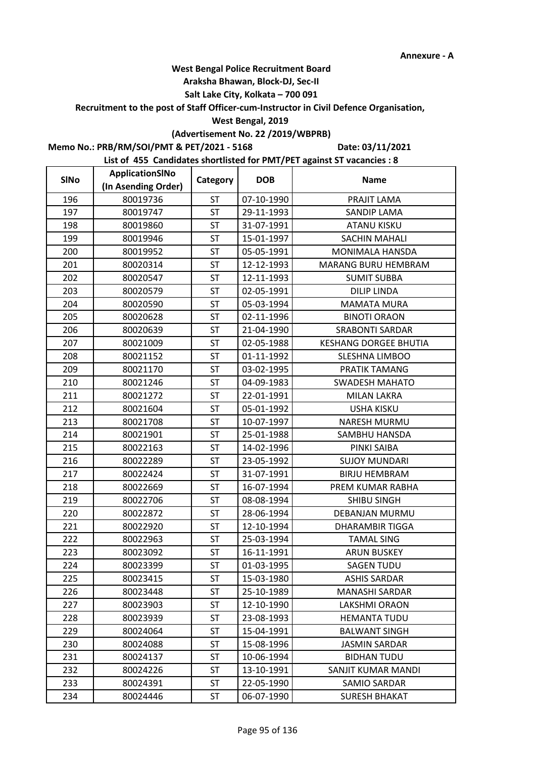### **Araksha Bhawan, Block-DJ, Sec-II**

## **Salt Lake City, Kolkata – 700 091**

## **Recruitment to the post of Staff Officer-cum-Instructor in Civil Defence Organisation,**

#### **West Bengal, 2019**

## **(Advertisement No. 22 /2019/WBPRB)**

**Memo No.: PRB/RM/SOI/PMT & PET/2021 - 5168**

**Date: 03/11/2021**

| <b>SINo</b> | ApplicationSINo     | Category  | <b>DOB</b> | <b>Name</b>                  |  |
|-------------|---------------------|-----------|------------|------------------------------|--|
|             | (In Asending Order) |           |            |                              |  |
| 196         | 80019736            | <b>ST</b> | 07-10-1990 | PRAJIT LAMA                  |  |
| 197         | 80019747            | <b>ST</b> | 29-11-1993 | <b>SANDIP LAMA</b>           |  |
| 198         | 80019860            | <b>ST</b> | 31-07-1991 | <b>ATANU KISKU</b>           |  |
| 199         | 80019946            | <b>ST</b> | 15-01-1997 | <b>SACHIN MAHALI</b>         |  |
| 200         | 80019952            | <b>ST</b> | 05-05-1991 | MONIMALA HANSDA              |  |
| 201         | 80020314            | <b>ST</b> | 12-12-1993 | MARANG BURU HEMBRAM          |  |
| 202         | 80020547            | <b>ST</b> | 12-11-1993 | <b>SUMIT SUBBA</b>           |  |
| 203         | 80020579            | <b>ST</b> | 02-05-1991 | <b>DILIP LINDA</b>           |  |
| 204         | 80020590            | <b>ST</b> | 05-03-1994 | <b>MAMATA MURA</b>           |  |
| 205         | 80020628            | <b>ST</b> | 02-11-1996 | <b>BINOTI ORAON</b>          |  |
| 206         | 80020639            | <b>ST</b> | 21-04-1990 | <b>SRABONTI SARDAR</b>       |  |
| 207         | 80021009            | <b>ST</b> | 02-05-1988 | <b>KESHANG DORGEE BHUTIA</b> |  |
| 208         | 80021152            | <b>ST</b> | 01-11-1992 | SLESHNA LIMBOO               |  |
| 209         | 80021170            | <b>ST</b> | 03-02-1995 | PRATIK TAMANG                |  |
| 210         | 80021246            | <b>ST</b> | 04-09-1983 | <b>SWADESH MAHATO</b>        |  |
| 211         | 80021272            | <b>ST</b> | 22-01-1991 | <b>MILAN LAKRA</b>           |  |
| 212         | 80021604            | <b>ST</b> | 05-01-1992 | <b>USHA KISKU</b>            |  |
| 213         | 80021708            | <b>ST</b> | 10-07-1997 | NARESH MURMU                 |  |
| 214         | 80021901            | <b>ST</b> | 25-01-1988 | SAMBHU HANSDA                |  |
| 215         | 80022163            | <b>ST</b> | 14-02-1996 | PINKI SAIBA                  |  |
| 216         | 80022289            | <b>ST</b> | 23-05-1992 | <b>SUJOY MUNDARI</b>         |  |
| 217         | 80022424            | <b>ST</b> | 31-07-1991 | <b>BIRJU HEMBRAM</b>         |  |
| 218         | 80022669            | <b>ST</b> | 16-07-1994 | PREM KUMAR RABHA             |  |
| 219         | 80022706            | <b>ST</b> | 08-08-1994 | <b>SHIBU SINGH</b>           |  |
| 220         | 80022872            | <b>ST</b> | 28-06-1994 | DEBANJAN MURMU               |  |
| 221         | 80022920            | <b>ST</b> | 12-10-1994 | <b>DHARAMBIR TIGGA</b>       |  |
| 222         | 80022963            | <b>ST</b> | 25-03-1994 | <b>TAMAL SING</b>            |  |
| 223         | 80023092            | <b>ST</b> | 16-11-1991 | <b>ARUN BUSKEY</b>           |  |
| 224         | 80023399            | ST        | 01-03-1995 | <b>SAGEN TUDU</b>            |  |
| 225         | 80023415            | <b>ST</b> | 15-03-1980 | <b>ASHIS SARDAR</b>          |  |
| 226         | 80023448            | <b>ST</b> | 25-10-1989 | MANASHI SARDAR               |  |
| 227         | 80023903            | ST        | 12-10-1990 | LAKSHMI ORAON                |  |
| 228         | 80023939            | <b>ST</b> | 23-08-1993 | <b>HEMANTA TUDU</b>          |  |
| 229         | 80024064            | <b>ST</b> | 15-04-1991 | <b>BALWANT SINGH</b>         |  |
| 230         | 80024088            | <b>ST</b> | 15-08-1996 | <b>JASMIN SARDAR</b>         |  |
| 231         | 80024137            | ST        | 10-06-1994 | <b>BIDHAN TUDU</b>           |  |
| 232         | 80024226            | <b>ST</b> | 13-10-1991 | SANJIT KUMAR MANDI           |  |
| 233         | 80024391            | ST        | 22-05-1990 | SAMIO SARDAR                 |  |
| 234         | 80024446            | ST        | 06-07-1990 | <b>SURESH BHAKAT</b>         |  |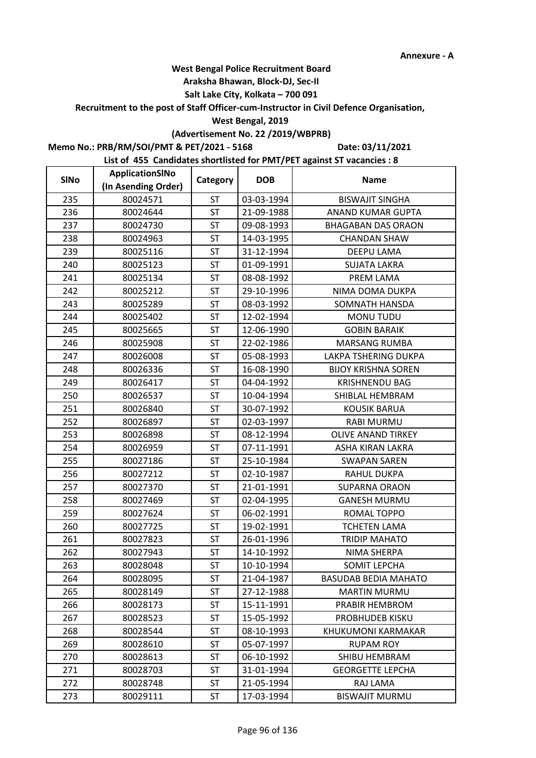#### **Araksha Bhawan, Block-DJ, Sec-II**

## **Salt Lake City, Kolkata – 700 091**

## **Recruitment to the post of Staff Officer-cum-Instructor in Civil Defence Organisation,**

#### **West Bengal, 2019**

## **(Advertisement No. 22 /2019/WBPRB)**

**Memo No.: PRB/RM/SOI/PMT & PET/2021 - 5168**

**Date: 03/11/2021**

| <b>SINo</b> | ApplicationSINo     | Category  | <b>DOB</b> | <b>Name</b>                 |
|-------------|---------------------|-----------|------------|-----------------------------|
|             | (In Asending Order) |           |            |                             |
| 235         | 80024571            | <b>ST</b> | 03-03-1994 | <b>BISWAJIT SINGHA</b>      |
| 236         | 80024644            | <b>ST</b> | 21-09-1988 | ANAND KUMAR GUPTA           |
| 237         | 80024730            | <b>ST</b> | 09-08-1993 | <b>BHAGABAN DAS ORAON</b>   |
| 238         | 80024963            | <b>ST</b> | 14-03-1995 | <b>CHANDAN SHAW</b>         |
| 239         | 80025116            | <b>ST</b> | 31-12-1994 | DEEPU LAMA                  |
| 240         | 80025123            | ST        | 01-09-1991 | <b>SUJATA LAKRA</b>         |
| 241         | 80025134            | <b>ST</b> | 08-08-1992 | PREM LAMA                   |
| 242         | 80025212            | <b>ST</b> | 29-10-1996 | NIMA DOMA DUKPA             |
| 243         | 80025289            | <b>ST</b> | 08-03-1992 | SOMNATH HANSDA              |
| 244         | 80025402            | <b>ST</b> | 12-02-1994 | MONU TUDU                   |
| 245         | 80025665            | <b>ST</b> | 12-06-1990 | <b>GOBIN BARAIK</b>         |
| 246         | 80025908            | <b>ST</b> | 22-02-1986 | <b>MARSANG RUMBA</b>        |
| 247         | 80026008            | <b>ST</b> | 05-08-1993 | LAKPA TSHERING DUKPA        |
| 248         | 80026336            | <b>ST</b> | 16-08-1990 | <b>BIJOY KRISHNA SOREN</b>  |
| 249         | 80026417            | <b>ST</b> | 04-04-1992 | <b>KRISHNENDU BAG</b>       |
| 250         | 80026537            | <b>ST</b> | 10-04-1994 | SHIBLAL HEMBRAM             |
| 251         | 80026840            | <b>ST</b> | 30-07-1992 | <b>KOUSIK BARUA</b>         |
| 252         | 80026897            | <b>ST</b> | 02-03-1997 | <b>RABI MURMU</b>           |
| 253         | 80026898            | <b>ST</b> | 08-12-1994 | OLIVE ANAND TIRKEY          |
| 254         | 80026959            | <b>ST</b> | 07-11-1991 | ASHA KIRAN LAKRA            |
| 255         | 80027186            | <b>ST</b> | 25-10-1984 | <b>SWAPAN SAREN</b>         |
| 256         | 80027212            | <b>ST</b> | 02-10-1987 | RAHUL DUKPA                 |
| 257         | 80027370            | <b>ST</b> | 21-01-1991 | <b>SUPARNA ORAON</b>        |
| 258         | 80027469            | <b>ST</b> | 02-04-1995 | <b>GANESH MURMU</b>         |
| 259         | 80027624            | ST        | 06-02-1991 | ROMAL TOPPO                 |
| 260         | 80027725            | <b>ST</b> | 19-02-1991 | <b>TCHETEN LAMA</b>         |
| 261         | 80027823            | <b>ST</b> | 26-01-1996 | <b>TRIDIP MAHATO</b>        |
| 262         | 80027943            | <b>ST</b> | 14-10-1992 | NIMA SHERPA                 |
| 263         | 80028048            | ST        | 10-10-1994 | SOMIT LEPCHA                |
| 264         | 80028095            | <b>ST</b> | 21-04-1987 | <b>BASUDAB BEDIA MAHATO</b> |
| 265         | 80028149            | <b>ST</b> | 27-12-1988 | <b>MARTIN MURMU</b>         |
| 266         | 80028173            | <b>ST</b> | 15-11-1991 | PRABIR HEMBROM              |
| 267         | 80028523            | <b>ST</b> | 15-05-1992 | PROBHUDEB KISKU             |
| 268         | 80028544            | <b>ST</b> | 08-10-1993 | KHUKUMONI KARMAKAR          |
| 269         | 80028610            | <b>ST</b> | 05-07-1997 | <b>RUPAM ROY</b>            |
| 270         | 80028613            | <b>ST</b> | 06-10-1992 | SHIBU HEMBRAM               |
| 271         | 80028703            | <b>ST</b> | 31-01-1994 | <b>GEORGETTE LEPCHA</b>     |
| 272         | 80028748            | <b>ST</b> | 21-05-1994 | RAJ LAMA                    |
| 273         | 80029111            | ST        | 17-03-1994 | <b>BISWAJIT MURMU</b>       |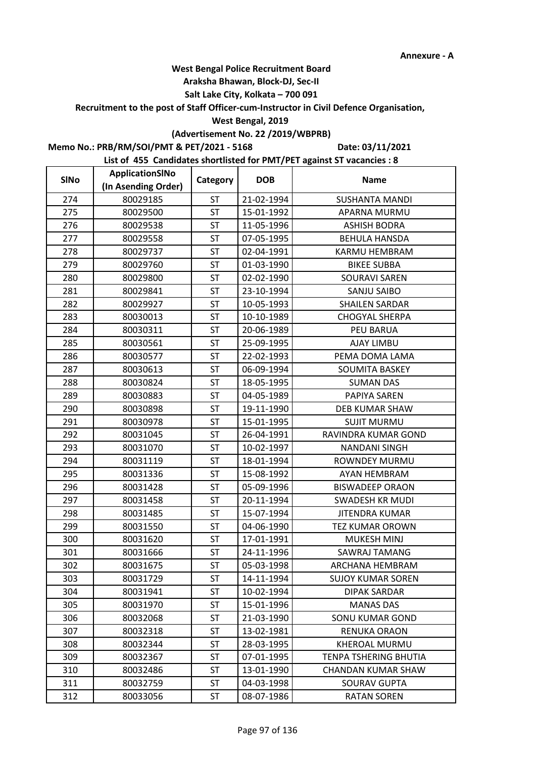#### **Araksha Bhawan, Block-DJ, Sec-II**

## **Salt Lake City, Kolkata – 700 091**

## **Recruitment to the post of Staff Officer-cum-Instructor in Civil Defence Organisation,**

#### **West Bengal, 2019**

## **(Advertisement No. 22 /2019/WBPRB)**

**Memo No.: PRB/RM/SOI/PMT & PET/2021 - 5168**

**Date: 03/11/2021**

| <b>SINo</b> | ApplicationSINo     | Category  | <b>DOB</b> | <b>Name</b>               |
|-------------|---------------------|-----------|------------|---------------------------|
|             | (In Asending Order) |           |            |                           |
| 274         | 80029185            | ST        | 21-02-1994 | <b>SUSHANTA MANDI</b>     |
| 275         | 80029500            | <b>ST</b> | 15-01-1992 | APARNA MURMU              |
| 276         | 80029538            | <b>ST</b> | 11-05-1996 | <b>ASHISH BODRA</b>       |
| 277         | 80029558            | <b>ST</b> | 07-05-1995 | <b>BEHULA HANSDA</b>      |
| 278         | 80029737            | <b>ST</b> | 02-04-1991 | KARMU HEMBRAM             |
| 279         | 80029760            | <b>ST</b> | 01-03-1990 | <b>BIKEE SUBBA</b>        |
| 280         | 80029800            | <b>ST</b> | 02-02-1990 | <b>SOURAVI SAREN</b>      |
| 281         | 80029841            | <b>ST</b> | 23-10-1994 | SANJU SAIBO               |
| 282         | 80029927            | <b>ST</b> | 10-05-1993 | <b>SHAILEN SARDAR</b>     |
| 283         | 80030013            | <b>ST</b> | 10-10-1989 | <b>CHOGYAL SHERPA</b>     |
| 284         | 80030311            | <b>ST</b> | 20-06-1989 | PEU BARUA                 |
| 285         | 80030561            | <b>ST</b> | 25-09-1995 | <b>AJAY LIMBU</b>         |
| 286         | 80030577            | <b>ST</b> | 22-02-1993 | PEMA DOMA LAMA            |
| 287         | 80030613            | <b>ST</b> | 06-09-1994 | SOUMITA BASKEY            |
| 288         | 80030824            | <b>ST</b> | 18-05-1995 | <b>SUMAN DAS</b>          |
| 289         | 80030883            | <b>ST</b> | 04-05-1989 | PAPIYA SAREN              |
| 290         | 80030898            | <b>ST</b> | 19-11-1990 | <b>DEB KUMAR SHAW</b>     |
| 291         | 80030978            | <b>ST</b> | 15-01-1995 | <b>SUJIT MURMU</b>        |
| 292         | 80031045            | <b>ST</b> | 26-04-1991 | RAVINDRA KUMAR GOND       |
| 293         | 80031070            | <b>ST</b> | 10-02-1997 | <b>NANDANI SINGH</b>      |
| 294         | 80031119            | <b>ST</b> | 18-01-1994 | ROWNDEY MURMU             |
| 295         | 80031336            | <b>ST</b> | 15-08-1992 | AYAN HEMBRAM              |
| 296         | 80031428            | <b>ST</b> | 05-09-1996 | <b>BISWADEEP ORAON</b>    |
| 297         | 80031458            | <b>ST</b> | 20-11-1994 | <b>SWADESH KR MUDI</b>    |
| 298         | 80031485            | <b>ST</b> | 15-07-1994 | <b>JITENDRA KUMAR</b>     |
| 299         | 80031550            | <b>ST</b> | 04-06-1990 | <b>TEZ KUMAR OROWN</b>    |
| 300         | 80031620            | <b>ST</b> | 17-01-1991 | <b>MUKESH MINJ</b>        |
| 301         | 80031666            | <b>ST</b> | 24-11-1996 | SAWRAJ TAMANG             |
| 302         | 80031675            | <b>ST</b> | 05-03-1998 | ARCHANA HEMBRAM           |
| 303         | 80031729            | <b>ST</b> | 14-11-1994 | <b>SUJOY KUMAR SOREN</b>  |
| 304         | 80031941            | <b>ST</b> | 10-02-1994 | <b>DIPAK SARDAR</b>       |
| 305         | 80031970            | ST        | 15-01-1996 | <b>MANAS DAS</b>          |
| 306         | 80032068            | <b>ST</b> | 21-03-1990 | <b>SONU KUMAR GOND</b>    |
| 307         | 80032318            | <b>ST</b> | 13-02-1981 | RENUKA ORAON              |
| 308         | 80032344            | <b>ST</b> | 28-03-1995 | <b>KHEROAL MURMU</b>      |
| 309         | 80032367            | <b>ST</b> | 07-01-1995 | TENPA TSHERING BHUTIA     |
| 310         | 80032486            | <b>ST</b> | 13-01-1990 | <b>CHANDAN KUMAR SHAW</b> |
| 311         | 80032759            | ST        | 04-03-1998 | <b>SOURAV GUPTA</b>       |
| 312         | 80033056            | ST        | 08-07-1986 | <b>RATAN SOREN</b>        |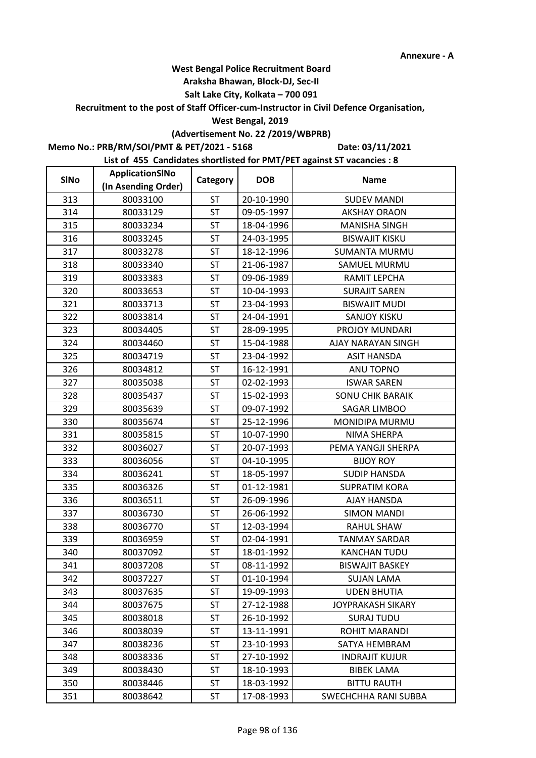#### **Araksha Bhawan, Block-DJ, Sec-II**

## **Salt Lake City, Kolkata – 700 091**

**Recruitment to the post of Staff Officer-cum-Instructor in Civil Defence Organisation,** 

#### **West Bengal, 2019**

## **(Advertisement No. 22 /2019/WBPRB)**

**Memo No.: PRB/RM/SOI/PMT & PET/2021 - 5168**

**Date: 03/11/2021**

| <b>SINo</b> | ApplicationSINo     | Category  | <b>DOB</b> | <b>Name</b>             |
|-------------|---------------------|-----------|------------|-------------------------|
|             | (In Asending Order) |           |            |                         |
| 313         | 80033100            | ST        | 20-10-1990 | <b>SUDEV MANDI</b>      |
| 314         | 80033129            | <b>ST</b> | 09-05-1997 | <b>AKSHAY ORAON</b>     |
| 315         | 80033234            | ST        | 18-04-1996 | <b>MANISHA SINGH</b>    |
| 316         | 80033245            | <b>ST</b> | 24-03-1995 | <b>BISWAJIT KISKU</b>   |
| 317         | 80033278            | <b>ST</b> | 18-12-1996 | <b>SUMANTA MURMU</b>    |
| 318         | 80033340            | <b>ST</b> | 21-06-1987 | SAMUEL MURMU            |
| 319         | 80033383            | <b>ST</b> | 09-06-1989 | RAMIT LEPCHA            |
| 320         | 80033653            | <b>ST</b> | 10-04-1993 | <b>SURAJIT SAREN</b>    |
| 321         | 80033713            | ST        | 23-04-1993 | <b>BISWAJIT MUDI</b>    |
| 322         | 80033814            | <b>ST</b> | 24-04-1991 | <b>SANJOY KISKU</b>     |
| 323         | 80034405            | <b>ST</b> | 28-09-1995 | PROJOY MUNDARI          |
| 324         | 80034460            | <b>ST</b> | 15-04-1988 | AJAY NARAYAN SINGH      |
| 325         | 80034719            | <b>ST</b> | 23-04-1992 | <b>ASIT HANSDA</b>      |
| 326         | 80034812            | ST        | 16-12-1991 | ANU TOPNO               |
| 327         | 80035038            | ST        | 02-02-1993 | <b>ISWAR SAREN</b>      |
| 328         | 80035437            | <b>ST</b> | 15-02-1993 | <b>SONU CHIK BARAIK</b> |
| 329         | 80035639            | ST        | 09-07-1992 | <b>SAGAR LIMBOO</b>     |
| 330         | 80035674            | <b>ST</b> | 25-12-1996 | MONIDIPA MURMU          |
| 331         | 80035815            | ST        | 10-07-1990 | NIMA SHERPA             |
| 332         | 80036027            | <b>ST</b> | 20-07-1993 | PEMA YANGJI SHERPA      |
| 333         | 80036056            | ST        | 04-10-1995 | <b>BIJOY ROY</b>        |
| 334         | 80036241            | <b>ST</b> | 18-05-1997 | <b>SUDIP HANSDA</b>     |
| 335         | 80036326            | <b>ST</b> | 01-12-1981 | <b>SUPRATIM KORA</b>    |
| 336         | 80036511            | <b>ST</b> | 26-09-1996 | <b>AJAY HANSDA</b>      |
| 337         | 80036730            | ST        | 26-06-1992 | <b>SIMON MANDI</b>      |
| 338         | 80036770            | ST        | 12-03-1994 | RAHUL SHAW              |
| 339         | 80036959            | ST        | 02-04-1991 | <b>TANMAY SARDAR</b>    |
| 340         | 80037092            | ST        | 18-01-1992 | <b>KANCHAN TUDU</b>     |
| 341         | 80037208            | ST        | 08-11-1992 | <b>BISWAJIT BASKEY</b>  |
| 342         | 80037227            | <b>ST</b> | 01-10-1994 | <b>SUJAN LAMA</b>       |
| 343         | 80037635            | <b>ST</b> | 19-09-1993 | <b>UDEN BHUTIA</b>      |
| 344         | 80037675            | ST        | 27-12-1988 | JOYPRAKASH SIKARY       |
| 345         | 80038018            | <b>ST</b> | 26-10-1992 | <b>SURAJ TUDU</b>       |
| 346         | 80038039            | <b>ST</b> | 13-11-1991 | ROHIT MARANDI           |
| 347         | 80038236            | <b>ST</b> | 23-10-1993 | SATYA HEMBRAM           |
| 348         | 80038336            | ST        | 27-10-1992 | <b>INDRAJIT KUJUR</b>   |
| 349         | 80038430            | <b>ST</b> | 18-10-1993 | <b>BIBEK LAMA</b>       |
| 350         | 80038446            | ST        | 18-03-1992 | <b>BITTU RAUTH</b>      |
| 351         | 80038642            | ST        | 17-08-1993 | SWECHCHHA RANI SUBBA    |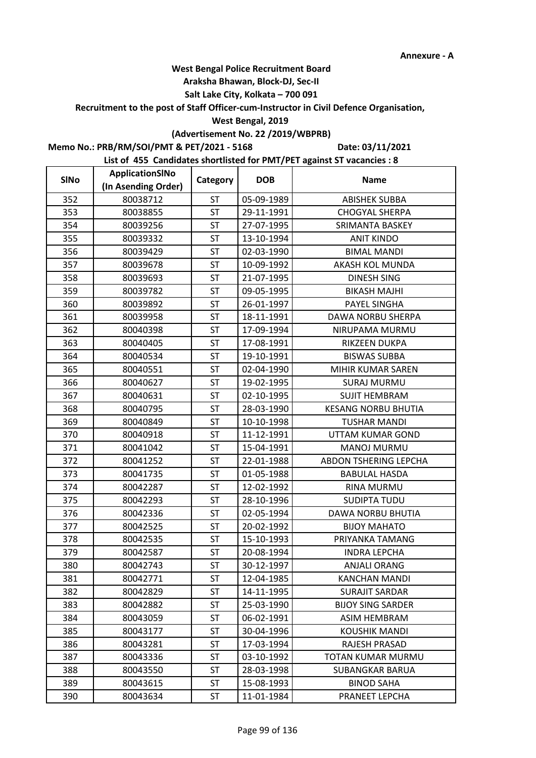Ē,

## **West Bengal Police Recruitment Board**

#### **Araksha Bhawan, Block-DJ, Sec-II**

## **Salt Lake City, Kolkata – 700 091**

## **Recruitment to the post of Staff Officer-cum-Instructor in Civil Defence Organisation,**

#### **West Bengal, 2019**

## **(Advertisement No. 22 /2019/WBPRB)**

**Memo No.: PRB/RM/SOI/PMT & PET/2021 - 5168**

**Date: 03/11/2021**

| <b>SINo</b> | ApplicationSINo     | Category  | <b>DOB</b> | <b>Name</b>                |
|-------------|---------------------|-----------|------------|----------------------------|
|             | (In Asending Order) |           |            |                            |
| 352         | 80038712            | <b>ST</b> | 05-09-1989 | <b>ABISHEK SUBBA</b>       |
| 353         | 80038855            | <b>ST</b> | 29-11-1991 | <b>CHOGYAL SHERPA</b>      |
| 354         | 80039256            | ST        | 27-07-1995 | SRIMANTA BASKEY            |
| 355         | 80039332            | <b>ST</b> | 13-10-1994 | <b>ANIT KINDO</b>          |
| 356         | 80039429            | <b>ST</b> | 02-03-1990 | <b>BIMAL MANDI</b>         |
| 357         | 80039678            | <b>ST</b> | 10-09-1992 | AKASH KOL MUNDA            |
| 358         | 80039693            | <b>ST</b> | 21-07-1995 | <b>DINESH SING</b>         |
| 359         | 80039782            | ST        | 09-05-1995 | <b>BIKASH MAJHI</b>        |
| 360         | 80039892            | ST        | 26-01-1997 | PAYEL SINGHA               |
| 361         | 80039958            | <b>ST</b> | 18-11-1991 | DAWA NORBU SHERPA          |
| 362         | 80040398            | <b>ST</b> | 17-09-1994 | NIRUPAMA MURMU             |
| 363         | 80040405            | ST        | 17-08-1991 | RIKZEEN DUKPA              |
| 364         | 80040534            | <b>ST</b> | 19-10-1991 | <b>BISWAS SUBBA</b>        |
| 365         | 80040551            | ST        | 02-04-1990 | <b>MIHIR KUMAR SAREN</b>   |
| 366         | 80040627            | ST        | 19-02-1995 | <b>SURAJ MURMU</b>         |
| 367         | 80040631            | <b>ST</b> | 02-10-1995 | <b>SUJIT HEMBRAM</b>       |
| 368         | 80040795            | ST        | 28-03-1990 | <b>KESANG NORBU BHUTIA</b> |
| 369         | 80040849            | <b>ST</b> | 10-10-1998 | <b>TUSHAR MANDI</b>        |
| 370         | 80040918            | ST        | 11-12-1991 | UTTAM KUMAR GOND           |
| 371         | 80041042            | <b>ST</b> | 15-04-1991 | <b>MANOJ MURMU</b>         |
| 372         | 80041252            | ST        | 22-01-1988 | ABDON TSHERING LEPCHA      |
| 373         | 80041735            | ST        | 01-05-1988 | <b>BABULAL HASDA</b>       |
| 374         | 80042287            | <b>ST</b> | 12-02-1992 | <b>RINA MURMU</b>          |
| 375         | 80042293            | <b>ST</b> | 28-10-1996 | <b>SUDIPTA TUDU</b>        |
| 376         | 80042336            | <b>ST</b> | 02-05-1994 | DAWA NORBU BHUTIA          |
| 377         | 80042525            | <b>ST</b> | 20-02-1992 | <b>BIJOY MAHATO</b>        |
| 378         | 80042535            | ST        | 15-10-1993 | PRIYANKA TAMANG            |
| 379         | 80042587            | <b>ST</b> | 20-08-1994 | <b>INDRA LEPCHA</b>        |
| 380         | 80042743            | ST        | 30-12-1997 | <b>ANJALI ORANG</b>        |
| 381         | 80042771            | <b>ST</b> | 12-04-1985 | <b>KANCHAN MANDI</b>       |
| 382         | 80042829            | <b>ST</b> | 14-11-1995 | <b>SURAJIT SARDAR</b>      |
| 383         | 80042882            | ST        | 25-03-1990 | <b>BIJOY SING SARDER</b>   |
| 384         | 80043059            | <b>ST</b> | 06-02-1991 | <b>ASIM HEMBRAM</b>        |
| 385         | 80043177            | <b>ST</b> | 30-04-1996 | KOUSHIK MANDI              |
| 386         | 80043281            | <b>ST</b> | 17-03-1994 | RAJESH PRASAD              |
| 387         | 80043336            | ST        | 03-10-1992 | TOTAN KUMAR MURMU          |
| 388         | 80043550            | <b>ST</b> | 28-03-1998 | <b>SUBANGKAR BARUA</b>     |
| 389         | 80043615            | ST        | 15-08-1993 | <b>BINOD SAHA</b>          |
| 390         | 80043634            | ST        | 11-01-1984 | PRANEET LEPCHA             |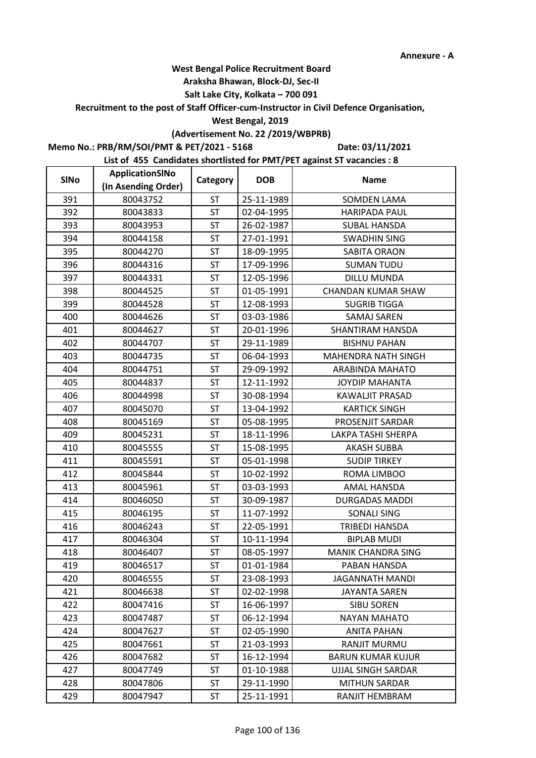#### **Araksha Bhawan, Block-DJ, Sec-II**

## **Salt Lake City, Kolkata – 700 091**

**Recruitment to the post of Staff Officer-cum-Instructor in Civil Defence Organisation,** 

#### **West Bengal, 2019**

## **(Advertisement No. 22 /2019/WBPRB)**

**Memo No.: PRB/RM/SOI/PMT & PET/2021 - 5168**

**Date: 03/11/2021**

| <b>SINo</b> | ApplicationSINo     | Category  | <b>DOB</b> | <b>Name</b>               |
|-------------|---------------------|-----------|------------|---------------------------|
|             | (In Asending Order) |           |            |                           |
| 391         | 80043752            | ST        | 25-11-1989 | <b>SOMDEN LAMA</b>        |
| 392         | 80043833            | ST        | 02-04-1995 | <b>HARIPADA PAUL</b>      |
| 393         | 80043953            | ST        | 26-02-1987 | <b>SUBAL HANSDA</b>       |
| 394         | 80044158            | <b>ST</b> | 27-01-1991 | <b>SWADHIN SING</b>       |
| 395         | 80044270            | <b>ST</b> | 18-09-1995 | <b>SABITA ORAON</b>       |
| 396         | 80044316            | <b>ST</b> | 17-09-1996 | <b>SUMAN TUDU</b>         |
| 397         | 80044331            | <b>ST</b> | 12-05-1996 | <b>DILLU MUNDA</b>        |
| 398         | 80044525            | ST        | 01-05-1991 | <b>CHANDAN KUMAR SHAW</b> |
| 399         | 80044528            | ST        | 12-08-1993 | <b>SUGRIB TIGGA</b>       |
| 400         | 80044626            | <b>ST</b> | 03-03-1986 | <b>SAMAJ SAREN</b>        |
| 401         | 80044627            | <b>ST</b> | 20-01-1996 | SHANTIRAM HANSDA          |
| 402         | 80044707            | <b>ST</b> | 29-11-1989 | <b>BISHNU PAHAN</b>       |
| 403         | 80044735            | <b>ST</b> | 06-04-1993 | MAHENDRA NATH SINGH       |
| 404         | 80044751            | ST        | 29-09-1992 | ARABINDA MAHATO           |
| 405         | 80044837            | ST        | 12-11-1992 | <b>JOYDIP MAHANTA</b>     |
| 406         | 80044998            | <b>ST</b> | 30-08-1994 | KAWALJIT PRASAD           |
| 407         | 80045070            | ST        | 13-04-1992 | <b>KARTICK SINGH</b>      |
| 408         | 80045169            | <b>ST</b> | 05-08-1995 | PROSENJIT SARDAR          |
| 409         | 80045231            | ST        | 18-11-1996 | LAKPA TASHI SHERPA        |
| 410         | 80045555            | <b>ST</b> | 15-08-1995 | <b>AKASH SUBBA</b>        |
| 411         | 80045591            | ST        | 05-01-1998 | <b>SUDIP TIRKEY</b>       |
| 412         | 80045844            | <b>ST</b> | 10-02-1992 | ROMA LIMBOO               |
| 413         | 80045961            | <b>ST</b> | 03-03-1993 | AMAL HANSDA               |
| 414         | 80046050            | <b>ST</b> | 30-09-1987 | <b>DURGADAS MADDI</b>     |
| 415         | 80046195            | <b>ST</b> | 11-07-1992 | <b>SONALI SING</b>        |
| 416         | 80046243            | <b>ST</b> | 22-05-1991 | <b>TRIBEDI HANSDA</b>     |
| 417         | 80046304            | <b>ST</b> | 10-11-1994 | <b>BIPLAB MUDI</b>        |
| 418         | 80046407            | <b>ST</b> | 08-05-1997 | MANIK CHANDRA SING        |
| 419         | 80046517            | ST        | 01-01-1984 | PABAN HANSDA              |
| 420         | 80046555            | <b>ST</b> | 23-08-1993 | <b>JAGANNATH MANDI</b>    |
| 421         | 80046638            | <b>ST</b> | 02-02-1998 | <b>JAYANTA SAREN</b>      |
| 422         | 80047416            | ST        | 16-06-1997 | <b>SIBU SOREN</b>         |
| 423         | 80047487            | <b>ST</b> | 06-12-1994 | <b>NAYAN MAHATO</b>       |
| 424         | 80047627            | <b>ST</b> | 02-05-1990 | ANITA PAHAN               |
| 425         | 80047661            | <b>ST</b> | 21-03-1993 | RANJIT MURMU              |
| 426         | 80047682            | ST        | 16-12-1994 | <b>BARUN KUMAR KUJUR</b>  |
| 427         | 80047749            | <b>ST</b> | 01-10-1988 | <b>UJJAL SINGH SARDAR</b> |
| 428         | 80047806            | <b>ST</b> | 29-11-1990 | <b>MITHUN SARDAR</b>      |
| 429         | 80047947            | ST        | 25-11-1991 | RANJIT HEMBRAM            |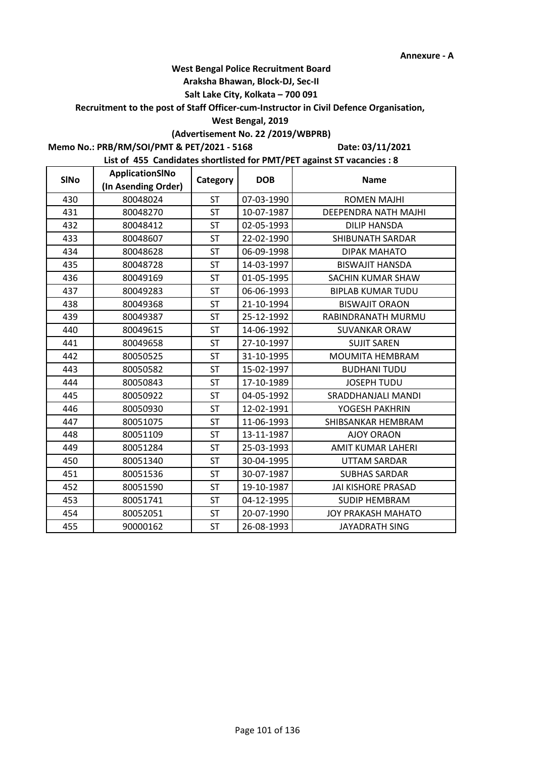#### **Araksha Bhawan, Block-DJ, Sec-II**

## **Salt Lake City, Kolkata – 700 091**

## **Recruitment to the post of Staff Officer-cum-Instructor in Civil Defence Organisation,**

#### **West Bengal, 2019**

## **(Advertisement No. 22 /2019/WBPRB)**

## **Memo No.: PRB/RM/SOI/PMT & PET/2021 - 5168**

**Date: 03/11/2021**

| <b>SINo</b> | ApplicationSINo     | Category  | <b>DOB</b> | <b>Name</b>                 |
|-------------|---------------------|-----------|------------|-----------------------------|
|             | (In Asending Order) |           |            |                             |
| 430         | 80048024            | ST        | 07-03-1990 | <b>ROMEN MAJHI</b>          |
| 431         | 80048270            | <b>ST</b> | 10-07-1987 | <b>DEEPENDRA NATH MAJHI</b> |
| 432         | 80048412            | <b>ST</b> | 02-05-1993 | <b>DILIP HANSDA</b>         |
| 433         | 80048607            | <b>ST</b> | 22-02-1990 | SHIBUNATH SARDAR            |
| 434         | 80048628            | <b>ST</b> | 06-09-1998 | <b>DIPAK MAHATO</b>         |
| 435         | 80048728            | <b>ST</b> | 14-03-1997 | <b>BISWAJIT HANSDA</b>      |
| 436         | 80049169            | <b>ST</b> | 01-05-1995 | SACHIN KUMAR SHAW           |
| 437         | 80049283            | ST        | 06-06-1993 | <b>BIPLAB KUMAR TUDU</b>    |
| 438         | 80049368            | <b>ST</b> | 21-10-1994 | <b>BISWAJIT ORAON</b>       |
| 439         | 80049387            | <b>ST</b> | 25-12-1992 | RABINDRANATH MURMU          |
| 440         | 80049615            | ST        | 14-06-1992 | <b>SUVANKAR ORAW</b>        |
| 441         | 80049658            | <b>ST</b> | 27-10-1997 | <b>SUJIT SAREN</b>          |
| 442         | 80050525            | <b>ST</b> | 31-10-1995 | <b>MOUMITA HEMBRAM</b>      |
| 443         | 80050582            | <b>ST</b> | 15-02-1997 | <b>BUDHANI TUDU</b>         |
| 444         | 80050843            | <b>ST</b> | 17-10-1989 | <b>JOSEPH TUDU</b>          |
| 445         | 80050922            | <b>ST</b> | 04-05-1992 | SRADDHANJALI MANDI          |
| 446         | 80050930            | <b>ST</b> | 12-02-1991 | YOGESH PAKHRIN              |
| 447         | 80051075            | <b>ST</b> | 11-06-1993 | SHIBSANKAR HEMBRAM          |
| 448         | 80051109            | <b>ST</b> | 13-11-1987 | <b>AJOY ORAON</b>           |
| 449         | 80051284            | <b>ST</b> | 25-03-1993 | AMIT KUMAR LAHERI           |
| 450         | 80051340            | ST        | 30-04-1995 | <b>UTTAM SARDAR</b>         |
| 451         | 80051536            | <b>ST</b> | 30-07-1987 | <b>SUBHAS SARDAR</b>        |
| 452         | 80051590            | <b>ST</b> | 19-10-1987 | <b>JAI KISHORE PRASAD</b>   |
| 453         | 80051741            | ST        | 04-12-1995 | <b>SUDIP HEMBRAM</b>        |
| 454         | 80052051            | <b>ST</b> | 20-07-1990 | <b>JOY PRAKASH MAHATO</b>   |
| 455         | 90000162            | ST        | 26-08-1993 | JAYADRATH SING              |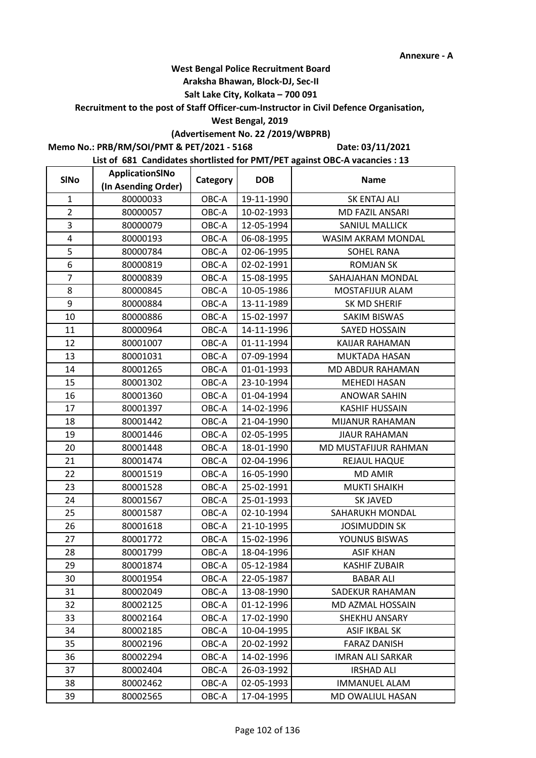#### **Araksha Bhawan, Block-DJ, Sec-II**

## **Salt Lake City, Kolkata – 700 091**

**Recruitment to the post of Staff Officer-cum-Instructor in Civil Defence Organisation,** 

#### **West Bengal, 2019**

# **(Advertisement No. 22 /2019/WBPRB)**

**Memo No.: PRB/RM/SOI/PMT & PET/2021 - 5168**

**Date: 03/11/2021**

| <b>SINo</b>    | ApplicationSINo     | Category | <b>DOB</b> | <b>Name</b>             |
|----------------|---------------------|----------|------------|-------------------------|
|                | (In Asending Order) |          |            |                         |
| $\mathbf{1}$   | 80000033            | OBC-A    | 19-11-1990 | <b>SK ENTAJ ALI</b>     |
| $\overline{2}$ | 80000057            | OBC-A    | 10-02-1993 | <b>MD FAZIL ANSARI</b>  |
| 3              | 80000079            | OBC-A    | 12-05-1994 | SANIUL MALLICK          |
| 4              | 80000193            | OBC-A    | 06-08-1995 | WASIM AKRAM MONDAL      |
| 5              | 80000784            | OBC-A    | 02-06-1995 | <b>SOHEL RANA</b>       |
| 6              | 80000819            | OBC-A    | 02-02-1991 | <b>ROMJAN SK</b>        |
| $\overline{7}$ | 80000839            | OBC-A    | 15-08-1995 | SAHAJAHAN MONDAL        |
| 8              | 80000845            | OBC-A    | 10-05-1986 | MOSTAFIJUR ALAM         |
| 9              | 80000884            | OBC-A    | 13-11-1989 | SK MD SHERIF            |
| 10             | 80000886            | OBC-A    | 15-02-1997 | <b>SAKIM BISWAS</b>     |
| 11             | 80000964            | OBC-A    | 14-11-1996 | SAYED HOSSAIN           |
| 12             | 80001007            | OBC-A    | 01-11-1994 | KAIJAR RAHAMAN          |
| 13             | 80001031            | OBC-A    | 07-09-1994 | MUKTADA HASAN           |
| 14             | 80001265            | OBC-A    | 01-01-1993 | MD ABDUR RAHAMAN        |
| 15             | 80001302            | OBC-A    | 23-10-1994 | <b>MEHEDI HASAN</b>     |
| 16             | 80001360            | OBC-A    | 01-04-1994 | <b>ANOWAR SAHIN</b>     |
| 17             | 80001397            | OBC-A    | 14-02-1996 | <b>KASHIF HUSSAIN</b>   |
| 18             | 80001442            | OBC-A    | 21-04-1990 | <b>MIJANUR RAHAMAN</b>  |
| 19             | 80001446            | OBC-A    | 02-05-1995 | <b>JIAUR RAHAMAN</b>    |
| 20             | 80001448            | OBC-A    | 18-01-1990 | MD MUSTAFIJUR RAHMAN    |
| 21             | 80001474            | OBC-A    | 02-04-1996 | REJAUL HAQUE            |
| 22             | 80001519            | OBC-A    | 16-05-1990 | <b>MD AMIR</b>          |
| 23             | 80001528            | OBC-A    | 25-02-1991 | <b>MUKTI SHAIKH</b>     |
| 24             | 80001567            | OBC-A    | 25-01-1993 | <b>SK JAVED</b>         |
| 25             | 80001587            | OBC-A    | 02-10-1994 | SAHARUKH MONDAL         |
| 26             | 80001618            | OBC-A    | 21-10-1995 | <b>JOSIMUDDIN SK</b>    |
| 27             | 80001772            | OBC-A    | 15-02-1996 | YOUNUS BISWAS           |
| 28             | 80001799            | OBC-A    | 18-04-1996 | <b>ASIF KHAN</b>        |
| 29             | 80001874            | OBC-A    | 05-12-1984 | <b>KASHIF ZUBAIR</b>    |
| 30             | 80001954            | OBC-A    | 22-05-1987 | <b>BABAR ALI</b>        |
| 31             | 80002049            | OBC-A    | 13-08-1990 | SADEKUR RAHAMAN         |
| 32             | 80002125            | OBC-A    | 01-12-1996 | MD AZMAL HOSSAIN        |
| 33             | 80002164            | OBC-A    | 17-02-1990 | SHEKHU ANSARY           |
| 34             | 80002185            | OBC-A    | 10-04-1995 | <b>ASIF IKBAL SK</b>    |
| 35             | 80002196            | OBC-A    | 20-02-1992 | <b>FARAZ DANISH</b>     |
| 36             | 80002294            | OBC-A    | 14-02-1996 | <b>IMRAN ALI SARKAR</b> |
| 37             | 80002404            | OBC-A    | 26-03-1992 | <b>IRSHAD ALI</b>       |
| 38             | 80002462            | OBC-A    | 02-05-1993 | <b>IMMANUEL ALAM</b>    |
| 39             | 80002565            | OBC-A    | 17-04-1995 | MD OWALIUL HASAN        |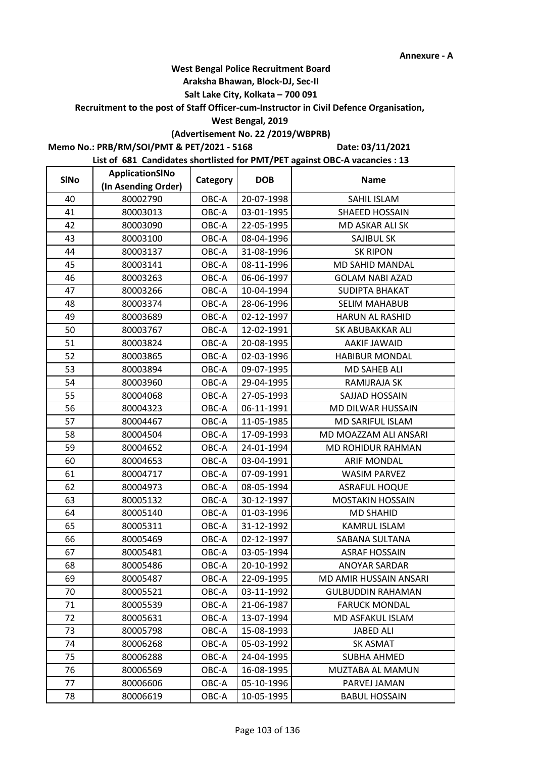#### **Araksha Bhawan, Block-DJ, Sec-II**

## **Salt Lake City, Kolkata – 700 091**

**Recruitment to the post of Staff Officer-cum-Instructor in Civil Defence Organisation,** 

#### **West Bengal, 2019**

# **(Advertisement No. 22 /2019/WBPRB)**

**Memo No.: PRB/RM/SOI/PMT & PET/2021 - 5168**

**Date: 03/11/2021**

| <b>SINo</b> | ApplicationSINo     | Category | <b>DOB</b> | <b>Name</b>              |
|-------------|---------------------|----------|------------|--------------------------|
|             | (In Asending Order) |          |            |                          |
| 40          | 80002790            | OBC-A    | 20-07-1998 | SAHIL ISLAM              |
| 41          | 80003013            | OBC-A    | 03-01-1995 | SHAEED HOSSAIN           |
| 42          | 80003090            | OBC-A    | 22-05-1995 | MD ASKAR ALI SK          |
| 43          | 80003100            | OBC-A    | 08-04-1996 | SAJIBUL SK               |
| 44          | 80003137            | OBC-A    | 31-08-1996 | <b>SK RIPON</b>          |
| 45          | 80003141            | OBC-A    | 08-11-1996 | MD SAHID MANDAL          |
| 46          | 80003263            | OBC-A    | 06-06-1997 | <b>GOLAM NABI AZAD</b>   |
| 47          | 80003266            | OBC-A    | 10-04-1994 | <b>SUDIPTA BHAKAT</b>    |
| 48          | 80003374            | OBC-A    | 28-06-1996 | <b>SELIM MAHABUB</b>     |
| 49          | 80003689            | OBC-A    | 02-12-1997 | HARUN AL RASHID          |
| 50          | 80003767            | OBC-A    | 12-02-1991 | SK ABUBAKKAR ALI         |
| 51          | 80003824            | OBC-A    | 20-08-1995 | <b>AAKIF JAWAID</b>      |
| 52          | 80003865            | OBC-A    | 02-03-1996 | <b>HABIBUR MONDAL</b>    |
| 53          | 80003894            | OBC-A    | 09-07-1995 | <b>MD SAHEB ALI</b>      |
| 54          | 80003960            | OBC-A    | 29-04-1995 | RAMIJRAJA SK             |
| 55          | 80004068            | OBC-A    | 27-05-1993 | SAJJAD HOSSAIN           |
| 56          | 80004323            | OBC-A    | 06-11-1991 | MD DILWAR HUSSAIN        |
| 57          | 80004467            | OBC-A    | 11-05-1985 | MD SARIFUL ISLAM         |
| 58          | 80004504            | OBC-A    | 17-09-1993 | MD MOAZZAM ALI ANSARI    |
| 59          | 80004652            | OBC-A    | 24-01-1994 | MD ROHIDUR RAHMAN        |
| 60          | 80004653            | OBC-A    | 03-04-1991 | <b>ARIF MONDAL</b>       |
| 61          | 80004717            | OBC-A    | 07-09-1991 | <b>WASIM PARVEZ</b>      |
| 62          | 80004973            | OBC-A    | 08-05-1994 | <b>ASRAFUL HOQUE</b>     |
| 63          | 80005132            | OBC-A    | 30-12-1997 | <b>MOSTAKIN HOSSAIN</b>  |
| 64          | 80005140            | OBC-A    | 01-03-1996 | <b>MD SHAHID</b>         |
| 65          | 80005311            | OBC-A    | 31-12-1992 | KAMRUL ISLAM             |
| 66          | 80005469            | OBC-A    | 02-12-1997 | SABANA SULTANA           |
| 67          | 80005481            | OBC-A    | 03-05-1994 | <b>ASRAF HOSSAIN</b>     |
| 68          | 80005486            | OBC-A    | 20-10-1992 | <b>ANOYAR SARDAR</b>     |
| 69          | 80005487            | OBC-A    | 22-09-1995 | MD AMIR HUSSAIN ANSARI   |
| 70          | 80005521            | OBC-A    | 03-11-1992 | <b>GULBUDDIN RAHAMAN</b> |
| 71          | 80005539            | OBC-A    | 21-06-1987 | <b>FARUCK MONDAL</b>     |
| 72          | 80005631            | OBC-A    | 13-07-1994 | MD ASFAKUL ISLAM         |
| 73          | 80005798            | OBC-A    | 15-08-1993 | <b>JABED ALI</b>         |
| 74          | 80006268            | OBC-A    | 05-03-1992 | <b>SK ASMAT</b>          |
| 75          | 80006288            | OBC-A    | 24-04-1995 | <b>SUBHA AHMED</b>       |
| 76          | 80006569            | OBC-A    | 16-08-1995 | MUZTABA AL MAMUN         |
| 77          | 80006606            | OBC-A    | 05-10-1996 | PARVEJ JAMAN             |
| 78          | 80006619            | OBC-A    | 10-05-1995 | <b>BABUL HOSSAIN</b>     |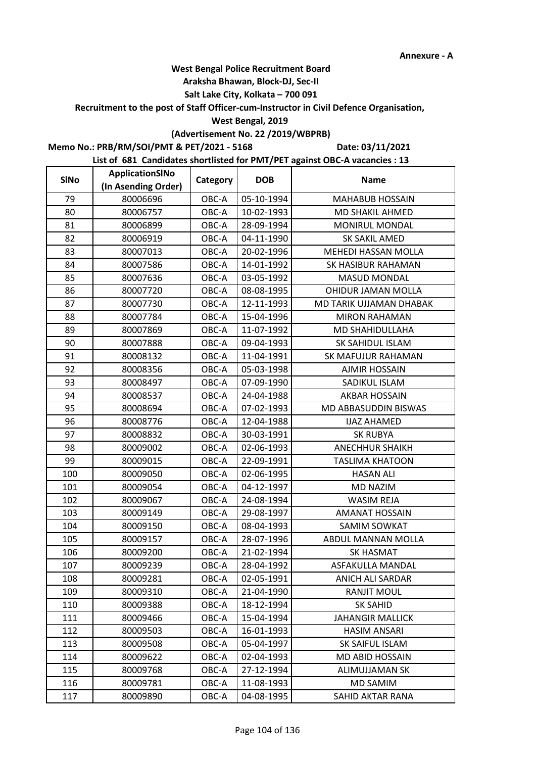#### **Araksha Bhawan, Block-DJ, Sec-II**

## **Salt Lake City, Kolkata – 700 091**

**Recruitment to the post of Staff Officer-cum-Instructor in Civil Defence Organisation,** 

#### **West Bengal, 2019**

# **(Advertisement No. 22 /2019/WBPRB)**

**Memo No.: PRB/RM/SOI/PMT & PET/2021 - 5168**

**Date: 03/11/2021**

| <b>SINo</b> | ApplicationSINo     | Category | <b>DOB</b> | <b>Name</b>             |
|-------------|---------------------|----------|------------|-------------------------|
|             | (In Asending Order) |          |            |                         |
| 79          | 80006696            | OBC-A    | 05-10-1994 | <b>MAHABUB HOSSAIN</b>  |
| 80          | 80006757            | OBC-A    | 10-02-1993 | MD SHAKIL AHMED         |
| 81          | 80006899            | OBC-A    | 28-09-1994 | MONIRUL MONDAL          |
| 82          | 80006919            | OBC-A    | 04-11-1990 | SK SAKIL AMED           |
| 83          | 80007013            | OBC-A    | 20-02-1996 | MEHEDI HASSAN MOLLA     |
| 84          | 80007586            | OBC-A    | 14-01-1992 | SK HASIBUR RAHAMAN      |
| 85          | 80007636            | OBC-A    | 03-05-1992 | <b>MASUD MONDAL</b>     |
| 86          | 80007720            | OBC-A    | 08-08-1995 | OHIDUR JAMAN MOLLA      |
| 87          | 80007730            | OBC-A    | 12-11-1993 | MD TARIK UJJAMAN DHABAK |
| 88          | 80007784            | OBC-A    | 15-04-1996 | <b>MIRON RAHAMAN</b>    |
| 89          | 80007869            | OBC-A    | 11-07-1992 | MD SHAHIDULLAHA         |
| 90          | 80007888            | OBC-A    | 09-04-1993 | SK SAHIDUL ISLAM        |
| 91          | 80008132            | OBC-A    | 11-04-1991 | SK MAFUJUR RAHAMAN      |
| 92          | 80008356            | OBC-A    | 05-03-1998 | <b>AJMIR HOSSAIN</b>    |
| 93          | 80008497            | OBC-A    | 07-09-1990 | SADIKUL ISLAM           |
| 94          | 80008537            | OBC-A    | 24-04-1988 | <b>AKBAR HOSSAIN</b>    |
| 95          | 80008694            | OBC-A    | 07-02-1993 | MD ABBASUDDIN BISWAS    |
| 96          | 80008776            | OBC-A    | 12-04-1988 | <b>IJAZ AHAMED</b>      |
| 97          | 80008832            | OBC-A    | 30-03-1991 | <b>SK RUBYA</b>         |
| 98          | 80009002            | OBC-A    | 02-06-1993 | <b>ANECHHUR SHAIKH</b>  |
| 99          | 80009015            | OBC-A    | 22-09-1991 | <b>TASLIMA KHATOON</b>  |
| 100         | 80009050            | OBC-A    | 02-06-1995 | <b>HASAN ALI</b>        |
| 101         | 80009054            | OBC-A    | 04-12-1997 | <b>MD NAZIM</b>         |
| 102         | 80009067            | OBC-A    | 24-08-1994 | <b>WASIM REJA</b>       |
| 103         | 80009149            | OBC-A    | 29-08-1997 | <b>AMANAT HOSSAIN</b>   |
| 104         | 80009150            | OBC-A    | 08-04-1993 | <b>SAMIM SOWKAT</b>     |
| 105         | 80009157            | OBC-A    | 28-07-1996 | ABDUL MANNAN MOLLA      |
| 106         | 80009200            | OBC-A    | 21-02-1994 | <b>SK HASMAT</b>        |
| 107         | 80009239            | OBC-A    | 28-04-1992 | ASFAKULLA MANDAL        |
| 108         | 80009281            | OBC-A    | 02-05-1991 | <b>ANICH ALI SARDAR</b> |
| 109         | 80009310            | OBC-A    | 21-04-1990 | <b>RANJIT MOUL</b>      |
| 110         | 80009388            | OBC-A    | 18-12-1994 | <b>SK SAHID</b>         |
| 111         | 80009466            | OBC-A    | 15-04-1994 | <b>JAHANGIR MALLICK</b> |
| 112         | 80009503            | OBC-A    | 16-01-1993 | <b>HASIM ANSARI</b>     |
| 113         | 80009508            | OBC-A    | 05-04-1997 | SK SAIFUL ISLAM         |
| 114         | 80009622            | OBC-A    | 02-04-1993 | <b>MD ABID HOSSAIN</b>  |
| 115         | 80009768            | OBC-A    | 27-12-1994 | <b>ALIMUJJAMAN SK</b>   |
| 116         | 80009781            | OBC-A    | 11-08-1993 | MD SAMIM                |
| 117         | 80009890            | OBC-A    | 04-08-1995 | SAHID AKTAR RANA        |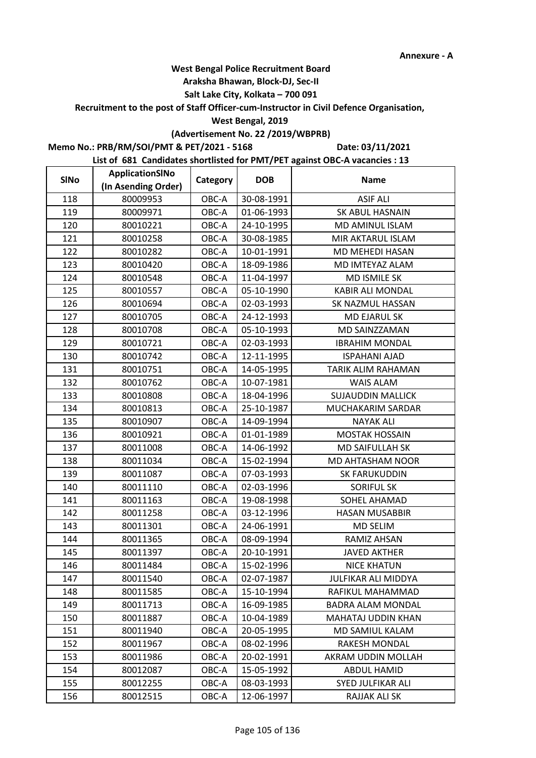#### **Araksha Bhawan, Block-DJ, Sec-II**

## **Salt Lake City, Kolkata – 700 091**

**Recruitment to the post of Staff Officer-cum-Instructor in Civil Defence Organisation,** 

#### **West Bengal, 2019**

## **(Advertisement No. 22 /2019/WBPRB)**

**Memo No.: PRB/RM/SOI/PMT & PET/2021 - 5168**

**Date: 03/11/2021**

| <b>SINo</b> | ApplicationSINo     | Category | <b>DOB</b> | <b>Name</b>              |
|-------------|---------------------|----------|------------|--------------------------|
|             | (In Asending Order) |          |            |                          |
| 118         | 80009953            | OBC-A    | 30-08-1991 | <b>ASIF ALI</b>          |
| 119         | 80009971            | OBC-A    | 01-06-1993 | SK ABUL HASNAIN          |
| 120         | 80010221            | OBC-A    | 24-10-1995 | MD AMINUL ISLAM          |
| 121         | 80010258            | OBC-A    | 30-08-1985 | MIR AKTARUL ISLAM        |
| 122         | 80010282            | OBC-A    | 10-01-1991 | MD MEHEDI HASAN          |
| 123         | 80010420            | OBC-A    | 18-09-1986 | MD IMTEYAZ ALAM          |
| 124         | 80010548            | OBC-A    | 11-04-1997 | MD ISMILE SK             |
| 125         | 80010557            | OBC-A    | 05-10-1990 | <b>KABIR ALI MONDAL</b>  |
| 126         | 80010694            | OBC-A    | 02-03-1993 | SK NAZMUL HASSAN         |
| 127         | 80010705            | OBC-A    | 24-12-1993 | MD EJARUL SK             |
| 128         | 80010708            | OBC-A    | 05-10-1993 | MD SAINZZAMAN            |
| 129         | 80010721            | OBC-A    | 02-03-1993 | <b>IBRAHIM MONDAL</b>    |
| 130         | 80010742            | OBC-A    | 12-11-1995 | <b>ISPAHANI AJAD</b>     |
| 131         | 80010751            | OBC-A    | 14-05-1995 | TARIK ALIM RAHAMAN       |
| 132         | 80010762            | OBC-A    | 10-07-1981 | <b>WAIS ALAM</b>         |
| 133         | 80010808            | OBC-A    | 18-04-1996 | <b>SUJAUDDIN MALLICK</b> |
| 134         | 80010813            | OBC-A    | 25-10-1987 | MUCHAKARIM SARDAR        |
| 135         | 80010907            | OBC-A    | 14-09-1994 | <b>NAYAK ALI</b>         |
| 136         | 80010921            | OBC-A    | 01-01-1989 | <b>MOSTAK HOSSAIN</b>    |
| 137         | 80011008            | OBC-A    | 14-06-1992 | MD SAIFULLAH SK          |
| 138         | 80011034            | OBC-A    | 15-02-1994 | MD AHTASHAM NOOR         |
| 139         | 80011087            | OBC-A    | 07-03-1993 | <b>SK FARUKUDDIN</b>     |
| 140         | 80011110            | OBC-A    | 02-03-1996 | <b>SORIFUL SK</b>        |
| 141         | 80011163            | OBC-A    | 19-08-1998 | SOHEL AHAMAD             |
| 142         | 80011258            | OBC-A    | 03-12-1996 | <b>HASAN MUSABBIR</b>    |
| 143         | 80011301            | OBC-A    | 24-06-1991 | <b>MD SELIM</b>          |
| 144         | 80011365            | OBC-A    | 08-09-1994 | RAMIZ AHSAN              |
| 145         | 80011397            | OBC-A    | 20-10-1991 | <b>JAVED AKTHER</b>      |
| 146         | 80011484            | OBC-A    | 15-02-1996 | <b>NICE KHATUN</b>       |
| 147         | 80011540            | OBC-A    | 02-07-1987 | JULFIKAR ALI MIDDYA      |
| 148         | 80011585            | OBC-A    | 15-10-1994 | RAFIKUL MAHAMMAD         |
| 149         | 80011713            | OBC-A    | 16-09-1985 | <b>BADRA ALAM MONDAL</b> |
| 150         | 80011887            | OBC-A    | 10-04-1989 | MAHATAJ UDDIN KHAN       |
| 151         | 80011940            | OBC-A    | 20-05-1995 | MD SAMIUL KALAM          |
| 152         | 80011967            | OBC-A    | 08-02-1996 | <b>RAKESH MONDAL</b>     |
| 153         | 80011986            | OBC-A    | 20-02-1991 | AKRAM UDDIN MOLLAH       |
| 154         | 80012087            | OBC-A    | 15-05-1992 | <b>ABDUL HAMID</b>       |
| 155         | 80012255            | OBC-A    | 08-03-1993 | SYED JULFIKAR ALI        |
| 156         | 80012515            | OBC-A    | 12-06-1997 | RAJJAK ALI SK            |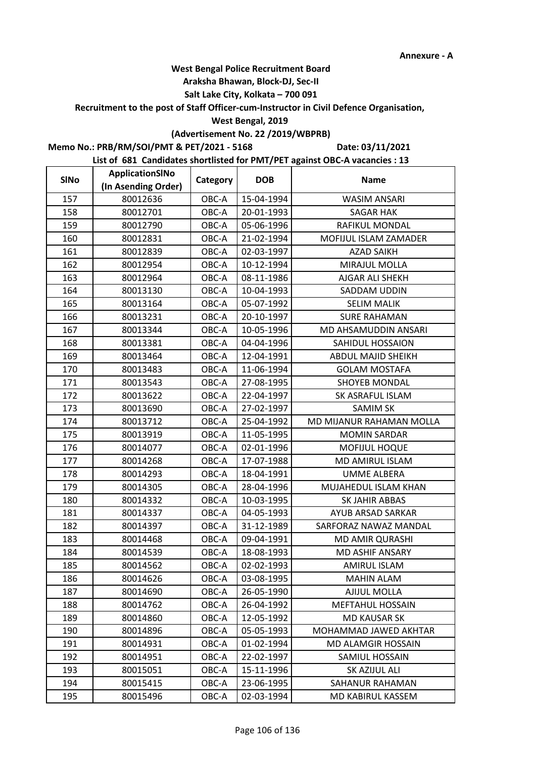#### **Araksha Bhawan, Block-DJ, Sec-II**

## **Salt Lake City, Kolkata – 700 091**

**Recruitment to the post of Staff Officer-cum-Instructor in Civil Defence Organisation,** 

#### **West Bengal, 2019**

# **(Advertisement No. 22 /2019/WBPRB)**

**Memo No.: PRB/RM/SOI/PMT & PET/2021 - 5168**

**Date: 03/11/2021**

| <b>SINo</b> | ApplicationSINo     | Category | <b>DOB</b> | <b>Name</b>               |
|-------------|---------------------|----------|------------|---------------------------|
|             | (In Asending Order) |          |            |                           |
| 157         | 80012636            | OBC-A    | 15-04-1994 | <b>WASIM ANSARI</b>       |
| 158         | 80012701            | OBC-A    | 20-01-1993 | <b>SAGAR HAK</b>          |
| 159         | 80012790            | OBC-A    | 05-06-1996 | <b>RAFIKUL MONDAL</b>     |
| 160         | 80012831            | OBC-A    | 21-02-1994 | MOFIJUL ISLAM ZAMADER     |
| 161         | 80012839            | OBC-A    | 02-03-1997 | <b>AZAD SAIKH</b>         |
| 162         | 80012954            | OBC-A    | 10-12-1994 | MIRAJUL MOLLA             |
| 163         | 80012964            | OBC-A    | 08-11-1986 | AJGAR ALI SHEKH           |
| 164         | 80013130            | OBC-A    | 10-04-1993 | SADDAM UDDIN              |
| 165         | 80013164            | OBC-A    | 05-07-1992 | <b>SELIM MALIK</b>        |
| 166         | 80013231            | OBC-A    | 20-10-1997 | <b>SURE RAHAMAN</b>       |
| 167         | 80013344            | OBC-A    | 10-05-1996 | MD AHSAMUDDIN ANSARI      |
| 168         | 80013381            | OBC-A    | 04-04-1996 | SAHIDUL HOSSAION          |
| 169         | 80013464            | OBC-A    | 12-04-1991 | <b>ABDUL MAJID SHEIKH</b> |
| 170         | 80013483            | OBC-A    | 11-06-1994 | <b>GOLAM MOSTAFA</b>      |
| 171         | 80013543            | OBC-A    | 27-08-1995 | <b>SHOYEB MONDAL</b>      |
| 172         | 80013622            | OBC-A    | 22-04-1997 | <b>SK ASRAFUL ISLAM</b>   |
| 173         | 80013690            | OBC-A    | 27-02-1997 | <b>SAMIM SK</b>           |
| 174         | 80013712            | OBC-A    | 25-04-1992 | MD MIJANUR RAHAMAN MOLLA  |
| 175         | 80013919            | OBC-A    | 11-05-1995 | <b>MOMIN SARDAR</b>       |
| 176         | 80014077            | OBC-A    | 02-01-1996 | MOFIJUL HOQUE             |
| 177         | 80014268            | OBC-A    | 17-07-1988 | MD AMIRUL ISLAM           |
| 178         | 80014293            | OBC-A    | 18-04-1991 | <b>UMME ALBERA</b>        |
| 179         | 80014305            | OBC-A    | 28-04-1996 | MUJAHEDUL ISLAM KHAN      |
| 180         | 80014332            | OBC-A    | 10-03-1995 | SK JAHIR ABBAS            |
| 181         | 80014337            | OBC-A    | 04-05-1993 | AYUB ARSAD SARKAR         |
| 182         | 80014397            | OBC-A    | 31-12-1989 | SARFORAZ NAWAZ MANDAL     |
| 183         | 80014468            | OBC-A    | 09-04-1991 | <b>MD AMIR QURASHI</b>    |
| 184         | 80014539            | OBC-A    | 18-08-1993 | <b>MD ASHIF ANSARY</b>    |
| 185         | 80014562            | OBC-A    | 02-02-1993 | <b>AMIRUL ISLAM</b>       |
| 186         | 80014626            | OBC-A    | 03-08-1995 | <b>MAHIN ALAM</b>         |
| 187         | 80014690            | OBC-A    | 26-05-1990 | AJIJUL MOLLA              |
| 188         | 80014762            | OBC-A    | 26-04-1992 | <b>MEFTAHUL HOSSAIN</b>   |
| 189         | 80014860            | OBC-A    | 12-05-1992 | MD KAUSAR SK              |
| 190         | 80014896            | OBC-A    | 05-05-1993 | MOHAMMAD JAWED AKHTAR     |
| 191         | 80014931            | OBC-A    | 01-02-1994 | MD ALAMGIR HOSSAIN        |
| 192         | 80014951            | OBC-A    | 22-02-1997 | SAMIUL HOSSAIN            |
| 193         | 80015051            | OBC-A    | 15-11-1996 | SK AZIJUL ALI             |
| 194         | 80015415            | OBC-A    | 23-06-1995 | SAHANUR RAHAMAN           |
| 195         | 80015496            | OBC-A    | 02-03-1994 | MD KABIRUL KASSEM         |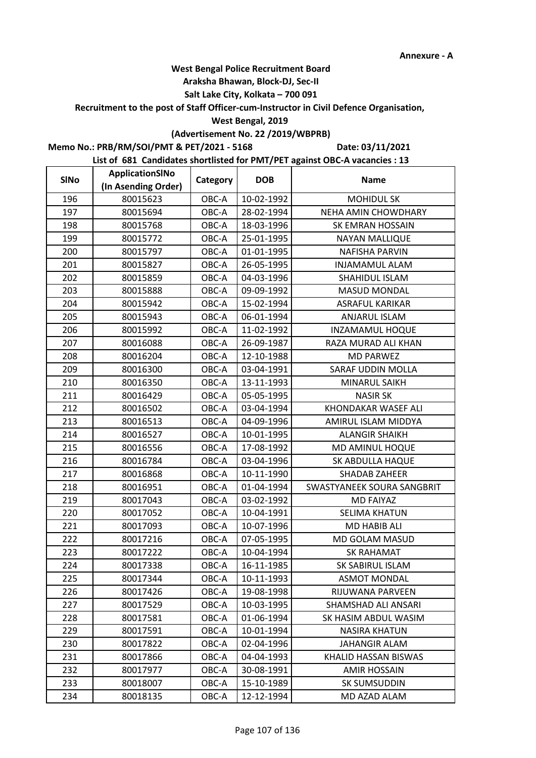#### **Araksha Bhawan, Block-DJ, Sec-II**

## **Salt Lake City, Kolkata – 700 091**

**Recruitment to the post of Staff Officer-cum-Instructor in Civil Defence Organisation,** 

#### **West Bengal, 2019**

# **(Advertisement No. 22 /2019/WBPRB)**

**Memo No.: PRB/RM/SOI/PMT & PET/2021 - 5168**

**Date: 03/11/2021**

| <b>SINo</b> | ApplicationSINo     | Category | <b>DOB</b> | <b>Name</b>                |
|-------------|---------------------|----------|------------|----------------------------|
|             | (In Asending Order) |          |            |                            |
| 196         | 80015623            | OBC-A    | 10-02-1992 | <b>MOHIDUL SK</b>          |
| 197         | 80015694            | OBC-A    | 28-02-1994 | NEHA AMIN CHOWDHARY        |
| 198         | 80015768            | OBC-A    | 18-03-1996 | <b>SK EMRAN HOSSAIN</b>    |
| 199         | 80015772            | OBC-A    | 25-01-1995 | <b>NAYAN MALLIQUE</b>      |
| 200         | 80015797            | OBC-A    | 01-01-1995 | <b>NAFISHA PARVIN</b>      |
| 201         | 80015827            | OBC-A    | 26-05-1995 | <b>INJAMAMUL ALAM</b>      |
| 202         | 80015859            | OBC-A    | 04-03-1996 | SHAHIDUL ISLAM             |
| 203         | 80015888            | OBC-A    | 09-09-1992 | <b>MASUD MONDAL</b>        |
| 204         | 80015942            | OBC-A    | 15-02-1994 | <b>ASRAFUL KARIKAR</b>     |
| 205         | 80015943            | OBC-A    | 06-01-1994 | <b>ANJARUL ISLAM</b>       |
| 206         | 80015992            | OBC-A    | 11-02-1992 | INZAMAMUL HOQUE            |
| 207         | 80016088            | OBC-A    | 26-09-1987 | RAZA MURAD ALI KHAN        |
| 208         | 80016204            | OBC-A    | 12-10-1988 | <b>MD PARWEZ</b>           |
| 209         | 80016300            | OBC-A    | 03-04-1991 | SARAF UDDIN MOLLA          |
| 210         | 80016350            | OBC-A    | 13-11-1993 | MINARUL SAIKH              |
| 211         | 80016429            | OBC-A    | 05-05-1995 | <b>NASIR SK</b>            |
| 212         | 80016502            | OBC-A    | 03-04-1994 | <b>KHONDAKAR WASEF ALI</b> |
| 213         | 80016513            | OBC-A    | 04-09-1996 | AMIRUL ISLAM MIDDYA        |
| 214         | 80016527            | OBC-A    | 10-01-1995 | <b>ALANGIR SHAIKH</b>      |
| 215         | 80016556            | OBC-A    | 17-08-1992 | MD AMINUL HOQUE            |
| 216         | 80016784            | OBC-A    | 03-04-1996 | SK ABDULLA HAQUE           |
| 217         | 80016868            | OBC-A    | 10-11-1990 | <b>SHADAB ZAHEER</b>       |
| 218         | 80016951            | OBC-A    | 01-04-1994 | SWASTYANEEK SOURA SANGBRIT |
| 219         | 80017043            | OBC-A    | 03-02-1992 | <b>MD FAIYAZ</b>           |
| 220         | 80017052            | OBC-A    | 10-04-1991 | <b>SELIMA KHATUN</b>       |
| 221         | 80017093            | OBC-A    | 10-07-1996 | MD HABIB ALI               |
| 222         | 80017216            | OBC-A    | 07-05-1995 | <b>MD GOLAM MASUD</b>      |
| 223         | 80017222            | OBC-A    | 10-04-1994 | <b>SK RAHAMAT</b>          |
| 224         | 80017338            | OBC-A    | 16-11-1985 | SK SABIRUL ISLAM           |
| 225         | 80017344            | OBC-A    | 10-11-1993 | <b>ASMOT MONDAL</b>        |
| 226         | 80017426            | OBC-A    | 19-08-1998 | RIJUWANA PARVEEN           |
| 227         | 80017529            | OBC-A    | 10-03-1995 | SHAMSHAD ALI ANSARI        |
| 228         | 80017581            | OBC-A    | 01-06-1994 | SK HASIM ABDUL WASIM       |
| 229         | 80017591            | OBC-A    | 10-01-1994 | <b>NASIRA KHATUN</b>       |
| 230         | 80017822            | OBC-A    | 02-04-1996 | <b>JAHANGIR ALAM</b>       |
| 231         | 80017866            | OBC-A    | 04-04-1993 | KHALID HASSAN BISWAS       |
| 232         | 80017977            | OBC-A    | 30-08-1991 | <b>AMIR HOSSAIN</b>        |
| 233         | 80018007            | OBC-A    | 15-10-1989 | SK SUMSUDDIN               |
| 234         | 80018135            | OBC-A    | 12-12-1994 | MD AZAD ALAM               |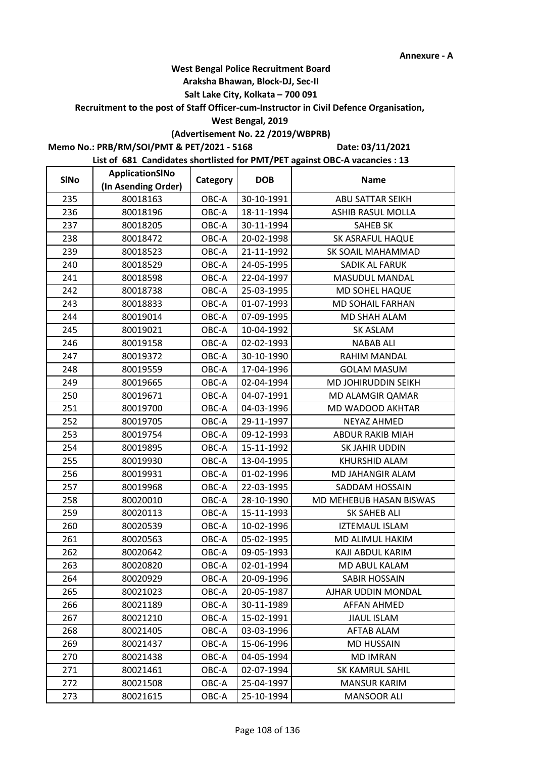#### **Araksha Bhawan, Block-DJ, Sec-II**

## **Salt Lake City, Kolkata – 700 091**

**Recruitment to the post of Staff Officer-cum-Instructor in Civil Defence Organisation,** 

#### **West Bengal, 2019**

# **(Advertisement No. 22 /2019/WBPRB)**

**Memo No.: PRB/RM/SOI/PMT & PET/2021 - 5168**

**Date: 03/11/2021**

| <b>SINo</b> | ApplicationSINo     | Category | <b>DOB</b> | <b>Name</b>             |
|-------------|---------------------|----------|------------|-------------------------|
|             | (In Asending Order) |          |            |                         |
| 235         | 80018163            | OBC-A    | 30-10-1991 | ABU SATTAR SEIKH        |
| 236         | 80018196            | OBC-A    | 18-11-1994 | ASHIB RASUL MOLLA       |
| 237         | 80018205            | OBC-A    | 30-11-1994 | <b>SAHEB SK</b>         |
| 238         | 80018472            | OBC-A    | 20-02-1998 | <b>SK ASRAFUL HAQUE</b> |
| 239         | 80018523            | OBC-A    | 21-11-1992 | SK SOAIL MAHAMMAD       |
| 240         | 80018529            | OBC-A    | 24-05-1995 | SADIK AL FARUK          |
| 241         | 80018598            | OBC-A    | 22-04-1997 | <b>MASUDUL MANDAL</b>   |
| 242         | 80018738            | OBC-A    | 25-03-1995 | MD SOHEL HAQUE          |
| 243         | 80018833            | OBC-A    | 01-07-1993 | MD SOHAIL FARHAN        |
| 244         | 80019014            | OBC-A    | 07-09-1995 | MD SHAH ALAM            |
| 245         | 80019021            | OBC-A    | 10-04-1992 | SK ASLAM                |
| 246         | 80019158            | OBC-A    | 02-02-1993 | <b>NABAB ALI</b>        |
| 247         | 80019372            | OBC-A    | 30-10-1990 | RAHIM MANDAL            |
| 248         | 80019559            | OBC-A    | 17-04-1996 | <b>GOLAM MASUM</b>      |
| 249         | 80019665            | OBC-A    | 02-04-1994 | MD JOHIRUDDIN SEIKH     |
| 250         | 80019671            | OBC-A    | 04-07-1991 | <b>MD ALAMGIR QAMAR</b> |
| 251         | 80019700            | OBC-A    | 04-03-1996 | MD WADOOD AKHTAR        |
| 252         | 80019705            | OBC-A    | 29-11-1997 | <b>NEYAZ AHMED</b>      |
| 253         | 80019754            | OBC-A    | 09-12-1993 | <b>ABDUR RAKIB MIAH</b> |
| 254         | 80019895            | OBC-A    | 15-11-1992 | SK JAHIR UDDIN          |
| 255         | 80019930            | OBC-A    | 13-04-1995 | <b>KHURSHID ALAM</b>    |
| 256         | 80019931            | OBC-A    | 01-02-1996 | MD JAHANGIR ALAM        |
| 257         | 80019968            | OBC-A    | 22-03-1995 | SADDAM HOSSAIN          |
| 258         | 80020010            | OBC-A    | 28-10-1990 | MD MEHEBUB HASAN BISWAS |
| 259         | 80020113            | OBC-A    | 15-11-1993 | SK SAHEB ALI            |
| 260         | 80020539            | OBC-A    | 10-02-1996 | <b>IZTEMAUL ISLAM</b>   |
| 261         | 80020563            | OBC-A    | 05-02-1995 | MD ALIMUL HAKIM         |
| 262         | 80020642            | OBC-A    | 09-05-1993 | KAJI ABDUL KARIM        |
| 263         | 80020820            | OBC-A    | 02-01-1994 | MD ABUL KALAM           |
| 264         | 80020929            | OBC-A    | 20-09-1996 | SABIR HOSSAIN           |
| 265         | 80021023            | OBC-A    | 20-05-1987 | AJHAR UDDIN MONDAL      |
| 266         | 80021189            | OBC-A    | 30-11-1989 | <b>AFFAN AHMED</b>      |
| 267         | 80021210            | OBC-A    | 15-02-1991 | <b>JIAUL ISLAM</b>      |
| 268         | 80021405            | OBC-A    | 03-03-1996 | AFTAB ALAM              |
| 269         | 80021437            | OBC-A    | 15-06-1996 | <b>MD HUSSAIN</b>       |
| 270         | 80021438            | OBC-A    | 04-05-1994 | <b>MD IMRAN</b>         |
| 271         | 80021461            | OBC-A    | 02-07-1994 | SK KAMRUL SAHIL         |
| 272         | 80021508            | OBC-A    | 25-04-1997 | <b>MANSUR KARIM</b>     |
| 273         | 80021615            | OBC-A    | 25-10-1994 | <b>MANSOOR ALI</b>      |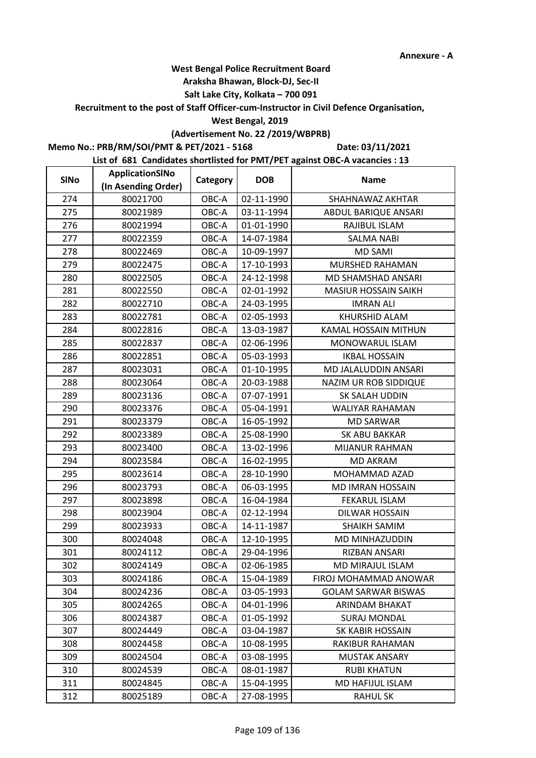#### **Araksha Bhawan, Block-DJ, Sec-II**

## **Salt Lake City, Kolkata – 700 091**

**Recruitment to the post of Staff Officer-cum-Instructor in Civil Defence Organisation,** 

#### **West Bengal, 2019**

# **(Advertisement No. 22 /2019/WBPRB)**

**Memo No.: PRB/RM/SOI/PMT & PET/2021 - 5168**

**Date: 03/11/2021**

| <b>SINo</b> | ApplicationSINo     | Category | <b>DOB</b> | <b>Name</b>                 |
|-------------|---------------------|----------|------------|-----------------------------|
|             | (In Asending Order) |          |            |                             |
| 274         | 80021700            | OBC-A    | 02-11-1990 | SHAHNAWAZ AKHTAR            |
| 275         | 80021989            | OBC-A    | 03-11-1994 | ABDUL BARIQUE ANSARI        |
| 276         | 80021994            | OBC-A    | 01-01-1990 | RAJIBUL ISLAM               |
| 277         | 80022359            | OBC-A    | 14-07-1984 | <b>SALMA NABI</b>           |
| 278         | 80022469            | OBC-A    | 10-09-1997 | <b>MD SAMI</b>              |
| 279         | 80022475            | OBC-A    | 17-10-1993 | MURSHED RAHAMAN             |
| 280         | 80022505            | OBC-A    | 24-12-1998 | MD SHAMSHAD ANSARI          |
| 281         | 80022550            | OBC-A    | 02-01-1992 | <b>MASIUR HOSSAIN SAIKH</b> |
| 282         | 80022710            | OBC-A    | 24-03-1995 | <b>IMRAN ALI</b>            |
| 283         | 80022781            | OBC-A    | 02-05-1993 | KHURSHID ALAM               |
| 284         | 80022816            | OBC-A    | 13-03-1987 | KAMAL HOSSAIN MITHUN        |
| 285         | 80022837            | OBC-A    | 02-06-1996 | MONOWARUL ISLAM             |
| 286         | 80022851            | OBC-A    | 05-03-1993 | <b>IKBAL HOSSAIN</b>        |
| 287         | 80023031            | OBC-A    | 01-10-1995 | MD JALALUDDIN ANSARI        |
| 288         | 80023064            | OBC-A    | 20-03-1988 | NAZIM UR ROB SIDDIQUE       |
| 289         | 80023136            | OBC-A    | 07-07-1991 | SK SALAH UDDIN              |
| 290         | 80023376            | OBC-A    | 05-04-1991 | WALIYAR RAHAMAN             |
| 291         | 80023379            | OBC-A    | 16-05-1992 | <b>MD SARWAR</b>            |
| 292         | 80023389            | OBC-A    | 25-08-1990 | SK ABU BAKKAR               |
| 293         | 80023400            | OBC-A    | 13-02-1996 | <b>MIJANUR RAHMAN</b>       |
| 294         | 80023584            | OBC-A    | 16-02-1995 | <b>MD AKRAM</b>             |
| 295         | 80023614            | OBC-A    | 28-10-1990 | MOHAMMAD AZAD               |
| 296         | 80023793            | OBC-A    | 06-03-1995 | <b>MD IMRAN HOSSAIN</b>     |
| 297         | 80023898            | OBC-A    | 16-04-1984 | <b>FEKARUL ISLAM</b>        |
| 298         | 80023904            | OBC-A    | 02-12-1994 | DILWAR HOSSAIN              |
| 299         | 80023933            | OBC-A    | 14-11-1987 | <b>SHAIKH SAMIM</b>         |
| 300         | 80024048            | OBC-A    | 12-10-1995 | MD MINHAZUDDIN              |
| 301         | 80024112            | OBC-A    | 29-04-1996 | RIZBAN ANSARI               |
| 302         | 80024149            | OBC-A    | 02-06-1985 | MD MIRAJUL ISLAM            |
| 303         | 80024186            | OBC-A    | 15-04-1989 | FIROJ MOHAMMAD ANOWAR       |
| 304         | 80024236            | OBC-A    | 03-05-1993 | <b>GOLAM SARWAR BISWAS</b>  |
| 305         | 80024265            | OBC-A    | 04-01-1996 | ARINDAM BHAKAT              |
| 306         | 80024387            | OBC-A    | 01-05-1992 | <b>SURAJ MONDAL</b>         |
| 307         | 80024449            | OBC-A    | 03-04-1987 | <b>SK KABIR HOSSAIN</b>     |
| 308         | 80024458            | OBC-A    | 10-08-1995 | RAKIBUR RAHAMAN             |
| 309         | 80024504            | OBC-A    | 03-08-1995 | <b>MUSTAK ANSARY</b>        |
| 310         | 80024539            | OBC-A    | 08-01-1987 | <b>RUBI KHATUN</b>          |
| 311         | 80024845            | OBC-A    | 15-04-1995 | MD HAFIJUL ISLAM            |
| 312         | 80025189            | OBC-A    | 27-08-1995 | <b>RAHUL SK</b>             |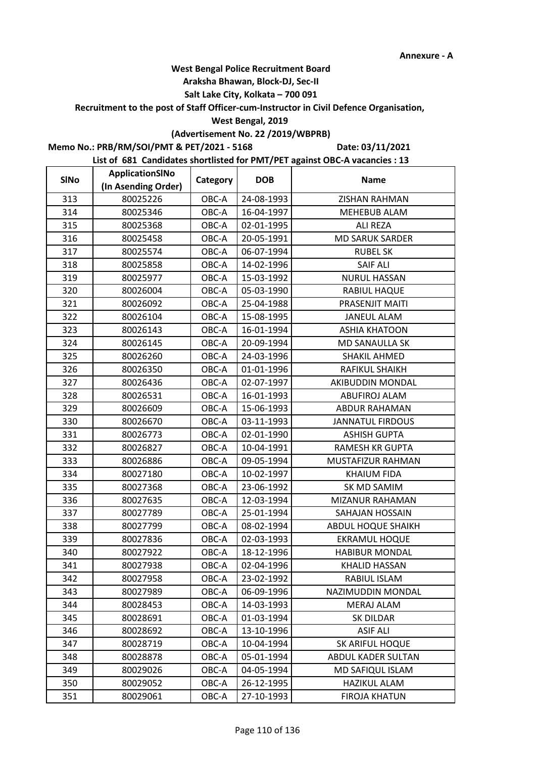#### **Araksha Bhawan, Block-DJ, Sec-II**

## **Salt Lake City, Kolkata – 700 091**

**Recruitment to the post of Staff Officer-cum-Instructor in Civil Defence Organisation,** 

#### **West Bengal, 2019**

# **(Advertisement No. 22 /2019/WBPRB)**

**Memo No.: PRB/RM/SOI/PMT & PET/2021 - 5168**

**Date: 03/11/2021**

| <b>SINo</b> | ApplicationSINo     | Category | <b>DOB</b> | <b>Name</b>             |
|-------------|---------------------|----------|------------|-------------------------|
|             | (In Asending Order) |          |            |                         |
| 313         | 80025226            | OBC-A    | 24-08-1993 | <b>ZISHAN RAHMAN</b>    |
| 314         | 80025346            | OBC-A    | 16-04-1997 | <b>MEHEBUB ALAM</b>     |
| 315         | 80025368            | OBC-A    | 02-01-1995 | <b>ALI REZA</b>         |
| 316         | 80025458            | OBC-A    | 20-05-1991 | <b>MD SARUK SARDER</b>  |
| 317         | 80025574            | OBC-A    | 06-07-1994 | <b>RUBEL SK</b>         |
| 318         | 80025858            | OBC-A    | 14-02-1996 | <b>SAIF ALI</b>         |
| 319         | 80025977            | OBC-A    | 15-03-1992 | <b>NURUL HASSAN</b>     |
| 320         | 80026004            | OBC-A    | 05-03-1990 | RABIUL HAQUE            |
| 321         | 80026092            | OBC-A    | 25-04-1988 | PRASENJIT MAITI         |
| 322         | 80026104            | OBC-A    | 15-08-1995 | <b>JANEUL ALAM</b>      |
| 323         | 80026143            | OBC-A    | 16-01-1994 | <b>ASHIA KHATOON</b>    |
| 324         | 80026145            | OBC-A    | 20-09-1994 | MD SANAULLA SK          |
| 325         | 80026260            | OBC-A    | 24-03-1996 | SHAKIL AHMED            |
| 326         | 80026350            | OBC-A    | 01-01-1996 | RAFIKUL SHAIKH          |
| 327         | 80026436            | OBC-A    | 02-07-1997 | AKIBUDDIN MONDAL        |
| 328         | 80026531            | OBC-A    | 16-01-1993 | ABUFIROJ ALAM           |
| 329         | 80026609            | OBC-A    | 15-06-1993 | <b>ABDUR RAHAMAN</b>    |
| 330         | 80026670            | OBC-A    | 03-11-1993 | <b>JANNATUL FIRDOUS</b> |
| 331         | 80026773            | OBC-A    | 02-01-1990 | <b>ASHISH GUPTA</b>     |
| 332         | 80026827            | OBC-A    | 10-04-1991 | <b>RAMESH KR GUPTA</b>  |
| 333         | 80026886            | OBC-A    | 09-05-1994 | MUSTAFIZUR RAHMAN       |
| 334         | 80027180            | OBC-A    | 10-02-1997 | <b>KHAIUM FIDA</b>      |
| 335         | 80027368            | OBC-A    | 23-06-1992 | SK MD SAMIM             |
| 336         | 80027635            | OBC-A    | 12-03-1994 | MIZANUR RAHAMAN         |
| 337         | 80027789            | OBC-A    | 25-01-1994 | SAHAJAN HOSSAIN         |
| 338         | 80027799            | OBC-A    | 08-02-1994 | ABDUL HOQUE SHAIKH      |
| 339         | 80027836            | OBC-A    | 02-03-1993 | <b>EKRAMUL HOQUE</b>    |
| 340         | 80027922            | OBC-A    | 18-12-1996 | <b>HABIBUR MONDAL</b>   |
| 341         | 80027938            | OBC-A    | 02-04-1996 | <b>KHALID HASSAN</b>    |
| 342         | 80027958            | OBC-A    | 23-02-1992 | RABIUL ISLAM            |
| 343         | 80027989            | OBC-A    | 06-09-1996 | NAZIMUDDIN MONDAL       |
| 344         | 80028453            | OBC-A    | 14-03-1993 | <b>MERAJ ALAM</b>       |
| 345         | 80028691            | OBC-A    | 01-03-1994 | SK DILDAR               |
| 346         | 80028692            | OBC-A    | 13-10-1996 | <b>ASIF ALI</b>         |
| 347         | 80028719            | OBC-A    | 10-04-1994 | <b>SK ARIFUL HOQUE</b>  |
| 348         | 80028878            | OBC-A    | 05-01-1994 | ABDUL KADER SULTAN      |
| 349         | 80029026            | OBC-A    | 04-05-1994 | MD SAFIQUL ISLAM        |
| 350         | 80029052            | OBC-A    | 26-12-1995 | HAZIKUL ALAM            |
| 351         | 80029061            | OBC-A    | 27-10-1993 | <b>FIROJA KHATUN</b>    |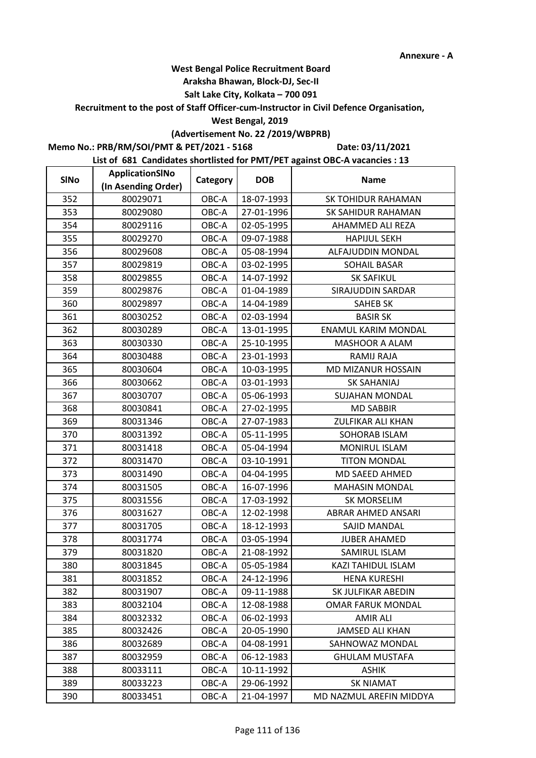#### **Araksha Bhawan, Block-DJ, Sec-II**

## **Salt Lake City, Kolkata – 700 091**

**Recruitment to the post of Staff Officer-cum-Instructor in Civil Defence Organisation,** 

#### **West Bengal, 2019**

# **(Advertisement No. 22 /2019/WBPRB)**

**Memo No.: PRB/RM/SOI/PMT & PET/2021 - 5168**

**Date: 03/11/2021**

| <b>SINo</b> | ApplicationSINo     | Category | <b>DOB</b> | <b>Name</b>                |
|-------------|---------------------|----------|------------|----------------------------|
|             | (In Asending Order) |          |            |                            |
| 352         | 80029071            | OBC-A    | 18-07-1993 | <b>SK TOHIDUR RAHAMAN</b>  |
| 353         | 80029080            | OBC-A    | 27-01-1996 | SK SAHIDUR RAHAMAN         |
| 354         | 80029116            | OBC-A    | 02-05-1995 | AHAMMED ALI REZA           |
| 355         | 80029270            | OBC-A    | 09-07-1988 | <b>HAPIJUL SEKH</b>        |
| 356         | 80029608            | OBC-A    | 05-08-1994 | ALFAJUDDIN MONDAL          |
| 357         | 80029819            | OBC-A    | 03-02-1995 | <b>SOHAIL BASAR</b>        |
| 358         | 80029855            | OBC-A    | 14-07-1992 | <b>SK SAFIKUL</b>          |
| 359         | 80029876            | OBC-A    | 01-04-1989 | SIRAJUDDIN SARDAR          |
| 360         | 80029897            | OBC-A    | 14-04-1989 | <b>SAHEB SK</b>            |
| 361         | 80030252            | OBC-A    | 02-03-1994 | <b>BASIR SK</b>            |
| 362         | 80030289            | OBC-A    | 13-01-1995 | <b>ENAMUL KARIM MONDAL</b> |
| 363         | 80030330            | OBC-A    | 25-10-1995 | MASHOOR A ALAM             |
| 364         | 80030488            | OBC-A    | 23-01-1993 | RAMIJ RAJA                 |
| 365         | 80030604            | OBC-A    | 10-03-1995 | MD MIZANUR HOSSAIN         |
| 366         | 80030662            | OBC-A    | 03-01-1993 | <b>SK SAHANIAJ</b>         |
| 367         | 80030707            | OBC-A    | 05-06-1993 | <b>SUJAHAN MONDAL</b>      |
| 368         | 80030841            | OBC-A    | 27-02-1995 | <b>MD SABBIR</b>           |
| 369         | 80031346            | OBC-A    | 27-07-1983 | <b>ZULFIKAR ALI KHAN</b>   |
| 370         | 80031392            | OBC-A    | 05-11-1995 | SOHORAB ISLAM              |
| 371         | 80031418            | OBC-A    | 05-04-1994 | <b>MONIRUL ISLAM</b>       |
| 372         | 80031470            | OBC-A    | 03-10-1991 | <b>TITON MONDAL</b>        |
| 373         | 80031490            | OBC-A    | 04-04-1995 | MD SAEED AHMED             |
| 374         | 80031505            | OBC-A    | 16-07-1996 | <b>MAHASIN MONDAL</b>      |
| 375         | 80031556            | OBC-A    | 17-03-1992 | <b>SK MORSELIM</b>         |
| 376         | 80031627            | OBC-A    | 12-02-1998 | ABRAR AHMED ANSARI         |
| 377         | 80031705            | OBC-A    | 18-12-1993 | SAJID MANDAL               |
| 378         | 80031774            | OBC-A    | 03-05-1994 | <b>JUBER AHAMED</b>        |
| 379         | 80031820            | OBC-A    | 21-08-1992 | SAMIRUL ISLAM              |
| 380         | 80031845            | OBC-A    | 05-05-1984 | KAZI TAHIDUL ISLAM         |
| 381         | 80031852            | OBC-A    | 24-12-1996 | <b>HENA KURESHI</b>        |
| 382         | 80031907            | OBC-A    | 09-11-1988 | SK JULFIKAR ABEDIN         |
| 383         | 80032104            | OBC-A    | 12-08-1988 | <b>OMAR FARUK MONDAL</b>   |
| 384         | 80032332            | OBC-A    | 06-02-1993 | AMIR ALI                   |
| 385         | 80032426            | OBC-A    | 20-05-1990 | <b>JAMSED ALI KHAN</b>     |
| 386         | 80032689            | OBC-A    | 04-08-1991 | SAHNOWAZ MONDAL            |
| 387         | 80032959            | OBC-A    | 06-12-1983 | <b>GHULAM MUSTAFA</b>      |
| 388         | 80033111            | OBC-A    | 10-11-1992 | <b>ASHIK</b>               |
| 389         | 80033223            | OBC-A    | 29-06-1992 | <b>SK NIAMAT</b>           |
| 390         | 80033451            | OBC-A    | 21-04-1997 | MD NAZMUL AREFIN MIDDYA    |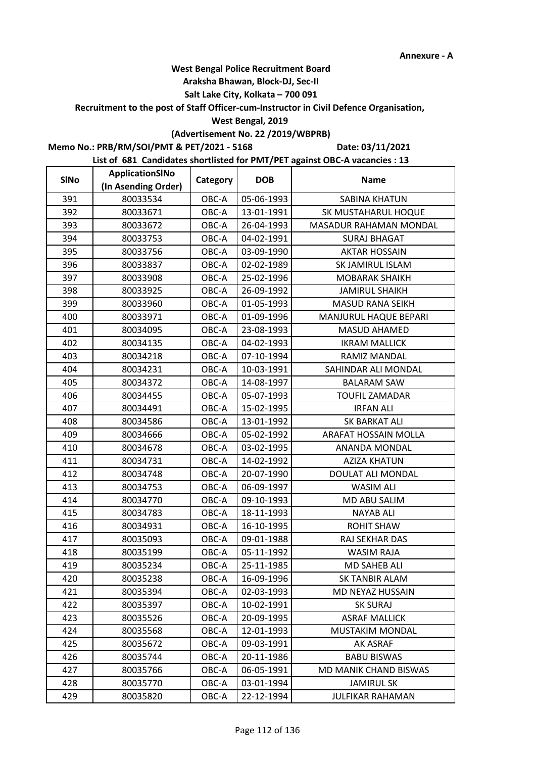#### **Araksha Bhawan, Block-DJ, Sec-II**

## **Salt Lake City, Kolkata – 700 091**

**Recruitment to the post of Staff Officer-cum-Instructor in Civil Defence Organisation,** 

#### **West Bengal, 2019**

# **(Advertisement No. 22 /2019/WBPRB)**

**Memo No.: PRB/RM/SOI/PMT & PET/2021 - 5168**

**Date: 03/11/2021**

| <b>SINo</b> | ApplicationSINo     | Category | <b>DOB</b> | <b>Name</b>                  |
|-------------|---------------------|----------|------------|------------------------------|
|             | (In Asending Order) |          |            |                              |
| 391         | 80033534            | OBC-A    | 05-06-1993 | <b>SABINA KHATUN</b>         |
| 392         | 80033671            | OBC-A    | 13-01-1991 | SK MUSTAHARUL HOQUE          |
| 393         | 80033672            | OBC-A    | 26-04-1993 | MASADUR RAHAMAN MONDAL       |
| 394         | 80033753            | OBC-A    | 04-02-1991 | <b>SURAJ BHAGAT</b>          |
| 395         | 80033756            | OBC-A    | 03-09-1990 | <b>AKTAR HOSSAIN</b>         |
| 396         | 80033837            | OBC-A    | 02-02-1989 | SK JAMIRUL ISLAM             |
| 397         | 80033908            | OBC-A    | 25-02-1996 | <b>MOBARAK SHAIKH</b>        |
| 398         | 80033925            | OBC-A    | 26-09-1992 | <b>JAMIRUL SHAIKH</b>        |
| 399         | 80033960            | OBC-A    | 01-05-1993 | <b>MASUD RANA SEIKH</b>      |
| 400         | 80033971            | OBC-A    | 01-09-1996 | <b>MANJURUL HAQUE BEPARI</b> |
| 401         | 80034095            | OBC-A    | 23-08-1993 | <b>MASUD AHAMED</b>          |
| 402         | 80034135            | OBC-A    | 04-02-1993 | <b>IKRAM MALLICK</b>         |
| 403         | 80034218            | OBC-A    | 07-10-1994 | RAMIZ MANDAL                 |
| 404         | 80034231            | OBC-A    | 10-03-1991 | SAHINDAR ALI MONDAL          |
| 405         | 80034372            | OBC-A    | 14-08-1997 | <b>BALARAM SAW</b>           |
| 406         | 80034455            | OBC-A    | 05-07-1993 | <b>TOUFIL ZAMADAR</b>        |
| 407         | 80034491            | OBC-A    | 15-02-1995 | <b>IRFAN ALI</b>             |
| 408         | 80034586            | OBC-A    | 13-01-1992 | <b>SK BARKAT ALI</b>         |
| 409         | 80034666            | OBC-A    | 05-02-1992 | ARAFAT HOSSAIN MOLLA         |
| 410         | 80034678            | OBC-A    | 03-02-1995 | ANANDA MONDAL                |
| 411         | 80034731            | OBC-A    | 14-02-1992 | <b>AZIZA KHATUN</b>          |
| 412         | 80034748            | OBC-A    | 20-07-1990 | DOULAT ALI MONDAL            |
| 413         | 80034753            | OBC-A    | 06-09-1997 | <b>WASIM ALI</b>             |
| 414         | 80034770            | OBC-A    | 09-10-1993 | MD ABU SALIM                 |
| 415         | 80034783            | OBC-A    | 18-11-1993 | <b>NAYAB ALI</b>             |
| 416         | 80034931            | OBC-A    | 16-10-1995 | ROHIT SHAW                   |
| 417         | 80035093            | OBC-A    | 09-01-1988 | RAJ SEKHAR DAS               |
| 418         | 80035199            | OBC-A    | 05-11-1992 | <b>WASIM RAJA</b>            |
| 419         | 80035234            | OBC-A    | 25-11-1985 | <b>MD SAHEB ALI</b>          |
| 420         | 80035238            | OBC-A    | 16-09-1996 | SK TANBIR ALAM               |
| 421         | 80035394            | OBC-A    | 02-03-1993 | MD NEYAZ HUSSAIN             |
| 422         | 80035397            | OBC-A    | 10-02-1991 | <b>SK SURAJ</b>              |
| 423         | 80035526            | OBC-A    | 20-09-1995 | <b>ASRAF MALLICK</b>         |
| 424         | 80035568            | OBC-A    | 12-01-1993 | MUSTAKIM MONDAL              |
| 425         | 80035672            | OBC-A    | 09-03-1991 | AK ASRAF                     |
| 426         | 80035744            | OBC-A    | 20-11-1986 | <b>BABU BISWAS</b>           |
| 427         | 80035766            | OBC-A    | 06-05-1991 | MD MANIK CHAND BISWAS        |
| 428         | 80035770            | OBC-A    | 03-01-1994 | <b>JAMIRUL SK</b>            |
| 429         | 80035820            | OBC-A    | 22-12-1994 | <b>JULFIKAR RAHAMAN</b>      |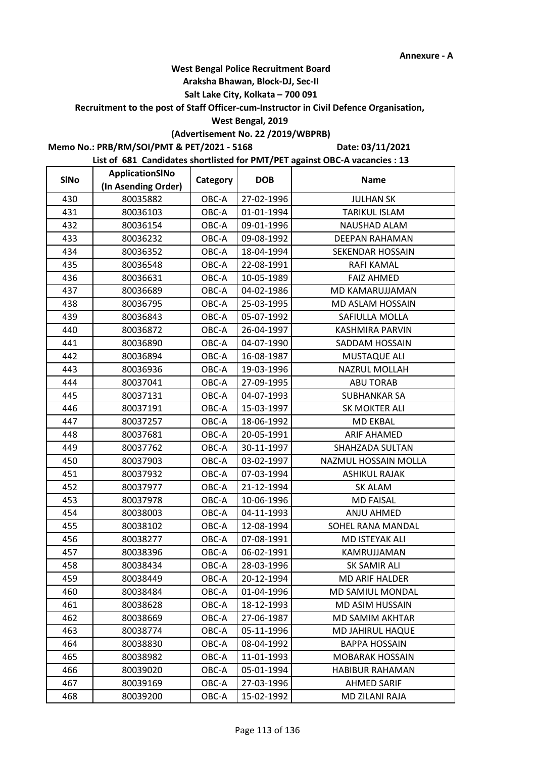#### **Araksha Bhawan, Block-DJ, Sec-II**

## **Salt Lake City, Kolkata – 700 091**

**Recruitment to the post of Staff Officer-cum-Instructor in Civil Defence Organisation,** 

#### **West Bengal, 2019**

# **(Advertisement No. 22 /2019/WBPRB)**

**Memo No.: PRB/RM/SOI/PMT & PET/2021 - 5168**

**Date: 03/11/2021**

| <b>SINo</b> | ApplicationSINo     | Category | <b>DOB</b> | <b>Name</b>            |
|-------------|---------------------|----------|------------|------------------------|
|             | (In Asending Order) |          |            |                        |
| 430         | 80035882            | OBC-A    | 27-02-1996 | <b>JULHAN SK</b>       |
| 431         | 80036103            | OBC-A    | 01-01-1994 | <b>TARIKUL ISLAM</b>   |
| 432         | 80036154            | OBC-A    | 09-01-1996 | <b>NAUSHAD ALAM</b>    |
| 433         | 80036232            | OBC-A    | 09-08-1992 | DEEPAN RAHAMAN         |
| 434         | 80036352            | OBC-A    | 18-04-1994 | SEKENDAR HOSSAIN       |
| 435         | 80036548            | OBC-A    | 22-08-1991 | RAFI KAMAL             |
| 436         | 80036631            | OBC-A    | 10-05-1989 | <b>FAIZ AHMED</b>      |
| 437         | 80036689            | OBC-A    | 04-02-1986 | MD KAMARUJJAMAN        |
| 438         | 80036795            | OBC-A    | 25-03-1995 | MD ASLAM HOSSAIN       |
| 439         | 80036843            | OBC-A    | 05-07-1992 | SAFIULLA MOLLA         |
| 440         | 80036872            | OBC-A    | 26-04-1997 | <b>KASHMIRA PARVIN</b> |
| 441         | 80036890            | OBC-A    | 04-07-1990 | SADDAM HOSSAIN         |
| 442         | 80036894            | OBC-A    | 16-08-1987 | MUSTAQUE ALI           |
| 443         | 80036936            | OBC-A    | 19-03-1996 | NAZRUL MOLLAH          |
| 444         | 80037041            | OBC-A    | 27-09-1995 | <b>ABU TORAB</b>       |
| 445         | 80037131            | OBC-A    | 04-07-1993 | <b>SUBHANKAR SA</b>    |
| 446         | 80037191            | OBC-A    | 15-03-1997 | SK MOKTER ALI          |
| 447         | 80037257            | OBC-A    | 18-06-1992 | <b>MD EKBAL</b>        |
| 448         | 80037681            | OBC-A    | 20-05-1991 | <b>ARIF AHAMED</b>     |
| 449         | 80037762            | OBC-A    | 30-11-1997 | SHAHZADA SULTAN        |
| 450         | 80037903            | OBC-A    | 03-02-1997 | NAZMUL HOSSAIN MOLLA   |
| 451         | 80037932            | OBC-A    | 07-03-1994 | ASHIKUL RAJAK          |
| 452         | 80037977            | OBC-A    | 21-12-1994 | <b>SK ALAM</b>         |
| 453         | 80037978            | OBC-A    | 10-06-1996 | <b>MD FAISAL</b>       |
| 454         | 80038003            | OBC-A    | 04-11-1993 | ANJU AHMED             |
| 455         | 80038102            | OBC-A    | 12-08-1994 | SOHEL RANA MANDAL      |
| 456         | 80038277            | OBC-A    | 07-08-1991 | MD ISTEYAK ALI         |
| 457         | 80038396            | OBC-A    | 06-02-1991 | KAMRUJJAMAN            |
| 458         | 80038434            | OBC-A    | 28-03-1996 | SK SAMIR ALI           |
| 459         | 80038449            | OBC-A    | 20-12-1994 | <b>MD ARIF HALDER</b>  |
| 460         | 80038484            | OBC-A    | 01-04-1996 | MD SAMIUL MONDAL       |
| 461         | 80038628            | OBC-A    | 18-12-1993 | MD ASIM HUSSAIN        |
| 462         | 80038669            | OBC-A    | 27-06-1987 | MD SAMIM AKHTAR        |
| 463         | 80038774            | OBC-A    | 05-11-1996 | MD JAHIRUL HAQUE       |
| 464         | 80038830            | OBC-A    | 08-04-1992 | <b>BAPPA HOSSAIN</b>   |
| 465         | 80038982            | OBC-A    | 11-01-1993 | <b>MOBARAK HOSSAIN</b> |
| 466         | 80039020            | OBC-A    | 05-01-1994 | HABIBUR RAHAMAN        |
| 467         | 80039169            | OBC-A    | 27-03-1996 | <b>AHMED SARIF</b>     |
| 468         | 80039200            | OBC-A    | 15-02-1992 | MD ZILANI RAJA         |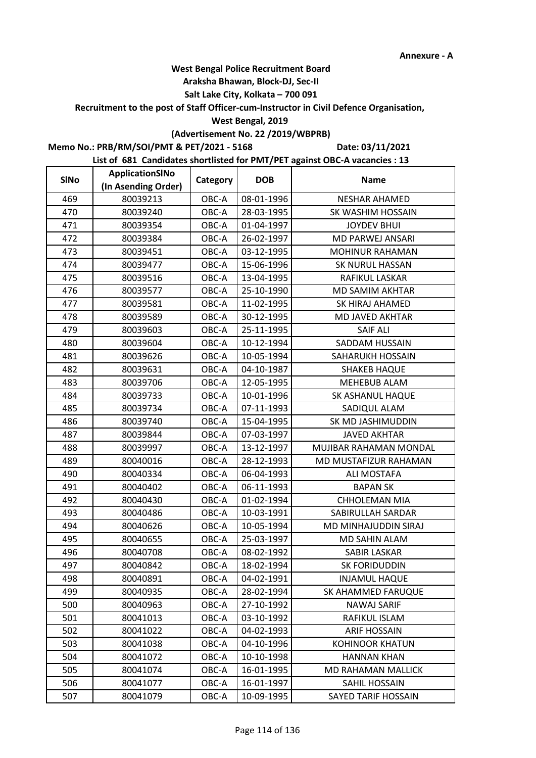#### **Araksha Bhawan, Block-DJ, Sec-II**

## **Salt Lake City, Kolkata – 700 091**

**Recruitment to the post of Staff Officer-cum-Instructor in Civil Defence Organisation,** 

#### **West Bengal, 2019**

## **(Advertisement No. 22 /2019/WBPRB)**

**Memo No.: PRB/RM/SOI/PMT & PET/2021 - 5168**

**Date: 03/11/2021**

| <b>SINo</b> | ApplicationSINo     | Category | <b>DOB</b> | <b>Name</b>                |
|-------------|---------------------|----------|------------|----------------------------|
|             | (In Asending Order) |          |            |                            |
| 469         | 80039213            | OBC-A    | 08-01-1996 | <b>NESHAR AHAMED</b>       |
| 470         | 80039240            | OBC-A    | 28-03-1995 | SK WASHIM HOSSAIN          |
| 471         | 80039354            | OBC-A    | 01-04-1997 | <b>JOYDEV BHUI</b>         |
| 472         | 80039384            | OBC-A    | 26-02-1997 | <b>MD PARWEJ ANSARI</b>    |
| 473         | 80039451            | OBC-A    | 03-12-1995 | MOHINUR RAHAMAN            |
| 474         | 80039477            | OBC-A    | 15-06-1996 | <b>SK NURUL HASSAN</b>     |
| 475         | 80039516            | OBC-A    | 13-04-1995 | RAFIKUL LASKAR             |
| 476         | 80039577            | OBC-A    | 25-10-1990 | <b>MD SAMIM AKHTAR</b>     |
| 477         | 80039581            | OBC-A    | 11-02-1995 | SK HIRAJ AHAMED            |
| 478         | 80039589            | OBC-A    | 30-12-1995 | MD JAVED AKHTAR            |
| 479         | 80039603            | OBC-A    | 25-11-1995 | <b>SAIF ALI</b>            |
| 480         | 80039604            | OBC-A    | 10-12-1994 | SADDAM HUSSAIN             |
| 481         | 80039626            | OBC-A    | 10-05-1994 | SAHARUKH HOSSAIN           |
| 482         | 80039631            | OBC-A    | 04-10-1987 | <b>SHAKEB HAQUE</b>        |
| 483         | 80039706            | OBC-A    | 12-05-1995 | <b>MEHEBUB ALAM</b>        |
| 484         | 80039733            | OBC-A    | 10-01-1996 | SK ASHANUL HAQUE           |
| 485         | 80039734            | OBC-A    | 07-11-1993 | SADIQUL ALAM               |
| 486         | 80039740            | OBC-A    | 15-04-1995 | SK MD JASHIMUDDIN          |
| 487         | 80039844            | OBC-A    | 07-03-1997 | <b>JAVED AKHTAR</b>        |
| 488         | 80039997            | OBC-A    | 13-12-1997 | MUJIBAR RAHAMAN MONDAL     |
| 489         | 80040016            | OBC-A    | 28-12-1993 | MD MUSTAFIZUR RAHAMAN      |
| 490         | 80040334            | OBC-A    | 06-04-1993 | ALI MOSTAFA                |
| 491         | 80040402            | OBC-A    | 06-11-1993 | <b>BAPAN SK</b>            |
| 492         | 80040430            | OBC-A    | 01-02-1994 | <b>CHHOLEMAN MIA</b>       |
| 493         | 80040486            | OBC-A    | 10-03-1991 | SABIRULLAH SARDAR          |
| 494         | 80040626            | OBC-A    | 10-05-1994 | MD MINHAJUDDIN SIRAJ       |
| 495         | 80040655            | OBC-A    | 25-03-1997 | <b>MD SAHIN ALAM</b>       |
| 496         | 80040708            | OBC-A    | 08-02-1992 | <b>SABIR LASKAR</b>        |
| 497         | 80040842            | OBC-A    | 18-02-1994 | SK FORIDUDDIN              |
| 498         | 80040891            | OBC-A    | 04-02-1991 | <b>INJAMUL HAQUE</b>       |
| 499         | 80040935            | OBC-A    | 28-02-1994 | SK AHAMMED FARUQUE         |
| 500         | 80040963            | OBC-A    | 27-10-1992 | <b>NAWAJ SARIF</b>         |
| 501         | 80041013            | OBC-A    | 03-10-1992 | RAFIKUL ISLAM              |
| 502         | 80041022            | OBC-A    | 04-02-1993 | <b>ARIF HOSSAIN</b>        |
| 503         | 80041038            | OBC-A    | 04-10-1996 | <b>KOHINOOR KHATUN</b>     |
| 504         | 80041072            | OBC-A    | 10-10-1998 | <b>HANNAN KHAN</b>         |
| 505         | 80041074            | OBC-A    | 16-01-1995 | MD RAHAMAN MALLICK         |
| 506         | 80041077            | OBC-A    | 16-01-1997 | SAHIL HOSSAIN              |
| 507         | 80041079            | OBC-A    | 10-09-1995 | <b>SAYED TARIF HOSSAIN</b> |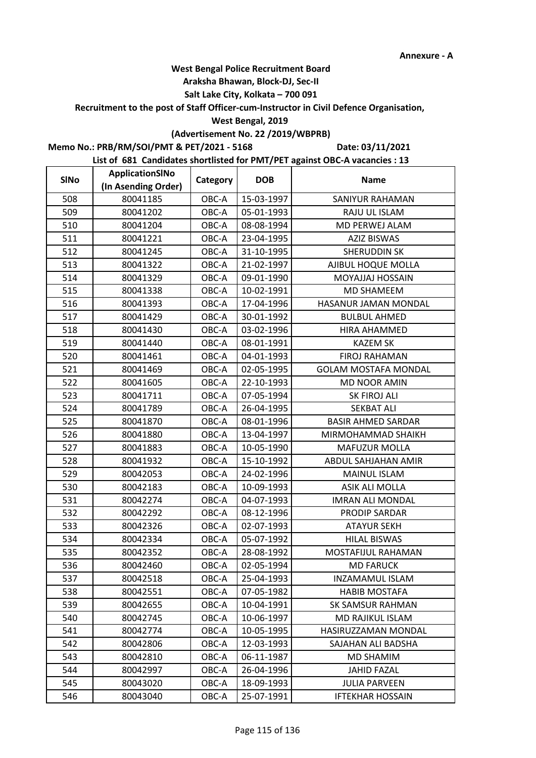#### **Araksha Bhawan, Block-DJ, Sec-II**

## **Salt Lake City, Kolkata – 700 091**

**Recruitment to the post of Staff Officer-cum-Instructor in Civil Defence Organisation,** 

#### **West Bengal, 2019**

# **(Advertisement No. 22 /2019/WBPRB)**

**Memo No.: PRB/RM/SOI/PMT & PET/2021 - 5168**

**Date: 03/11/2021**

| <b>SINo</b> | ApplicationSINo     | Category | <b>DOB</b> | <b>Name</b>                 |
|-------------|---------------------|----------|------------|-----------------------------|
|             | (In Asending Order) |          |            |                             |
| 508         | 80041185            | OBC-A    | 15-03-1997 | <b>SANIYUR RAHAMAN</b>      |
| 509         | 80041202            | OBC-A    | 05-01-1993 | RAJU UL ISLAM               |
| 510         | 80041204            | OBC-A    | 08-08-1994 | MD PERWEJ ALAM              |
| 511         | 80041221            | OBC-A    | 23-04-1995 | <b>AZIZ BISWAS</b>          |
| 512         | 80041245            | OBC-A    | 31-10-1995 | SHERUDDIN SK                |
| 513         | 80041322            | OBC-A    | 21-02-1997 | AJIBUL HOQUE MOLLA          |
| 514         | 80041329            | OBC-A    | 09-01-1990 | <b>MOYAJJAJ HOSSAIN</b>     |
| 515         | 80041338            | OBC-A    | 10-02-1991 | <b>MD SHAMEEM</b>           |
| 516         | 80041393            | OBC-A    | 17-04-1996 | HASANUR JAMAN MONDAL        |
| 517         | 80041429            | OBC-A    | 30-01-1992 | <b>BULBUL AHMED</b>         |
| 518         | 80041430            | OBC-A    | 03-02-1996 | HIRA AHAMMED                |
| 519         | 80041440            | OBC-A    | 08-01-1991 | <b>KAZEM SK</b>             |
| 520         | 80041461            | OBC-A    | 04-01-1993 | <b>FIROJ RAHAMAN</b>        |
| 521         | 80041469            | OBC-A    | 02-05-1995 | <b>GOLAM MOSTAFA MONDAL</b> |
| 522         | 80041605            | OBC-A    | 22-10-1993 | <b>MD NOOR AMIN</b>         |
| 523         | 80041711            | OBC-A    | 07-05-1994 | SK FIROJ ALI                |
| 524         | 80041789            | OBC-A    | 26-04-1995 | <b>SEKBAT ALI</b>           |
| 525         | 80041870            | OBC-A    | 08-01-1996 | <b>BASIR AHMED SARDAR</b>   |
| 526         | 80041880            | OBC-A    | 13-04-1997 | MIRMOHAMMAD SHAIKH          |
| 527         | 80041883            | OBC-A    | 10-05-1990 | <b>MAFUZUR MOLLA</b>        |
| 528         | 80041932            | OBC-A    | 15-10-1992 | ABDUL SAHJAHAN AMIR         |
| 529         | 80042053            | OBC-A    | 24-02-1996 | <b>MAINUL ISLAM</b>         |
| 530         | 80042183            | OBC-A    | 10-09-1993 | ASIK ALI MOLLA              |
| 531         | 80042274            | OBC-A    | 04-07-1993 | <b>IMRAN ALI MONDAL</b>     |
| 532         | 80042292            | OBC-A    | 08-12-1996 | PRODIP SARDAR               |
| 533         | 80042326            | OBC-A    | 02-07-1993 | <b>ATAYUR SEKH</b>          |
| 534         | 80042334            | OBC-A    | 05-07-1992 | <b>HILAL BISWAS</b>         |
| 535         | 80042352            | OBC-A    | 28-08-1992 | MOSTAFIJUL RAHAMAN          |
| 536         | 80042460            | OBC-A    | 02-05-1994 | <b>MD FARUCK</b>            |
| 537         | 80042518            | OBC-A    | 25-04-1993 | INZAMAMUL ISLAM             |
| 538         | 80042551            | OBC-A    | 07-05-1982 | <b>HABIB MOSTAFA</b>        |
| 539         | 80042655            | OBC-A    | 10-04-1991 | <b>SK SAMSUR RAHMAN</b>     |
| 540         | 80042745            | OBC-A    | 10-06-1997 | <b>MD RAJIKUL ISLAM</b>     |
| 541         | 80042774            | OBC-A    | 10-05-1995 | HASIRUZZAMAN MONDAL         |
| 542         | 80042806            | OBC-A    | 12-03-1993 | SAJAHAN ALI BADSHA          |
| 543         | 80042810            | OBC-A    | 06-11-1987 | <b>MD SHAMIM</b>            |
| 544         | 80042997            | OBC-A    | 26-04-1996 | <b>JAHID FAZAL</b>          |
| 545         | 80043020            | OBC-A    | 18-09-1993 | <b>JULIA PARVEEN</b>        |
| 546         | 80043040            | OBC-A    | 25-07-1991 | <b>IFTEKHAR HOSSAIN</b>     |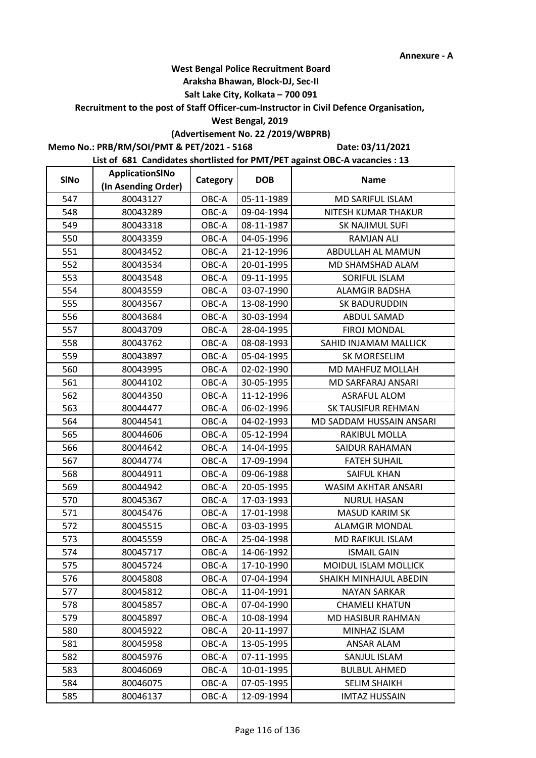#### **Araksha Bhawan, Block-DJ, Sec-II**

## **Salt Lake City, Kolkata – 700 091**

**Recruitment to the post of Staff Officer-cum-Instructor in Civil Defence Organisation,** 

#### **West Bengal, 2019**

# **(Advertisement No. 22 /2019/WBPRB)**

**Memo No.: PRB/RM/SOI/PMT & PET/2021 - 5168**

**Date: 03/11/2021**

| <b>SINo</b> | ApplicationSINo     | Category | <b>DOB</b> | <b>Name</b>               |
|-------------|---------------------|----------|------------|---------------------------|
|             | (In Asending Order) |          |            |                           |
| 547         | 80043127            | OBC-A    | 05-11-1989 | MD SARIFUL ISLAM          |
| 548         | 80043289            | OBC-A    | 09-04-1994 | NITESH KUMAR THAKUR       |
| 549         | 80043318            | OBC-A    | 08-11-1987 | SK NAJIMUL SUFI           |
| 550         | 80043359            | OBC-A    | 04-05-1996 | <b>RAMJAN ALI</b>         |
| 551         | 80043452            | OBC-A    | 21-12-1996 | ABDULLAH AL MAMUN         |
| 552         | 80043534            | OBC-A    | 20-01-1995 | MD SHAMSHAD ALAM          |
| 553         | 80043548            | OBC-A    | 09-11-1995 | SORIFUL ISLAM             |
| 554         | 80043559            | OBC-A    | 03-07-1990 | <b>ALAMGIR BADSHA</b>     |
| 555         | 80043567            | OBC-A    | 13-08-1990 | SK BADURUDDIN             |
| 556         | 80043684            | OBC-A    | 30-03-1994 | ABDUL SAMAD               |
| 557         | 80043709            | OBC-A    | 28-04-1995 | FIROJ MONDAL              |
| 558         | 80043762            | OBC-A    | 08-08-1993 | SAHID INJAMAM MALLICK     |
| 559         | 80043897            | OBC-A    | 05-04-1995 | SK MORESELIM              |
| 560         | 80043995            | OBC-A    | 02-02-1990 | MD MAHFUZ MOLLAH          |
| 561         | 80044102            | OBC-A    | 30-05-1995 | MD SARFARAJ ANSARI        |
| 562         | 80044350            | OBC-A    | 11-12-1996 | <b>ASRAFUL ALOM</b>       |
| 563         | 80044477            | OBC-A    | 06-02-1996 | <b>SK TAUSIFUR REHMAN</b> |
| 564         | 80044541            | OBC-A    | 04-02-1993 | MD SADDAM HUSSAIN ANSARI  |
| 565         | 80044606            | OBC-A    | 05-12-1994 | RAKIBUL MOLLA             |
| 566         | 80044642            | OBC-A    | 14-04-1995 | SAIDUR RAHAMAN            |
| 567         | 80044774            | OBC-A    | 17-09-1994 | <b>FATEH SUHAIL</b>       |
| 568         | 80044911            | OBC-A    | 09-06-1988 | SAIFUL KHAN               |
| 569         | 80044942            | OBC-A    | 20-05-1995 | WASIM AKHTAR ANSARI       |
| 570         | 80045367            | OBC-A    | 17-03-1993 | <b>NURUL HASAN</b>        |
| 571         | 80045476            | OBC-A    | 17-01-1998 | <b>MASUD KARIM SK</b>     |
| 572         | 80045515            | OBC-A    | 03-03-1995 | <b>ALAMGIR MONDAL</b>     |
| 573         | 80045559            | OBC-A    | 25-04-1998 | MD RAFIKUL ISLAM          |
| 574         | 80045717            | OBC-A    | 14-06-1992 | <b>ISMAIL GAIN</b>        |
| 575         | 80045724            | OBC-A    | 17-10-1990 | MOIDUL ISLAM MOLLICK      |
| 576         | 80045808            | OBC-A    | 07-04-1994 | SHAIKH MINHAJUL ABEDIN    |
| 577         | 80045812            | OBC-A    | 11-04-1991 | <b>NAYAN SARKAR</b>       |
| 578         | 80045857            | OBC-A    | 07-04-1990 | <b>CHAMELI KHATUN</b>     |
| 579         | 80045897            | OBC-A    | 10-08-1994 | MD HASIBUR RAHMAN         |
| 580         | 80045922            | OBC-A    | 20-11-1997 | MINHAZ ISLAM              |
| 581         | 80045958            | OBC-A    | 13-05-1995 | <b>ANSAR ALAM</b>         |
| 582         | 80045976            | OBC-A    | 07-11-1995 | SANJUL ISLAM              |
| 583         | 80046069            | OBC-A    | 10-01-1995 | <b>BULBUL AHMED</b>       |
| 584         | 80046075            | OBC-A    | 07-05-1995 | <b>SELIM SHAIKH</b>       |
| 585         | 80046137            | OBC-A    | 12-09-1994 | <b>IMTAZ HUSSAIN</b>      |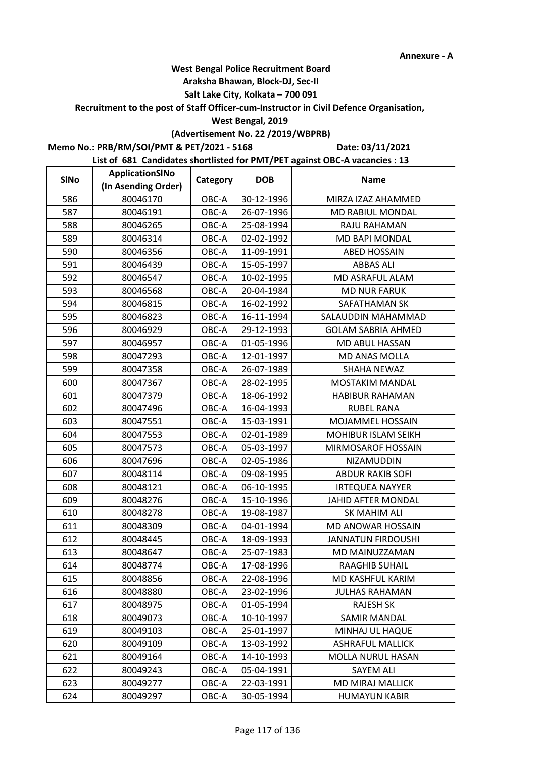#### **Araksha Bhawan, Block-DJ, Sec-II**

## **Salt Lake City, Kolkata – 700 091**

**Recruitment to the post of Staff Officer-cum-Instructor in Civil Defence Organisation,** 

#### **West Bengal, 2019**

# **(Advertisement No. 22 /2019/WBPRB)**

**Memo No.: PRB/RM/SOI/PMT & PET/2021 - 5168**

**Date: 03/11/2021**

| <b>SINo</b> | ApplicationSINo     | Category | <b>DOB</b> | <b>Name</b>               |
|-------------|---------------------|----------|------------|---------------------------|
|             | (In Asending Order) |          |            |                           |
| 586         | 80046170            | OBC-A    | 30-12-1996 | MIRZA IZAZ AHAMMED        |
| 587         | 80046191            | OBC-A    | 26-07-1996 | MD RABIUL MONDAL          |
| 588         | 80046265            | OBC-A    | 25-08-1994 | RAJU RAHAMAN              |
| 589         | 80046314            | OBC-A    | 02-02-1992 | <b>MD BAPI MONDAL</b>     |
| 590         | 80046356            | OBC-A    | 11-09-1991 | <b>ABED HOSSAIN</b>       |
| 591         | 80046439            | OBC-A    | 15-05-1997 | <b>ABBAS ALI</b>          |
| 592         | 80046547            | OBC-A    | 10-02-1995 | MD ASRAFUL ALAM           |
| 593         | 80046568            | OBC-A    | 20-04-1984 | <b>MD NUR FARUK</b>       |
| 594         | 80046815            | OBC-A    | 16-02-1992 | SAFATHAMAN SK             |
| 595         | 80046823            | OBC-A    | 16-11-1994 | SALAUDDIN MAHAMMAD        |
| 596         | 80046929            | OBC-A    | 29-12-1993 | <b>GOLAM SABRIA AHMED</b> |
| 597         | 80046957            | OBC-A    | 01-05-1996 | MD ABUL HASSAN            |
| 598         | 80047293            | OBC-A    | 12-01-1997 | MD ANAS MOLLA             |
| 599         | 80047358            | OBC-A    | 26-07-1989 | <b>SHAHA NEWAZ</b>        |
| 600         | 80047367            | OBC-A    | 28-02-1995 | <b>MOSTAKIM MANDAL</b>    |
| 601         | 80047379            | OBC-A    | 18-06-1992 | <b>HABIBUR RAHAMAN</b>    |
| 602         | 80047496            | OBC-A    | 16-04-1993 | <b>RUBEL RANA</b>         |
| 603         | 80047551            | OBC-A    | 15-03-1991 | MOJAMMEL HOSSAIN          |
| 604         | 80047553            | OBC-A    | 02-01-1989 | MOHIBUR ISLAM SEIKH       |
| 605         | 80047573            | OBC-A    | 05-03-1997 | MIRMOSAROF HOSSAIN        |
| 606         | 80047696            | OBC-A    | 02-05-1986 | NIZAMUDDIN                |
| 607         | 80048114            | OBC-A    | 09-08-1995 | <b>ABDUR RAKIB SOFI</b>   |
| 608         | 80048121            | OBC-A    | 06-10-1995 | <b>IRTEQUEA NAYYER</b>    |
| 609         | 80048276            | OBC-A    | 15-10-1996 | JAHID AFTER MONDAL        |
| 610         | 80048278            | OBC-A    | 19-08-1987 | SK MAHIM ALI              |
| 611         | 80048309            | OBC-A    | 04-01-1994 | MD ANOWAR HOSSAIN         |
| 612         | 80048445            | OBC-A    | 18-09-1993 | <b>JANNATUN FIRDOUSHI</b> |
| 613         | 80048647            | OBC-A    | 25-07-1983 | MD MAINUZZAMAN            |
| 614         | 80048774            | OBC-A    | 17-08-1996 | <b>RAAGHIB SUHAIL</b>     |
| 615         | 80048856            | OBC-A    | 22-08-1996 | MD KASHFUL KARIM          |
| 616         | 80048880            | OBC-A    | 23-02-1996 | <b>JULHAS RAHAMAN</b>     |
| 617         | 80048975            | OBC-A    | 01-05-1994 | <b>RAJESH SK</b>          |
| 618         | 80049073            | OBC-A    | 10-10-1997 | <b>SAMIR MANDAL</b>       |
| 619         | 80049103            | OBC-A    | 25-01-1997 | MINHAJ UL HAQUE           |
| 620         | 80049109            | OBC-A    | 13-03-1992 | <b>ASHRAFUL MALLICK</b>   |
| 621         | 80049164            | OBC-A    | 14-10-1993 | MOLLA NURUL HASAN         |
| 622         | 80049243            | OBC-A    | 05-04-1991 | SAYEM ALI                 |
| 623         | 80049277            | OBC-A    | 22-03-1991 | <b>MD MIRAJ MALLICK</b>   |
| 624         | 80049297            | OBC-A    | 30-05-1994 | <b>HUMAYUN KABIR</b>      |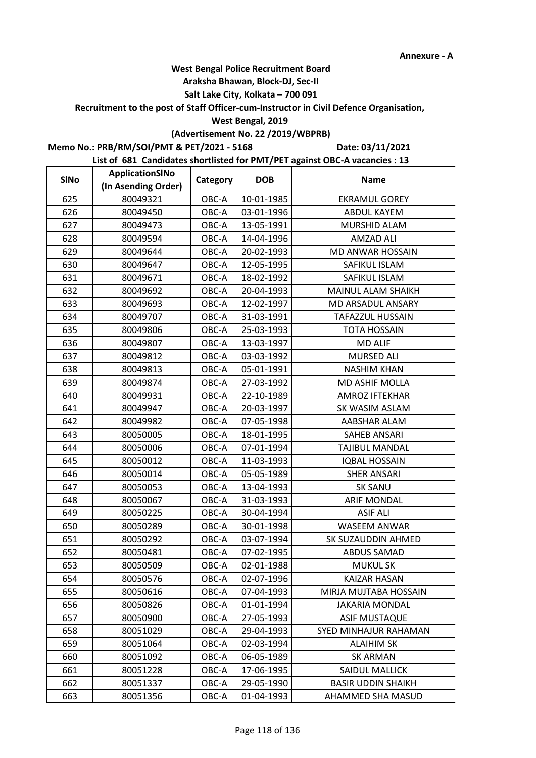#### **Araksha Bhawan, Block-DJ, Sec-II**

## **Salt Lake City, Kolkata – 700 091**

**Recruitment to the post of Staff Officer-cum-Instructor in Civil Defence Organisation,** 

#### **West Bengal, 2019**

## **(Advertisement No. 22 /2019/WBPRB)**

**Memo No.: PRB/RM/SOI/PMT & PET/2021 - 5168**

**Date: 03/11/2021**

| <b>SINo</b> | ApplicationSINo     | Category | <b>DOB</b> | <b>Name</b>               |
|-------------|---------------------|----------|------------|---------------------------|
|             | (In Asending Order) |          |            |                           |
| 625         | 80049321            | OBC-A    | 10-01-1985 | <b>EKRAMUL GOREY</b>      |
| 626         | 80049450            | OBC-A    | 03-01-1996 | ABDUL KAYEM               |
| 627         | 80049473            | OBC-A    | 13-05-1991 | MURSHID ALAM              |
| 628         | 80049594            | OBC-A    | 14-04-1996 | <b>AMZAD ALI</b>          |
| 629         | 80049644            | OBC-A    | 20-02-1993 | MD ANWAR HOSSAIN          |
| 630         | 80049647            | OBC-A    | 12-05-1995 | SAFIKUL ISLAM             |
| 631         | 80049671            | OBC-A    | 18-02-1992 | SAFIKUL ISLAM             |
| 632         | 80049692            | OBC-A    | 20-04-1993 | MAINUL ALAM SHAIKH        |
| 633         | 80049693            | OBC-A    | 12-02-1997 | MD ARSADUL ANSARY         |
| 634         | 80049707            | OBC-A    | 31-03-1991 | <b>TAFAZZUL HUSSAIN</b>   |
| 635         | 80049806            | OBC-A    | 25-03-1993 | <b>TOTA HOSSAIN</b>       |
| 636         | 80049807            | OBC-A    | 13-03-1997 | <b>MD ALIF</b>            |
| 637         | 80049812            | OBC-A    | 03-03-1992 | MURSED ALI                |
| 638         | 80049813            | OBC-A    | 05-01-1991 | <b>NASHIM KHAN</b>        |
| 639         | 80049874            | OBC-A    | 27-03-1992 | MD ASHIF MOLLA            |
| 640         | 80049931            | OBC-A    | 22-10-1989 | <b>AMROZ IFTEKHAR</b>     |
| 641         | 80049947            | OBC-A    | 20-03-1997 | SK WASIM ASLAM            |
| 642         | 80049982            | OBC-A    | 07-05-1998 | AABSHAR ALAM              |
| 643         | 80050005            | OBC-A    | 18-01-1995 | <b>SAHEB ANSARI</b>       |
| 644         | 80050006            | OBC-A    | 07-01-1994 | <b>TAJIBUL MANDAL</b>     |
| 645         | 80050012            | OBC-A    | 11-03-1993 | <b>IQBAL HOSSAIN</b>      |
| 646         | 80050014            | OBC-A    | 05-05-1989 | <b>SHER ANSARI</b>        |
| 647         | 80050053            | OBC-A    | 13-04-1993 | <b>SK SANU</b>            |
| 648         | 80050067            | OBC-A    | 31-03-1993 | <b>ARIF MONDAL</b>        |
| 649         | 80050225            | OBC-A    | 30-04-1994 | <b>ASIF ALI</b>           |
| 650         | 80050289            | OBC-A    | 30-01-1998 | <b>WASEEM ANWAR</b>       |
| 651         | 80050292            | OBC-A    | 03-07-1994 | SK SUZAUDDIN AHMED        |
| 652         | 80050481            | OBC-A    | 07-02-1995 | <b>ABDUS SAMAD</b>        |
| 653         | 80050509            | OBC-A    | 02-01-1988 | <b>MUKUL SK</b>           |
| 654         | 80050576            | OBC-A    | 02-07-1996 | <b>KAIZAR HASAN</b>       |
| 655         | 80050616            | OBC-A    | 07-04-1993 | MIRJA MUJTABA HOSSAIN     |
| 656         | 80050826            | OBC-A    | 01-01-1994 | <b>JAKARIA MONDAL</b>     |
| 657         | 80050900            | OBC-A    | 27-05-1993 | <b>ASIF MUSTAQUE</b>      |
| 658         | 80051029            | OBC-A    | 29-04-1993 | SYED MINHAJUR RAHAMAN     |
| 659         | 80051064            | OBC-A    | 02-03-1994 | <b>ALAIHIM SK</b>         |
| 660         | 80051092            | OBC-A    | 06-05-1989 | <b>SK ARMAN</b>           |
| 661         | 80051228            | OBC-A    | 17-06-1995 | SAIDUL MALLICK            |
| 662         | 80051337            | OBC-A    | 29-05-1990 | <b>BASIR UDDIN SHAIKH</b> |
| 663         | 80051356            | OBC-A    | 01-04-1993 | AHAMMED SHA MASUD         |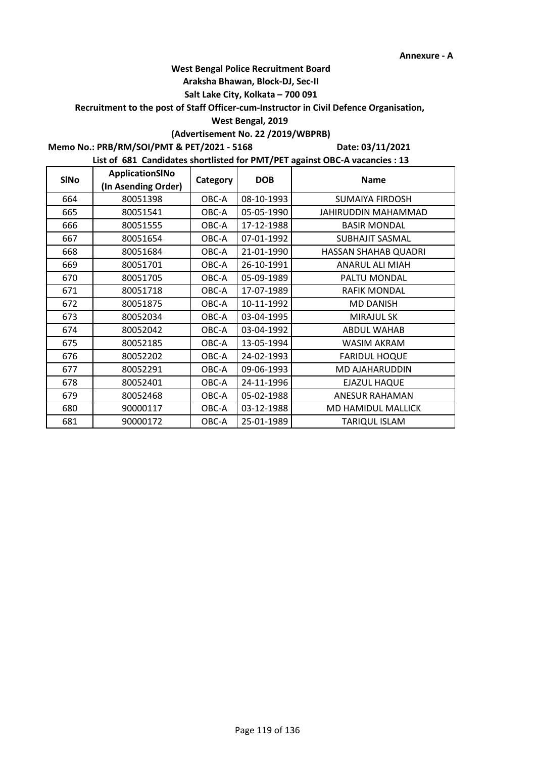#### **Araksha Bhawan, Block-DJ, Sec-II**

## **Salt Lake City, Kolkata – 700 091**

#### **Recruitment to the post of Staff Officer-cum-Instructor in Civil Defence Organisation,**

#### **West Bengal, 2019**

## **(Advertisement No. 22 /2019/WBPRB)**

## **Memo No.: PRB/RM/SOI/PMT & PET/2021 - 5168**

**Date: 03/11/2021**

| <b>SINo</b> | ApplicationSINo<br>(In Asending Order) | Category | <b>DOB</b> | <b>Name</b>            |
|-------------|----------------------------------------|----------|------------|------------------------|
| 664         | 80051398                               | OBC-A    | 08-10-1993 | <b>SUMAIYA FIRDOSH</b> |
| 665         | 80051541                               | OBC-A    | 05-05-1990 | JAHIRUDDIN MAHAMMAD    |
| 666         | 80051555                               | OBC-A    | 17-12-1988 | <b>BASIR MONDAL</b>    |
| 667         | 80051654                               | OBC-A    | 07-01-1992 | <b>SUBHAJIT SASMAL</b> |
| 668         | 80051684                               | OBC-A    | 21-01-1990 | HASSAN SHAHAB QUADRI   |
| 669         | 80051701                               | OBC-A    | 26-10-1991 | <b>ANARUL ALI MIAH</b> |
| 670         | 80051705                               | OBC-A    | 05-09-1989 | PALTU MONDAL           |
| 671         | 80051718                               | OBC-A    | 17-07-1989 | <b>RAFIK MONDAL</b>    |
| 672         | 80051875                               | OBC-A    | 10-11-1992 | <b>MD DANISH</b>       |
| 673         | 80052034                               | OBC-A    | 03-04-1995 | <b>MIRAJUL SK</b>      |
| 674         | 80052042                               | OBC-A    | 03-04-1992 | <b>ABDUL WAHAB</b>     |
| 675         | 80052185                               | OBC-A    | 13-05-1994 | <b>WASIM AKRAM</b>     |
| 676         | 80052202                               | OBC-A    | 24-02-1993 | <b>FARIDUL HOQUE</b>   |
| 677         | 80052291                               | OBC-A    | 09-06-1993 | <b>MD AJAHARUDDIN</b>  |
| 678         | 80052401                               | OBC-A    | 24-11-1996 | <b>EJAZUL HAQUE</b>    |
| 679         | 80052468                               | OBC-A    | 05-02-1988 | ANESUR RAHAMAN         |
| 680         | 90000117                               | OBC-A    | 03-12-1988 | MD HAMIDUL MALLICK     |
| 681         | 90000172                               | OBC-A    | 25-01-1989 | <b>TARIQUL ISLAM</b>   |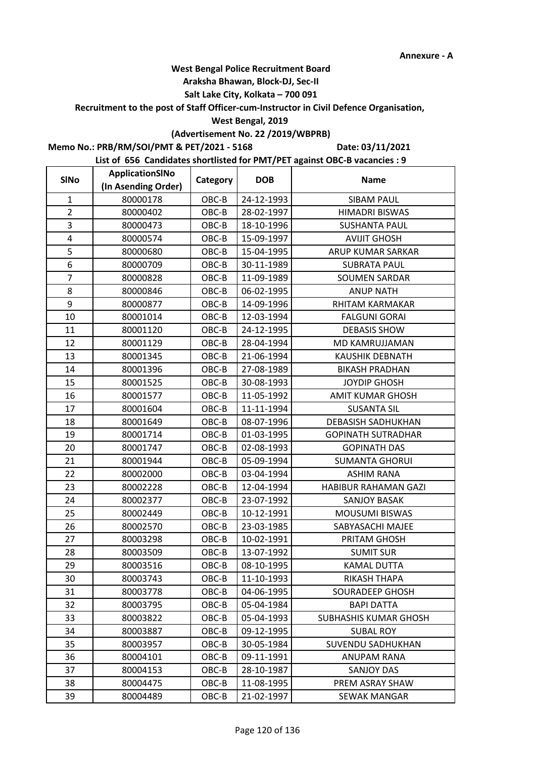#### **Araksha Bhawan, Block-DJ, Sec-II**

## **Salt Lake City, Kolkata – 700 091**

**Recruitment to the post of Staff Officer-cum-Instructor in Civil Defence Organisation,** 

#### **West Bengal, 2019**

# **(Advertisement No. 22 /2019/WBPRB)**

**Memo No.: PRB/RM/SOI/PMT & PET/2021 - 5168**

**Date: 03/11/2021**

| <b>SINo</b>    | ApplicationSINo     | Category | <b>DOB</b> | <b>Name</b>                  |
|----------------|---------------------|----------|------------|------------------------------|
|                | (In Asending Order) |          |            |                              |
| $\mathbf{1}$   | 80000178            | OBC-B    | 24-12-1993 | <b>SIBAM PAUL</b>            |
| $\overline{2}$ | 80000402            | OBC-B    | 28-02-1997 | <b>HIMADRI BISWAS</b>        |
| 3              | 80000473            | OBC-B    | 18-10-1996 | <b>SUSHANTA PAUL</b>         |
| 4              | 80000574            | OBC-B    | 15-09-1997 | <b>AVIJIT GHOSH</b>          |
| 5              | 80000680            | OBC-B    | 15-04-1995 | ARUP KUMAR SARKAR            |
| 6              | 80000709            | OBC-B    | 30-11-1989 | <b>SUBRATA PAUL</b>          |
| $\overline{7}$ | 80000828            | OBC-B    | 11-09-1989 | <b>SOUMEN SARDAR</b>         |
| 8              | 80000846            | OBC-B    | 06-02-1995 | <b>ANUP NATH</b>             |
| 9              | 80000877            | OBC-B    | 14-09-1996 | RHITAM KARMAKAR              |
| 10             | 80001014            | OBC-B    | 12-03-1994 | <b>FALGUNI GORAI</b>         |
| 11             | 80001120            | OBC-B    | 24-12-1995 | <b>DEBASIS SHOW</b>          |
| 12             | 80001129            | OBC-B    | 28-04-1994 | MD KAMRUJJAMAN               |
| 13             | 80001345            | OBC-B    | 21-06-1994 | <b>KAUSHIK DEBNATH</b>       |
| 14             | 80001396            | OBC-B    | 27-08-1989 | <b>BIKASH PRADHAN</b>        |
| 15             | 80001525            | OBC-B    | 30-08-1993 | <b>JOYDIP GHOSH</b>          |
| 16             | 80001577            | OBC-B    | 11-05-1992 | <b>AMIT KUMAR GHOSH</b>      |
| 17             | 80001604            | OBC-B    | 11-11-1994 | <b>SUSANTA SIL</b>           |
| 18             | 80001649            | OBC-B    | 08-07-1996 | <b>DEBASISH SADHUKHAN</b>    |
| 19             | 80001714            | OBC-B    | 01-03-1995 | <b>GOPINATH SUTRADHAR</b>    |
| 20             | 80001747            | OBC-B    | 02-08-1993 | <b>GOPINATH DAS</b>          |
| 21             | 80001944            | OBC-B    | 05-09-1994 | <b>SUMANTA GHORUI</b>        |
| 22             | 80002000            | OBC-B    | 03-04-1994 | <b>ASHIM RANA</b>            |
| 23             | 80002228            | OBC-B    | 12-04-1994 | HABIBUR RAHAMAN GAZI         |
| 24             | 80002377            | OBC-B    | 23-07-1992 | <b>SANJOY BASAK</b>          |
| 25             | 80002449            | OBC-B    | 10-12-1991 | <b>MOUSUMI BISWAS</b>        |
| 26             | 80002570            | OBC-B    | 23-03-1985 | SABYASACHI MAJEE             |
| 27             | 80003298            | OBC-B    | 10-02-1991 | PRITAM GHOSH                 |
| 28             | 80003509            | $OBC-B$  | 13-07-1992 | <b>SUMIT SUR</b>             |
| 29             | 80003516            | OBC-B    | 08-10-1995 | KAMAL DUTTA                  |
| 30             | 80003743            | OBC-B    | 11-10-1993 | RIKASH THAPA                 |
| 31             | 80003778            | OBC-B    | 04-06-1995 | SOURADEEP GHOSH              |
| 32             | 80003795            | OBC-B    | 05-04-1984 | <b>BAPI DATTA</b>            |
| 33             | 80003822            | OBC-B    | 05-04-1993 | <b>SUBHASHIS KUMAR GHOSH</b> |
| 34             | 80003887            | OBC-B    | 09-12-1995 | <b>SUBAL ROY</b>             |
| 35             | 80003957            | OBC-B    | 30-05-1984 | SUVENDU SADHUKHAN            |
| 36             | 80004101            | OBC-B    | 09-11-1991 | ANUPAM RANA                  |
| 37             | 80004153            | OBC-B    | 28-10-1987 | <b>SANJOY DAS</b>            |
| 38             | 80004475            | OBC-B    | 11-08-1995 | PREM ASRAY SHAW              |
| 39             | 80004489            | OBC-B    | 21-02-1997 | SEWAK MANGAR                 |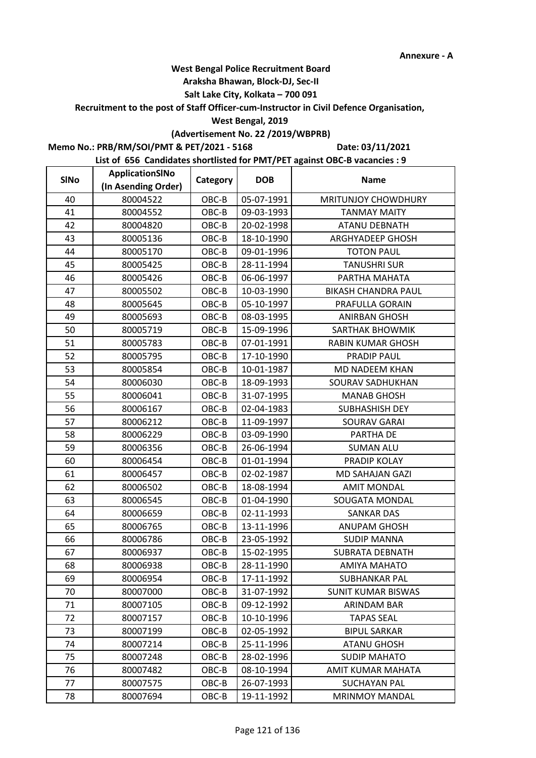#### **Araksha Bhawan, Block-DJ, Sec-II**

## **Salt Lake City, Kolkata – 700 091**

**Recruitment to the post of Staff Officer-cum-Instructor in Civil Defence Organisation,** 

#### **West Bengal, 2019**

## **(Advertisement No. 22 /2019/WBPRB)**

**Memo No.: PRB/RM/SOI/PMT & PET/2021 - 5168**

**Date: 03/11/2021**

| <b>SINo</b> | ApplicationSINo     | Category | <b>DOB</b> | <b>Name</b>                |
|-------------|---------------------|----------|------------|----------------------------|
|             | (In Asending Order) |          |            |                            |
| 40          | 80004522            | OBC-B    | 05-07-1991 | <b>MRITUNJOY CHOWDHURY</b> |
| 41          | 80004552            | OBC-B    | 09-03-1993 | <b>TANMAY MAITY</b>        |
| 42          | 80004820            | OBC-B    | 20-02-1998 | <b>ATANU DEBNATH</b>       |
| 43          | 80005136            | OBC-B    | 18-10-1990 | ARGHYADEEP GHOSH           |
| 44          | 80005170            | OBC-B    | 09-01-1996 | <b>TOTON PAUL</b>          |
| 45          | 80005425            | $OBC-B$  | 28-11-1994 | <b>TANUSHRI SUR</b>        |
| 46          | 80005426            | OBC-B    | 06-06-1997 | PARTHA MAHATA              |
| 47          | 80005502            | OBC-B    | 10-03-1990 | <b>BIKASH CHANDRA PAUL</b> |
| 48          | 80005645            | OBC-B    | 05-10-1997 | PRAFULLA GORAIN            |
| 49          | 80005693            | OBC-B    | 08-03-1995 | <b>ANIRBAN GHOSH</b>       |
| 50          | 80005719            | OBC-B    | 15-09-1996 | <b>SARTHAK BHOWMIK</b>     |
| 51          | 80005783            | OBC-B    | 07-01-1991 | <b>RABIN KUMAR GHOSH</b>   |
| 52          | 80005795            | OBC-B    | 17-10-1990 | PRADIP PAUL                |
| 53          | 80005854            | OBC-B    | 10-01-1987 | <b>MD NADEEM KHAN</b>      |
| 54          | 80006030            | OBC-B    | 18-09-1993 | SOURAV SADHUKHAN           |
| 55          | 80006041            | OBC-B    | 31-07-1995 | <b>MANAB GHOSH</b>         |
| 56          | 80006167            | OBC-B    | 02-04-1983 | <b>SUBHASHISH DEY</b>      |
| 57          | 80006212            | OBC-B    | 11-09-1997 | <b>SOURAV GARAI</b>        |
| 58          | 80006229            | OBC-B    | 03-09-1990 | PARTHA DE                  |
| 59          | 80006356            | OBC-B    | 26-06-1994 | <b>SUMAN ALU</b>           |
| 60          | 80006454            | OBC-B    | 01-01-1994 | PRADIP KOLAY               |
| 61          | 80006457            | OBC-B    | 02-02-1987 | MD SAHAJAN GAZI            |
| 62          | 80006502            | OBC-B    | 18-08-1994 | <b>AMIT MONDAL</b>         |
| 63          | 80006545            | OBC-B    | 01-04-1990 | <b>SOUGATA MONDAL</b>      |
| 64          | 80006659            | OBC-B    | 02-11-1993 | <b>SANKAR DAS</b>          |
| 65          | 80006765            | OBC-B    | 13-11-1996 | <b>ANUPAM GHOSH</b>        |
| 66          | 80006786            | OBC-B    | 23-05-1992 | <b>SUDIP MANNA</b>         |
| 67          | 80006937            | OBC-B    | 15-02-1995 | <b>SUBRATA DEBNATH</b>     |
| 68          | 80006938            | OBC-B    | 28-11-1990 | AMIYA MAHATO               |
| 69          | 80006954            | OBC-B    | 17-11-1992 | SUBHANKAR PAL              |
| 70          | 80007000            | OBC-B    | 31-07-1992 | <b>SUNIT KUMAR BISWAS</b>  |
| 71          | 80007105            | OBC-B    | 09-12-1992 | <b>ARINDAM BAR</b>         |
| 72          | 80007157            | OBC-B    | 10-10-1996 | <b>TAPAS SEAL</b>          |
| 73          | 80007199            | $OBC-B$  | 02-05-1992 | <b>BIPUL SARKAR</b>        |
| 74          | 80007214            | OBC-B    | 25-11-1996 | <b>ATANU GHOSH</b>         |
| 75          | 80007248            | OBC-B    | 28-02-1996 | <b>SUDIP MAHATO</b>        |
| 76          | 80007482            | OBC-B    | 08-10-1994 | AMIT KUMAR MAHATA          |
| 77          | 80007575            | OBC-B    | 26-07-1993 | <b>SUCHAYAN PAL</b>        |
| 78          | 80007694            | OBC-B    | 19-11-1992 | <b>MRINMOY MANDAL</b>      |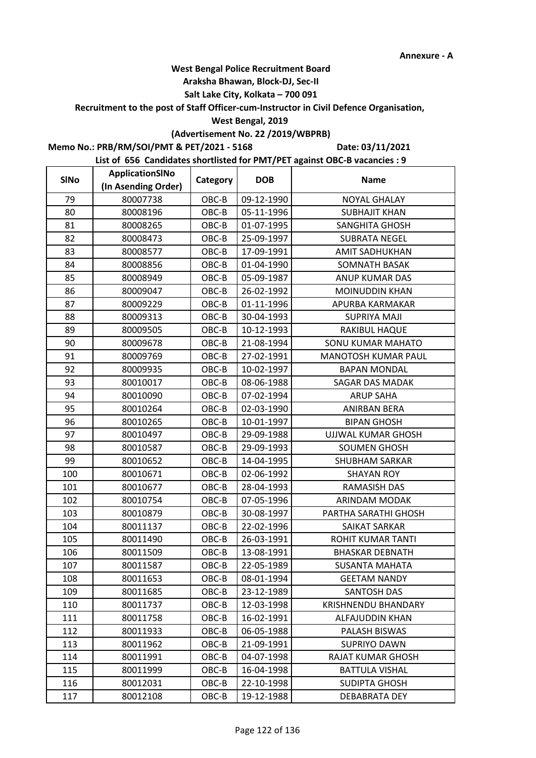#### **Araksha Bhawan, Block-DJ, Sec-II**

## **Salt Lake City, Kolkata – 700 091**

**Recruitment to the post of Staff Officer-cum-Instructor in Civil Defence Organisation,** 

#### **West Bengal, 2019**

## **(Advertisement No. 22 /2019/WBPRB)**

**Memo No.: PRB/RM/SOI/PMT & PET/2021 - 5168**

**Date: 03/11/2021**

| <b>SINo</b> | ApplicationSINo     | Category | <b>DOB</b> | <b>Name</b>                |  |
|-------------|---------------------|----------|------------|----------------------------|--|
|             | (In Asending Order) |          |            |                            |  |
| 79          | 80007738            | OBC-B    | 09-12-1990 | <b>NOYAL GHALAY</b>        |  |
| 80          | 80008196            | OBC-B    | 05-11-1996 | <b>SUBHAJIT KHAN</b>       |  |
| 81          | 80008265            | OBC-B    | 01-07-1995 | SANGHITA GHOSH             |  |
| 82          | 80008473            | OBC-B    | 25-09-1997 | <b>SUBRATA NEGEL</b>       |  |
| 83          | 80008577            | OBC-B    | 17-09-1991 | <b>AMIT SADHUKHAN</b>      |  |
| 84          | 80008856            | OBC-B    | 01-04-1990 | <b>SOMNATH BASAK</b>       |  |
| 85          | 80008949            | OBC-B    | 05-09-1987 | ANUP KUMAR DAS             |  |
| 86          | 80009047            | OBC-B    | 26-02-1992 | <b>MOINUDDIN KHAN</b>      |  |
| 87          | 80009229            | OBC-B    | 01-11-1996 | APURBA KARMAKAR            |  |
| 88          | 80009313            | OBC-B    | 30-04-1993 | <b>SUPRIYA MAJI</b>        |  |
| 89          | 80009505            | OBC-B    | 10-12-1993 | RAKIBUL HAQUE              |  |
| 90          | 80009678            | OBC-B    | 21-08-1994 | <b>SONU KUMAR MAHATO</b>   |  |
| 91          | 80009769            | OBC-B    | 27-02-1991 | MANOTOSH KUMAR PAUL        |  |
| 92          | 80009935            | OBC-B    | 10-02-1997 | <b>BAPAN MONDAL</b>        |  |
| 93          | 80010017            | OBC-B    | 08-06-1988 | <b>SAGAR DAS MADAK</b>     |  |
| 94          | 80010090            | OBC-B    | 07-02-1994 | <b>ARUP SAHA</b>           |  |
| 95          | 80010264            | OBC-B    | 02-03-1990 | <b>ANIRBAN BERA</b>        |  |
| 96          | 80010265            | OBC-B    | 10-01-1997 | <b>BIPAN GHOSH</b>         |  |
| 97          | 80010497            | OBC-B    | 29-09-1988 | UJJWAL KUMAR GHOSH         |  |
| 98          | 80010587            | OBC-B    | 29-09-1993 | <b>SOUMEN GHOSH</b>        |  |
| 99          | 80010652            | OBC-B    | 14-04-1995 | <b>SHUBHAM SARKAR</b>      |  |
| 100         | 80010671            | OBC-B    | 02-06-1992 | <b>SHAYAN ROY</b>          |  |
| 101         | 80010677            | OBC-B    | 28-04-1993 | <b>RAMASISH DAS</b>        |  |
| 102         | 80010754            | OBC-B    | 07-05-1996 | ARINDAM MODAK              |  |
| 103         | 80010879            | OBC-B    | 30-08-1997 | PARTHA SARATHI GHOSH       |  |
| 104         | 80011137            | OBC-B    | 22-02-1996 | SAIKAT SARKAR              |  |
| 105         | 80011490            | OBC-B    | 26-03-1991 | ROHIT KUMAR TANTI          |  |
| 106         | 80011509            | OBC-B    | 13-08-1991 | <b>BHASKAR DEBNATH</b>     |  |
| 107         | 80011587            | OBC-B    | 22-05-1989 | SUSANTA MAHATA             |  |
| 108         | 80011653            | OBC-B    | 08-01-1994 | <b>GEETAM NANDY</b>        |  |
| 109         | 80011685            | OBC-B    | 23-12-1989 | <b>SANTOSH DAS</b>         |  |
| 110         | 80011737            | OBC-B    | 12-03-1998 | <b>KRISHNENDU BHANDARY</b> |  |
| 111         | 80011758            | OBC-B    | 16-02-1991 | ALFAJUDDIN KHAN            |  |
| 112         | 80011933            | $OBC-B$  | 06-05-1988 | PALASH BISWAS              |  |
| 113         | 80011962            | OBC-B    | 21-09-1991 | <b>SUPRIYO DAWN</b>        |  |
| 114         | 80011991            | OBC-B    | 04-07-1998 | RAJAT KUMAR GHOSH          |  |
| 115         | 80011999            | OBC-B    | 16-04-1998 | <b>BATTULA VISHAL</b>      |  |
| 116         | 80012031            | OBC-B    | 22-10-1998 | SUDIPTA GHOSH              |  |
| 117         | 80012108            | OBC-B    | 19-12-1988 | DEBABRATA DEY              |  |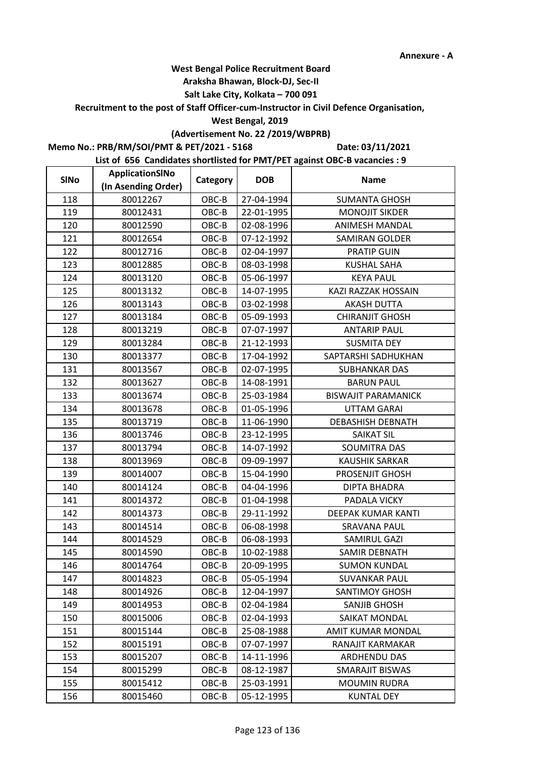#### **Araksha Bhawan, Block-DJ, Sec-II**

## **Salt Lake City, Kolkata – 700 091**

**Recruitment to the post of Staff Officer-cum-Instructor in Civil Defence Organisation,** 

#### **West Bengal, 2019**

## **(Advertisement No. 22 /2019/WBPRB)**

**Memo No.: PRB/RM/SOI/PMT & PET/2021 - 5168**

**Date: 03/11/2021**

| <b>SINo</b> | ApplicationSINo     | Category | <b>DOB</b> | <b>Name</b>                |
|-------------|---------------------|----------|------------|----------------------------|
|             | (In Asending Order) |          |            |                            |
| 118         | 80012267            | OBC-B    | 27-04-1994 | <b>SUMANTA GHOSH</b>       |
| 119         | 80012431            | OBC-B    | 22-01-1995 | <b>MONOJIT SIKDER</b>      |
| 120         | 80012590            | OBC-B    | 02-08-1996 | <b>ANIMESH MANDAL</b>      |
| 121         | 80012654            | OBC-B    | 07-12-1992 | <b>SAMIRAN GOLDER</b>      |
| 122         | 80012716            | OBC-B    | 02-04-1997 | PRATIP GUIN                |
| 123         | 80012885            | OBC-B    | 08-03-1998 | <b>KUSHAL SAHA</b>         |
| 124         | 80013120            | OBC-B    | 05-06-1997 | <b>KEYA PAUL</b>           |
| 125         | 80013132            | OBC-B    | 14-07-1995 | KAZI RAZZAK HOSSAIN        |
| 126         | 80013143            | OBC-B    | 03-02-1998 | <b>AKASH DUTTA</b>         |
| 127         | 80013184            | OBC-B    | 05-09-1993 | <b>CHIRANJIT GHOSH</b>     |
| 128         | 80013219            | OBC-B    | 07-07-1997 | <b>ANTARIP PAUL</b>        |
| 129         | 80013284            | OBC-B    | 21-12-1993 | <b>SUSMITA DEY</b>         |
| 130         | 80013377            | OBC-B    | 17-04-1992 | SAPTARSHI SADHUKHAN        |
| 131         | 80013567            | OBC-B    | 02-07-1995 | <b>SUBHANKAR DAS</b>       |
| 132         | 80013627            | OBC-B    | 14-08-1991 | <b>BARUN PAUL</b>          |
| 133         | 80013674            | OBC-B    | 25-03-1984 | <b>BISWAJIT PARAMANICK</b> |
| 134         | 80013678            | OBC-B    | 01-05-1996 | <b>UTTAM GARAI</b>         |
| 135         | 80013719            | OBC-B    | 11-06-1990 | <b>DEBASHISH DEBNATH</b>   |
| 136         | 80013746            | OBC-B    | 23-12-1995 | SAIKAT SIL                 |
| 137         | 80013794            | OBC-B    | 14-07-1992 | SOUMITRA DAS               |
| 138         | 80013969            | OBC-B    | 09-09-1997 | <b>KAUSHIK SARKAR</b>      |
| 139         | 80014007            | OBC-B    | 15-04-1990 | PROSENJIT GHOSH            |
| 140         | 80014124            | OBC-B    | 04-04-1996 | <b>DIPTA BHADRA</b>        |
| 141         | 80014372            | OBC-B    | 01-04-1998 | PADALA VICKY               |
| 142         | 80014373            | OBC-B    | 29-11-1992 | DEEPAK KUMAR KANTI         |
| 143         | 80014514            | OBC-B    | 06-08-1998 | <b>SRAVANA PAUL</b>        |
| 144         | 80014529            | OBC-B    | 06-08-1993 | SAMIRUL GAZI               |
| 145         | 80014590            | OBC-B    | 10-02-1988 | SAMIR DEBNATH              |
| 146         | 80014764            | OBC-B    | 20-09-1995 | <b>SUMON KUNDAL</b>        |
| 147         | 80014823            | OBC-B    | 05-05-1994 | <b>SUVANKAR PAUL</b>       |
| 148         | 80014926            | OBC-B    | 12-04-1997 | <b>SANTIMOY GHOSH</b>      |
| 149         | 80014953            | OBC-B    | 02-04-1984 | SANJIB GHOSH               |
| 150         | 80015006            | OBC-B    | 02-04-1993 | SAIKAT MONDAL              |
| 151         | 80015144            | OBC-B    | 25-08-1988 | AMIT KUMAR MONDAL          |
| 152         | 80015191            | OBC-B    | 07-07-1997 | RANAJIT KARMAKAR           |
| 153         | 80015207            | OBC-B    | 14-11-1996 | <b>ARDHENDU DAS</b>        |
| 154         | 80015299            | OBC-B    | 08-12-1987 | <b>SMARAJIT BISWAS</b>     |
| 155         | 80015412            | OBC-B    | 25-03-1991 | <b>MOUMIN RUDRA</b>        |
| 156         | 80015460            | OBC-B    | 05-12-1995 | <b>KUNTAL DEY</b>          |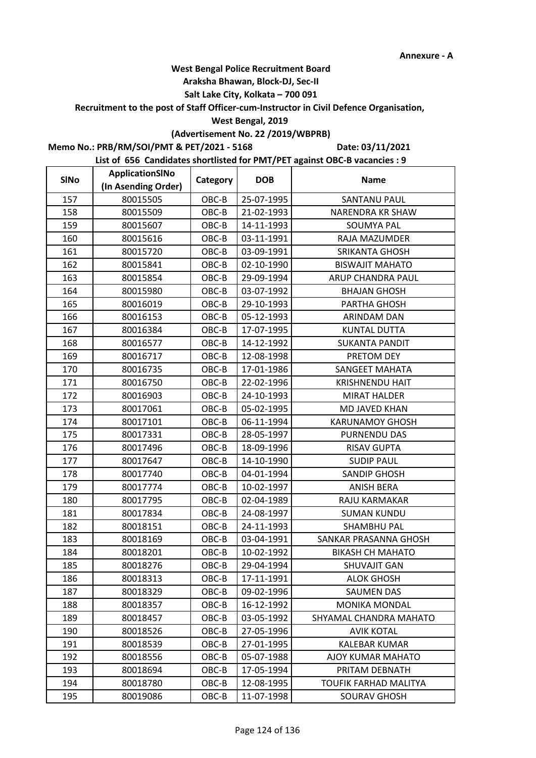#### **Araksha Bhawan, Block-DJ, Sec-II**

## **Salt Lake City, Kolkata – 700 091**

**Recruitment to the post of Staff Officer-cum-Instructor in Civil Defence Organisation,** 

#### **West Bengal, 2019**

## **(Advertisement No. 22 /2019/WBPRB)**

**Memo No.: PRB/RM/SOI/PMT & PET/2021 - 5168**

**Date: 03/11/2021**

| <b>SINo</b> | ApplicationSINo     | Category | <b>DOB</b> | <b>Name</b>             |
|-------------|---------------------|----------|------------|-------------------------|
|             | (In Asending Order) |          |            |                         |
| 157         | 80015505            | OBC-B    | 25-07-1995 | <b>SANTANU PAUL</b>     |
| 158         | 80015509            | OBC-B    | 21-02-1993 | NARENDRA KR SHAW        |
| 159         | 80015607            | OBC-B    | 14-11-1993 | <b>SOUMYA PAL</b>       |
| 160         | 80015616            | OBC-B    | 03-11-1991 | RAJA MAZUMDER           |
| 161         | 80015720            | OBC-B    | 03-09-1991 | <b>SRIKANTA GHOSH</b>   |
| 162         | 80015841            | OBC-B    | 02-10-1990 | <b>BISWAJIT MAHATO</b>  |
| 163         | 80015854            | OBC-B    | 29-09-1994 | ARUP CHANDRA PAUL       |
| 164         | 80015980            | OBC-B    | 03-07-1992 | <b>BHAJAN GHOSH</b>     |
| 165         | 80016019            | OBC-B    | 29-10-1993 | PARTHA GHOSH            |
| 166         | 80016153            | OBC-B    | 05-12-1993 | ARINDAM DAN             |
| 167         | 80016384            | OBC-B    | 17-07-1995 | <b>KUNTAL DUTTA</b>     |
| 168         | 80016577            | OBC-B    | 14-12-1992 | <b>SUKANTA PANDIT</b>   |
| 169         | 80016717            | OBC-B    | 12-08-1998 | PRETOM DEY              |
| 170         | 80016735            | OBC-B    | 17-01-1986 | SANGEET MAHATA          |
| 171         | 80016750            | OBC-B    | 22-02-1996 | <b>KRISHNENDU HAIT</b>  |
| 172         | 80016903            | OBC-B    | 24-10-1993 | <b>MIRAT HALDER</b>     |
| 173         | 80017061            | OBC-B    | 05-02-1995 | <b>MD JAVED KHAN</b>    |
| 174         | 80017101            | OBC-B    | 06-11-1994 | <b>KARUNAMOY GHOSH</b>  |
| 175         | 80017331            | OBC-B    | 28-05-1997 | PURNENDU DAS            |
| 176         | 80017496            | OBC-B    | 18-09-1996 | <b>RISAV GUPTA</b>      |
| 177         | 80017647            | OBC-B    | 14-10-1990 | <b>SUDIP PAUL</b>       |
| 178         | 80017740            | OBC-B    | 04-01-1994 | <b>SANDIP GHOSH</b>     |
| 179         | 80017774            | OBC-B    | 10-02-1997 | <b>ANISH BERA</b>       |
| 180         | 80017795            | OBC-B    | 02-04-1989 | RAJU KARMAKAR           |
| 181         | 80017834            | OBC-B    | 24-08-1997 | <b>SUMAN KUNDU</b>      |
| 182         | 80018151            | OBC-B    | 24-11-1993 | <b>SHAMBHU PAL</b>      |
| 183         | 80018169            | OBC-B    | 03-04-1991 | SANKAR PRASANNA GHOSH   |
| 184         | 80018201            | OBC-B    | 10-02-1992 | <b>BIKASH CH MAHATO</b> |
| 185         | 80018276            | OBC-B    | 29-04-1994 | <b>SHUVAJIT GAN</b>     |
| 186         | 80018313            | OBC-B    | 17-11-1991 | <b>ALOK GHOSH</b>       |
| 187         | 80018329            | OBC-B    | 09-02-1996 | <b>SAUMEN DAS</b>       |
| 188         | 80018357            | OBC-B    | 16-12-1992 | <b>MONIKA MONDAL</b>    |
| 189         | 80018457            | OBC-B    | 03-05-1992 | SHYAMAL CHANDRA MAHATO  |
| 190         | 80018526            | OBC-B    | 27-05-1996 | <b>AVIK KOTAL</b>       |
| 191         | 80018539            | OBC-B    | 27-01-1995 | <b>KALEBAR KUMAR</b>    |
| 192         | 80018556            | OBC-B    | 05-07-1988 | AJOY KUMAR MAHATO       |
| 193         | 80018694            | OBC-B    | 17-05-1994 | PRITAM DEBNATH          |
| 194         | 80018780            | OBC-B    | 12-08-1995 | TOUFIK FARHAD MALITYA   |
| 195         | 80019086            | OBC-B    | 11-07-1998 | <b>SOURAV GHOSH</b>     |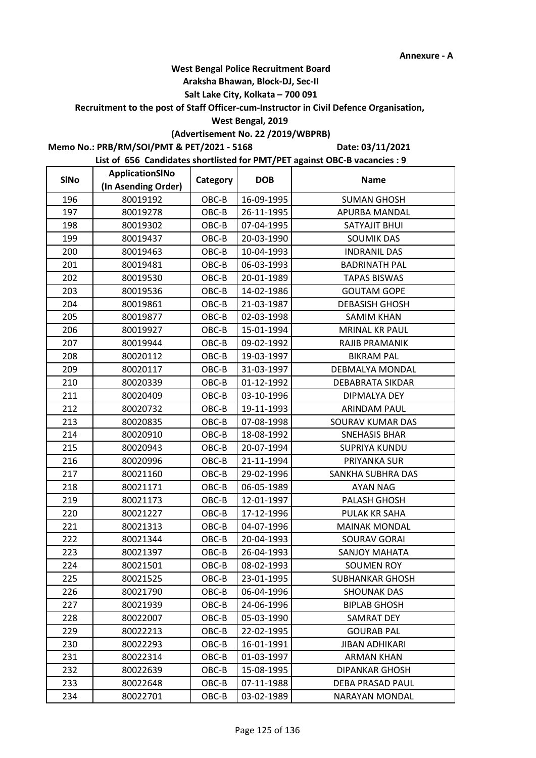#### **Araksha Bhawan, Block-DJ, Sec-II**

## **Salt Lake City, Kolkata – 700 091**

**Recruitment to the post of Staff Officer-cum-Instructor in Civil Defence Organisation,** 

#### **West Bengal, 2019**

## **(Advertisement No. 22 /2019/WBPRB)**

**Memo No.: PRB/RM/SOI/PMT & PET/2021 - 5168**

**Date: 03/11/2021**

| <b>SINo</b> | ApplicationSINo     | Category | <b>DOB</b> | <b>Name</b>             |
|-------------|---------------------|----------|------------|-------------------------|
|             | (In Asending Order) |          |            |                         |
| 196         | 80019192            | OBC-B    | 16-09-1995 | <b>SUMAN GHOSH</b>      |
| 197         | 80019278            | OBC-B    | 26-11-1995 | APURBA MANDAL           |
| 198         | 80019302            | OBC-B    | 07-04-1995 | SATYAJIT BHUI           |
| 199         | 80019437            | OBC-B    | 20-03-1990 | <b>SOUMIK DAS</b>       |
| 200         | 80019463            | OBC-B    | 10-04-1993 | <b>INDRANIL DAS</b>     |
| 201         | 80019481            | OBC-B    | 06-03-1993 | <b>BADRINATH PAL</b>    |
| 202         | 80019530            | OBC-B    | 20-01-1989 | <b>TAPAS BISWAS</b>     |
| 203         | 80019536            | OBC-B    | 14-02-1986 | <b>GOUTAM GOPE</b>      |
| 204         | 80019861            | OBC-B    | 21-03-1987 | <b>DEBASISH GHOSH</b>   |
| 205         | 80019877            | OBC-B    | 02-03-1998 | <b>SAMIM KHAN</b>       |
| 206         | 80019927            | OBC-B    | 15-01-1994 | <b>MRINAL KR PAUL</b>   |
| 207         | 80019944            | OBC-B    | 09-02-1992 | RAJIB PRAMANIK          |
| 208         | 80020112            | OBC-B    | 19-03-1997 | <b>BIKRAM PAL</b>       |
| 209         | 80020117            | OBC-B    | 31-03-1997 | DEBMALYA MONDAL         |
| 210         | 80020339            | OBC-B    | 01-12-1992 | <b>DEBABRATA SIKDAR</b> |
| 211         | 80020409            | OBC-B    | 03-10-1996 | DIPMALYA DEY            |
| 212         | 80020732            | OBC-B    | 19-11-1993 | <b>ARINDAM PAUL</b>     |
| 213         | 80020835            | OBC-B    | 07-08-1998 | <b>SOURAV KUMAR DAS</b> |
| 214         | 80020910            | OBC-B    | 18-08-1992 | <b>SNEHASIS BHAR</b>    |
| 215         | 80020943            | OBC-B    | 20-07-1994 | <b>SUPRIYA KUNDU</b>    |
| 216         | 80020996            | OBC-B    | 21-11-1994 | PRIYANKA SUR            |
| 217         | 80021160            | OBC-B    | 29-02-1996 | SANKHA SUBHRA DAS       |
| 218         | 80021171            | OBC-B    | 06-05-1989 | AYAN NAG                |
| 219         | 80021173            | OBC-B    | 12-01-1997 | PALASH GHOSH            |
| 220         | 80021227            | OBC-B    | 17-12-1996 | PULAK KR SAHA           |
| 221         | 80021313            | OBC-B    | 04-07-1996 | <b>MAINAK MONDAL</b>    |
| 222         | 80021344            | OBC-B    | 20-04-1993 | <b>SOURAV GORAI</b>     |
| 223         | 80021397            | OBC-B    | 26-04-1993 | <b>SANJOY MAHATA</b>    |
| 224         | 80021501            | OBC-B    | 08-02-1993 | <b>SOUMEN ROY</b>       |
| 225         | 80021525            | OBC-B    | 23-01-1995 | <b>SUBHANKAR GHOSH</b>  |
| 226         | 80021790            | OBC-B    | 06-04-1996 | <b>SHOUNAK DAS</b>      |
| 227         | 80021939            | OBC-B    | 24-06-1996 | <b>BIPLAB GHOSH</b>     |
| 228         | 80022007            | OBC-B    | 05-03-1990 | <b>SAMRAT DEY</b>       |
| 229         | 80022213            | $OBC-B$  | 22-02-1995 | <b>GOURAB PAL</b>       |
| 230         | 80022293            | OBC-B    | 16-01-1991 | <b>JIBAN ADHIKARI</b>   |
| 231         | 80022314            | OBC-B    | 01-03-1997 | <b>ARMAN KHAN</b>       |
| 232         | 80022639            | OBC-B    | 15-08-1995 | <b>DIPANKAR GHOSH</b>   |
| 233         | 80022648            | OBC-B    | 07-11-1988 | DEBA PRASAD PAUL        |
| 234         | 80022701            | OBC-B    | 03-02-1989 | NARAYAN MONDAL          |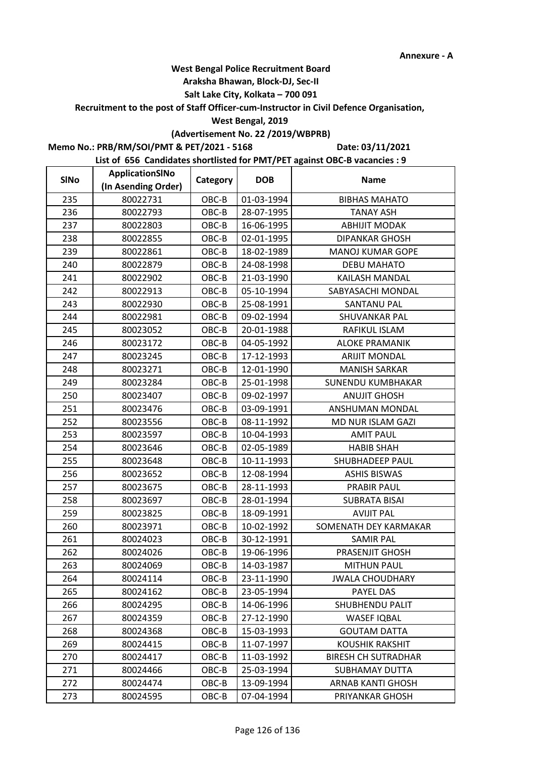#### **Araksha Bhawan, Block-DJ, Sec-II**

## **Salt Lake City, Kolkata – 700 091**

**Recruitment to the post of Staff Officer-cum-Instructor in Civil Defence Organisation,** 

#### **West Bengal, 2019**

## **(Advertisement No. 22 /2019/WBPRB)**

**Memo No.: PRB/RM/SOI/PMT & PET/2021 - 5168**

**Date: 03/11/2021**

| <b>SINo</b> | ApplicationSINo     | Category | <b>DOB</b> | <b>Name</b>                |
|-------------|---------------------|----------|------------|----------------------------|
|             | (In Asending Order) |          |            |                            |
| 235         | 80022731            | OBC-B    | 01-03-1994 | <b>BIBHAS MAHATO</b>       |
| 236         | 80022793            | OBC-B    | 28-07-1995 | <b>TANAY ASH</b>           |
| 237         | 80022803            | OBC-B    | 16-06-1995 | <b>ABHIJIT MODAK</b>       |
| 238         | 80022855            | OBC-B    | 02-01-1995 | <b>DIPANKAR GHOSH</b>      |
| 239         | 80022861            | OBC-B    | 18-02-1989 | <b>MANOJ KUMAR GOPE</b>    |
| 240         | 80022879            | OBC-B    | 24-08-1998 | <b>DEBU MAHATO</b>         |
| 241         | 80022902            | OBC-B    | 21-03-1990 | KAILASH MANDAL             |
| 242         | 80022913            | OBC-B    | 05-10-1994 | SABYASACHI MONDAL          |
| 243         | 80022930            | OBC-B    | 25-08-1991 | <b>SANTANU PAL</b>         |
| 244         | 80022981            | OBC-B    | 09-02-1994 | SHUVANKAR PAL              |
| 245         | 80023052            | $OBC-B$  | 20-01-1988 | RAFIKUL ISLAM              |
| 246         | 80023172            | OBC-B    | 04-05-1992 | <b>ALOKE PRAMANIK</b>      |
| 247         | 80023245            | OBC-B    | 17-12-1993 | <b>ARIJIT MONDAL</b>       |
| 248         | 80023271            | OBC-B    | 12-01-1990 | <b>MANISH SARKAR</b>       |
| 249         | 80023284            | OBC-B    | 25-01-1998 | <b>SUNENDU KUMBHAKAR</b>   |
| 250         | 80023407            | OBC-B    | 09-02-1997 | <b>ANUJIT GHOSH</b>        |
| 251         | 80023476            | OBC-B    | 03-09-1991 | ANSHUMAN MONDAL            |
| 252         | 80023556            | OBC-B    | 08-11-1992 | MD NUR ISLAM GAZI          |
| 253         | 80023597            | OBC-B    | 10-04-1993 | <b>AMIT PAUL</b>           |
| 254         | 80023646            | OBC-B    | 02-05-1989 | <b>HABIB SHAH</b>          |
| 255         | 80023648            | OBC-B    | 10-11-1993 | SHUBHADEEP PAUL            |
| 256         | 80023652            | OBC-B    | 12-08-1994 | <b>ASHIS BISWAS</b>        |
| 257         | 80023675            | OBC-B    | 28-11-1993 | <b>PRABIR PAUL</b>         |
| 258         | 80023697            | OBC-B    | 28-01-1994 | <b>SUBRATA BISAI</b>       |
| 259         | 80023825            | OBC-B    | 18-09-1991 | <b>AVIJIT PAL</b>          |
| 260         | 80023971            | OBC-B    | 10-02-1992 | SOMENATH DEY KARMAKAR      |
| 261         | 80024023            | OBC-B    | 30-12-1991 | <b>SAMIR PAL</b>           |
| 262         | 80024026            | $OBC-B$  | 19-06-1996 | PRASENJIT GHOSH            |
| 263         | 80024069            | OBC-B    | 14-03-1987 | <b>MITHUN PAUL</b>         |
| 264         | 80024114            | OBC-B    | 23-11-1990 | <b>JWALA CHOUDHARY</b>     |
| 265         | 80024162            | OBC-B    | 23-05-1994 | PAYEL DAS                  |
| 266         | 80024295            | OBC-B    | 14-06-1996 | SHUBHENDU PALIT            |
| 267         | 80024359            | OBC-B    | 27-12-1990 | <b>WASEF IQBAL</b>         |
| 268         | 80024368            | OBC-B    | 15-03-1993 | <b>GOUTAM DATTA</b>        |
| 269         | 80024415            | OBC-B    | 11-07-1997 | <b>KOUSHIK RAKSHIT</b>     |
| 270         | 80024417            | OBC-B    | 11-03-1992 | <b>BIRESH CH SUTRADHAR</b> |
| 271         | 80024466            | OBC-B    | 25-03-1994 | <b>SUBHAMAY DUTTA</b>      |
| 272         | 80024474            | OBC-B    | 13-09-1994 | ARNAB KANTI GHOSH          |
| 273         | 80024595            | OBC-B    | 07-04-1994 | PRIYANKAR GHOSH            |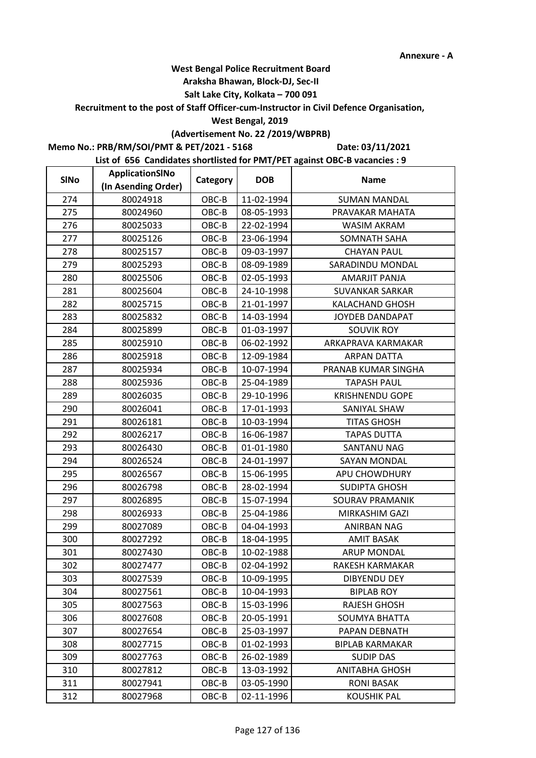#### **Araksha Bhawan, Block-DJ, Sec-II**

## **Salt Lake City, Kolkata – 700 091**

**Recruitment to the post of Staff Officer-cum-Instructor in Civil Defence Organisation,** 

#### **West Bengal, 2019**

# **(Advertisement No. 22 /2019/WBPRB)**

**Memo No.: PRB/RM/SOI/PMT & PET/2021 - 5168**

**Date: 03/11/2021**

| <b>SINo</b> | ApplicationSINo     | Category | <b>DOB</b> | <b>Name</b>            |
|-------------|---------------------|----------|------------|------------------------|
|             | (In Asending Order) |          |            |                        |
| 274         | 80024918            | OBC-B    | 11-02-1994 | <b>SUMAN MANDAL</b>    |
| 275         | 80024960            | OBC-B    | 08-05-1993 | PRAVAKAR MAHATA        |
| 276         | 80025033            | OBC-B    | 22-02-1994 | WASIM AKRAM            |
| 277         | 80025126            | OBC-B    | 23-06-1994 | <b>SOMNATH SAHA</b>    |
| 278         | 80025157            | OBC-B    | 09-03-1997 | <b>CHAYAN PAUL</b>     |
| 279         | 80025293            | OBC-B    | 08-09-1989 | SARADINDU MONDAL       |
| 280         | 80025506            | OBC-B    | 02-05-1993 | <b>AMARJIT PANJA</b>   |
| 281         | 80025604            | OBC-B    | 24-10-1998 | <b>SUVANKAR SARKAR</b> |
| 282         | 80025715            | OBC-B    | 21-01-1997 | KALACHAND GHOSH        |
| 283         | 80025832            | OBC-B    | 14-03-1994 | <b>JOYDEB DANDAPAT</b> |
| 284         | 80025899            | OBC-B    | 01-03-1997 | <b>SOUVIK ROY</b>      |
| 285         | 80025910            | OBC-B    | 06-02-1992 | ARKAPRAVA KARMAKAR     |
| 286         | 80025918            | OBC-B    | 12-09-1984 | <b>ARPAN DATTA</b>     |
| 287         | 80025934            | OBC-B    | 10-07-1994 | PRANAB KUMAR SINGHA    |
| 288         | 80025936            | OBC-B    | 25-04-1989 | <b>TAPASH PAUL</b>     |
| 289         | 80026035            | OBC-B    | 29-10-1996 | <b>KRISHNENDU GOPE</b> |
| 290         | 80026041            | OBC-B    | 17-01-1993 | SANIYAL SHAW           |
| 291         | 80026181            | OBC-B    | 10-03-1994 | <b>TITAS GHOSH</b>     |
| 292         | 80026217            | OBC-B    | 16-06-1987 | <b>TAPAS DUTTA</b>     |
| 293         | 80026430            | OBC-B    | 01-01-1980 | SANTANU NAG            |
| 294         | 80026524            | OBC-B    | 24-01-1997 | <b>SAYAN MONDAL</b>    |
| 295         | 80026567            | OBC-B    | 15-06-1995 | APU CHOWDHURY          |
| 296         | 80026798            | OBC-B    | 28-02-1994 | <b>SUDIPTA GHOSH</b>   |
| 297         | 80026895            | OBC-B    | 15-07-1994 | <b>SOURAV PRAMANIK</b> |
| 298         | 80026933            | OBC-B    | 25-04-1986 | MIRKASHIM GAZI         |
| 299         | 80027089            | OBC-B    | 04-04-1993 | ANIRBAN NAG            |
| 300         | 80027292            | OBC-B    | 18-04-1995 | <b>AMIT BASAK</b>      |
| 301         | 80027430            | OBC-B    | 10-02-1988 | <b>ARUP MONDAL</b>     |
| 302         | 80027477            | OBC-B    | 02-04-1992 | RAKESH KARMAKAR        |
| 303         | 80027539            | OBC-B    | 10-09-1995 | <b>DIBYENDU DEY</b>    |
| 304         | 80027561            | OBC-B    | 10-04-1993 | <b>BIPLAB ROY</b>      |
| 305         | 80027563            | OBC-B    | 15-03-1996 | <b>RAJESH GHOSH</b>    |
| 306         | 80027608            | OBC-B    | 20-05-1991 | <b>SOUMYA BHATTA</b>   |
| 307         | 80027654            | $OBC-B$  | 25-03-1997 | PAPAN DEBNATH          |
| 308         | 80027715            | OBC-B    | 01-02-1993 | <b>BIPLAB KARMAKAR</b> |
| 309         | 80027763            | OBC-B    | 26-02-1989 | SUDIP DAS              |
| 310         | 80027812            | OBC-B    | 13-03-1992 | <b>ANITABHA GHOSH</b>  |
| 311         | 80027941            | OBC-B    | 03-05-1990 | <b>RONI BASAK</b>      |
| 312         | 80027968            | OBC-B    | 02-11-1996 | <b>KOUSHIK PAL</b>     |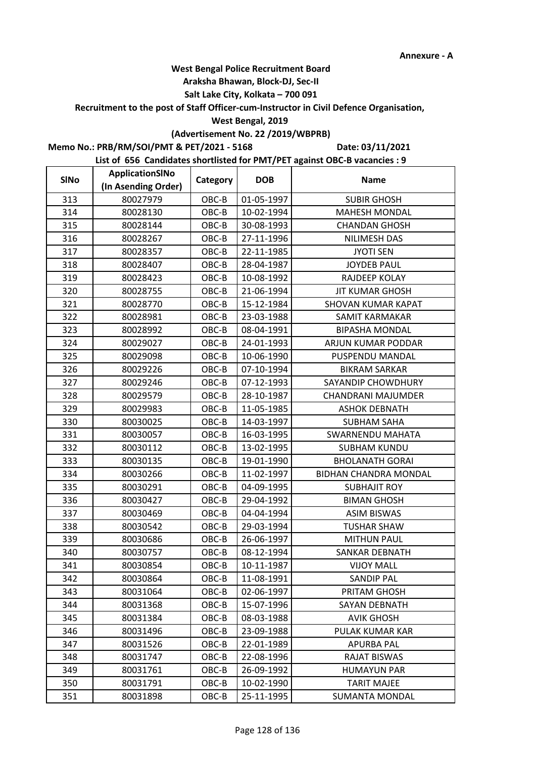#### **Araksha Bhawan, Block-DJ, Sec-II**

## **Salt Lake City, Kolkata – 700 091**

**Recruitment to the post of Staff Officer-cum-Instructor in Civil Defence Organisation,** 

#### **West Bengal, 2019**

## **(Advertisement No. 22 /2019/WBPRB)**

**Memo No.: PRB/RM/SOI/PMT & PET/2021 - 5168**

**Date: 03/11/2021**

| <b>SINo</b> | ApplicationSINo     | Category | <b>DOB</b> | <b>Name</b>                  |
|-------------|---------------------|----------|------------|------------------------------|
|             | (In Asending Order) |          |            |                              |
| 313         | 80027979            | OBC-B    | 01-05-1997 | <b>SUBIR GHOSH</b>           |
| 314         | 80028130            | OBC-B    | 10-02-1994 | <b>MAHESH MONDAL</b>         |
| 315         | 80028144            | OBC-B    | 30-08-1993 | <b>CHANDAN GHOSH</b>         |
| 316         | 80028267            | OBC-B    | 27-11-1996 | NILIMESH DAS                 |
| 317         | 80028357            | OBC-B    | 22-11-1985 | <b>JYOTI SEN</b>             |
| 318         | 80028407            | OBC-B    | 28-04-1987 | <b>JOYDEB PAUL</b>           |
| 319         | 80028423            | OBC-B    | 10-08-1992 | RAJDEEP KOLAY                |
| 320         | 80028755            | OBC-B    | 21-06-1994 | <b>JIT KUMAR GHOSH</b>       |
| 321         | 80028770            | OBC-B    | 15-12-1984 | <b>SHOVAN KUMAR KAPAT</b>    |
| 322         | 80028981            | OBC-B    | 23-03-1988 | SAMIT KARMAKAR               |
| 323         | 80028992            | OBC-B    | 08-04-1991 | <b>BIPASHA MONDAL</b>        |
| 324         | 80029027            | OBC-B    | 24-01-1993 | ARJUN KUMAR PODDAR           |
| 325         | 80029098            | OBC-B    | 10-06-1990 | PUSPENDU MANDAL              |
| 326         | 80029226            | OBC-B    | 07-10-1994 | <b>BIKRAM SARKAR</b>         |
| 327         | 80029246            | OBC-B    | 07-12-1993 | SAYANDIP CHOWDHURY           |
| 328         | 80029579            | OBC-B    | 28-10-1987 | <b>CHANDRANI MAJUMDER</b>    |
| 329         | 80029983            | OBC-B    | 11-05-1985 | <b>ASHOK DEBNATH</b>         |
| 330         | 80030025            | OBC-B    | 14-03-1997 | <b>SUBHAM SAHA</b>           |
| 331         | 80030057            | OBC-B    | 16-03-1995 | <b>SWARNENDU MAHATA</b>      |
| 332         | 80030112            | OBC-B    | 13-02-1995 | <b>SUBHAM KUNDU</b>          |
| 333         | 80030135            | OBC-B    | 19-01-1990 | <b>BHOLANATH GORAI</b>       |
| 334         | 80030266            | OBC-B    | 11-02-1997 | <b>BIDHAN CHANDRA MONDAL</b> |
| 335         | 80030291            | OBC-B    | 04-09-1995 | <b>SUBHAJIT ROY</b>          |
| 336         | 80030427            | OBC-B    | 29-04-1992 | <b>BIMAN GHOSH</b>           |
| 337         | 80030469            | OBC-B    | 04-04-1994 | <b>ASIM BISWAS</b>           |
| 338         | 80030542            | OBC-B    | 29-03-1994 | <b>TUSHAR SHAW</b>           |
| 339         | 80030686            | OBC-B    | 26-06-1997 | <b>MITHUN PAUL</b>           |
| 340         | 80030757            | OBC-B    | 08-12-1994 | <b>SANKAR DEBNATH</b>        |
| 341         | 80030854            | OBC-B    | 10-11-1987 | <b>VIJOY MALL</b>            |
| 342         | 80030864            | OBC-B    | 11-08-1991 | <b>SANDIP PAL</b>            |
| 343         | 80031064            | OBC-B    | 02-06-1997 | PRITAM GHOSH                 |
| 344         | 80031368            | OBC-B    | 15-07-1996 | SAYAN DEBNATH                |
| 345         | 80031384            | OBC-B    | 08-03-1988 | <b>AVIK GHOSH</b>            |
| 346         | 80031496            | OBC-B    | 23-09-1988 | PULAK KUMAR KAR              |
| 347         | 80031526            | OBC-B    | 22-01-1989 | <b>APURBA PAL</b>            |
| 348         | 80031747            | OBC-B    | 22-08-1996 | <b>RAJAT BISWAS</b>          |
| 349         | 80031761            | OBC-B    | 26-09-1992 | <b>HUMAYUN PAR</b>           |
| 350         | 80031791            | OBC-B    | 10-02-1990 | <b>TARIT MAJEE</b>           |
| 351         | 80031898            | OBC-B    | 25-11-1995 | <b>SUMANTA MONDAL</b>        |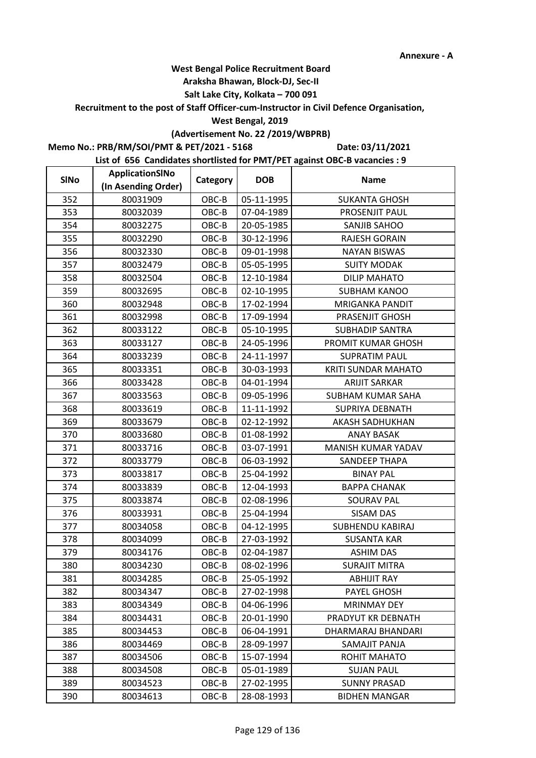#### **Araksha Bhawan, Block-DJ, Sec-II**

## **Salt Lake City, Kolkata – 700 091**

**Recruitment to the post of Staff Officer-cum-Instructor in Civil Defence Organisation,** 

#### **West Bengal, 2019**

## **(Advertisement No. 22 /2019/WBPRB)**

**Memo No.: PRB/RM/SOI/PMT & PET/2021 - 5168**

**Date: 03/11/2021**

| <b>SINo</b> | ApplicationSINo     | Category | <b>DOB</b> | <b>Name</b>                |  |
|-------------|---------------------|----------|------------|----------------------------|--|
|             | (In Asending Order) |          |            |                            |  |
| 352         | 80031909            | OBC-B    | 05-11-1995 | <b>SUKANTA GHOSH</b>       |  |
| 353         | 80032039            | OBC-B    | 07-04-1989 | PROSENJIT PAUL             |  |
| 354         | 80032275            | OBC-B    | 20-05-1985 | <b>SANJIB SAHOO</b>        |  |
| 355         | 80032290            | OBC-B    | 30-12-1996 | RAJESH GORAIN              |  |
| 356         | 80032330            | OBC-B    | 09-01-1998 | <b>NAYAN BISWAS</b>        |  |
| 357         | 80032479            | OBC-B    | 05-05-1995 | <b>SUITY MODAK</b>         |  |
| 358         | 80032504            | OBC-B    | 12-10-1984 | <b>DILIP MAHATO</b>        |  |
| 359         | 80032695            | OBC-B    | 02-10-1995 | <b>SUBHAM KANOO</b>        |  |
| 360         | 80032948            | OBC-B    | 17-02-1994 | <b>MRIGANKA PANDIT</b>     |  |
| 361         | 80032998            | OBC-B    | 17-09-1994 | PRASENJIT GHOSH            |  |
| 362         | 80033122            | OBC-B    | 05-10-1995 | <b>SUBHADIP SANTRA</b>     |  |
| 363         | 80033127            | OBC-B    | 24-05-1996 | PROMIT KUMAR GHOSH         |  |
| 364         | 80033239            | OBC-B    | 24-11-1997 | <b>SUPRATIM PAUL</b>       |  |
| 365         | 80033351            | OBC-B    | 30-03-1993 | <b>KRITI SUNDAR MAHATO</b> |  |
| 366         | 80033428            | OBC-B    | 04-01-1994 | <b>ARIJIT SARKAR</b>       |  |
| 367         | 80033563            | OBC-B    | 09-05-1996 | <b>SUBHAM KUMAR SAHA</b>   |  |
| 368         | 80033619            | OBC-B    | 11-11-1992 | <b>SUPRIYA DEBNATH</b>     |  |
| 369         | 80033679            | OBC-B    | 02-12-1992 | AKASH SADHUKHAN            |  |
| 370         | 80033680            | OBC-B    | 01-08-1992 | <b>ANAY BASAK</b>          |  |
| 371         | 80033716            | OBC-B    | 03-07-1991 | MANISH KUMAR YADAV         |  |
| 372         | 80033779            | OBC-B    | 06-03-1992 | SANDEEP THAPA              |  |
| 373         | 80033817            | OBC-B    | 25-04-1992 | <b>BINAY PAL</b>           |  |
| 374         | 80033839            | OBC-B    | 12-04-1993 | <b>BAPPA CHANAK</b>        |  |
| 375         | 80033874            | OBC-B    | 02-08-1996 | <b>SOURAV PAL</b>          |  |
| 376         | 80033931            | OBC-B    | 25-04-1994 | SISAM DAS                  |  |
| 377         | 80034058            | OBC-B    | 04-12-1995 | SUBHENDU KABIRAJ           |  |
| 378         | 80034099            | OBC-B    | 27-03-1992 | <b>SUSANTA KAR</b>         |  |
| 379         | 80034176            | OBC-B    | 02-04-1987 | <b>ASHIM DAS</b>           |  |
| 380         | 80034230            | OBC-B    | 08-02-1996 | <b>SURAJIT MITRA</b>       |  |
| 381         | 80034285            | OBC-B    | 25-05-1992 | <b>ABHIJIT RAY</b>         |  |
| 382         | 80034347            | OBC-B    | 27-02-1998 | <b>PAYEL GHOSH</b>         |  |
| 383         | 80034349            | OBC-B    | 04-06-1996 | <b>MRINMAY DEY</b>         |  |
| 384         | 80034431            | OBC-B    | 20-01-1990 | PRADYUT KR DEBNATH         |  |
| 385         | 80034453            | OBC-B    | 06-04-1991 | DHARMARAJ BHANDARI         |  |
| 386         | 80034469            | OBC-B    | 28-09-1997 | SAMAJIT PANJA              |  |
| 387         | 80034506            | OBC-B    | 15-07-1994 | ROHIT MAHATO               |  |
| 388         | 80034508            | OBC-B    | 05-01-1989 | <b>SUJAN PAUL</b>          |  |
| 389         | 80034523            | OBC-B    | 27-02-1995 | <b>SUNNY PRASAD</b>        |  |
| 390         | 80034613            | OBC-B    | 28-08-1993 | <b>BIDHEN MANGAR</b>       |  |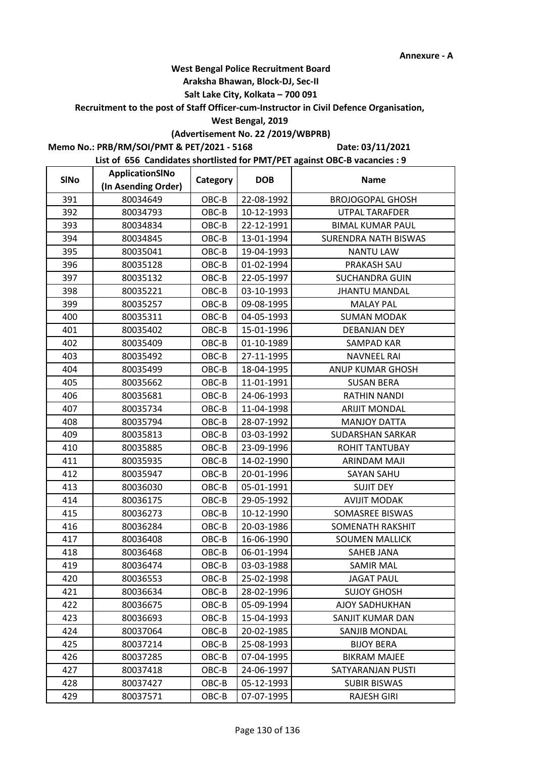#### **Araksha Bhawan, Block-DJ, Sec-II**

## **Salt Lake City, Kolkata – 700 091**

**Recruitment to the post of Staff Officer-cum-Instructor in Civil Defence Organisation,** 

#### **West Bengal, 2019**

## **(Advertisement No. 22 /2019/WBPRB)**

**Memo No.: PRB/RM/SOI/PMT & PET/2021 - 5168**

**Date: 03/11/2021**

| <b>SINo</b> | ApplicationSINo     | Category | <b>DOB</b> | <b>Name</b>                 |
|-------------|---------------------|----------|------------|-----------------------------|
|             | (In Asending Order) |          |            |                             |
| 391         | 80034649            | OBC-B    | 22-08-1992 | <b>BROJOGOPAL GHOSH</b>     |
| 392         | 80034793            | OBC-B    | 10-12-1993 | <b>UTPAL TARAFDER</b>       |
| 393         | 80034834            | OBC-B    | 22-12-1991 | <b>BIMAL KUMAR PAUL</b>     |
| 394         | 80034845            | OBC-B    | 13-01-1994 | <b>SURENDRA NATH BISWAS</b> |
| 395         | 80035041            | OBC-B    | 19-04-1993 | <b>NANTU LAW</b>            |
| 396         | 80035128            | OBC-B    | 01-02-1994 | PRAKASH SAU                 |
| 397         | 80035132            | OBC-B    | 22-05-1997 | <b>SUCHANDRA GUIN</b>       |
| 398         | 80035221            | OBC-B    | 03-10-1993 | <b>JHANTU MANDAL</b>        |
| 399         | 80035257            | OBC-B    | 09-08-1995 | <b>MALAY PAL</b>            |
| 400         | 80035311            | OBC-B    | 04-05-1993 | <b>SUMAN MODAK</b>          |
| 401         | 80035402            | OBC-B    | 15-01-1996 | DEBANJAN DEY                |
| 402         | 80035409            | OBC-B    | 01-10-1989 | <b>SAMPAD KAR</b>           |
| 403         | 80035492            | OBC-B    | 27-11-1995 | <b>NAVNEEL RAI</b>          |
| 404         | 80035499            | OBC-B    | 18-04-1995 | ANUP KUMAR GHOSH            |
| 405         | 80035662            | OBC-B    | 11-01-1991 | <b>SUSAN BERA</b>           |
| 406         | 80035681            | OBC-B    | 24-06-1993 | <b>RATHIN NANDI</b>         |
| 407         | 80035734            | OBC-B    | 11-04-1998 | <b>ARIJIT MONDAL</b>        |
| 408         | 80035794            | OBC-B    | 28-07-1992 | <b>MANJOY DATTA</b>         |
| 409         | 80035813            | OBC-B    | 03-03-1992 | SUDARSHAN SARKAR            |
| 410         | 80035885            | OBC-B    | 23-09-1996 | <b>ROHIT TANTUBAY</b>       |
| 411         | 80035935            | OBC-B    | 14-02-1990 | ARINDAM MAJI                |
| 412         | 80035947            | OBC-B    | 20-01-1996 | <b>SAYAN SAHU</b>           |
| 413         | 80036030            | OBC-B    | 05-01-1991 | <b>SUJIT DEY</b>            |
| 414         | 80036175            | OBC-B    | 29-05-1992 | <b>AVIJIT MODAK</b>         |
| 415         | 80036273            | OBC-B    | 10-12-1990 | SOMASREE BISWAS             |
| 416         | 80036284            | OBC-B    | 20-03-1986 | <b>SOMENATH RAKSHIT</b>     |
| 417         | 80036408            | OBC-B    | 16-06-1990 | <b>SOUMEN MALLICK</b>       |
| 418         | 80036468            | OBC-B    | 06-01-1994 | <b>SAHEB JANA</b>           |
| 419         | 80036474            | OBC-B    | 03-03-1988 | SAMIR MAL                   |
| 420         | 80036553            | OBC-B    | 25-02-1998 | <b>JAGAT PAUL</b>           |
| 421         | 80036634            | OBC-B    | 28-02-1996 | <b>SUJOY GHOSH</b>          |
| 422         | 80036675            | OBC-B    | 05-09-1994 | AJOY SADHUKHAN              |
| 423         | 80036693            | OBC-B    | 15-04-1993 | SANJIT KUMAR DAN            |
| 424         | 80037064            | OBC-B    | 20-02-1985 | SANJIB MONDAL               |
| 425         | 80037214            | OBC-B    | 25-08-1993 | <b>BIJOY BERA</b>           |
| 426         | 80037285            | OBC-B    | 07-04-1995 | <b>BIKRAM MAJEE</b>         |
| 427         | 80037418            | OBC-B    | 24-06-1997 | SATYARANJAN PUSTI           |
| 428         | 80037427            | OBC-B    | 05-12-1993 | <b>SUBIR BISWAS</b>         |
| 429         | 80037571            | OBC-B    | 07-07-1995 | <b>RAJESH GIRI</b>          |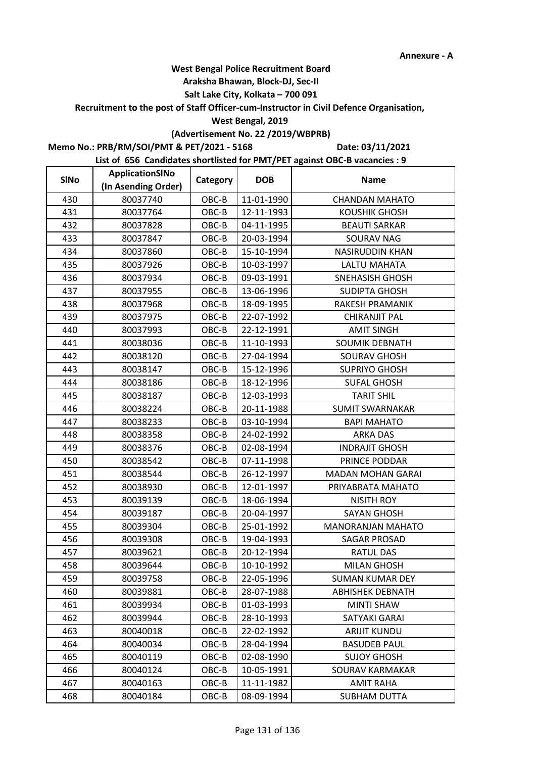#### **Araksha Bhawan, Block-DJ, Sec-II**

## **Salt Lake City, Kolkata – 700 091**

**Recruitment to the post of Staff Officer-cum-Instructor in Civil Defence Organisation,** 

#### **West Bengal, 2019**

## **(Advertisement No. 22 /2019/WBPRB)**

**Memo No.: PRB/RM/SOI/PMT & PET/2021 - 5168**

**Date: 03/11/2021**

| <b>SINo</b> | ApplicationSINo     | Category | <b>DOB</b> | <b>Name</b>              |
|-------------|---------------------|----------|------------|--------------------------|
|             | (In Asending Order) |          |            |                          |
| 430         | 80037740            | OBC-B    | 11-01-1990 | <b>CHANDAN MAHATO</b>    |
| 431         | 80037764            | OBC-B    | 12-11-1993 | KOUSHIK GHOSH            |
| 432         | 80037828            | OBC-B    | 04-11-1995 | <b>BEAUTI SARKAR</b>     |
| 433         | 80037847            | OBC-B    | 20-03-1994 | <b>SOURAV NAG</b>        |
| 434         | 80037860            | OBC-B    | 15-10-1994 | <b>NASIRUDDIN KHAN</b>   |
| 435         | 80037926            | OBC-B    | 10-03-1997 | LALTU MAHATA             |
| 436         | 80037934            | OBC-B    | 09-03-1991 | <b>SNEHASISH GHOSH</b>   |
| 437         | 80037955            | OBC-B    | 13-06-1996 | SUDIPTA GHOSH            |
| 438         | 80037968            | OBC-B    | 18-09-1995 | RAKESH PRAMANIK          |
| 439         | 80037975            | OBC-B    | 22-07-1992 | CHIRANJIT PAL            |
| 440         | 80037993            | OBC-B    | 22-12-1991 | <b>AMIT SINGH</b>        |
| 441         | 80038036            | OBC-B    | 11-10-1993 | SOUMIK DEBNATH           |
| 442         | 80038120            | OBC-B    | 27-04-1994 | <b>SOURAV GHOSH</b>      |
| 443         | 80038147            | OBC-B    | 15-12-1996 | <b>SUPRIYO GHOSH</b>     |
| 444         | 80038186            | OBC-B    | 18-12-1996 | <b>SUFAL GHOSH</b>       |
| 445         | 80038187            | OBC-B    | 12-03-1993 | <b>TARIT SHIL</b>        |
| 446         | 80038224            | OBC-B    | 20-11-1988 | <b>SUMIT SWARNAKAR</b>   |
| 447         | 80038233            | OBC-B    | 03-10-1994 | <b>BAPI MAHATO</b>       |
| 448         | 80038358            | OBC-B    | 24-02-1992 | ARKA DAS                 |
| 449         | 80038376            | OBC-B    | 02-08-1994 | <b>INDRAJIT GHOSH</b>    |
| 450         | 80038542            | OBC-B    | 07-11-1998 | PRINCE PODDAR            |
| 451         | 80038544            | OBC-B    | 26-12-1997 | <b>MADAN MOHAN GARAI</b> |
| 452         | 80038930            | OBC-B    | 12-01-1997 | PRIYABRATA MAHATO        |
| 453         | 80039139            | OBC-B    | 18-06-1994 | <b>NISITH ROY</b>        |
| 454         | 80039187            | OBC-B    | 20-04-1997 | <b>SAYAN GHOSH</b>       |
| 455         | 80039304            | OBC-B    | 25-01-1992 | <b>MANORANJAN MAHATO</b> |
| 456         | 80039308            | OBC-B    | 19-04-1993 | SAGAR PROSAD             |
| 457         | 80039621            | OBC-B    | 20-12-1994 | <b>RATUL DAS</b>         |
| 458         | 80039644            | OBC-B    | 10-10-1992 | <b>MILAN GHOSH</b>       |
| 459         | 80039758            | OBC-B    | 22-05-1996 | <b>SUMAN KUMAR DEY</b>   |
| 460         | 80039881            | OBC-B    | 28-07-1988 | <b>ABHISHEK DEBNATH</b>  |
| 461         | 80039934            | OBC-B    | 01-03-1993 | <b>MINTI SHAW</b>        |
| 462         | 80039944            | OBC-B    | 28-10-1993 | SATYAKI GARAI            |
| 463         | 80040018            | OBC-B    | 22-02-1992 | <b>ARIJIT KUNDU</b>      |
| 464         | 80040034            | OBC-B    | 28-04-1994 | <b>BASUDEB PAUL</b>      |
| 465         | 80040119            | OBC-B    | 02-08-1990 | <b>SUJOY GHOSH</b>       |
| 466         | 80040124            | OBC-B    | 10-05-1991 | SOURAV KARMAKAR          |
| 467         | 80040163            | OBC-B    | 11-11-1982 | <b>AMIT RAHA</b>         |
| 468         | 80040184            | OBC-B    | 08-09-1994 | SUBHAM DUTTA             |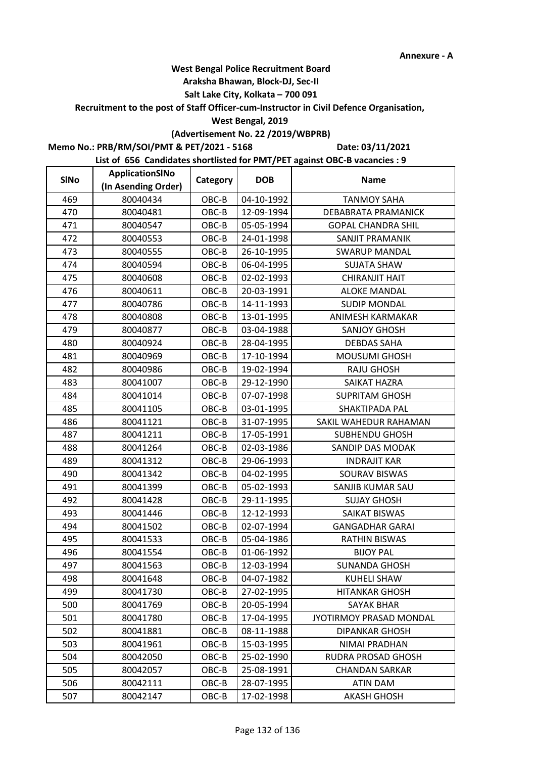#### **Araksha Bhawan, Block-DJ, Sec-II**

## **Salt Lake City, Kolkata – 700 091**

**Recruitment to the post of Staff Officer-cum-Instructor in Civil Defence Organisation,** 

#### **West Bengal, 2019**

## **(Advertisement No. 22 /2019/WBPRB)**

**Memo No.: PRB/RM/SOI/PMT & PET/2021 - 5168**

**Date: 03/11/2021**

| <b>SINo</b> | ApplicationSINo     | Category | <b>DOB</b> | <b>Name</b>               |
|-------------|---------------------|----------|------------|---------------------------|
|             | (In Asending Order) |          |            |                           |
| 469         | 80040434            | OBC-B    | 04-10-1992 | <b>TANMOY SAHA</b>        |
| 470         | 80040481            | OBC-B    | 12-09-1994 | DEBABRATA PRAMANICK       |
| 471         | 80040547            | OBC-B    | 05-05-1994 | <b>GOPAL CHANDRA SHIL</b> |
| 472         | 80040553            | OBC-B    | 24-01-1998 | SANJIT PRAMANIK           |
| 473         | 80040555            | OBC-B    | 26-10-1995 | <b>SWARUP MANDAL</b>      |
| 474         | 80040594            | OBC-B    | 06-04-1995 | <b>SUJATA SHAW</b>        |
| 475         | 80040608            | OBC-B    | 02-02-1993 | <b>CHIRANJIT HAIT</b>     |
| 476         | 80040611            | OBC-B    | 20-03-1991 | <b>ALOKE MANDAL</b>       |
| 477         | 80040786            | OBC-B    | 14-11-1993 | <b>SUDIP MONDAL</b>       |
| 478         | 80040808            | OBC-B    | 13-01-1995 | ANIMESH KARMAKAR          |
| 479         | 80040877            | OBC-B    | 03-04-1988 | <b>SANJOY GHOSH</b>       |
| 480         | 80040924            | OBC-B    | 28-04-1995 | <b>DEBDAS SAHA</b>        |
| 481         | 80040969            | OBC-B    | 17-10-1994 | <b>MOUSUMI GHOSH</b>      |
| 482         | 80040986            | OBC-B    | 19-02-1994 | <b>RAJU GHOSH</b>         |
| 483         | 80041007            | OBC-B    | 29-12-1990 | SAIKAT HAZRA              |
| 484         | 80041014            | OBC-B    | 07-07-1998 | <b>SUPRITAM GHOSH</b>     |
| 485         | 80041105            | OBC-B    | 03-01-1995 | SHAKTIPADA PAL            |
| 486         | 80041121            | OBC-B    | 31-07-1995 | SAKIL WAHEDUR RAHAMAN     |
| 487         | 80041211            | OBC-B    | 17-05-1991 | <b>SUBHENDU GHOSH</b>     |
| 488         | 80041264            | OBC-B    | 02-03-1986 | SANDIP DAS MODAK          |
| 489         | 80041312            | OBC-B    | 29-06-1993 | <b>INDRAJIT KAR</b>       |
| 490         | 80041342            | OBC-B    | 04-02-1995 | SOURAV BISWAS             |
| 491         | 80041399            | OBC-B    | 05-02-1993 | SANJIB KUMAR SAU          |
| 492         | 80041428            | OBC-B    | 29-11-1995 | <b>SUJAY GHOSH</b>        |
| 493         | 80041446            | OBC-B    | 12-12-1993 | SAIKAT BISWAS             |
| 494         | 80041502            | OBC-B    | 02-07-1994 | <b>GANGADHAR GARAI</b>    |
| 495         | 80041533            | OBC-B    | 05-04-1986 | <b>RATHIN BISWAS</b>      |
| 496         | 80041554            | OBC-B    | 01-06-1992 | <b>BIJOY PAL</b>          |
| 497         | 80041563            | OBC-B    | 12-03-1994 | <b>SUNANDA GHOSH</b>      |
| 498         | 80041648            | OBC-B    | 04-07-1982 | <b>KUHELI SHAW</b>        |
| 499         | 80041730            | OBC-B    | 27-02-1995 | <b>HITANKAR GHOSH</b>     |
| 500         | 80041769            | OBC-B    | 20-05-1994 | <b>SAYAK BHAR</b>         |
| 501         | 80041780            | OBC-B    | 17-04-1995 | JYOTIRMOY PRASAD MONDAL   |
| 502         | 80041881            | OBC-B    | 08-11-1988 | <b>DIPANKAR GHOSH</b>     |
| 503         | 80041961            | OBC-B    | 15-03-1995 | NIMAI PRADHAN             |
| 504         | 80042050            | OBC-B    | 25-02-1990 | RUDRA PROSAD GHOSH        |
| 505         | 80042057            | OBC-B    | 25-08-1991 | <b>CHANDAN SARKAR</b>     |
| 506         | 80042111            | OBC-B    | 28-07-1995 | ATIN DAM                  |
| 507         | 80042147            | OBC-B    | 17-02-1998 | <b>AKASH GHOSH</b>        |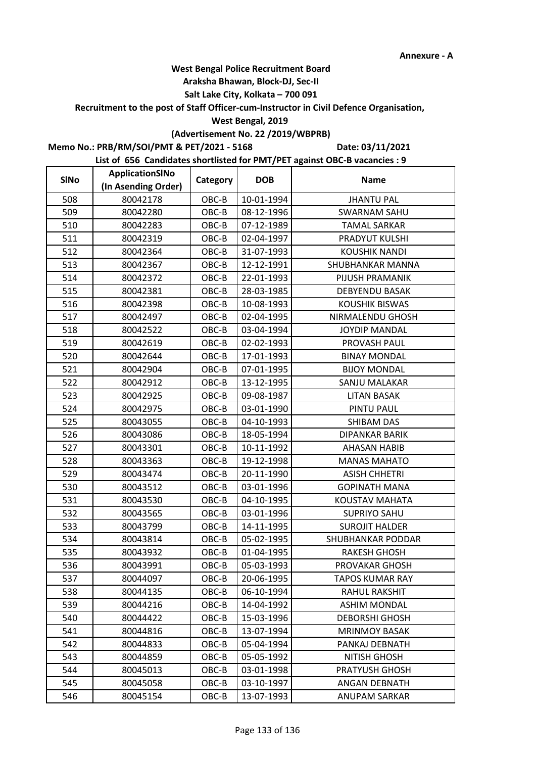#### **Araksha Bhawan, Block-DJ, Sec-II**

## **Salt Lake City, Kolkata – 700 091**

**Recruitment to the post of Staff Officer-cum-Instructor in Civil Defence Organisation,** 

#### **West Bengal, 2019**

## **(Advertisement No. 22 /2019/WBPRB)**

**Memo No.: PRB/RM/SOI/PMT & PET/2021 - 5168**

**Date: 03/11/2021**

| <b>SINo</b> | ApplicationSINo     | Category | <b>DOB</b> | <b>Name</b>            |
|-------------|---------------------|----------|------------|------------------------|
|             | (In Asending Order) |          |            |                        |
| 508         | 80042178            | $OBC-B$  | 10-01-1994 | <b>JHANTU PAL</b>      |
| 509         | 80042280            | OBC-B    | 08-12-1996 | <b>SWARNAM SAHU</b>    |
| 510         | 80042283            | OBC-B    | 07-12-1989 | <b>TAMAL SARKAR</b>    |
| 511         | 80042319            | OBC-B    | 02-04-1997 | PRADYUT KULSHI         |
| 512         | 80042364            | OBC-B    | 31-07-1993 | <b>KOUSHIK NANDI</b>   |
| 513         | 80042367            | OBC-B    | 12-12-1991 | SHUBHANKAR MANNA       |
| 514         | 80042372            | OBC-B    | 22-01-1993 | PIJUSH PRAMANIK        |
| 515         | 80042381            | OBC-B    | 28-03-1985 | <b>DEBYENDU BASAK</b>  |
| 516         | 80042398            | OBC-B    | 10-08-1993 | <b>KOUSHIK BISWAS</b>  |
| 517         | 80042497            | OBC-B    | 02-04-1995 | NIRMALENDU GHOSH       |
| 518         | 80042522            | OBC-B    | 03-04-1994 | <b>JOYDIP MANDAL</b>   |
| 519         | 80042619            | OBC-B    | 02-02-1993 | PROVASH PAUL           |
| 520         | 80042644            | OBC-B    | 17-01-1993 | <b>BINAY MONDAL</b>    |
| 521         | 80042904            | OBC-B    | 07-01-1995 | <b>BIJOY MONDAL</b>    |
| 522         | 80042912            | OBC-B    | 13-12-1995 | SANJU MALAKAR          |
| 523         | 80042925            | OBC-B    | 09-08-1987 | <b>LITAN BASAK</b>     |
| 524         | 80042975            | OBC-B    | 03-01-1990 | PINTU PAUL             |
| 525         | 80043055            | OBC-B    | 04-10-1993 | <b>SHIBAM DAS</b>      |
| 526         | 80043086            | OBC-B    | 18-05-1994 | DIPANKAR BARIK         |
| 527         | 80043301            | OBC-B    | 10-11-1992 | AHASAN HABIB           |
| 528         | 80043363            | OBC-B    | 19-12-1998 | <b>MANAS MAHATO</b>    |
| 529         | 80043474            | OBC-B    | 20-11-1990 | <b>ASISH CHHETRI</b>   |
| 530         | 80043512            | OBC-B    | 03-01-1996 | <b>GOPINATH MANA</b>   |
| 531         | 80043530            | OBC-B    | 04-10-1995 | KOUSTAV MAHATA         |
| 532         | 80043565            | OBC-B    | 03-01-1996 | <b>SUPRIYO SAHU</b>    |
| 533         | 80043799            | OBC-B    | 14-11-1995 | <b>SUROJIT HALDER</b>  |
| 534         | 80043814            | OBC-B    | 05-02-1995 | SHUBHANKAR PODDAR      |
| 535         | 80043932            | OBC-B    | 01-04-1995 | <b>RAKESH GHOSH</b>    |
| 536         | 80043991            | OBC-B    | 05-03-1993 | PROVAKAR GHOSH         |
| 537         | 80044097            | OBC-B    | 20-06-1995 | <b>TAPOS KUMAR RAY</b> |
| 538         | 80044135            | OBC-B    | 06-10-1994 | RAHUL RAKSHIT          |
| 539         | 80044216            | OBC-B    | 14-04-1992 | <b>ASHIM MONDAL</b>    |
| 540         | 80044422            | OBC-B    | 15-03-1996 | <b>DEBORSHI GHOSH</b>  |
| 541         | 80044816            | $OBC-B$  | 13-07-1994 | <b>MRINMOY BASAK</b>   |
| 542         | 80044833            | OBC-B    | 05-04-1994 | PANKAJ DEBNATH         |
| 543         | 80044859            | OBC-B    | 05-05-1992 | <b>NITISH GHOSH</b>    |
| 544         | 80045013            | OBC-B    | 03-01-1998 | PRATYUSH GHOSH         |
| 545         | 80045058            | OBC-B    | 03-10-1997 | ANGAN DEBNATH          |
| 546         | 80045154            | OBC-B    | 13-07-1993 | <b>ANUPAM SARKAR</b>   |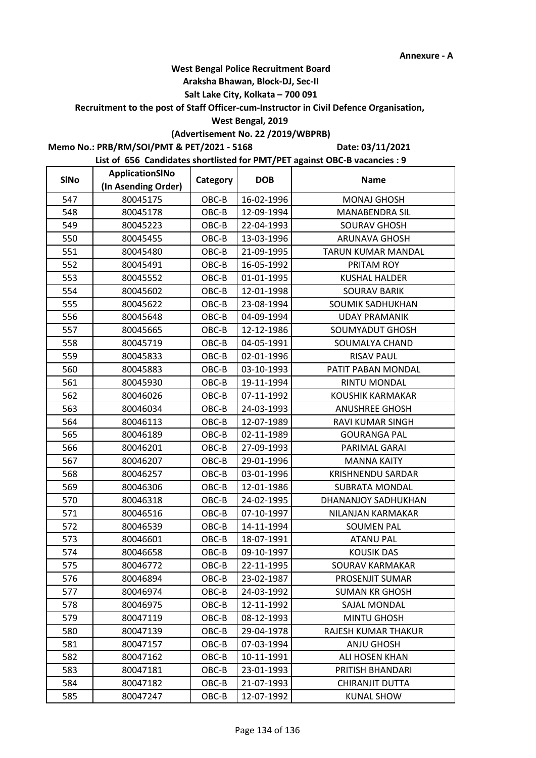#### **Araksha Bhawan, Block-DJ, Sec-II**

## **Salt Lake City, Kolkata – 700 091**

**Recruitment to the post of Staff Officer-cum-Instructor in Civil Defence Organisation,** 

#### **West Bengal, 2019**

## **(Advertisement No. 22 /2019/WBPRB)**

**Memo No.: PRB/RM/SOI/PMT & PET/2021 - 5168**

**Date: 03/11/2021**

| <b>SINo</b> | ApplicationSINo     | Category | <b>DOB</b> | <b>Name</b>              |
|-------------|---------------------|----------|------------|--------------------------|
|             | (In Asending Order) |          |            |                          |
| 547         | 80045175            | $OBC-B$  | 16-02-1996 | <b>MONAJ GHOSH</b>       |
| 548         | 80045178            | OBC-B    | 12-09-1994 | <b>MANABENDRA SIL</b>    |
| 549         | 80045223            | OBC-B    | 22-04-1993 | <b>SOURAV GHOSH</b>      |
| 550         | 80045455            | OBC-B    | 13-03-1996 | <b>ARUNAVA GHOSH</b>     |
| 551         | 80045480            | OBC-B    | 21-09-1995 | TARUN KUMAR MANDAL       |
| 552         | 80045491            | OBC-B    | 16-05-1992 | PRITAM ROY               |
| 553         | 80045552            | OBC-B    | 01-01-1995 | <b>KUSHAL HALDER</b>     |
| 554         | 80045602            | OBC-B    | 12-01-1998 | <b>SOURAV BARIK</b>      |
| 555         | 80045622            | OBC-B    | 23-08-1994 | SOUMIK SADHUKHAN         |
| 556         | 80045648            | OBC-B    | 04-09-1994 | <b>UDAY PRAMANIK</b>     |
| 557         | 80045665            | OBC-B    | 12-12-1986 | SOUMYADUT GHOSH          |
| 558         | 80045719            | OBC-B    | 04-05-1991 | SOUMALYA CHAND           |
| 559         | 80045833            | OBC-B    | 02-01-1996 | <b>RISAV PAUL</b>        |
| 560         | 80045883            | OBC-B    | 03-10-1993 | PATIT PABAN MONDAL       |
| 561         | 80045930            | OBC-B    | 19-11-1994 | RINTU MONDAL             |
| 562         | 80046026            | OBC-B    | 07-11-1992 | <b>KOUSHIK KARMAKAR</b>  |
| 563         | 80046034            | OBC-B    | 24-03-1993 | <b>ANUSHREE GHOSH</b>    |
| 564         | 80046113            | OBC-B    | 12-07-1989 | RAVI KUMAR SINGH         |
| 565         | 80046189            | OBC-B    | 02-11-1989 | <b>GOURANGA PAL</b>      |
| 566         | 80046201            | OBC-B    | 27-09-1993 | PARIMAL GARAI            |
| 567         | 80046207            | OBC-B    | 29-01-1996 | <b>MANNA KAITY</b>       |
| 568         | 80046257            | OBC-B    | 03-01-1996 | <b>KRISHNENDU SARDAR</b> |
| 569         | 80046306            | OBC-B    | 12-01-1986 | <b>SUBRATA MONDAL</b>    |
| 570         | 80046318            | OBC-B    | 24-02-1995 | DHANANJOY SADHUKHAN      |
| 571         | 80046516            | OBC-B    | 07-10-1997 | NILANJAN KARMAKAR        |
| 572         | 80046539            | OBC-B    | 14-11-1994 | <b>SOUMEN PAL</b>        |
| 573         | 80046601            | OBC-B    | 18-07-1991 | <b>ATANU PAL</b>         |
| 574         | 80046658            | OBC-B    | 09-10-1997 | <b>KOUSIK DAS</b>        |
| 575         | 80046772            | OBC-B    | 22-11-1995 | SOURAV KARMAKAR          |
| 576         | 80046894            | OBC-B    | 23-02-1987 | PROSENJIT SUMAR          |
| 577         | 80046974            | OBC-B    | 24-03-1992 | <b>SUMAN KR GHOSH</b>    |
| 578         | 80046975            | OBC-B    | 12-11-1992 | SAJAL MONDAL             |
| 579         | 80047119            | OBC-B    | 08-12-1993 | <b>MINTU GHOSH</b>       |
| 580         | 80047139            | $OBC-B$  | 29-04-1978 | RAJESH KUMAR THAKUR      |
| 581         | 80047157            | OBC-B    | 07-03-1994 | <b>ANJU GHOSH</b>        |
| 582         | 80047162            | OBC-B    | 10-11-1991 | ALI HOSEN KHAN           |
| 583         | 80047181            | OBC-B    | 23-01-1993 | PRITISH BHANDARI         |
| 584         | 80047182            | OBC-B    | 21-07-1993 | CHIRANJIT DUTTA          |
| 585         | 80047247            | OBC-B    | 12-07-1992 | <b>KUNAL SHOW</b>        |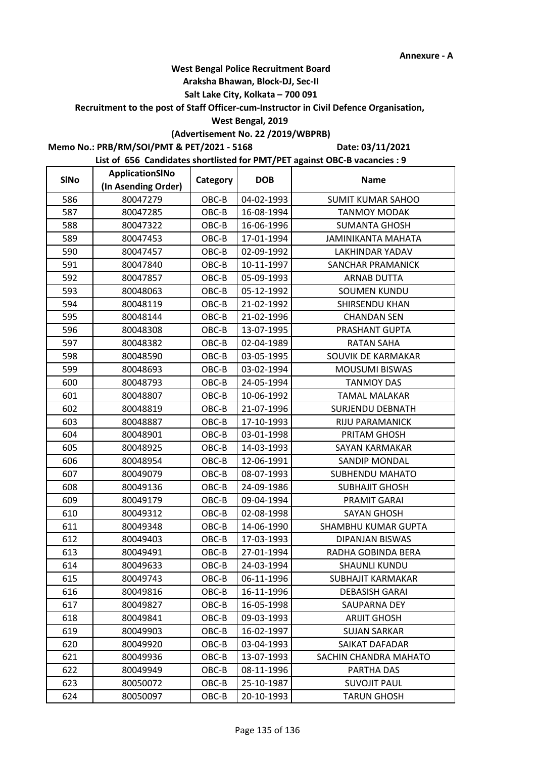#### **Araksha Bhawan, Block-DJ, Sec-II**

## **Salt Lake City, Kolkata – 700 091**

**Recruitment to the post of Staff Officer-cum-Instructor in Civil Defence Organisation,** 

#### **West Bengal, 2019**

## **(Advertisement No. 22 /2019/WBPRB)**

**Memo No.: PRB/RM/SOI/PMT & PET/2021 - 5168**

**Date: 03/11/2021**

| <b>SINo</b> | ApplicationSINo     | Category | <b>DOB</b> | <b>Name</b>               |
|-------------|---------------------|----------|------------|---------------------------|
|             | (In Asending Order) |          |            |                           |
| 586         | 80047279            | OBC-B    | 04-02-1993 | <b>SUMIT KUMAR SAHOO</b>  |
| 587         | 80047285            | OBC-B    | 16-08-1994 | <b>TANMOY MODAK</b>       |
| 588         | 80047322            | OBC-B    | 16-06-1996 | <b>SUMANTA GHOSH</b>      |
| 589         | 80047453            | OBC-B    | 17-01-1994 | <b>JAMINIKANTA MAHATA</b> |
| 590         | 80047457            | OBC-B    | 02-09-1992 | LAKHINDAR YADAV           |
| 591         | 80047840            | OBC-B    | 10-11-1997 | SANCHAR PRAMANICK         |
| 592         | 80047857            | OBC-B    | 05-09-1993 | <b>ARNAB DUTTA</b>        |
| 593         | 80048063            | OBC-B    | 05-12-1992 | <b>SOUMEN KUNDU</b>       |
| 594         | 80048119            | OBC-B    | 21-02-1992 | SHIRSENDU KHAN            |
| 595         | 80048144            | OBC-B    | 21-02-1996 | <b>CHANDAN SEN</b>        |
| 596         | 80048308            | OBC-B    | 13-07-1995 | PRASHANT GUPTA            |
| 597         | 80048382            | OBC-B    | 02-04-1989 | <b>RATAN SAHA</b>         |
| 598         | 80048590            | OBC-B    | 03-05-1995 | SOUVIK DE KARMAKAR        |
| 599         | 80048693            | OBC-B    | 03-02-1994 | <b>MOUSUMI BISWAS</b>     |
| 600         | 80048793            | OBC-B    | 24-05-1994 | <b>TANMOY DAS</b>         |
| 601         | 80048807            | OBC-B    | 10-06-1992 | <b>TAMAL MALAKAR</b>      |
| 602         | 80048819            | OBC-B    | 21-07-1996 | <b>SURJENDU DEBNATH</b>   |
| 603         | 80048887            | OBC-B    | 17-10-1993 | RIJU PARAMANICK           |
| 604         | 80048901            | OBC-B    | 03-01-1998 | PRITAM GHOSH              |
| 605         | 80048925            | OBC-B    | 14-03-1993 | SAYAN KARMAKAR            |
| 606         | 80048954            | OBC-B    | 12-06-1991 | SANDIP MONDAL             |
| 607         | 80049079            | OBC-B    | 08-07-1993 | SUBHENDU MAHATO           |
| 608         | 80049136            | OBC-B    | 24-09-1986 | <b>SUBHAJIT GHOSH</b>     |
| 609         | 80049179            | OBC-B    | 09-04-1994 | <b>PRAMIT GARAI</b>       |
| 610         | 80049312            | OBC-B    | 02-08-1998 | <b>SAYAN GHOSH</b>        |
| 611         | 80049348            | OBC-B    | 14-06-1990 | SHAMBHU KUMAR GUPTA       |
| 612         | 80049403            | OBC-B    | 17-03-1993 | DIPANJAN BISWAS           |
| 613         | 80049491            | OBC-B    | 27-01-1994 | RADHA GOBINDA BERA        |
| 614         | 80049633            | OBC-B    | 24-03-1994 | <b>SHAUNLI KUNDU</b>      |
| 615         | 80049743            | OBC-B    | 06-11-1996 | <b>SUBHAJIT KARMAKAR</b>  |
| 616         | 80049816            | OBC-B    | 16-11-1996 | <b>DEBASISH GARAI</b>     |
| 617         | 80049827            | OBC-B    | 16-05-1998 | <b>SAUPARNA DEY</b>       |
| 618         | 80049841            | OBC-B    | 09-03-1993 | <b>ARIJIT GHOSH</b>       |
| 619         | 80049903            | OBC-B    | 16-02-1997 | <b>SUJAN SARKAR</b>       |
| 620         | 80049920            | OBC-B    | 03-04-1993 | SAIKAT DAFADAR            |
| 621         | 80049936            | OBC-B    | 13-07-1993 | SACHIN CHANDRA MAHATO     |
| 622         | 80049949            | OBC-B    | 08-11-1996 | PARTHA DAS                |
| 623         | 80050072            | OBC-B    | 25-10-1987 | <b>SUVOJIT PAUL</b>       |
| 624         | 80050097            | OBC-B    | 20-10-1993 | <b>TARUN GHOSH</b>        |